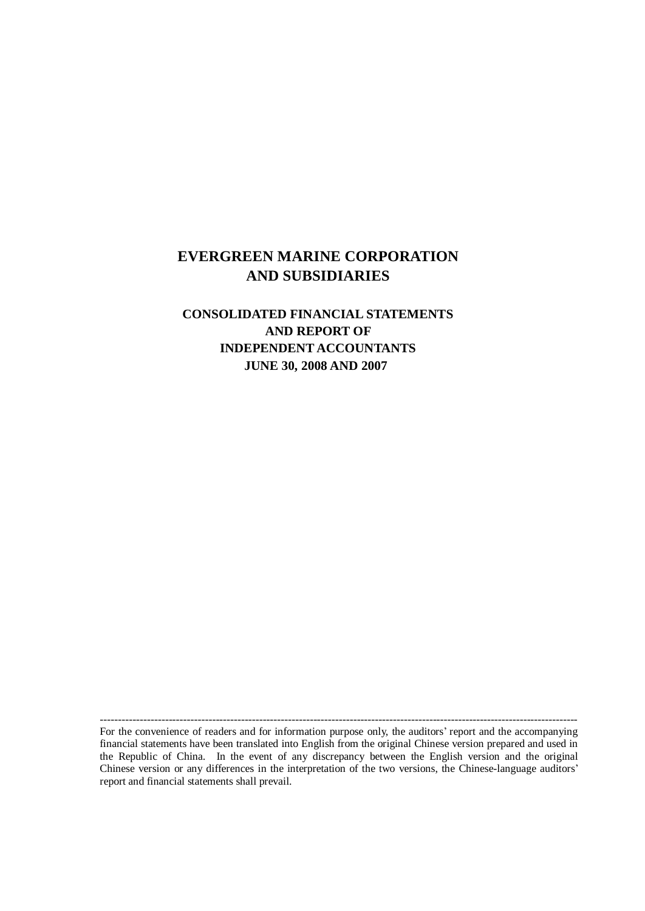## **EVERGREEN MARINE CORPORATION AND SUBSIDIARIES**

## **CONSOLIDATED FINANCIAL STATEMENTS AND REPORT OF INDEPENDENT ACCOUNTANTS JUNE 30, 2008 AND 2007**

For the convenience of readers and for information purpose only, the auditors' report and the accompanying financial statements have been translated into English from the original Chinese version prepared and used in the Republic of China. In the event of any discrepancy between the English version and the original Chinese version or any differences in the interpretation of the two versions, the Chinese-language auditors' report and financial statements shall prevail.

------------------------------------------------------------------------------------------------------------------------------------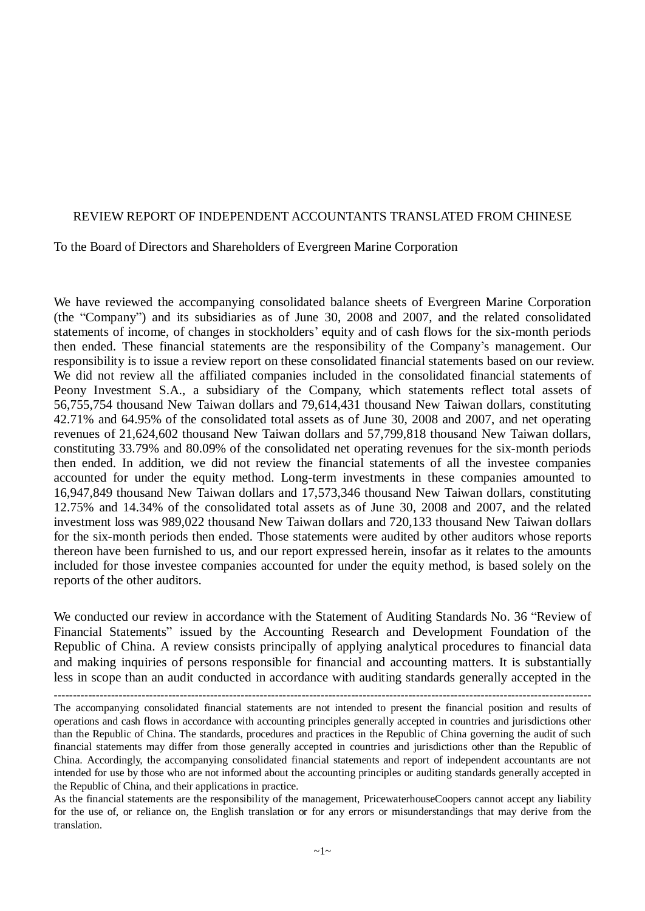#### REVIEW REPORT OF INDEPENDENT ACCOUNTANTS TRANSLATED FROM CHINESE

#### To the Board of Directors and Shareholders of Evergreen Marine Corporation

We have reviewed the accompanying consolidated balance sheets of Evergreen Marine Corporation (the "Company") and its subsidiaries as of June 30, 2008 and 2007, and the related consolidated statements of income, of changes in stockholders' equity and of cash flows for the six-month periods then ended. These financial statements are the responsibility of the Company's management. Our responsibility is to issue a review report on these consolidated financial statements based on our review. We did not review all the affiliated companies included in the consolidated financial statements of Peony Investment S.A., a subsidiary of the Company, which statements reflect total assets of 56,755,754 thousand New Taiwan dollars and 79,614,431 thousand New Taiwan dollars, constituting 42.71% and 64.95% of the consolidated total assets as of June 30, 2008 and 2007, and net operating revenues of 21,624,602 thousand New Taiwan dollars and 57,799,818 thousand New Taiwan dollars, constituting 33.79% and 80.09% of the consolidated net operating revenues for the six-month periods then ended. In addition, we did not review the financial statements of all the investee companies accounted for under the equity method. Long-term investments in these companies amounted to 16,947,849 thousand New Taiwan dollars and 17,573,346 thousand New Taiwan dollars, constituting 12.75% and 14.34% of the consolidated total assets as of June 30, 2008 and 2007, and the related investment loss was 989,022 thousand New Taiwan dollars and 720,133 thousand New Taiwan dollars for the six-month periods then ended. Those statements were audited by other auditors whose reports thereon have been furnished to us, and our report expressed herein, insofar as it relates to the amounts included for those investee companies accounted for under the equity method, is based solely on the reports of the other auditors.

We conducted our review in accordance with the Statement of Auditing Standards No. 36 "Review of Financial Statements" issued by the Accounting Research and Development Foundation of the Republic of China. A review consists principally of applying analytical procedures to financial data and making inquiries of persons responsible for financial and accounting matters. It is substantially less in scope than an audit conducted in accordance with auditing standards generally accepted in the

The accompanying consolidated financial statements are not intended to present the financial position and results of operations and cash flows in accordance with accounting principles generally accepted in countries and jurisdictions other than the Republic of China. The standards, procedures and practices in the Republic of China governing the audit of such financial statements may differ from those generally accepted in countries and jurisdictions other than the Republic of China. Accordingly, the accompanying consolidated financial statements and report of independent accountants are not intended for use by those who are not informed about the accounting principles or auditing standards generally accepted in the Republic of China, and their applications in practice.

As the financial statements are the responsibility of the management, PricewaterhouseCoopers cannot accept any liability for the use of, or reliance on, the English translation or for any errors or misunderstandings that may derive from the translation.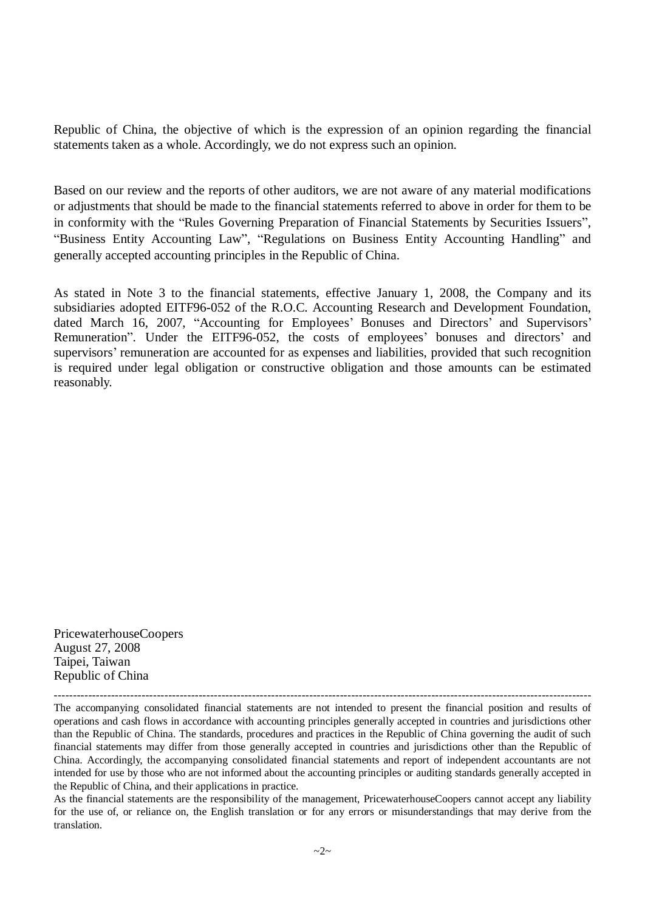Republic of China, the objective of which is the expression of an opinion regarding the financial statements taken as a whole. Accordingly, we do not express such an opinion.

Based on our review and the reports of other auditors, we are not aware of any material modifications or adjustments that should be made to the financial statements referred to above in order for them to be in conformity with the "Rules Governing Preparation of Financial Statements by Securities Issuers", "Business Entity Accounting Law", "Regulations on Business Entity Accounting Handling" and generally accepted accounting principles in the Republic of China.

As stated in Note 3 to the financial statements, effective January 1, 2008, the Company and its subsidiaries adopted EITF96-052 of the R.O.C. Accounting Research and Development Foundation, dated March 16, 2007, "Accounting for Employees' Bonuses and Directors' and Supervisors' Remuneration". Under the EITF96-052, the costs of employees' bonuses and directors' and supervisors' remuneration are accounted for as expenses and liabilities, provided that such recognition is required under legal obligation or constructive obligation and those amounts can be estimated reasonably.

PricewaterhouseCoopers August 27, 2008 Taipei, Taiwan Republic of China

--------------------------------------------------------------------------------------------------------------------------------------------- The accompanying consolidated financial statements are not intended to present the financial position and results of operations and cash flows in accordance with accounting principles generally accepted in countries and jurisdictions other than the Republic of China. The standards, procedures and practices in the Republic of China governing the audit of such financial statements may differ from those generally accepted in countries and jurisdictions other than the Republic of China. Accordingly, the accompanying consolidated financial statements and report of independent accountants are not intended for use by those who are not informed about the accounting principles or auditing standards generally accepted in the Republic of China, and their applications in practice.

As the financial statements are the responsibility of the management, PricewaterhouseCoopers cannot accept any liability for the use of, or reliance on, the English translation or for any errors or misunderstandings that may derive from the translation.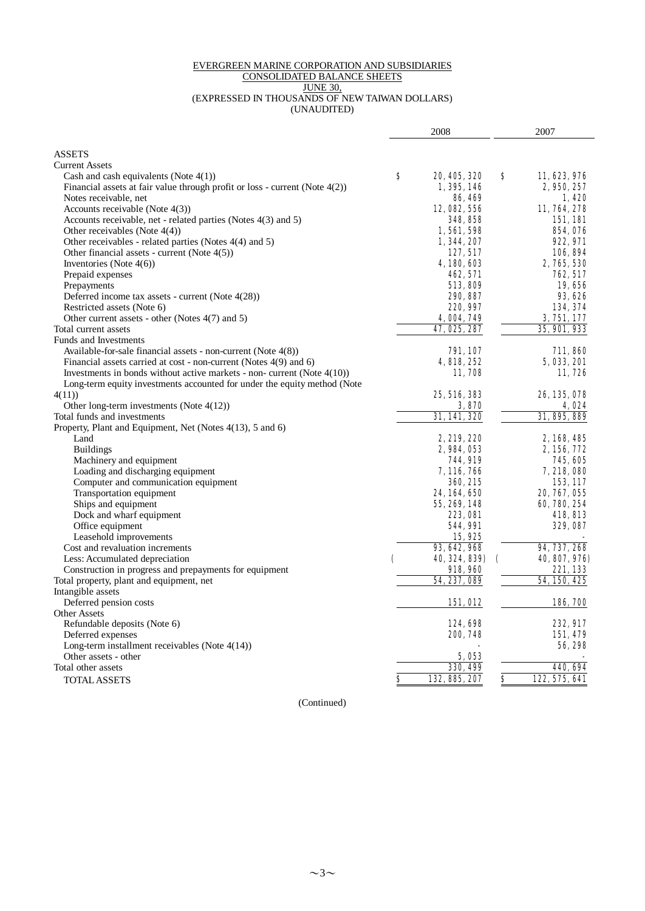#### EVERGREEN MARINE CORPORATION AND SUBSIDIARIES CONSOLIDATED BALANCE SHEETS JUNE 30, (EXPRESSED IN THOUSANDS OF NEW TAIWAN DOLLARS) (UNAUDITED)

|                                                                                |   | 2008              |                             | 2007               |
|--------------------------------------------------------------------------------|---|-------------------|-----------------------------|--------------------|
|                                                                                |   |                   |                             |                    |
| <b>ASSETS</b>                                                                  |   |                   |                             |                    |
| <b>Current Assets</b>                                                          |   |                   |                             |                    |
| Cash and cash equivalents (Note $4(1)$ )                                       | s | 20, 405, 320      | S                           | 11, 623, 976       |
| Financial assets at fair value through profit or loss - current (Note $4(2)$ ) |   | 1, 395, 146       |                             | 2, 950, 257        |
| Notes receivable, net                                                          |   | <b>86, 469</b>    |                             | 1.420              |
| Accounts receivable (Note $4(3)$ )                                             |   | 12, 082, 556      |                             | 11, 764, 278       |
| Accounts receivable, net - related parties (Notes 4(3) and 5)                  |   | 348, 858          |                             | 151,181            |
| Other receivables (Note $4(4)$ )                                               |   | 1,561,598         |                             | 854,076            |
| Other receivables - related parties (Notes 4(4) and 5)                         |   | 1, 344, 207       |                             | 922, 971           |
| Other financial assets - current (Note 4(5))                                   |   | 127, 517          |                             | 106,894            |
| Inventories (Note $4(6)$ )                                                     |   | 4, 180, 603       |                             | 2, 765, 530        |
| Prepaid expenses                                                               |   | 462, 571          |                             | <b>762, 517</b>    |
| Prepayments                                                                    |   | 513, 809          |                             | 19,656             |
| Deferred income tax assets - current (Note 4(28))                              |   | 290, 887          |                             | 93, 626            |
| Restricted assets (Note 6)                                                     |   | 220, 997          |                             | 134, 374           |
| Other current assets - other (Notes 4(7) and 5)                                |   | 4,004,749         |                             | 3,751,177          |
| Total current assets                                                           |   | 47, 025, 287      |                             | 35, 901, 933       |
| Funds and Investments                                                          |   |                   |                             |                    |
| Available-for-sale financial assets - non-current (Note 4(8))                  |   | <b>791, 107</b>   |                             | 711,860            |
| Financial assets carried at cost - non-current (Notes 4(9) and 6)              |   | 4, 818, 252       |                             | <b>5, 033, 201</b> |
| Investments in bonds without active markets - non- current (Note $4(10)$ )     |   | 11,708            |                             | 11,726             |
| Long-term equity investments accounted for under the equity method (Note       |   |                   |                             |                    |
| 4(11)                                                                          |   | 25, 516, 383      |                             | 26, 135, 078       |
| Other long-term investments (Note 4(12))                                       |   | 3,870             |                             | 4,024              |
| Total funds and investments                                                    |   | 31,141,320        |                             | 31, 895, 889       |
| Property, Plant and Equipment, Net (Notes 4(13), 5 and 6)                      |   |                   |                             |                    |
| Land                                                                           |   | 2, 219, 220       |                             | 2, 168, 485        |
| <b>Buildings</b>                                                               |   | 2,984,053         |                             | 2, 156, 772        |
| Machinery and equipment                                                        |   | 744, 919          |                             | 745, 605           |
| Loading and discharging equipment                                              |   | 7, 116, 766       |                             | 7, 218, 080        |
| Computer and communication equipment                                           |   | <b>360, 215</b>   |                             | 153, 117           |
| Transportation equipment                                                       |   | 24, 164, 650      |                             | 20, 767, 055       |
| Ships and equipment                                                            |   | 55, 269, 148      |                             | 60, 780, 254       |
| Dock and wharf equipment                                                       |   | <b>223, 081</b>   |                             | 418, 813           |
| Office equipment                                                               |   | <b>544.991</b>    |                             | 329, 087           |
| Leasehold improvements                                                         |   | 15,925            |                             |                    |
| Cost and revaluation increments                                                |   | 93, 642, 968      |                             | 94, 737, 268       |
| Less: Accumulated depreciation                                                 | ( | 40, 324, 839)     | €                           | 40, 807, 976)      |
| Construction in progress and prepayments for equipment                         |   | 918, 960          |                             | 221,133            |
| Total property, plant and equipment, net                                       |   | 54, 237, 089      |                             | 54.150, 425        |
| Intangible assets                                                              |   |                   |                             |                    |
| Deferred pension costs                                                         |   | 151,012           |                             | 186, 700           |
| Other Assets                                                                   |   |                   |                             |                    |
| Refundable deposits (Note 6)                                                   |   | 124,698           |                             | 232, 917           |
|                                                                                |   | 200, 748          |                             | 151, 479           |
| Deferred expenses<br>Long-term installment receivables (Note $4(14)$ )         |   |                   |                             | 56, 298            |
| Other assets - other                                                           |   |                   |                             |                    |
| Total other assets                                                             |   | 5,053<br>330, 499 |                             | 440, 694           |
|                                                                                |   |                   | $\overline{\boldsymbol{s}}$ |                    |
| <b>TOTAL ASSETS</b>                                                            | 8 | 132, 885, 207     |                             | 122, 575, 641      |

(Continued)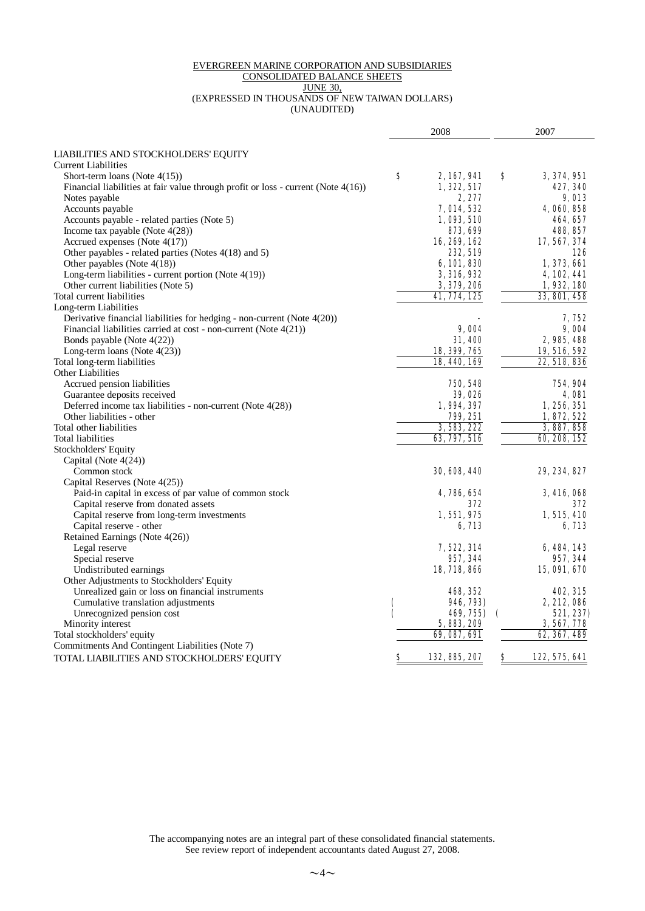#### EVERGREEN MARINE CORPORATION AND SUBSIDIARIES CONSOLIDATED BALANCE SHEETS JUNE 30, (EXPRESSED IN THOUSANDS OF NEW TAIWAN DOLLARS) (UNAUDITED)

|                                                                                   | 2008 |                     |            | 2007             |  |  |
|-----------------------------------------------------------------------------------|------|---------------------|------------|------------------|--|--|
|                                                                                   |      |                     |            |                  |  |  |
| LIABILITIES AND STOCKHOLDERS' EQUITY                                              |      |                     |            |                  |  |  |
| <b>Current Liabilities</b>                                                        |      |                     |            |                  |  |  |
| Short-term loans (Note $4(15)$ )                                                  | 8    | 2, 167, 941         | S          | 3, 374, 951      |  |  |
| Financial liabilities at fair value through profit or loss - current (Note 4(16)) |      | 1, 322, 517         |            | 427, 340         |  |  |
| Notes payable                                                                     |      | 2,277               |            | 9, O13           |  |  |
| Accounts payable                                                                  |      | 7, 014, 532         |            | 4,060,858        |  |  |
| Accounts payable - related parties (Note 5)                                       |      | 1,093,510           |            | 464, 657         |  |  |
| Income tax payable (Note $4(28)$ )                                                |      | 873, 699            |            | 488, 857         |  |  |
| Accrued expenses (Note $4(17)$ )                                                  |      | 16, 269, 162        |            | 17, 567, 374     |  |  |
| Other payables - related parties (Notes $4(18)$ and 5)                            |      | 232, 519            |            | 126              |  |  |
| Other payables (Note 4(18))                                                       |      | 6, 101, 830         |            | 1,373,661        |  |  |
| Long-term liabilities - current portion (Note $4(19)$ )                           |      | 3, 316, 932         |            | <b>4,102,441</b> |  |  |
| Other current liabilities (Note 5)                                                |      | 3, 379, 206         |            | 1,932,180        |  |  |
| Total current liabilities                                                         |      | 41, 774, 125        |            | 33, 801, 458     |  |  |
| Long-term Liabilities                                                             |      |                     |            |                  |  |  |
| Derivative financial liabilities for hedging - non-current (Note $4(20)$ )        |      |                     |            | 7, 752           |  |  |
| Financial liabilities carried at cost - non-current (Note 4(21))                  |      | 9,004               |            | 9,004            |  |  |
| Bonds payable (Note $4(22)$ )                                                     |      | <b>31,400</b>       |            | 2, 985, 488      |  |  |
| Long-term loans (Note 4(23))                                                      |      | 18, 399, 765        |            | 19, 516, 592     |  |  |
| Total long-term liabilities                                                       |      | 18, 440, 169        |            | 22, 518, 836     |  |  |
| Other Liabilities                                                                 |      |                     |            |                  |  |  |
| Accrued pension liabilities                                                       |      | 750, 548            |            | 754, 904         |  |  |
| Guarantee deposits received                                                       |      | 39,026              |            | <b>4.081</b>     |  |  |
| Deferred income tax liabilities - non-current (Note 4(28))                        |      | 1,994,397           |            | 1,256,351        |  |  |
| Other liabilities - other                                                         |      | 799.251             |            | 1, 872, 522      |  |  |
| Total other liabilities                                                           |      | 3, 583, 222         |            | 3, 887, 858      |  |  |
| <b>Total liabilities</b>                                                          |      | 63, 797, 516        |            | 60, 208, 152     |  |  |
| Stockholders' Equity                                                              |      |                     |            |                  |  |  |
| Capital (Note 4(24))                                                              |      |                     |            |                  |  |  |
| Common stock                                                                      |      | <b>30, 608, 440</b> |            | 29, 234, 827     |  |  |
| Capital Reserves (Note 4(25))                                                     |      |                     |            |                  |  |  |
| Paid-in capital in excess of par value of common stock                            |      | 4, 786, 654         |            | 3, 416, 068      |  |  |
| Capital reserve from donated assets                                               |      | 372                 |            | 372              |  |  |
| Capital reserve from long-term investments                                        |      | 1,551,975           |            | 1,515,410        |  |  |
| Capital reserve - other                                                           |      | 6, 713              |            | 6, 713           |  |  |
| Retained Earnings (Note 4(26))                                                    |      |                     |            |                  |  |  |
| Legal reserve                                                                     |      | 7,522, 314          |            | 6, 484, 143      |  |  |
| Special reserve                                                                   |      | 957, 344            |            | 957, 344         |  |  |
| Undistributed earnings                                                            |      | 18, 718, 866        |            | 15,091,670       |  |  |
| Other Adjustments to Stockholders' Equity                                         |      |                     |            |                  |  |  |
| Unrealized gain or loss on financial instruments                                  |      | 468, 352            |            | <b>402, 315</b>  |  |  |
| Cumulative translation adjustments                                                | (    | 946, 793)           |            | 2, 212, 086      |  |  |
| Unrecognized pension cost                                                         |      | 469, 755)           | $\epsilon$ | 521, 237)        |  |  |
| Minority interest                                                                 |      | 5, 883, 209         |            | 3, 567, 778      |  |  |
| Total stockholders' equity                                                        |      | 69, 087, 691        |            | 62, 367, 489     |  |  |
| Commitments And Contingent Liabilities (Note 7)                                   |      |                     |            |                  |  |  |
| TOTAL LIABILITIES AND STOCKHOLDERS' EQUITY                                        | Ş    | 132, 885, 207       | \$         | 122, 575, 641    |  |  |
|                                                                                   |      |                     |            |                  |  |  |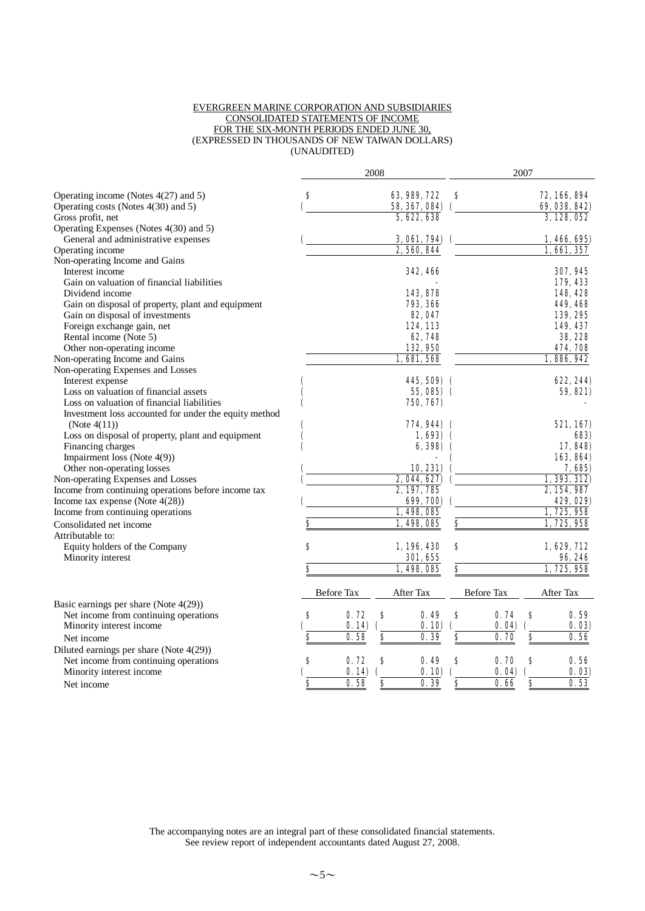#### EVERGREEN MARINE CORPORATION AND SUBSIDIARIES CONSOLIDATED STATEMENTS OF INCOME FOR THE SIX-MONTH PERIODS ENDED JUNE 30, (EXPRESSED IN THOUSANDS OF NEW TAIWAN DOLLARS) (UNAUDITED)

|                                                       |    |            | 2008 |                 |                             |            | 2007 |               |
|-------------------------------------------------------|----|------------|------|-----------------|-----------------------------|------------|------|---------------|
| Operating income (Notes 4(27) and 5)                  | S  |            |      | 63, 989, 722    | S                           |            |      | 72, 166, 894  |
| Operating costs (Notes 4(30) and 5)                   |    |            |      | 58, 367, 084)   |                             |            |      | 69, 038, 842) |
| Gross profit, net                                     |    |            |      | 5, 622, 638     |                             |            |      | 3, 128, 052   |
| Operating Expenses (Notes 4(30) and 5)                |    |            |      |                 |                             |            |      |               |
| General and administrative expenses                   |    |            |      | 3,061,794       |                             |            |      | 1,466,695)    |
| Operating income                                      |    |            |      | 2,560,844       |                             |            |      | 1,661,357     |
| Non-operating Income and Gains                        |    |            |      |                 |                             |            |      |               |
| Interest income                                       |    |            |      | <b>342, 466</b> |                             |            |      | 307, 945      |
| Gain on valuation of financial liabilities            |    |            |      |                 |                             |            |      | 179, 433      |
| Dividend income                                       |    |            |      | 143,878         |                             |            |      | 148, 428      |
| Gain on disposal of property, plant and equipment     |    |            |      | 793, 366        |                             |            |      | 449, 468      |
| Gain on disposal of investments                       |    |            |      | 82, 047         |                             |            |      | 139, 295      |
| Foreign exchange gain, net                            |    |            |      | 124, 113        |                             |            |      | 149, 437      |
| Rental income (Note 5)                                |    |            |      | 62,748          |                             |            |      | 38, 228       |
| Other non-operating income                            |    |            |      | 132,950         |                             |            |      | 474, 708      |
| Non-operating Income and Gains                        |    |            |      | 1,681,568       |                             |            |      | 1,886,942     |
| Non-operating Expenses and Losses                     |    |            |      |                 |                             |            |      |               |
| Interest expense                                      |    |            |      | 445, 509) (     |                             |            |      | 622, 244)     |
| Loss on valuation of financial assets                 |    |            |      | 55,085) (       |                             |            |      | 59, 821)      |
| Loss on valuation of financial liabilities            |    |            |      | 750, 767)       |                             |            |      |               |
| Investment loss accounted for under the equity method |    |            |      |                 |                             |            |      |               |
| (Note $4(11)$ )                                       |    |            |      | 774,944) (      |                             |            |      | 521, 167)     |
| Loss on disposal of property, plant and equipment     |    |            |      | $1,693)$ (      |                             |            |      | 683)          |
| Financing charges                                     |    |            |      | 6,398)          |                             |            |      | 17,848)       |
| Impairment loss (Note 4(9))                           |    |            |      |                 |                             |            |      | 163, 864)     |
| Other non-operating losses                            |    |            |      | 10, 231)        |                             |            |      | 7,685)        |
| Non-operating Expenses and Losses                     |    |            |      | 2, 044, 627)    |                             |            |      | 1, 393, 312   |
| Income from continuing operations before income tax   |    |            |      | 2, 197, 785     |                             |            |      | 2, 154, 987   |
| Income tax expense (Note $4(28)$ )                    |    |            |      | 699, 700)       |                             |            |      | 429, 029)     |
| Income from continuing operations                     |    |            |      | 1,498,085       |                             |            |      | 1,725,958     |
| Consolidated net income                               | \$ |            |      | 1,498,085       | $\overline{\boldsymbol{s}}$ |            |      | 1, 725, 958   |
| Attributable to:                                      |    |            |      |                 |                             |            |      |               |
| Equity holders of the Company                         | S  |            |      | 1, 196, 430     | \$                          |            |      | 1, 629, 712   |
| Minority interest                                     |    |            |      | 301, 655        |                             |            |      | 96, 246       |
|                                                       | S  |            |      | 1.498.085       | \$                          |            |      | 1, 725, 958   |
|                                                       |    | Before Tax |      | After Tax       |                             | Before Tax |      | After Tax     |
| Basic earnings per share (Note $4(29)$ )              |    |            |      |                 |                             |            |      |               |
| Net income from continuing operations                 | S  | 0.72       | 8    | 0.49            | $\boldsymbol{s}$            | 0.74       | S    | 0.59          |
| Minority interest income                              |    | 0.14       |      | 0.10            |                             | 0.04       |      | 0.03          |
| Net income                                            | S  | 0.58       | \$   | 0.39            | $\overline{\boldsymbol{s}}$ | 0.70       | \$   | 0.56          |
| Diluted earnings per share (Note 4(29))               |    |            |      |                 |                             |            |      |               |
| Net income from continuing operations                 | \$ | 0.72       | S    | 0.49            | S                           | 0.70       | S    | 0.56          |
| Minority interest income                              |    | 0.14       |      | 0.10            |                             | 0.04       |      | 0.03          |
| Net income                                            | S  | 0.58       | \$   | 0.39            | S                           | 0.66       | \$   | 0.53          |
|                                                       |    |            |      |                 |                             |            |      |               |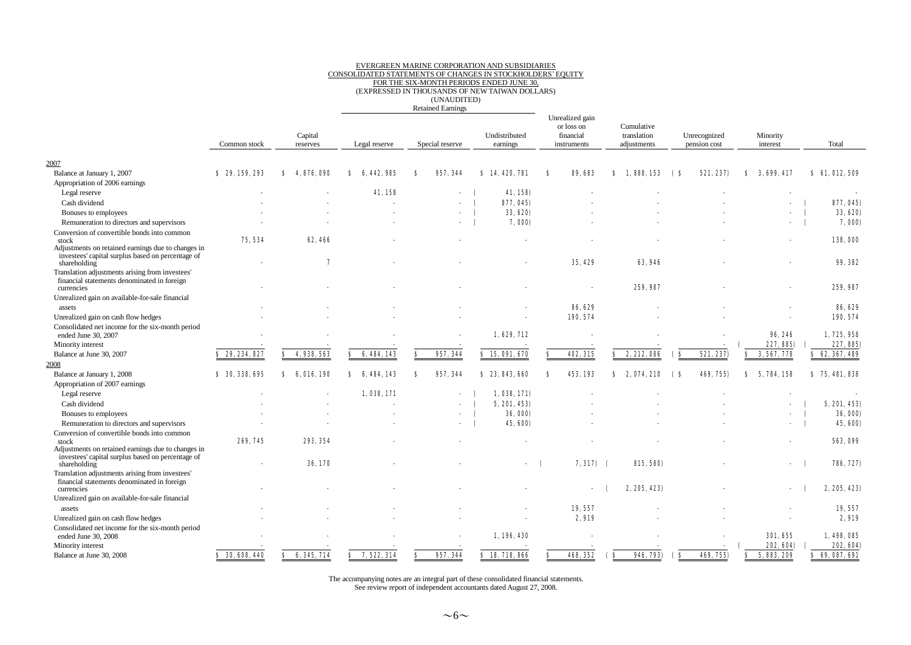## EVERGREEN MARINE CORPORATION AND SUBSIDIARIES CONSOLIDATED STATEMENTS OF CHANGES IN STOCKHOLDERS'EQUITY FOR THE SIX-MONTH PERIODS ENDED JUNE 30, (EXPRESSED IN THOUSANDS OF NEW TAIWAN DOLLARS)

(UNAUDITED)

Retained Earnings

|                                                                                                                         | Common stock             | Capital<br>reserves | Legal reserve        | Special reserve          | Undistributed<br>earnings | Unrealized gain<br>or loss on<br>financial<br>instruments | Cumulative<br>translation<br>adjustments | Unrecognized<br>pension cost | Minority<br>interest | Total           |
|-------------------------------------------------------------------------------------------------------------------------|--------------------------|---------------------|----------------------|--------------------------|---------------------------|-----------------------------------------------------------|------------------------------------------|------------------------------|----------------------|-----------------|
| 2007                                                                                                                    |                          |                     |                      |                          |                           |                                                           |                                          |                              |                      |                 |
| Balance at January 1, 2007                                                                                              | \$29,159,293             | 4,876,090<br>Я      | 442.985              | 957.344                  | 14, 420, 781<br>s         | 89, 683<br>я                                              | 1.888.153                                | 521, 237)<br>(S              | 3, 699, 417          | \$61,012,509    |
| Appropriation of 2006 earnings                                                                                          |                          |                     |                      |                          |                           |                                                           |                                          |                              |                      |                 |
| Legal reserve                                                                                                           |                          |                     | 41,158               |                          | 41, 158)                  |                                                           |                                          |                              |                      |                 |
| Cash dividend                                                                                                           |                          |                     |                      |                          | 877, 045)                 |                                                           |                                          |                              |                      | 877, 045)       |
| Bonuses to employees                                                                                                    |                          |                     |                      | $\overline{\phantom{a}}$ | 33, 620)                  |                                                           |                                          |                              |                      | 33, 620)        |
| Remuneration to directors and supervisors                                                                               |                          |                     |                      |                          | 7,000                     |                                                           |                                          |                              |                      | 7,000)          |
|                                                                                                                         |                          |                     |                      |                          |                           |                                                           |                                          |                              |                      |                 |
| Conversion of convertible bonds into common<br>stock                                                                    | 75, 534                  | 62, 466             |                      |                          |                           |                                                           |                                          |                              |                      | 138,000         |
| Adjustments on retained earnings due to changes in<br>investees' capital surplus based on percentage of<br>shareholding |                          | 7                   |                      |                          |                           | 35, 429                                                   | 63, 946                                  |                              |                      | 99, 382         |
| Translation adjustments arising from investees'                                                                         |                          |                     |                      |                          |                           |                                                           |                                          |                              |                      |                 |
| financial statements denominated in foreign<br>currencies                                                               |                          |                     |                      |                          |                           |                                                           | 259, 987                                 |                              |                      | 259, 987        |
| Unrealized gain on available-for-sale financial                                                                         |                          |                     |                      |                          |                           |                                                           |                                          |                              |                      |                 |
| assets                                                                                                                  |                          |                     |                      |                          |                           | 86, 629                                                   |                                          |                              |                      | 86, 629         |
| Unrealized gain on cash flow hedges                                                                                     |                          |                     |                      |                          |                           | 190, 574                                                  |                                          |                              |                      | 190, 574        |
| Consolidated net income for the six-month period                                                                        |                          |                     |                      |                          |                           |                                                           |                                          |                              |                      |                 |
| ended June 30, 2007                                                                                                     |                          |                     |                      |                          | 1, 629, 712               |                                                           |                                          |                              | 96, 246              | 1, 725, 958     |
| Minority interest                                                                                                       |                          |                     |                      |                          |                           |                                                           |                                          |                              | 227, 885)            | 227, 885)       |
| Balance at June 30, 2007                                                                                                | \$29, 234, 827           | 4, 938, 563<br>s    | 6, 484, 143<br>s     | 957, 344<br>S            | \$15,091,670              | 402, 315<br>Я                                             | 2, 212, 086<br>s                         | 521, 237)<br>( S             | 3, 567, 778<br>S.    | \$ 62, 367, 489 |
| 2008                                                                                                                    |                          |                     |                      |                          |                           |                                                           |                                          |                              |                      |                 |
| Balance at January 1, 2008                                                                                              | \$30,338,695             | 6.016.190<br>Ω      | 484, 143<br>Ω<br>-6. | 957, 344                 | \$23,843,660              | 453.193                                                   | 074, 210                                 | 469, 755)                    | 5, 784, 158          | \$75,481,838    |
| Appropriation of 2007 earnings                                                                                          |                          |                     |                      |                          |                           |                                                           |                                          |                              |                      |                 |
| Legal reserve                                                                                                           |                          |                     | 1,038,171            |                          | 1,038,171)                |                                                           |                                          |                              |                      |                 |
| Cash dividend                                                                                                           |                          |                     |                      |                          | 5, 201, 453)              |                                                           |                                          |                              |                      | 5, 201, 453)    |
| Bonuses to employees                                                                                                    |                          |                     |                      |                          | <b>36, 000)</b>           |                                                           |                                          |                              |                      | 36,000)         |
| Remuneration to directors and supervisors                                                                               |                          |                     |                      |                          | 45, 600)                  |                                                           |                                          |                              |                      | 45, 600)        |
| Conversion of convertible bonds into common                                                                             |                          |                     |                      |                          |                           |                                                           |                                          |                              |                      |                 |
| stock                                                                                                                   | 269, 745                 | 293, 354            |                      |                          |                           |                                                           |                                          |                              |                      | 563, 099        |
| Adjustments on retained earnings due to changes in<br>investees' capital surplus based on percentage of<br>shareholding | $\overline{\phantom{a}}$ | 36, 170             |                      |                          |                           | $7,317$ (                                                 | 815, 580)                                |                              |                      | 786, 727)       |
| Translation adjustments arising from investees'<br>financial statements denominated in foreign                          |                          |                     |                      |                          |                           |                                                           |                                          |                              |                      |                 |
| currencies                                                                                                              |                          |                     |                      |                          |                           |                                                           | 2, 205, 423)                             |                              |                      | 2, 205, 423)    |
| Unrealized gain on available-for-sale financial                                                                         |                          |                     |                      |                          |                           |                                                           |                                          |                              |                      |                 |
| assets                                                                                                                  |                          |                     |                      |                          |                           | 19, 557                                                   |                                          |                              |                      | 19, 557         |
| Unrealized gain on cash flow hedges                                                                                     |                          |                     |                      |                          |                           | 2,919                                                     |                                          |                              |                      | 2,919           |
| Consolidated net income for the six-month period<br>ended June 30, 2008                                                 |                          |                     |                      |                          | 1,196,430                 |                                                           |                                          |                              | 301, 655             | 1,498,085       |
| Minority interest                                                                                                       |                          |                     |                      |                          |                           |                                                           |                                          |                              | 202, 604)            | 202, 604)       |
| Balance at June 30, 2008                                                                                                | \$30,608,440             | 6, 345, 714<br>S.   | 7, 522, 314<br>s     | 957, 344<br>s            | \$18,718,866              | 468, 352                                                  | 946, 793)<br>$\epsilon$                  | $\mathbf{s}$<br>469, 755)    | 5, 883, 209<br>s     | \$69,087,691    |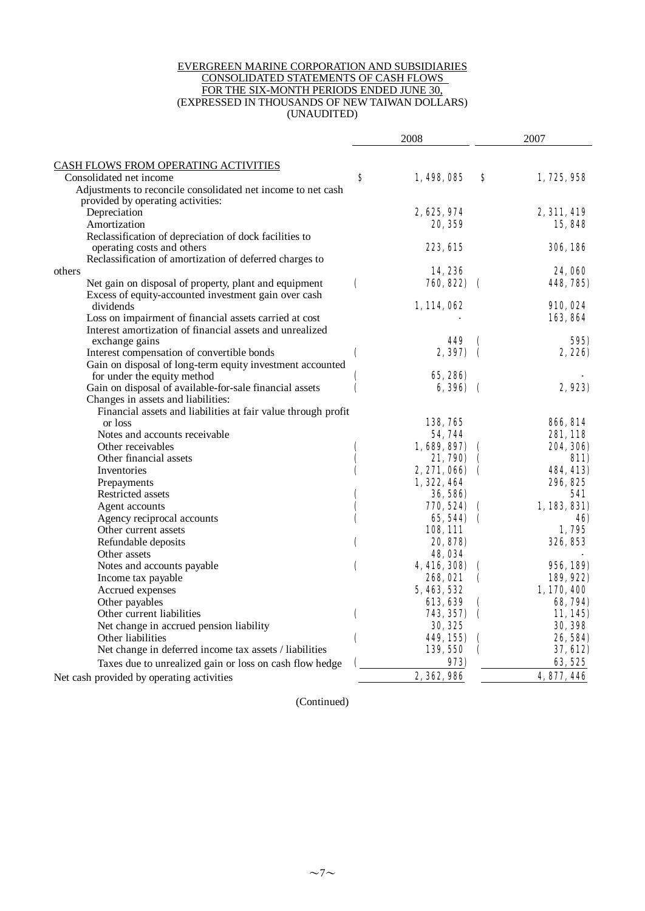#### EVERGREEN MARINE CORPORATION AND SUBSIDIARIES CONSOLIDATED STATEMENTS OF CASH FLOWS FOR THE SIX-MONTH PERIODS ENDED JUNE 30, (EXPRESSED IN THOUSANDS OF NEW TAIWAN DOLLARS) (UNAUDITED)

|                                                                                                     |                    | 2008            | 2007               |                 |
|-----------------------------------------------------------------------------------------------------|--------------------|-----------------|--------------------|-----------------|
| CASH FLOWS FROM OPERATING ACTIVITIES                                                                |                    |                 |                    |                 |
| Consolidated net income                                                                             | S                  | 1,498,085       | S                  | 1, 725, 958     |
| Adjustments to reconcile consolidated net income to net cash                                        |                    |                 |                    |                 |
| provided by operating activities:                                                                   |                    |                 |                    |                 |
| Depreciation                                                                                        |                    | 2, 625, 974     |                    | 2, 311, 419     |
| Amortization                                                                                        |                    | 20, 359         |                    | 15,848          |
| Reclassification of depreciation of dock facilities to                                              |                    |                 |                    |                 |
| operating costs and others                                                                          |                    | <b>223. GL5</b> |                    | <b>306, 186</b> |
| Reclassification of amortization of deferred charges to                                             |                    |                 |                    |                 |
| others                                                                                              |                    | 14,236          |                    | <b>24,060</b>   |
| Net gain on disposal of property, plant and equipment                                               | $\overline{ }$     | 760, 822)       | $\epsilon$         | 448, 785)       |
| Excess of equity-accounted investment gain over cash                                                |                    |                 |                    |                 |
| dividends                                                                                           |                    | 1, 114, 062     |                    | <b>910, 024</b> |
| Loss on impairment of financial assets carried at cost                                              |                    |                 |                    | 163, 864        |
| Interest amortization of financial assets and unrealized                                            |                    |                 |                    |                 |
| exchange gains                                                                                      |                    | 449             | C                  | 595)            |
| Interest compensation of convertible bonds                                                          | $\mathbf \epsilon$ | 2, 397)         | $\epsilon$         | 2, 226)         |
| Gain on disposal of long-term equity investment accounted                                           |                    |                 |                    |                 |
| for under the equity method                                                                         | C                  | <b>65, 286)</b> |                    | 2,923)          |
| Gain on disposal of available-for-sale financial assets                                             | C                  | <b>6,396)</b>   | $\epsilon$         |                 |
| Changes in assets and liabilities:<br>Financial assets and liabilities at fair value through profit |                    |                 |                    |                 |
| or loss                                                                                             |                    | 138,765         |                    | <b>866, SI4</b> |
| Notes and accounts receivable                                                                       |                    | 54,744          |                    | 281, 118        |
| Other receivables                                                                                   | C                  | 1,689,897)      | €                  | 204, 306)       |
| Other financial assets                                                                              |                    | 21, 790)        |                    | <b>811)</b>     |
| Inventories                                                                                         |                    | 2, 271, 066)    | $\sqrt{ }$         | 484, 413)       |
| Prepayments                                                                                         |                    | 1, 322, 464     |                    | 296, 825        |
| Restricted assets                                                                                   |                    | <b>36, 586)</b> |                    | 541             |
| Agent accounts                                                                                      | (                  | 770, 524)       | $\mathbf \Omega$   | 1,183,831)      |
| Agency reciprocal accounts                                                                          |                    | 65,544) (       |                    | 46)             |
| Other current assets                                                                                |                    | <b>108, 111</b> |                    | 1,795           |
| Refundable deposits                                                                                 | (                  | 20, 878)        |                    | 326, 853        |
| Other assets                                                                                        |                    | 48,034          |                    |                 |
| Notes and accounts payable                                                                          | (                  | 4, 416, 308)    | €                  | 956, 189)       |
| Income tax payable                                                                                  |                    | 268.021         | C                  | 189, 922)       |
| Accrued expenses                                                                                    |                    | 5, 463, 532     |                    | 1,170,400       |
| Other payables                                                                                      |                    | 613, 639        | (                  | <b>68, 794)</b> |
| Other current liabilities                                                                           | $\mathbf \epsilon$ | 743, 357)       | $\mathbf \epsilon$ | 11, 145         |
| Net change in accrued pension liability                                                             |                    | <b>30, 325</b>  |                    | <b>30, 398</b>  |
| Other liabilities                                                                                   | (                  | 449, 155)       | €                  | 26, 584)        |
| Net change in deferred income tax assets / liabilities                                              |                    | 139, 550        | (                  | 37, 612)        |
| Taxes due to unrealized gain or loss on cash flow hedge                                             |                    | 973)            |                    | 63, 525         |
| Net cash provided by operating activities                                                           |                    | 2, 362, 986     |                    | 4, 877, 446     |

(Continued)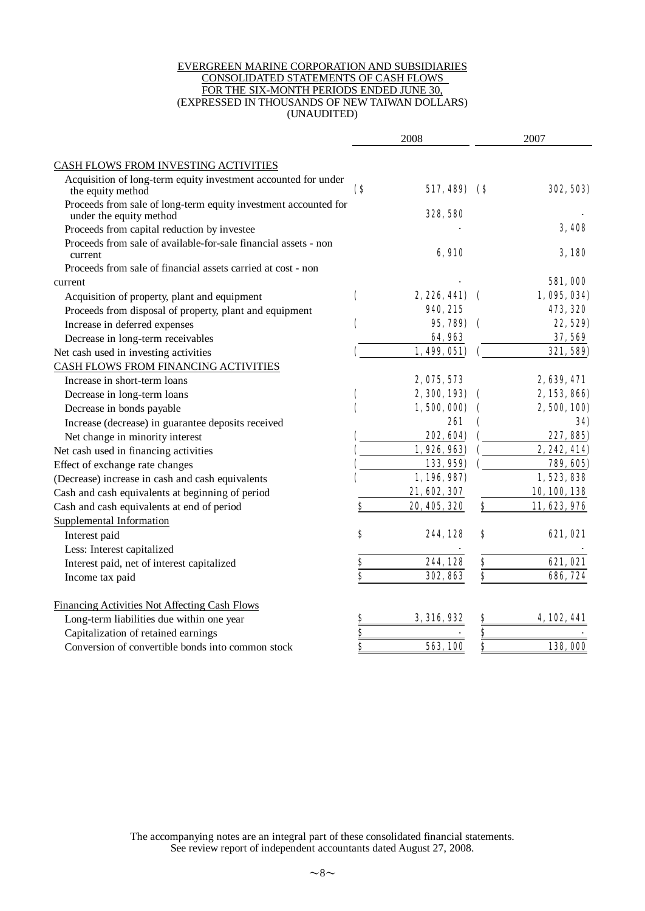#### EVERGREEN MARINE CORPORATION AND SUBSIDIARIES CONSOLIDATED STATEMENTS OF CASH FLOWS FOR THE SIX-MONTH PERIODS ENDED JUNE 30, (EXPRESSED IN THOUSANDS OF NEW TAIWAN DOLLARS) (UNAUDITED)

|                                                                                            | 2008                    |                |                              | 2007             |  |
|--------------------------------------------------------------------------------------------|-------------------------|----------------|------------------------------|------------------|--|
| CASH FLOWS FROM INVESTING ACTIVITIES                                                       |                         |                |                              |                  |  |
| Acquisition of long-term equity investment accounted for under<br>the equity method        | $\bf(8)$                | 517, 489)      | <b>(\$</b>                   | <b>302, 503)</b> |  |
| Proceeds from sale of long-term equity investment accounted for<br>under the equity method |                         | 328, 580       |                              |                  |  |
| Proceeds from capital reduction by investee                                                |                         |                |                              | <b>3.408</b>     |  |
| Proceeds from sale of available-for-sale financial assets - non<br>current                 |                         | 6,910          |                              | <b>3,180</b>     |  |
| Proceeds from sale of financial assets carried at cost - non                               |                         |                |                              |                  |  |
| current                                                                                    |                         |                |                              | <b>581,000</b>   |  |
| Acquisition of property, plant and equipment                                               | C                       | 2, 226, 441)   | $\mathbf \epsilon$           | 1,095,034)       |  |
| Proceeds from disposal of property, plant and equipment                                    |                         | 940, 215       |                              | 473, 320         |  |
| Increase in deferred expenses                                                              |                         | 95, 789)       |                              | 22, 529)         |  |
| Decrease in long-term receivables                                                          |                         | 64,963         |                              | 37, 569          |  |
| Net cash used in investing activities                                                      |                         | 1,499,051)     |                              | 321, 589)        |  |
| CASH FLOWS FROM FINANCING ACTIVITIES                                                       |                         |                |                              |                  |  |
| Increase in short-term loans                                                               |                         | 2, 075, 573    |                              | 2, 639, 471      |  |
| Decrease in long-term loans                                                                | C                       | 2, 300, 193)   |                              | 2, 153, 866)     |  |
| Decrease in bonds payable                                                                  |                         | 1,500,000)     |                              | 2, 500, 100)     |  |
| Increase (decrease) in guarantee deposits received                                         |                         | 261            |                              | 34)              |  |
| Net change in minority interest                                                            |                         | 202, 604)      |                              | 227, 885)        |  |
| Net cash used in financing activities                                                      |                         | 1, 926, 963)   |                              | 2, 242, 414)     |  |
| Effect of exchange rate changes                                                            |                         | 133, 959)      |                              | 789, 605)        |  |
| (Decrease) increase in cash and cash equivalents                                           |                         | 1, 196, 987)   |                              | 1,523,838        |  |
| Cash and cash equivalents at beginning of period                                           |                         | 21, 602, 307   |                              | 10, 100, 138     |  |
| Cash and cash equivalents at end of period                                                 | \$                      | 20, 405, 320   | \$                           | 11, 623, 976     |  |
| Supplemental Information                                                                   |                         |                |                              |                  |  |
| Interest paid                                                                              | \$                      | 244, 128       | \$                           | 621, 021         |  |
| Less: Interest capitalized                                                                 |                         |                |                              |                  |  |
| Interest paid, net of interest capitalized                                                 | <u>\$</u>               | 244, 128       | $\underline{\underline{\$}}$ | 621, 021         |  |
| Income tax paid                                                                            | $\dot{\bm{s}}$          | 302, 863       | \$                           | 696, 724         |  |
| Financing Activities Not Affecting Cash Flows                                              |                         |                |                              |                  |  |
| Long-term liabilities due within one year                                                  | <u>s</u>                | 3, 316, 932    | <u>s</u>                     | 4, 102, 441      |  |
| Capitalization of retained earnings                                                        | $\overline{\mathbf{S}}$ |                | $\frac{8}{2}$                |                  |  |
| Conversion of convertible bonds into common stock                                          | \$                      | <b>563,100</b> | \$                           | 138,000          |  |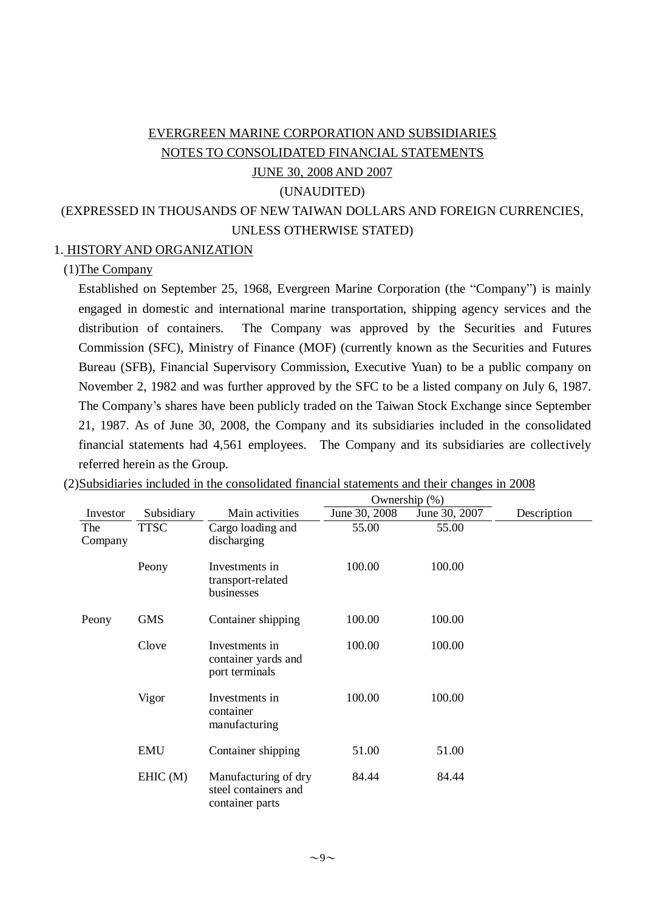# EVERGREEN MARINE CORPORATION AND SUBSIDIARIES NOTES TO CONSOLIDATED FINANCIAL STATEMENTS JUNE 30, 2008 AND 2007

#### (UNAUDITED)

(EXPRESSED IN THOUSANDS OF NEW TAIWAN DOLLARS AND FOREIGN CURRENCIES, UNLESS OTHERWISE STATED)

#### 1. HISTORY AND ORGANIZATION

#### (1)The Company

Established on September 25, 1968, Evergreen Marine Corporation (the "Company") is mainly engaged in domestic and international marine transportation, shipping agency services and the distribution of containers. The Company was approved by the Securities and Futures Commission (SFC), Ministry of Finance (MOF) (currently known as the Securities and Futures Bureau (SFB), Financial Supervisory Commission, Executive Yuan) to be a public company on November 2, 1982 and was further approved by the SFC to be a listed company on July 6, 1987. The Company's shares have been publicly traded on the Taiwan Stock Exchange since September 21, 1987. As of June 30, 2008, the Company and its subsidiaries included in the consolidated financial statements had 4,561 employees. The Company and its subsidiaries are collectively referred herein as the Group.

|                |             |                                                                 | Ownership (%) |               |             |
|----------------|-------------|-----------------------------------------------------------------|---------------|---------------|-------------|
| Investor       | Subsidiary  | Main activities                                                 | June 30, 2008 | June 30, 2007 | Description |
| The<br>Company | <b>TTSC</b> | Cargo loading and<br>discharging                                | 55.00         | 55.00         |             |
|                | Peony       | Investments in<br>transport-related<br>businesses               | 100.00        | 100.00        |             |
| Peony          | <b>GMS</b>  | Container shipping                                              | 100.00        | 100.00        |             |
|                | Clove       | Investments in<br>container yards and<br>port terminals         | 100.00        | 100.00        |             |
|                | Vigor       | Investments in<br>container<br>manufacturing                    | 100.00        | 100.00        |             |
|                | <b>EMU</b>  | Container shipping                                              | 51.00         | 51.00         |             |
|                | EHIC(M)     | Manufacturing of dry<br>steel containers and<br>container parts | 84.44         | 84.44         |             |

(2)Subsidiaries included in the consolidated financial statements and their changes in 2008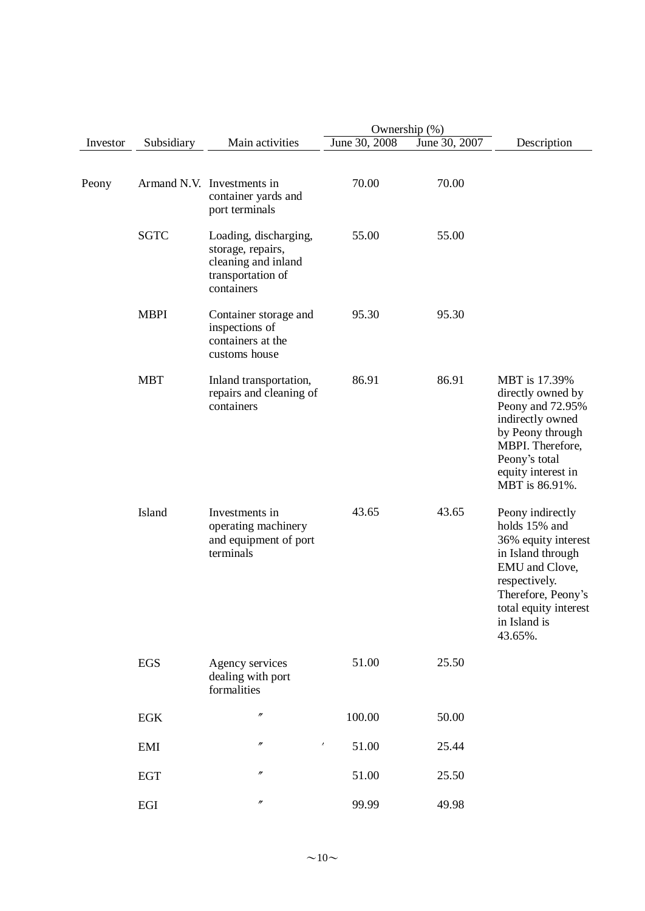|          |              |                                                                                                      |               | Ownership (%) |                                                                                                                                                                                            |  |  |  |
|----------|--------------|------------------------------------------------------------------------------------------------------|---------------|---------------|--------------------------------------------------------------------------------------------------------------------------------------------------------------------------------------------|--|--|--|
| Investor | Subsidiary   | Main activities                                                                                      | June 30, 2008 | June 30, 2007 | Description                                                                                                                                                                                |  |  |  |
| Peony    |              | Armand N.V. Investments in<br>container yards and<br>port terminals                                  | 70.00         | 70.00         |                                                                                                                                                                                            |  |  |  |
|          | <b>SGTC</b>  | Loading, discharging,<br>storage, repairs,<br>cleaning and inland<br>transportation of<br>containers | 55.00         | 55.00         |                                                                                                                                                                                            |  |  |  |
|          | <b>MBPI</b>  | Container storage and<br>inspections of<br>containers at the<br>customs house                        | 95.30         | 95.30         |                                                                                                                                                                                            |  |  |  |
|          | <b>MBT</b>   | Inland transportation,<br>repairs and cleaning of<br>containers                                      | 86.91         | 86.91         | MBT is 17.39%<br>directly owned by<br>Peony and 72.95%<br>indirectly owned<br>by Peony through<br>MBPI. Therefore,<br>Peony's total<br>equity interest in<br>MBT is 86.91%.                |  |  |  |
|          | Island       | Investments in<br>operating machinery<br>and equipment of port<br>terminals                          | 43.65         | 43.65         | Peony indirectly<br>holds 15% and<br>36% equity interest<br>in Island through<br>EMU and Clove,<br>respectively.<br>Therefore, Peony's<br>total equity interest<br>in Island is<br>43.65%. |  |  |  |
|          | <b>EGS</b>   | Agency services<br>dealing with port<br>formalities                                                  | 51.00         | 25.50         |                                                                                                                                                                                            |  |  |  |
|          | $_{\rm EGK}$ | $^{\prime\prime}$                                                                                    | 100.00        | 50.00         |                                                                                                                                                                                            |  |  |  |
|          | EMI          | $\prime\prime$<br>X,                                                                                 | 51.00         | 25.44         |                                                                                                                                                                                            |  |  |  |
|          | <b>EGT</b>   | $\prime\prime$                                                                                       | 51.00         | 25.50         |                                                                                                                                                                                            |  |  |  |
|          | $_{\rm EGI}$ | $\prime\prime$                                                                                       | 99.99         | 49.98         |                                                                                                                                                                                            |  |  |  |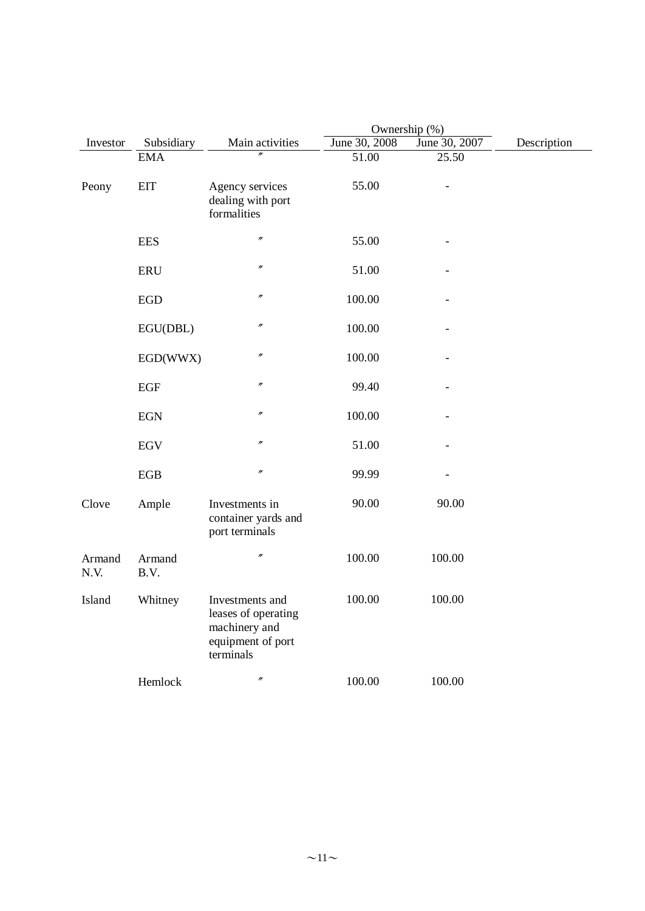|                |                | Ownership (%)                                                                             |               |               |             |
|----------------|----------------|-------------------------------------------------------------------------------------------|---------------|---------------|-------------|
| Investor       | Subsidiary     | Main activities                                                                           | June 30, 2008 | June 30, 2007 | Description |
|                | <b>EMA</b>     | $\prime$                                                                                  | 51.00         | 25.50         |             |
| Peony          | <b>EIT</b>     | Agency services<br>dealing with port<br>formalities                                       | 55.00         |               |             |
|                | <b>EES</b>     | $\prime\prime$                                                                            | 55.00         |               |             |
|                | <b>ERU</b>     | $\prime\prime$                                                                            | 51.00         |               |             |
|                | <b>EGD</b>     | $\prime\prime$                                                                            | 100.00        |               |             |
|                | EGU(DBL)       | $\prime\prime$                                                                            | 100.00        |               |             |
|                | EGD(WWX)       | $\prime\prime$                                                                            | 100.00        |               |             |
|                | EGF            | $\prime\prime$                                                                            | 99.40         |               |             |
|                | <b>EGN</b>     | $\prime\prime$                                                                            | 100.00        |               |             |
|                | <b>EGV</b>     | $\prime\prime$                                                                            | 51.00         |               |             |
|                | EGB            | $\prime\prime$                                                                            | 99.99         |               |             |
| Clove          | Ample          | Investments in<br>container yards and<br>port terminals                                   | 90.00         | 90.00         |             |
| Armand<br>N.V. | Armand<br>B.V. | $\prime\prime$                                                                            | 100.00        | 100.00        |             |
| Island         | Whitney        | Investments and<br>leases of operating<br>machinery and<br>equipment of port<br>terminals | 100.00        | 100.00        |             |
|                | Hemlock        | $^{\prime\prime}$                                                                         | 100.00        | 100.00        |             |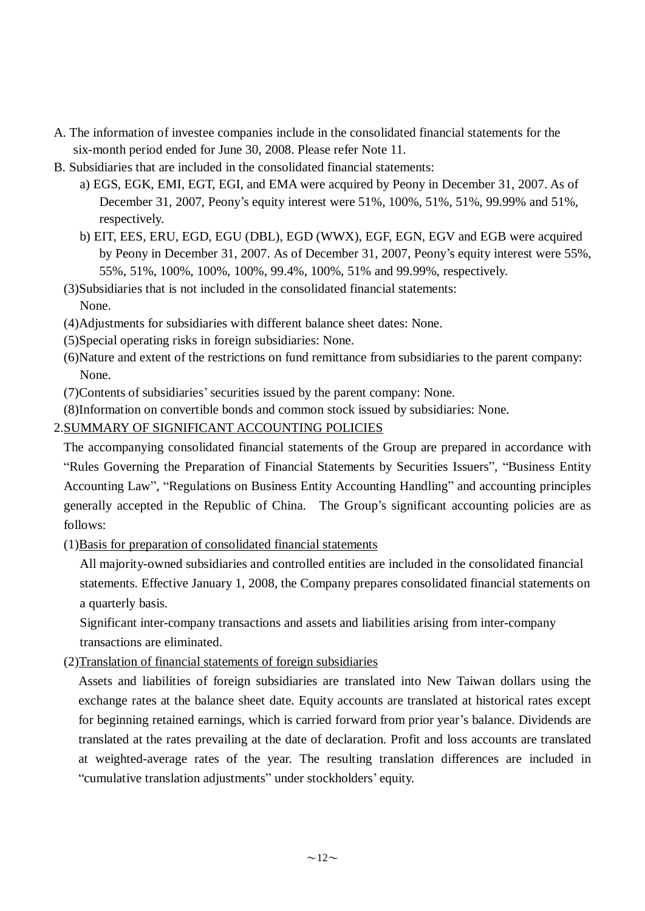- A. The information of investee companies include in the consolidated financial statements for the six-month period ended for June 30, 2008. Please refer Note 11.
- B. Subsidiaries that are included in the consolidated financial statements:
	- a) EGS, EGK, EMI, EGT, EGI, and EMA were acquired by Peony in December 31, 2007. As of December 31, 2007, Peony's equity interest were 51%, 100%, 51%, 51%, 99.99% and 51%, respectively.
	- b) EIT, EES, ERU, EGD, EGU (DBL), EGD (WWX), EGF, EGN, EGV and EGB were acquired by Peony in December 31, 2007. As of December 31, 2007, Peony's equity interest were 55%, 55%, 51%, 100%, 100%, 100%, 99.4%, 100%, 51% and 99.99%, respectively.

(3)Subsidiaries that is not included in the consolidated financial statements: None.

- (4)Adjustments for subsidiaries with different balance sheet dates: None.
- (5)Special operating risks in foreign subsidiaries: None.
- (6)Nature and extent of the restrictions on fund remittance from subsidiaries to the parent company: None.
- (7)Contents of subsidiaries'securities issued by the parent company: None.
- (8)Information on convertible bonds and common stock issued by subsidiaries: None.

### 2.SUMMARY OF SIGNIFICANT ACCOUNTING POLICIES

The accompanying consolidated financial statements of the Group are prepared in accordance with "Rules Governing the Preparation of Financial Statements by Securities Issuers", "Business Entity Accounting Law", "Regulations on Business Entity Accounting Handling" and accounting principles generally accepted in the Republic of China. The Group's significant accounting policies are as follows:

(1)Basis for preparation of consolidated financial statements

All majority-owned subsidiaries and controlled entities are included in the consolidated financial statements. Effective January 1, 2008, the Company prepares consolidated financial statements on a quarterly basis.

Significant inter-company transactions and assets and liabilities arising from inter-company transactions are eliminated.

(2)Translation of financial statements of foreign subsidiaries

Assets and liabilities of foreign subsidiaries are translated into New Taiwan dollars using the exchange rates at the balance sheet date. Equity accounts are translated at historical rates except for beginning retained earnings, which is carried forward from prior year's balance. Dividends are translated at the rates prevailing at the date of declaration. Profit and loss accounts are translated at weighted-average rates of the year. The resulting translation differences are included in "cumulative translation adjustments" under stockholders' equity.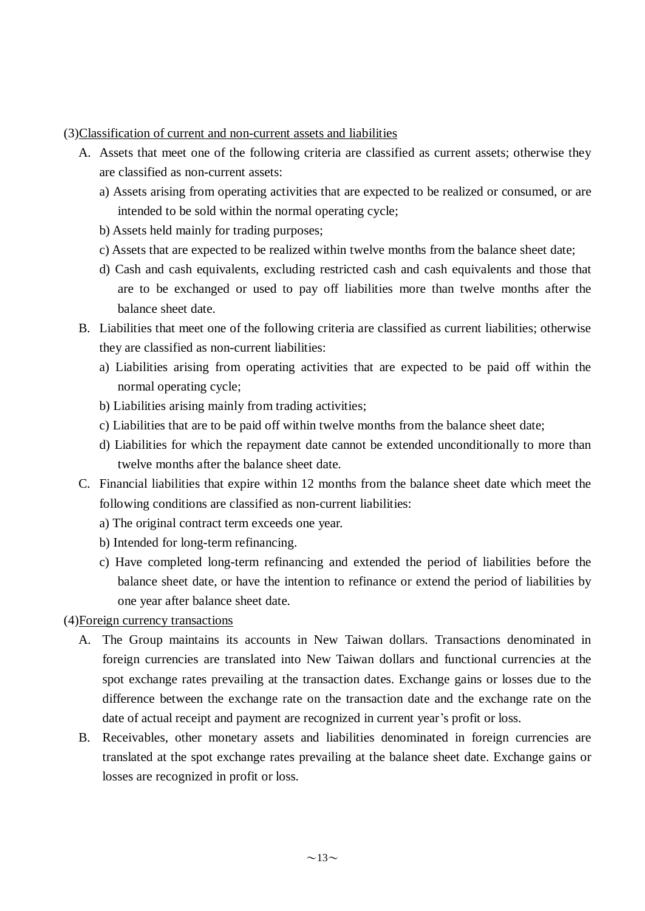#### (3)Classification of current and non-current assets and liabilities

- A. Assets that meet one of the following criteria are classified as current assets; otherwise they are classified as non-current assets:
	- a) Assets arising from operating activities that are expected to be realized or consumed, or are intended to be sold within the normal operating cycle;
	- b) Assets held mainly for trading purposes;
	- c) Assets that are expected to be realized within twelve months from the balance sheet date;
	- d) Cash and cash equivalents, excluding restricted cash and cash equivalents and those that are to be exchanged or used to pay off liabilities more than twelve months after the balance sheet date.
- B. Liabilities that meet one of the following criteria are classified as current liabilities; otherwise they are classified as non-current liabilities:
	- a) Liabilities arising from operating activities that are expected to be paid off within the normal operating cycle;
	- b) Liabilities arising mainly from trading activities;
	- c) Liabilities that are to be paid off within twelve months from the balance sheet date;
	- d) Liabilities for which the repayment date cannot be extended unconditionally to more than twelve months after the balance sheet date.
- C. Financial liabilities that expire within 12 months from the balance sheet date which meet the following conditions are classified as non-current liabilities:
	- a) The original contract term exceeds one year.
	- b) Intended for long-term refinancing.
	- c) Have completed long-term refinancing and extended the period of liabilities before the balance sheet date, or have the intention to refinance or extend the period of liabilities by one year after balance sheet date.

#### (4)Foreign currency transactions

- A. The Group maintains its accounts in New Taiwan dollars. Transactions denominated in foreign currencies are translated into New Taiwan dollars and functional currencies at the spot exchange rates prevailing at the transaction dates. Exchange gains or losses due to the difference between the exchange rate on the transaction date and the exchange rate on the date of actual receipt and payment are recognized in current year's profit or loss.
- B. Receivables, other monetary assets and liabilities denominated in foreign currencies are translated at the spot exchange rates prevailing at the balance sheet date. Exchange gains or losses are recognized in profit or loss.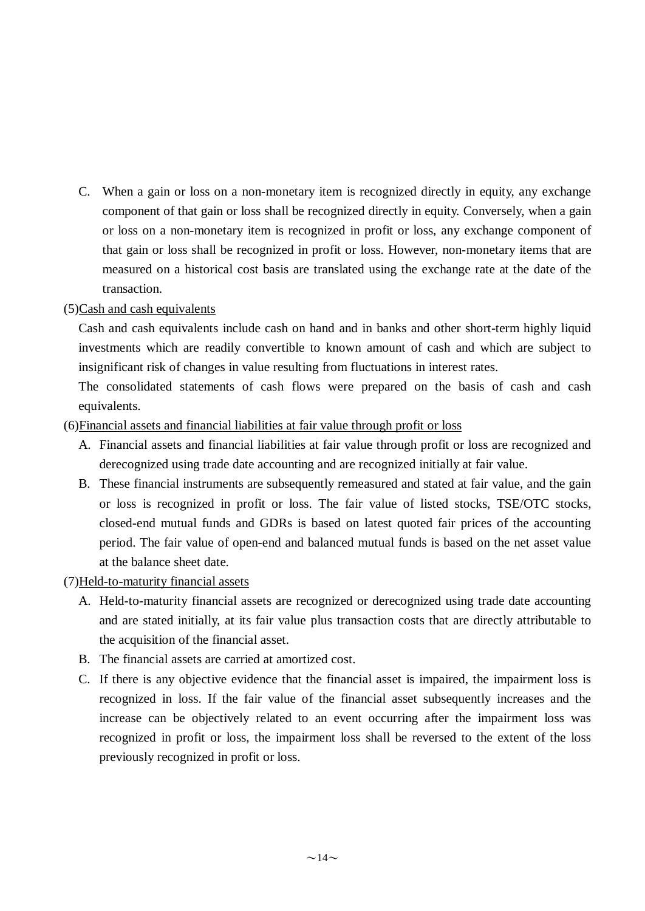C. When a gain or loss on a non-monetary item is recognized directly in equity, any exchange component of that gain or loss shall be recognized directly in equity. Conversely, when a gain or loss on a non-monetary item is recognized in profit or loss, any exchange component of that gain or loss shall be recognized in profit or loss. However, non-monetary items that are measured on a historical cost basis are translated using the exchange rate at the date of the transaction.

### (5)Cash and cash equivalents

Cash and cash equivalents include cash on hand and in banks and other short-term highly liquid investments which are readily convertible to known amount of cash and which are subject to insignificant risk of changes in value resulting from fluctuations in interest rates.

The consolidated statements of cash flows were prepared on the basis of cash and cash equivalents.

### (6)Financial assets and financial liabilities at fair value through profit or loss

- A. Financial assets and financial liabilities at fair value through profit or loss are recognized and derecognized using trade date accounting and are recognized initially at fair value.
- B. These financial instruments are subsequently remeasured and stated at fair value, and the gain or loss is recognized in profit or loss. The fair value of listed stocks, TSE/OTC stocks, closed-end mutual funds and GDRs is based on latest quoted fair prices of the accounting period. The fair value of open-end and balanced mutual funds is based on the net asset value at the balance sheet date.

### (7)Held-to-maturity financial assets

- A. Held-to-maturity financial assets are recognized or derecognized using trade date accounting and are stated initially, at its fair value plus transaction costs that are directly attributable to the acquisition of the financial asset.
- B. The financial assets are carried at amortized cost.
- C. If there is any objective evidence that the financial asset is impaired, the impairment loss is recognized in loss. If the fair value of the financial asset subsequently increases and the increase can be objectively related to an event occurring after the impairment loss was recognized in profit or loss, the impairment loss shall be reversed to the extent of the loss previously recognized in profit or loss.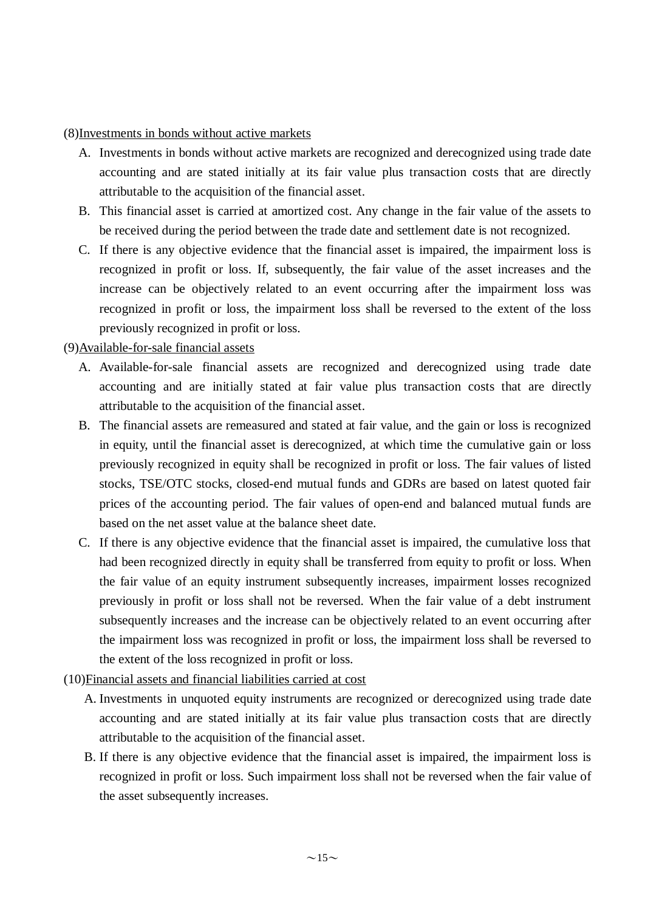(8)Investments in bonds without active markets

- A. Investments in bonds without active markets are recognized and derecognized using trade date accounting and are stated initially at its fair value plus transaction costs that are directly attributable to the acquisition of the financial asset.
- B. This financial asset is carried at amortized cost. Any change in the fair value of the assets to be received during the period between the trade date and settlement date is not recognized.
- C. If there is any objective evidence that the financial asset is impaired, the impairment loss is recognized in profit or loss. If, subsequently, the fair value of the asset increases and the increase can be objectively related to an event occurring after the impairment loss was recognized in profit or loss, the impairment loss shall be reversed to the extent of the loss previously recognized in profit or loss.

#### (9)Available-for-sale financial assets

- A. Available-for-sale financial assets are recognized and derecognized using trade date accounting and are initially stated at fair value plus transaction costs that are directly attributable to the acquisition of the financial asset.
- B. The financial assets are remeasured and stated at fair value, and the gain or loss is recognized in equity, until the financial asset is derecognized, at which time the cumulative gain or loss previously recognized in equity shall be recognized in profit or loss. The fair values of listed stocks, TSE/OTC stocks, closed-end mutual funds and GDRs are based on latest quoted fair prices of the accounting period. The fair values of open-end and balanced mutual funds are based on the net asset value at the balance sheet date.
- C. If there is any objective evidence that the financial asset is impaired, the cumulative loss that had been recognized directly in equity shall be transferred from equity to profit or loss. When the fair value of an equity instrument subsequently increases, impairment losses recognized previously in profit or loss shall not be reversed. When the fair value of a debt instrument subsequently increases and the increase can be objectively related to an event occurring after the impairment loss was recognized in profit or loss, the impairment loss shall be reversed to the extent of the loss recognized in profit or loss.
- (10)Financial assets and financial liabilities carried at cost
	- A. Investments in unquoted equity instruments are recognized or derecognized using trade date accounting and are stated initially at its fair value plus transaction costs that are directly attributable to the acquisition of the financial asset.
	- B. If there is any objective evidence that the financial asset is impaired, the impairment loss is recognized in profit or loss. Such impairment loss shall not be reversed when the fair value of the asset subsequently increases.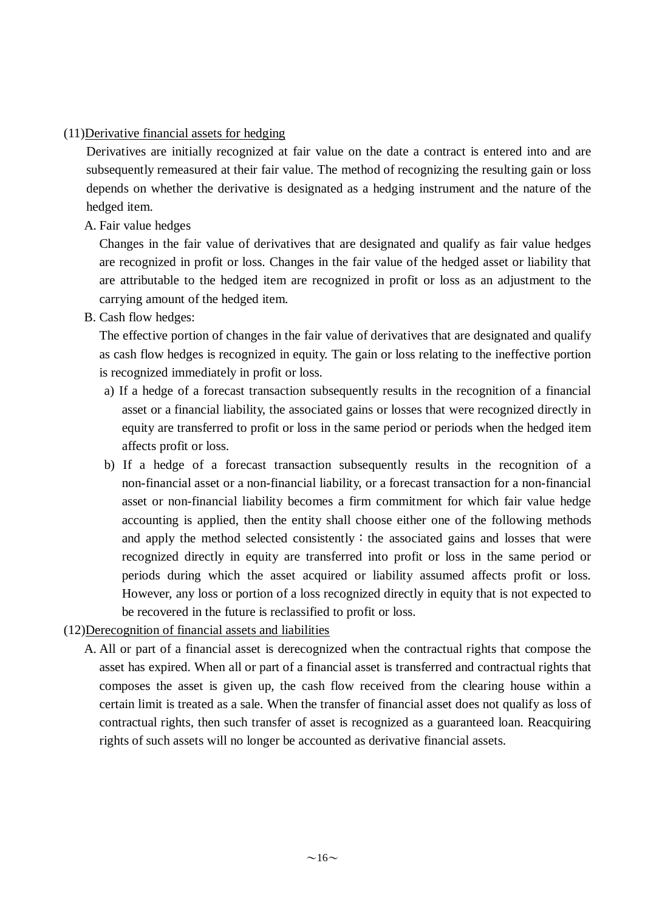### (11)Derivative financial assets for hedging

Derivatives are initially recognized at fair value on the date a contract is entered into and are subsequently remeasured at their fair value. The method of recognizing the resulting gain or loss depends on whether the derivative is designated as a hedging instrument and the nature of the hedged item.

A. Fair value hedges

Changes in the fair value of derivatives that are designated and qualify as fair value hedges are recognized in profit or loss. Changes in the fair value of the hedged asset or liability that are attributable to the hedged item are recognized in profit or loss as an adjustment to the carrying amount of the hedged item.

B. Cash flow hedges:

The effective portion of changes in the fair value of derivatives that are designated and qualify as cash flow hedges is recognized in equity. The gain or loss relating to the ineffective portion is recognized immediately in profit or loss.

- a) If a hedge of a forecast transaction subsequently results in the recognition of a financial asset or a financial liability, the associated gains or losses that were recognized directly in equity are transferred to profit or loss in the same period or periods when the hedged item affects profit or loss.
- b) If a hedge of a forecast transaction subsequently results in the recognition of a non-financial asset or a non-financial liability, or a forecast transaction for a non-financial asset or non-financial liability becomes a firm commitment for which fair value hedge accounting is applied, then the entity shall choose either one of the following methods and apply the method selected consistently: the associated gains and losses that were recognized directly in equity are transferred into profit or loss in the same period or periods during which the asset acquired or liability assumed affects profit or loss. However, any loss or portion of a loss recognized directly in equity that is not expected to be recovered in the future is reclassified to profit or loss.
- (12)Derecognition of financial assets and liabilities
	- A. All or part of a financial asset is derecognized when the contractual rights that compose the asset has expired. When all or part of a financial asset is transferred and contractual rights that composes the asset is given up, the cash flow received from the clearing house within a certain limit is treated as a sale. When the transfer of financial asset does not qualify as loss of contractual rights, then such transfer of asset is recognized as a guaranteed loan. Reacquiring rights of such assets will no longer be accounted as derivative financial assets.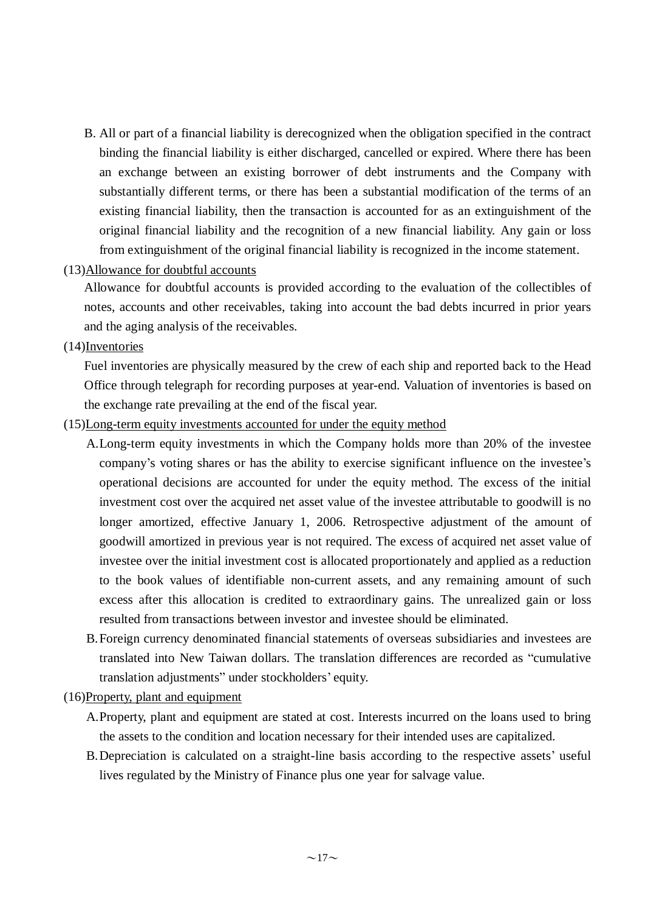- B. All or part of a financial liability is derecognized when the obligation specified in the contract binding the financial liability is either discharged, cancelled or expired. Where there has been an exchange between an existing borrower of debt instruments and the Company with substantially different terms, or there has been a substantial modification of the terms of an existing financial liability, then the transaction is accounted for as an extinguishment of the original financial liability and the recognition of a new financial liability. Any gain or loss from extinguishment of the original financial liability is recognized in the income statement.
- (13)Allowance for doubtful accounts

Allowance for doubtful accounts is provided according to the evaluation of the collectibles of notes, accounts and other receivables, taking into account the bad debts incurred in prior years and the aging analysis of the receivables.

(14)Inventories

Fuel inventories are physically measured by the crew of each ship and reported back to the Head Office through telegraph for recording purposes at year-end. Valuation of inventories is based on the exchange rate prevailing at the end of the fiscal year.

- (15)Long-term equity investments accounted for under the equity method
	- A.Long-term equity investments in which the Company holds more than 20% of the investee company's voting shares or has the ability to exercise significant influence on the investee's operational decisions are accounted for under the equity method. The excess of the initial investment cost over the acquired net asset value of the investee attributable to goodwill is no longer amortized, effective January 1, 2006. Retrospective adjustment of the amount of goodwill amortized in previous year is not required. The excess of acquired net asset value of investee over the initial investment cost is allocated proportionately and applied as a reduction to the book values of identifiable non-current assets, and any remaining amount of such excess after this allocation is credited to extraordinary gains. The unrealized gain or loss resulted from transactions between investor and investee should be eliminated.
	- B.Foreign currency denominated financial statements of overseas subsidiaries and investees are translated into New Taiwan dollars. The translation differences are recorded as "cumulative translation adjustments" under stockholders' equity.
- (16)Property, plant and equipment
	- A.Property, plant and equipment are stated at cost. Interests incurred on the loans used to bring the assets to the condition and location necessary for their intended uses are capitalized.
	- B.Depreciation is calculated on a straight-line basis according to the respective assets' useful lives regulated by the Ministry of Finance plus one year for salvage value.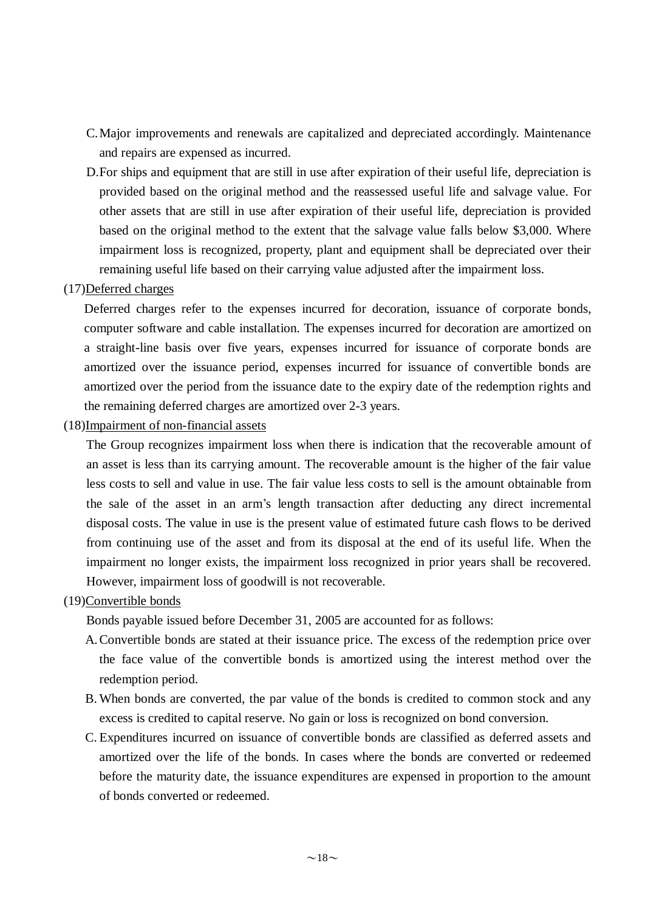- C.Major improvements and renewals are capitalized and depreciated accordingly. Maintenance and repairs are expensed as incurred.
- D.For ships and equipment that are still in use after expiration of their useful life, depreciation is provided based on the original method and the reassessed useful life and salvage value. For other assets that are still in use after expiration of their useful life, depreciation is provided based on the original method to the extent that the salvage value falls below \$3,000. Where impairment loss is recognized, property, plant and equipment shall be depreciated over their remaining useful life based on their carrying value adjusted after the impairment loss.

#### (17)Deferred charges

Deferred charges refer to the expenses incurred for decoration, issuance of corporate bonds, computer software and cable installation. The expenses incurred for decoration are amortized on a straight-line basis over five years, expenses incurred for issuance of corporate bonds are amortized over the issuance period, expenses incurred for issuance of convertible bonds are amortized over the period from the issuance date to the expiry date of the redemption rights and the remaining deferred charges are amortized over 2-3 years.

#### (18)Impairment of non-financial assets

The Group recognizes impairment loss when there is indication that the recoverable amount of an asset is less than its carrying amount. The recoverable amount is the higher of the fair value less costs to sell and value in use. The fair value less costs to sell is the amount obtainable from the sale of the asset in an arm's length transaction after deducting any direct incremental disposal costs. The value in use is the present value of estimated future cash flows to be derived from continuing use of the asset and from its disposal at the end of its useful life. When the impairment no longer exists, the impairment loss recognized in prior years shall be recovered. However, impairment loss of goodwill is not recoverable.

#### (19)Convertible bonds

Bonds payable issued before December 31, 2005 are accounted for as follows:

- A.Convertible bonds are stated at their issuance price. The excess of the redemption price over the face value of the convertible bonds is amortized using the interest method over the redemption period.
- B. When bonds are converted, the par value of the bonds is credited to common stock and any excess is credited to capital reserve. No gain or loss is recognized on bond conversion.
- C. Expenditures incurred on issuance of convertible bonds are classified as deferred assets and amortized over the life of the bonds. In cases where the bonds are converted or redeemed before the maturity date, the issuance expenditures are expensed in proportion to the amount of bonds converted or redeemed.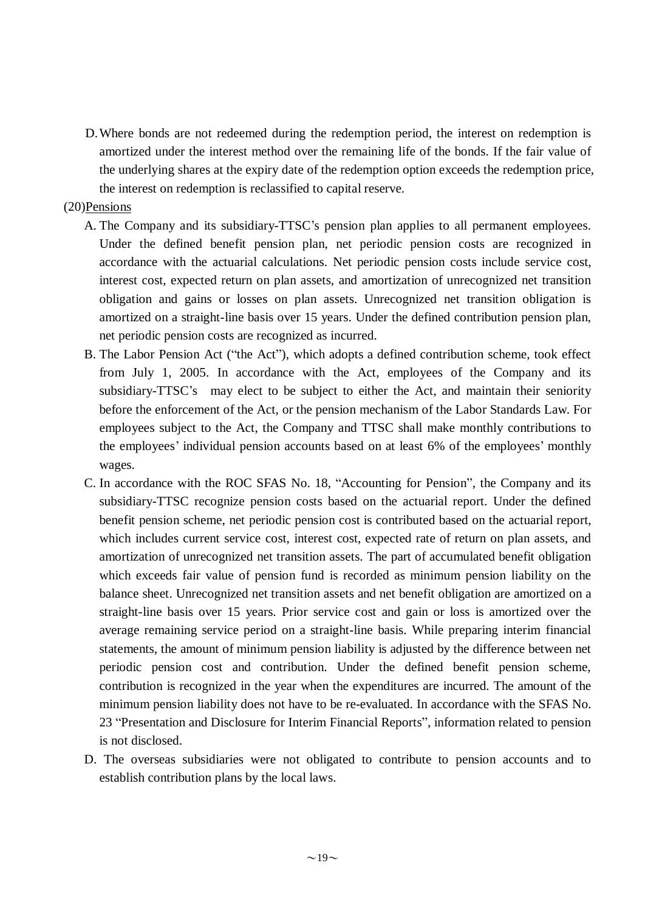D.Where bonds are not redeemed during the redemption period, the interest on redemption is amortized under the interest method over the remaining life of the bonds. If the fair value of the underlying shares at the expiry date of the redemption option exceeds the redemption price, the interest on redemption is reclassified to capital reserve.

#### (20)Pensions

- A. The Company and its subsidiary-TTSC's pension plan applies to all permanent employees. Under the defined benefit pension plan, net periodic pension costs are recognized in accordance with the actuarial calculations. Net periodic pension costs include service cost, interest cost, expected return on plan assets, and amortization of unrecognized net transition obligation and gains or losses on plan assets. Unrecognized net transition obligation is amortized on a straight-line basis over 15 years. Under the defined contribution pension plan, net periodic pension costs are recognized as incurred.
- B. The Labor Pension Act ("the Act"), which adopts a defined contribution scheme, took effect from July 1, 2005. In accordance with the Act, employees of the Company and its subsidiary-TTSC's may elect to be subject to either the Act, and maintain their seniority before the enforcement of the Act, or the pension mechanism of the Labor Standards Law. For employees subject to the Act, the Company and TTSC shall make monthly contributions to the employees' individual pension accounts based on at least 6% of the employees' monthly wages.
- C. In accordance with the ROC SFAS No. 18, "Accounting for Pension", the Company and its subsidiary-TTSC recognize pension costs based on the actuarial report. Under the defined benefit pension scheme, net periodic pension cost is contributed based on the actuarial report, which includes current service cost, interest cost, expected rate of return on plan assets, and amortization of unrecognized net transition assets. The part of accumulated benefit obligation which exceeds fair value of pension fund is recorded as minimum pension liability on the balance sheet. Unrecognized net transition assets and net benefit obligation are amortized on a straight-line basis over 15 years. Prior service cost and gain or loss is amortized over the average remaining service period on a straight-line basis. While preparing interim financial statements, the amount of minimum pension liability is adjusted by the difference between net periodic pension cost and contribution. Under the defined benefit pension scheme, contribution is recognized in the year when the expenditures are incurred. The amount of the minimum pension liability does not have to be re-evaluated. In accordance with the SFAS No. 23 "Presentation and Disclosure for Interim Financial Reports", information related to pension is not disclosed.
- D. The overseas subsidiaries were not obligated to contribute to pension accounts and to establish contribution plans by the local laws.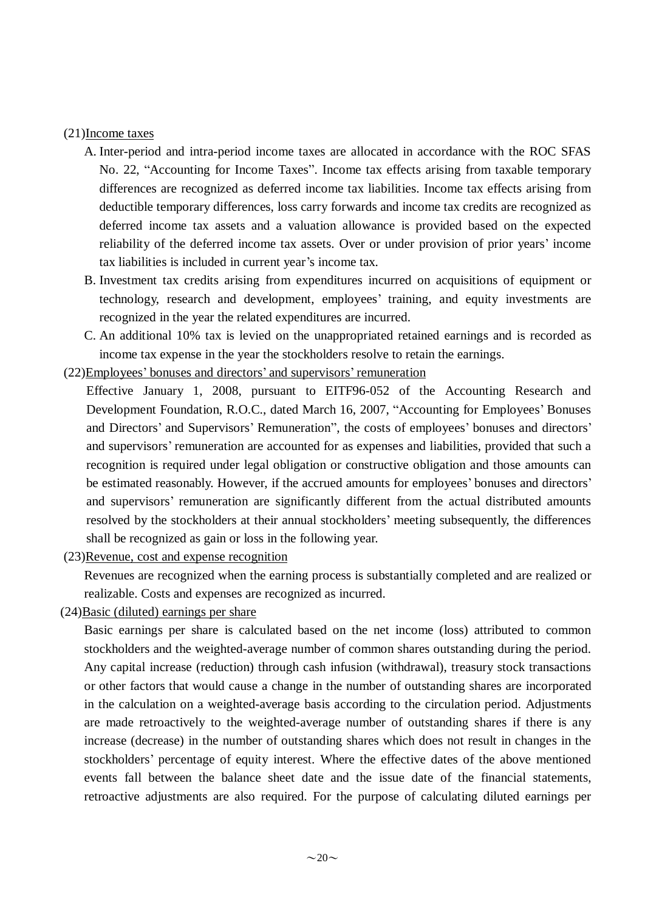#### (21)Income taxes

- A. Inter-period and intra-period income taxes are allocated in accordance with the ROC SFAS No. 22, "Accounting for Income Taxes". Income tax effects arising from taxable temporary differences are recognized as deferred income tax liabilities. Income tax effects arising from deductible temporary differences, loss carry forwards and income tax credits are recognized as deferred income tax assets and a valuation allowance is provided based on the expected reliability of the deferred income tax assets. Over or under provision of prior years' income tax liabilities is included in current year's income tax.
- B. Investment tax credits arising from expenditures incurred on acquisitions of equipment or technology, research and development, employees' training, and equity investments are recognized in the year the related expenditures are incurred.
- C. An additional 10% tax is levied on the unappropriated retained earnings and is recorded as income tax expense in the year the stockholders resolve to retain the earnings.

(22)Employees' bonuses and directors' and supervisors' remuneration

- Effective January 1, 2008, pursuant to EITF96-052 of the Accounting Research and Development Foundation, R.O.C., dated March 16, 2007, "Accounting for Employees' Bonuses and Directors' and Supervisors' Remuneration", the costs of employees' bonuses and directors' and supervisors' remuneration are accounted for as expenses and liabilities, provided that such a recognition is required under legal obligation or constructive obligation and those amounts can be estimated reasonably. However, if the accrued amounts for employees' bonuses and directors' and supervisors' remuneration are significantly different from the actual distributed amounts resolved by the stockholders at their annual stockholders' meeting subsequently, the differences shall be recognized as gain or loss in the following year.
- (23)Revenue, cost and expense recognition

Revenues are recognized when the earning process is substantially completed and are realized or realizable. Costs and expenses are recognized as incurred.

 $(24)$ Basic (diluted) earnings per share

Basic earnings per share is calculated based on the net income (loss) attributed to common stockholders and the weighted-average number of common shares outstanding during the period. Any capital increase (reduction) through cash infusion (withdrawal), treasury stock transactions or other factors that would cause a change in the number of outstanding shares are incorporated in the calculation on a weighted-average basis according to the circulation period. Adjustments are made retroactively to the weighted-average number of outstanding shares if there is any increase (decrease) in the number of outstanding shares which does not result in changes in the stockholders' percentage of equity interest. Where the effective dates of the above mentioned events fall between the balance sheet date and the issue date of the financial statements, retroactive adjustments are also required. For the purpose of calculating diluted earnings per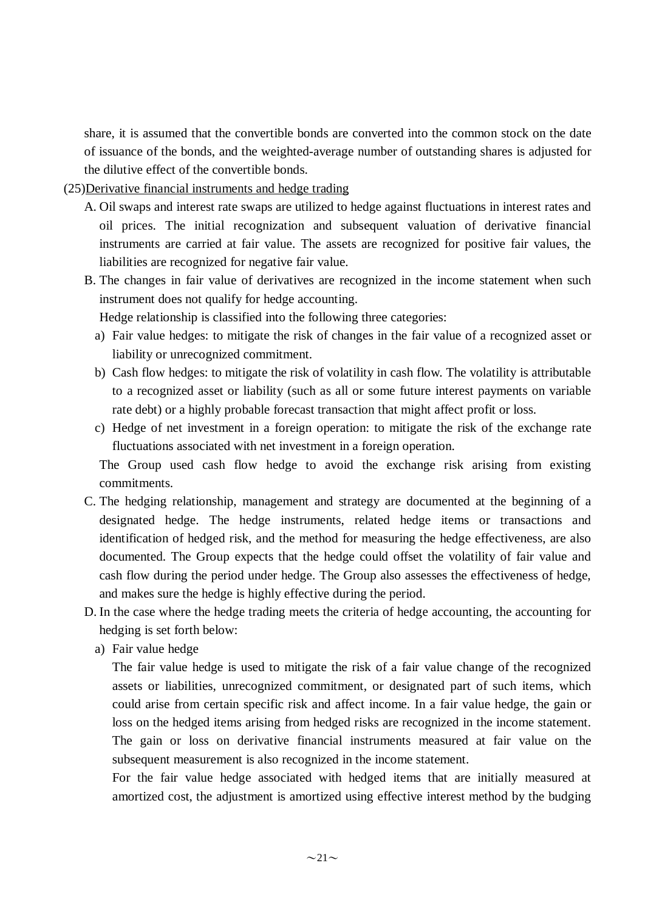share, it is assumed that the convertible bonds are converted into the common stock on the date of issuance of the bonds, and the weighted-average number of outstanding shares is adjusted for the dilutive effect of the convertible bonds.

(25)Derivative financial instruments and hedge trading

- A. Oil swaps and interest rate swaps are utilized to hedge against fluctuations in interest rates and oil prices. The initial recognization and subsequent valuation of derivative financial instruments are carried at fair value. The assets are recognized for positive fair values, the liabilities are recognized for negative fair value.
- B. The changes in fair value of derivatives are recognized in the income statement when such instrument does not qualify for hedge accounting.

Hedge relationship is classified into the following three categories:

- a) Fair value hedges: to mitigate the risk of changes in the fair value of a recognized asset or liability or unrecognized commitment.
- b) Cash flow hedges: to mitigate the risk of volatility in cash flow. The volatility is attributable to a recognized asset or liability (such as all or some future interest payments on variable rate debt) or a highly probable forecast transaction that might affect profit or loss.
- c) Hedge of net investment in a foreign operation: to mitigate the risk of the exchange rate fluctuations associated with net investment in a foreign operation.

The Group used cash flow hedge to avoid the exchange risk arising from existing commitments.

- C. The hedging relationship, management and strategy are documented at the beginning of a designated hedge. The hedge instruments, related hedge items or transactions and identification of hedged risk, and the method for measuring the hedge effectiveness, are also documented. The Group expects that the hedge could offset the volatility of fair value and cash flow during the period under hedge. The Group also assesses the effectiveness of hedge, and makes sure the hedge is highly effective during the period.
- D. In the case where the hedge trading meets the criteria of hedge accounting, the accounting for hedging is set forth below:
	- a) Fair value hedge

The fair value hedge is used to mitigate the risk of a fair value change of the recognized assets or liabilities, unrecognized commitment, or designated part of such items, which could arise from certain specific risk and affect income. In a fair value hedge, the gain or loss on the hedged items arising from hedged risks are recognized in the income statement. The gain or loss on derivative financial instruments measured at fair value on the subsequent measurement is also recognized in the income statement.

For the fair value hedge associated with hedged items that are initially measured at amortized cost, the adjustment is amortized using effective interest method by the budging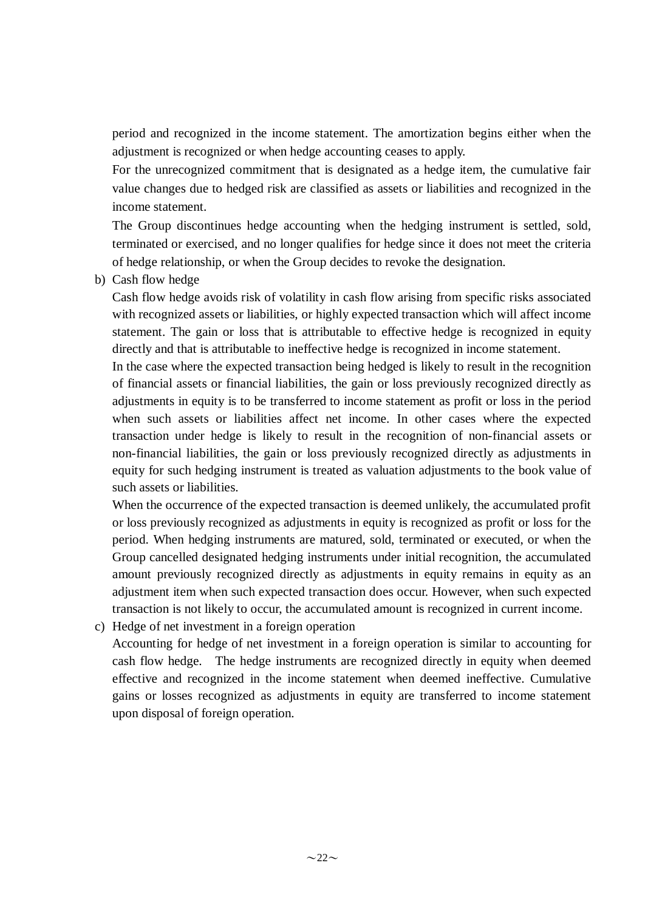period and recognized in the income statement. The amortization begins either when the adjustment is recognized or when hedge accounting ceases to apply.

For the unrecognized commitment that is designated as a hedge item, the cumulative fair value changes due to hedged risk are classified as assets or liabilities and recognized in the income statement.

The Group discontinues hedge accounting when the hedging instrument is settled, sold, terminated or exercised, and no longer qualifies for hedge since it does not meet the criteria of hedge relationship, or when the Group decides to revoke the designation.

b) Cash flow hedge

Cash flow hedge avoids risk of volatility in cash flow arising from specific risks associated with recognized assets or liabilities, or highly expected transaction which will affect income statement. The gain or loss that is attributable to effective hedge is recognized in equity directly and that is attributable to ineffective hedge is recognized in income statement.

In the case where the expected transaction being hedged is likely to result in the recognition of financial assets or financial liabilities, the gain or loss previously recognized directly as adjustments in equity is to be transferred to income statement as profit or loss in the period when such assets or liabilities affect net income. In other cases where the expected transaction under hedge is likely to result in the recognition of non-financial assets or non-financial liabilities, the gain or loss previously recognized directly as adjustments in equity for such hedging instrument is treated as valuation adjustments to the book value of such assets or liabilities.

When the occurrence of the expected transaction is deemed unlikely, the accumulated profit or loss previously recognized as adjustments in equity is recognized as profit or loss for the period. When hedging instruments are matured, sold, terminated or executed, or when the Group cancelled designated hedging instruments under initial recognition, the accumulated amount previously recognized directly as adjustments in equity remains in equity as an adjustment item when such expected transaction does occur. However, when such expected transaction is not likely to occur, the accumulated amount is recognized in current income.

c) Hedge of net investment in a foreign operation

Accounting for hedge of net investment in a foreign operation is similar to accounting for cash flow hedge. The hedge instruments are recognized directly in equity when deemed effective and recognized in the income statement when deemed ineffective. Cumulative gains or losses recognized as adjustments in equity are transferred to income statement upon disposal of foreign operation.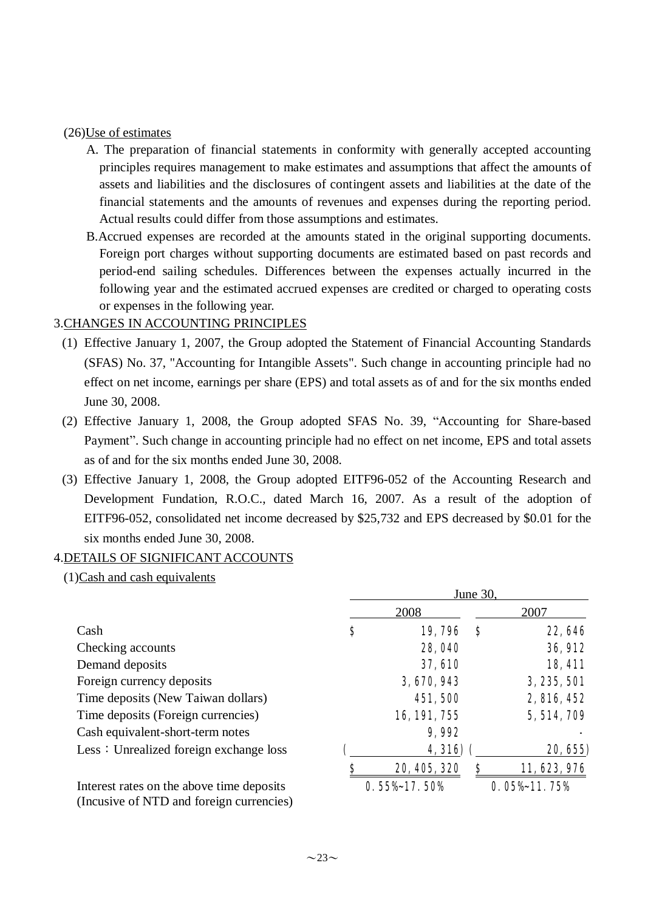#### (26)Use of estimates

- A. The preparation of financial statements in conformity with generally accepted accounting principles requires management to make estimates and assumptions that affect the amounts of assets and liabilities and the disclosures of contingent assets and liabilities at the date of the financial statements and the amounts of revenues and expenses during the reporting period. Actual results could differ from those assumptions and estimates.
- B.Accrued expenses are recorded at the amounts stated in the original supporting documents. Foreign port charges without supporting documents are estimated based on past records and period-end sailing schedules. Differences between the expenses actually incurred in the following year and the estimated accrued expenses are credited or charged to operating costs or expenses in the following year.

### 3.CHANGES IN ACCOUNTING PRINCIPLES

- (1) Effective January 1, 2007, the Group adopted the Statement of Financial Accounting Standards (SFAS) No. 37, "Accounting for Intangible Assets". Such change in accounting principle had no effect on net income, earnings per share (EPS) and total assets as of and for the six months ended June 30, 2008.
- (2) Effective January 1, 2008, the Group adopted SFAS No. 39, "Accounting for Share-based Payment". Such change in accounting principle had no effect on net income, EPS and total assets as of and for the six months ended June 30, 2008.
- (3) Effective January 1, 2008, the Group adopted EITF96-052 of the Accounting Research and Development Fundation, R.O.C., dated March 16, 2007. As a result of the adoption of EITF96-052, consolidated net income decreased by \$25,732 and EPS decreased by \$0.01 for the six months ended June 30, 2008.

### 4.DETAILS OF SIGNIFICANT ACCOUNTS

 $(1)$ Cash and cash equivalents

|                                           | June 30, |                 |          |                         |  |  |  |
|-------------------------------------------|----------|-----------------|----------|-------------------------|--|--|--|
|                                           |          | 2008            |          | 2007                    |  |  |  |
| Cash                                      | \$       | 19,796          | <b>S</b> | 22, 646                 |  |  |  |
| Checking accounts                         |          | 28,040          |          | 36, 912                 |  |  |  |
| Demand deposits                           |          | <b>37, 610</b>  |          | 18, 411                 |  |  |  |
| Foreign currency deposits                 |          | 3,670,943       |          | 3, 235, 501             |  |  |  |
| Time deposits (New Taiwan dollars)        |          | 451,500         |          | 2, 816, 452             |  |  |  |
| Time deposits (Foreign currencies)        |          | 16, 191, 755    |          | 5, 514, 709             |  |  |  |
| Cash equivalent-short-term notes          |          | 9,992           |          |                         |  |  |  |
| Less: Unrealized foreign exchange loss    |          | 4, 316)         |          | 20, 655)                |  |  |  |
|                                           | \$       | 20, 405, 320    | Ş        | 11, 623, 976            |  |  |  |
| Interest rates on the above time deposits |          | $0.55\%17.50\%$ |          | $0.05\frac{1}{1}$ . 75% |  |  |  |
| (Incusive of NTD and foreign currencies)  |          |                 |          |                         |  |  |  |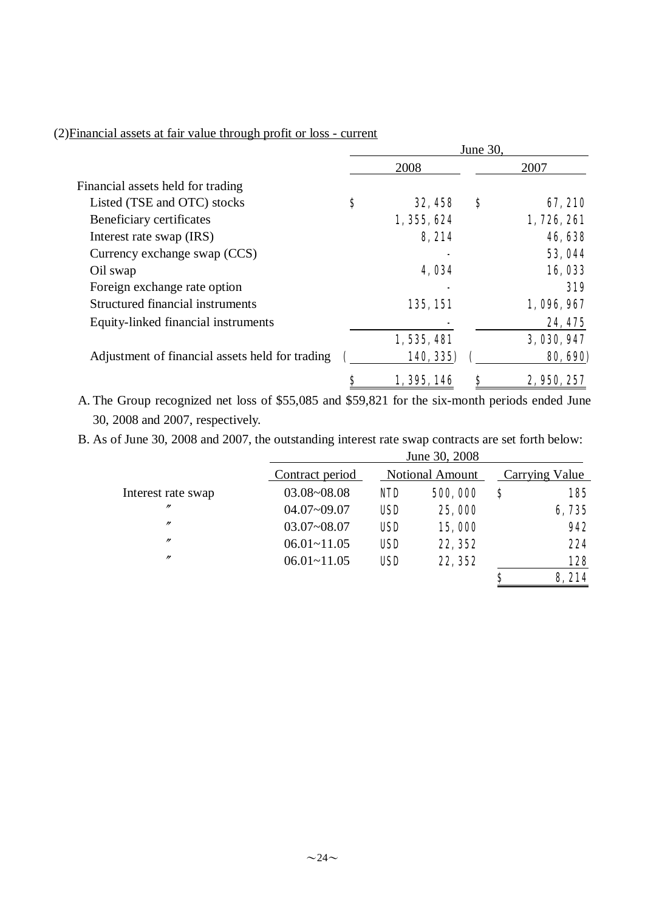### (2)Financial assets at fair value through profit or loss - current

|                                                 | June 30. |             |   |                |  |
|-------------------------------------------------|----------|-------------|---|----------------|--|
|                                                 |          | 2008        |   | 2007           |  |
| Financial assets held for trading               |          |             |   |                |  |
| Listed (TSE and OTC) stocks                     | \$       | 32, 458     | S | 67,210         |  |
| Beneficiary certificates                        |          | 1, 355, 624 |   | 1,726,261      |  |
| Interest rate swap (IRS)                        |          | 8,214       |   | 46,638         |  |
| Currency exchange swap (CCS)                    |          |             |   | <b>53, 044</b> |  |
| Oil swap                                        |          | 4,034       |   | 16,033         |  |
| Foreign exchange rate option                    |          |             |   | 319            |  |
| Structured financial instruments                |          | 135, 151    |   | 1,096,967      |  |
| Equity-linked financial instruments             |          |             |   | 24, 475        |  |
|                                                 |          | 1,535,481   |   | 3, 030, 947    |  |
| Adjustment of financial assets held for trading |          | 140, 335)   |   | 80, 690)       |  |
|                                                 |          | 1, 395, 146 | S | 2, 950, 257    |  |

A. The Group recognized net loss of \$55,085 and \$59,821 for the six-month periods ended June 30, 2008 and 2007, respectively.

B. As of June 30, 2008 and 2007, the outstanding interest rate swap contracts are set forth below:  $J_{\text{unc}}$  20, 2008

|                    |                 |            | JUNE 30, 2008          |   |                |
|--------------------|-----------------|------------|------------------------|---|----------------|
|                    | Contract period |            | <b>Notional Amount</b> |   | Carrying Value |
| Interest rate swap | 03.08~08.08     | <b>NID</b> | 500,000                | S | 185            |
| $^{\prime\prime}$  | $04.07 - 09.07$ | <b>USD</b> | 25,000                 |   | 6,735          |
| $^{\prime\prime}$  | $03.07 - 08.07$ | <b>USD</b> | 15,000                 |   | 942            |
| $^{\prime\prime}$  | $06.01 - 11.05$ | <b>USD</b> | 22, 352                |   | 224            |
| $^{\prime\prime}$  | $06.01 - 11.05$ | <b>USD</b> | 22, 352                |   | 128            |
|                    |                 |            |                        | S | 8,214          |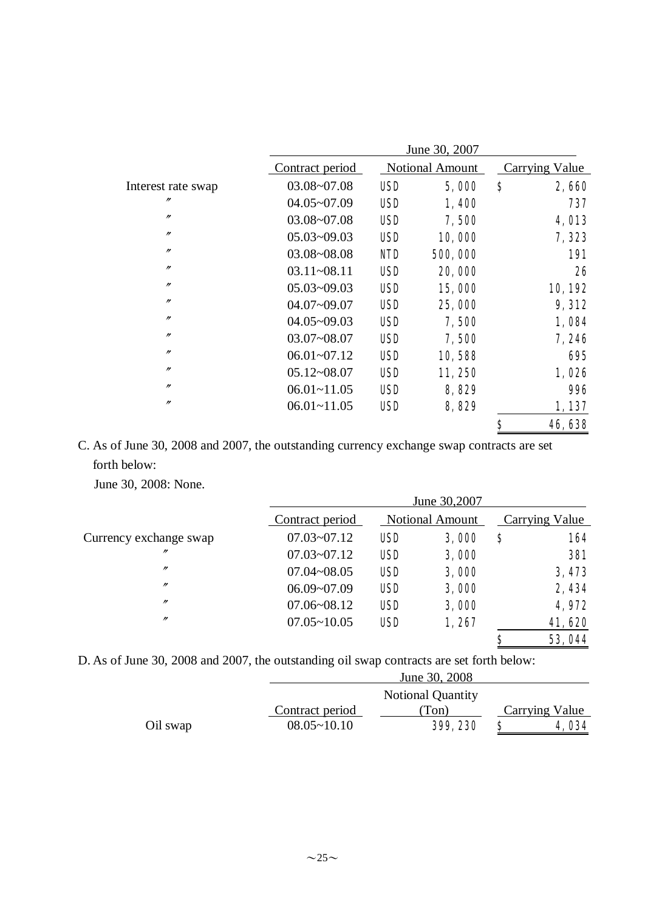|                    |                 |            | June 30, 2007          |                |              |
|--------------------|-----------------|------------|------------------------|----------------|--------------|
|                    | Contract period |            | <b>Notional Amount</b> | Carrying Value |              |
| Interest rate swap | $03.08 - 07.08$ | <b>USD</b> | 5,000                  | \$             | 2,660        |
| $^{\prime\prime}$  | $04.05 - 07.09$ | USD        | 1,400                  |                | 737          |
| $\prime\prime$     | $03.08 - 07.08$ | <b>USD</b> | 7,500                  |                | <b>4,013</b> |
| $^{\prime\prime}$  | $05.03 - 09.03$ | <b>USD</b> | 10,000                 |                | 7,323        |
| $\prime\prime$     | 03.08~08.08     | <b>NID</b> | 500,000                |                | <b>191</b>   |
| $^{\prime\prime}$  | $03.11 - 08.11$ | <b>USD</b> | 20,000                 |                | 26           |
| $\prime\prime$     | $05.03 - 09.03$ | <b>USD</b> | 15,000                 |                | 10,192       |
| $\prime\prime$     | $04.07 - 09.07$ | <b>USD</b> | 25,000                 |                | 9,312        |
| $^{\prime\prime}$  | $04.05 - 09.03$ | <b>USD</b> | 7,500                  |                | 1,084        |
| $^{\prime\prime}$  | $03.07 - 08.07$ | <b>USD</b> | 7,500                  |                | 7,246        |
| $^{\prime\prime}$  | $06.01 - 07.12$ | <b>USD</b> | 10,588                 |                | 695          |
| $\prime\prime$     | $05.12 - 08.07$ | <b>USD</b> | 11,250                 |                | 1,026        |
| $^{\prime\prime}$  | $06.01 - 11.05$ | <b>USD</b> | 8,829                  |                | <b>996</b>   |
| $\prime\prime$     | $06.01 - 11.05$ | <b>USD</b> | 8,829                  |                | 1,137        |
|                    |                 |            |                        | \$             | 46,638       |

C. As of June 30, 2008 and 2007, the outstanding currency exchange swap contracts are set forth below:

June 30, 2008: None.

|                        | Contract period |            | <b>Notional Amount</b> |    | <b>Carrying Value</b> |
|------------------------|-----------------|------------|------------------------|----|-----------------------|
| Currency exchange swap | $07.03 - 07.12$ | <b>USD</b> | 3,000                  | \$ | 164                   |
| $^{\prime\prime}$      | $07.03 - 07.12$ | <b>USD</b> | 3,000                  |    | <b>381</b>            |
| $^{\prime\prime}$      | $07.04 - 08.05$ | <b>USD</b> | 3,000                  |    | 3,473                 |
| $^{\prime\prime}$      | $06.09 - 07.09$ | <b>USD</b> | 3,000                  |    | 2,434                 |
| $^{\prime\prime}$      | $07.06 - 08.12$ | <b>USD</b> | 3,000                  |    | 4,972                 |
| $^{\prime\prime}$      | $07.05 - 10.05$ | <b>USD</b> | 1,267                  |    | 41,620                |
|                        |                 |            |                        | \$ | 53,044                |

D. As of June 30, 2008 and 2007, the outstanding oil swap contracts are set forth below:

| Oil swap | Contract period<br>$08.05 \sim 10.10$ | (Ton)<br>399, 230        | Carrying Value<br>4,034 |
|----------|---------------------------------------|--------------------------|-------------------------|
|          |                                       | <b>Notional Quantity</b> |                         |
|          |                                       | June 30, 2008            |                         |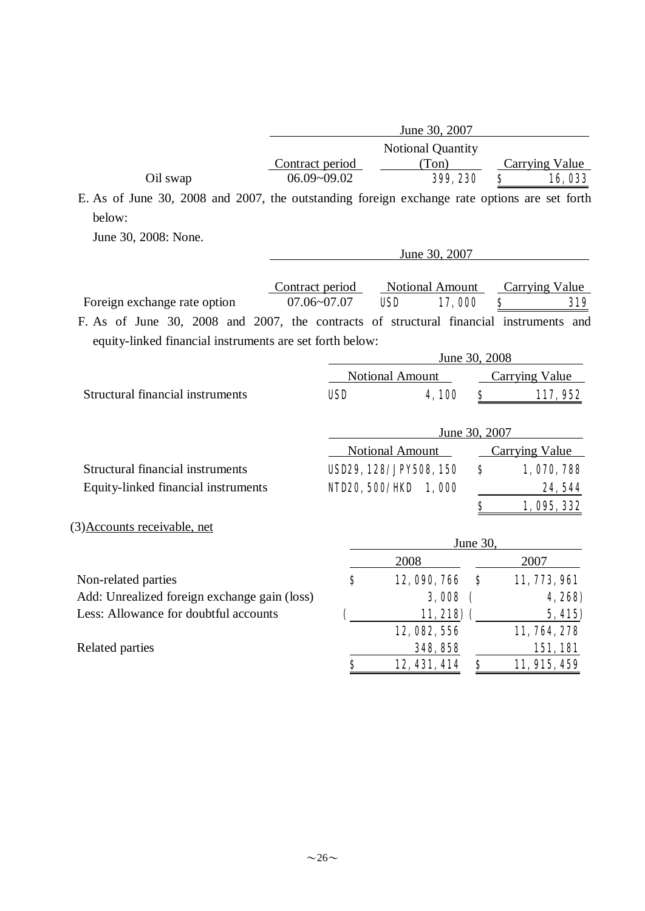|                                                                                              | June 30, 2007   |                              |                        |  |  |  |  |  |
|----------------------------------------------------------------------------------------------|-----------------|------------------------------|------------------------|--|--|--|--|--|
|                                                                                              |                 | Notional Quantity            |                        |  |  |  |  |  |
|                                                                                              | Contract period | (Ton)                        | <b>Carrying Value</b>  |  |  |  |  |  |
| Oil swap                                                                                     | 06.09~09.02     | 399, 230                     | \$<br><b>16,033</b>    |  |  |  |  |  |
| E. As of June 30, 2008 and 2007, the outstanding foreign exchange rate options are set forth |                 |                              |                        |  |  |  |  |  |
| below:                                                                                       |                 |                              |                        |  |  |  |  |  |
| June 30, 2008: None.                                                                         |                 |                              |                        |  |  |  |  |  |
|                                                                                              |                 | June 30, 2007                |                        |  |  |  |  |  |
|                                                                                              |                 |                              |                        |  |  |  |  |  |
|                                                                                              | Contract period | <b>Notional Amount</b>       | <b>Carrying Value</b>  |  |  |  |  |  |
| Foreign exchange rate option                                                                 | 07.06~07.07     | <b>USD</b><br>17,000         | $\mathbf{s}$<br>319    |  |  |  |  |  |
| F. As of June 30, 2008 and 2007, the contracts of structural financial instruments and       |                 |                              |                        |  |  |  |  |  |
| equity-linked financial instruments are set forth below:                                     |                 |                              |                        |  |  |  |  |  |
|                                                                                              |                 | June 30, 2008                |                        |  |  |  |  |  |
|                                                                                              |                 | Notional Amount              | Carrying Value         |  |  |  |  |  |
| <b>Structural financial instruments</b>                                                      | <b>USD</b>      | \$<br>4,100                  | 117,952                |  |  |  |  |  |
|                                                                                              |                 |                              |                        |  |  |  |  |  |
|                                                                                              |                 | June 30, 2007                |                        |  |  |  |  |  |
|                                                                                              |                 | <b>Notional Amount</b>       | <b>Carrying Value</b>  |  |  |  |  |  |
| <b>Structural financial instruments</b>                                                      |                 | USD29, 128/JPY508, 150<br>\$ | 1,070,788              |  |  |  |  |  |
| Equity-linked financial instruments                                                          |                 | NID20, 500/HD 1, 000         | 24, 544                |  |  |  |  |  |
|                                                                                              |                 | \$                           | 1,095,332              |  |  |  |  |  |
|                                                                                              |                 |                              |                        |  |  |  |  |  |
| (3) Accounts receivable, net                                                                 |                 | June 30,                     |                        |  |  |  |  |  |
|                                                                                              |                 | 2008                         | 2007                   |  |  |  |  |  |
|                                                                                              | $\bf{s}$        |                              |                        |  |  |  |  |  |
| Non-related parties                                                                          |                 | 12, 090, 766<br>S            | 11, 773, 961           |  |  |  |  |  |
| Add: Unrealized foreign exchange gain (loss)                                                 |                 | 3,008<br>$\left($            | 4, 268)                |  |  |  |  |  |
| Less: Allowance for doubtful accounts                                                        |                 | 11, 218) (<br>12, 082, 556   | 5, 415<br>11, 764, 278 |  |  |  |  |  |
| Related parties                                                                              |                 | 348, 858                     | 151,181                |  |  |  |  |  |
|                                                                                              |                 |                              |                        |  |  |  |  |  |
|                                                                                              | \$              | 12, 431, 414<br>\$           | 11, 915, 459           |  |  |  |  |  |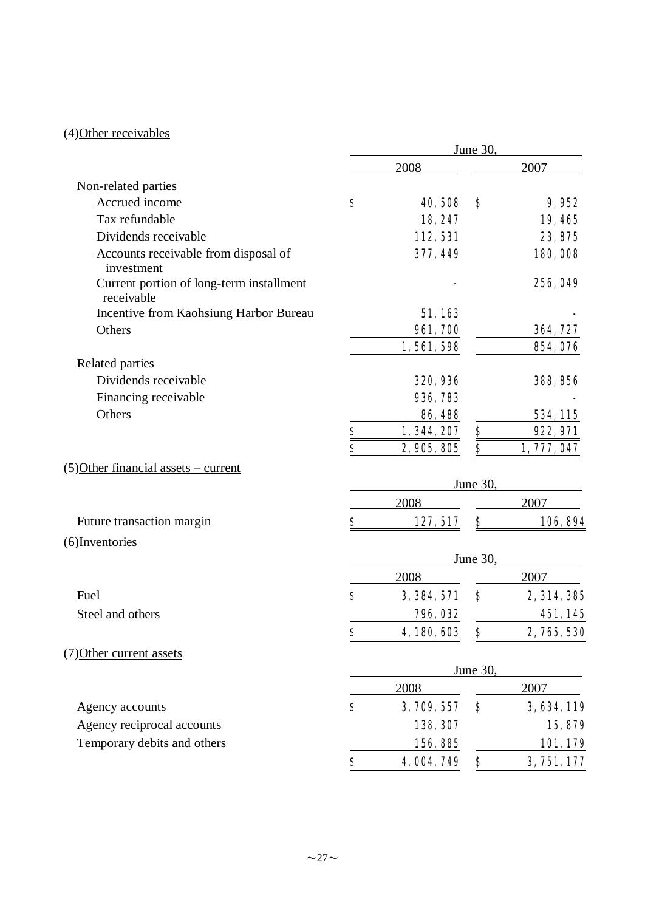### (4)Other receivables

|                                                        | June 30,    |                 |          |                 |
|--------------------------------------------------------|-------------|-----------------|----------|-----------------|
|                                                        |             | 2008            |          | 2007            |
| Non-related parties                                    |             |                 |          |                 |
| Accrued income                                         | \$          | 40,508          | S        | 9,952           |
| Tax refundable                                         |             | 18, 247         |          | 19,465          |
| Dividends receivable                                   |             | 112, 531        |          | 23, 875         |
| Accounts receivable from disposal of<br>investment     |             | 377, 449        |          | 180,008         |
| Current portion of long-term installment<br>receivable |             |                 |          | 256, 049        |
| Incentive from Kaohsiung Harbor Bureau                 |             | 51,163          |          |                 |
| Others                                                 |             | <b>961, 700</b> |          | 364, 727        |
|                                                        |             | 1,561,598       |          | 854,076         |
| Related parties                                        |             |                 |          |                 |
| Dividends receivable                                   |             | 320, 936        |          | 388, 856        |
| Financing receivable                                   |             | 936, 783        |          |                 |
| Others                                                 |             | 86,488          |          | 534, 115        |
|                                                        | $rac{s}{s}$ | 1, 344, 207     | \$       | 922, 971        |
|                                                        |             | 2, 905, 805     | S        | 1, 777, 047     |
| (5) Other financial assets – current                   |             |                 |          |                 |
|                                                        |             |                 | June 30, |                 |
|                                                        |             | 2008            |          | 2007            |
| Future transaction margin                              | \$          | 127, 517        | \$       | 106, 894        |
| (6) Inventories                                        |             |                 |          |                 |
|                                                        |             |                 | June 30, |                 |
| Fuel                                                   | \$          | 2008            |          | 2007            |
|                                                        |             | 3, 384, 571     | \$       | 2, 314, 385     |
| Steel and others                                       |             | 796, 032        |          | 451,145         |
|                                                        | Ф           | 4, 180, 603     | Þ        | 2, 765, 530     |
| (7) Other current assets                               |             |                 |          |                 |
|                                                        |             |                 | June 30. |                 |
|                                                        |             | 2008            |          | 2007            |
| Agency accounts                                        | \$          | 3, 709, 557     | \$       | 3, 634, 119     |
| Agency reciprocal accounts                             |             | 138, 307        |          | 15,879          |
| Temporary debits and others                            |             | 156, 885        |          | <u>101, 179</u> |
|                                                        | \$          | 4,004,749       | \$       | 3, 751, 177     |
|                                                        |             |                 |          |                 |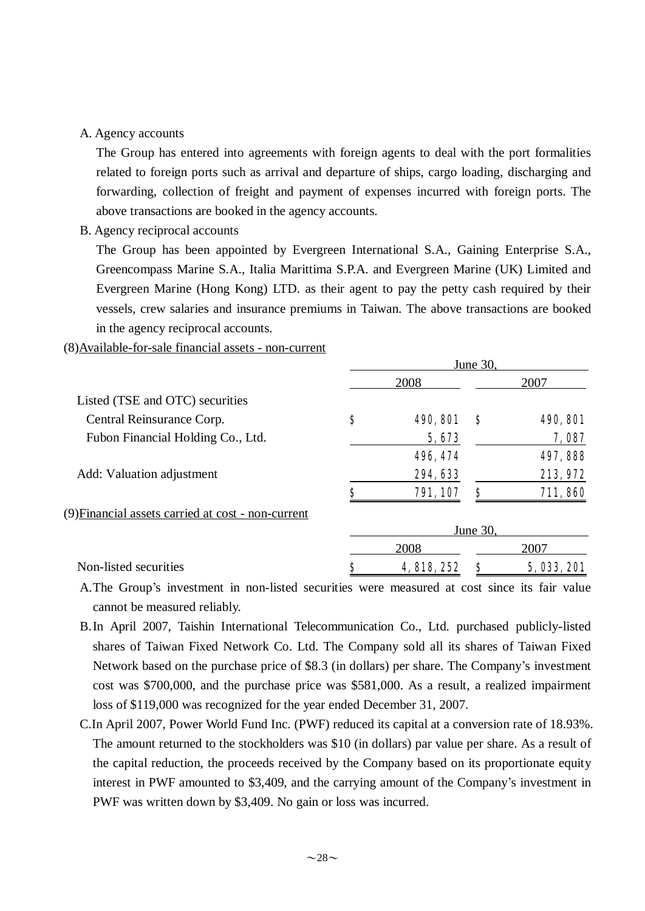#### A. Agency accounts

The Group has entered into agreements with foreign agents to deal with the port formalities related to foreign ports such as arrival and departure of ships, cargo loading, discharging and forwarding, collection of freight and payment of expenses incurred with foreign ports. The above transactions are booked in the agency accounts.

B. Agency reciprocal accounts

The Group has been appointed by Evergreen International S.A., Gaining Enterprise S.A., Greencompass Marine S.A., Italia Marittima S.P.A. and Evergreen Marine (UK) Limited and Evergreen Marine (Hong Kong) LTD. as their agent to pay the petty cash required by their vessels, crew salaries and insurance premiums in Taiwan. The above transactions are booked in the agency reciprocal accounts.

#### (8)Available-for-sale financial assets - non-current

|                                                    |    | 2008            |          | 2007            |
|----------------------------------------------------|----|-----------------|----------|-----------------|
| Listed (TSE and OTC) securities                    |    |                 |          |                 |
| Central Reinsurance Corp.                          | \$ | <b>490, 801</b> | \$       | <b>490, 801</b> |
| Fubon Financial Holding Co., Ltd.                  |    | 5,673           |          | 7,087           |
|                                                    |    | 496, 474        |          | 497, 888        |
| Add: Valuation adjustment                          |    | 294, 633        |          | 213, 972        |
|                                                    | S  | 791, 107        | S        | 711,860         |
| (9) Financial assets carried at cost - non-current |    |                 |          |                 |
|                                                    |    |                 | June 30. |                 |
|                                                    |    | 2008            |          | 2007            |
| Non-listed securities                              | Ş  | 4, 818, 252     | S        | 5, 033, 201     |

A.The Group's investment in non-listed securities were measured at cost since its fair value cannot be measured reliably.

- B.In April 2007, Taishin International Telecommunication Co., Ltd. purchased publicly-listed shares of Taiwan Fixed Network Co. Ltd. The Company sold all its shares of Taiwan Fixed Network based on the purchase price of \$8.3 (in dollars) per share. The Company's investment cost was \$700,000, and the purchase price was \$581,000. As a result, a realized impairment loss of \$119,000 was recognized for the year ended December 31, 2007.
- C.In April 2007, Power World Fund Inc. (PWF) reduced its capital at a conversion rate of 18.93%. The amount returned to the stockholders was \$10 (in dollars) par value per share. As a result of the capital reduction, the proceeds received by the Company based on its proportionate equity interest in PWF amounted to \$3,409, and the carrying amount of the Company's investment in PWF was written down by \$3,409. No gain or loss was incurred.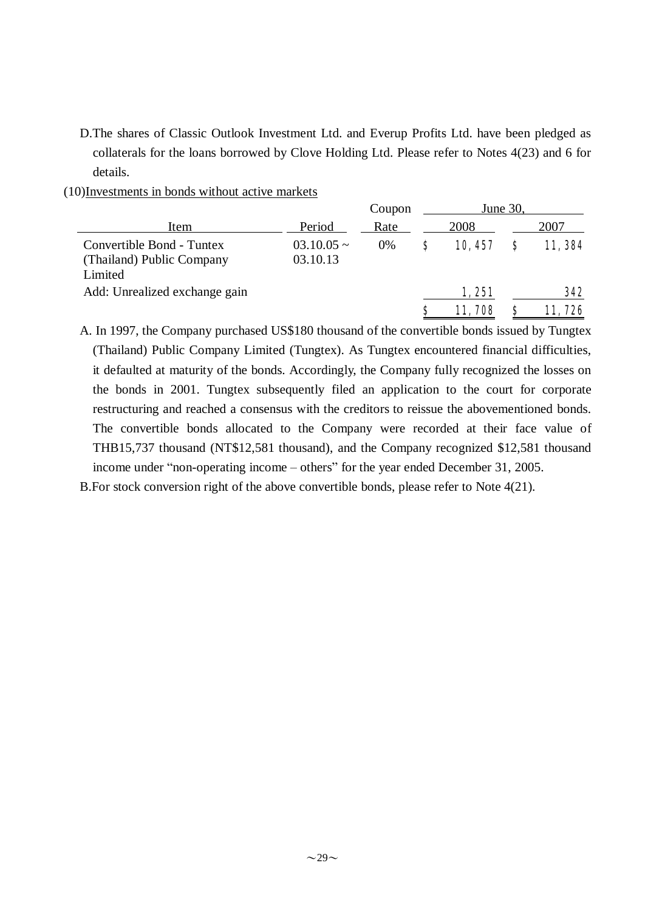D.The shares of Classic Outlook Investment Ltd. and Everup Profits Ltd. have been pledged as collaterals for the loans borrowed by Clove Holding Ltd. Please refer to Notes 4(23) and 6 for details.

(10)Investments in bonds without active markets

|                                                                   |                             | Coupon | June 30, |                 |   |               |  |
|-------------------------------------------------------------------|-----------------------------|--------|----------|-----------------|---|---------------|--|
| Item                                                              | Period                      | Rate   |          | 2008            |   | 2007          |  |
| Convertible Bond - Tuntex<br>(Thailand) Public Company<br>Limited | $03.10.05 \sim$<br>03.10.13 | $0\%$  | S        | 10, 457         | S | 11, 384       |  |
| Add: Unrealized exchange gain                                     |                             |        | S        | 1,251<br>11,708 | S | 342<br>11,726 |  |
|                                                                   |                             |        |          |                 |   |               |  |

A. In 1997, the Company purchased US\$180 thousand of the convertible bonds issued by Tungtex (Thailand) Public Company Limited (Tungtex). As Tungtex encountered financial difficulties, it defaulted at maturity of the bonds. Accordingly, the Company fully recognized the losses on the bonds in 2001. Tungtex subsequently filed an application to the court for corporate restructuring and reached a consensus with the creditors to reissue the abovementioned bonds. The convertible bonds allocated to the Company were recorded at their face value of THB15,737 thousand (NT\$12,581 thousand), and the Company recognized \$12,581 thousand income under "non-operating income – others" for the year ended December 31, 2005.

B.For stock conversion right of the above convertible bonds, please refer to Note 4(21).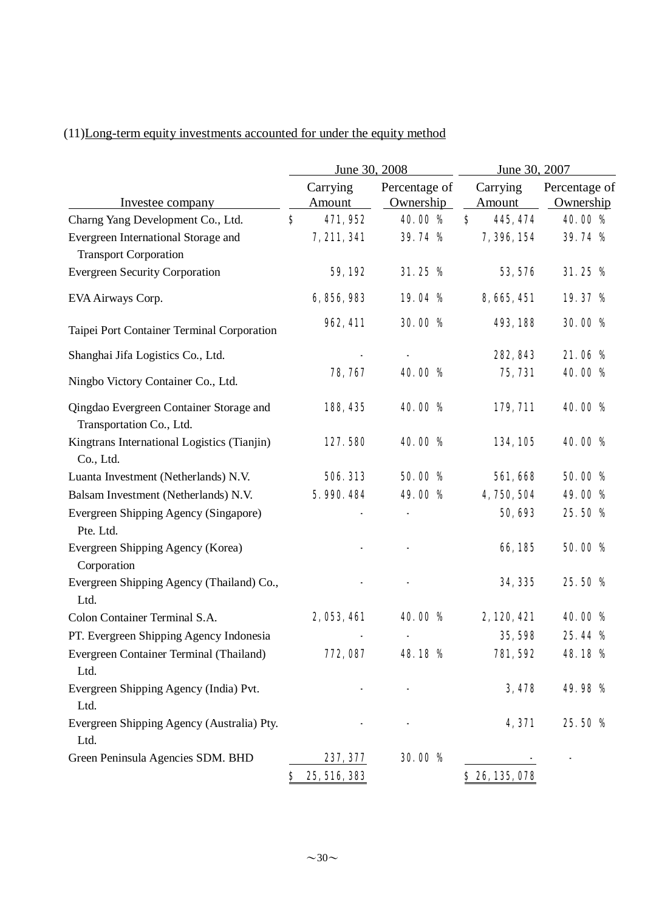## (11)Long-term equity investments accounted for under the equity method

|                                                                     |    | June 30, 2008             |                            | June 30, 2007             |                            |  |
|---------------------------------------------------------------------|----|---------------------------|----------------------------|---------------------------|----------------------------|--|
| Investee company                                                    |    | Carrying<br><b>Amount</b> | Percentage of<br>Ownership | Carrying<br><b>Amount</b> | Percentage of<br>Ownership |  |
| Charng Yang Development Co., Ltd.                                   | S  | 471,952                   | 40.00 %                    | $\mathbf{s}$<br>445, 474  | 40.00 %                    |  |
| Evergreen International Storage and<br><b>Transport Corporation</b> |    | 7, 211, 341               | 39.74 %                    | 7, 396, 154               | 39.74 %                    |  |
| <b>Evergreen Security Corporation</b>                               |    | 59,192                    | 31.25%                     | 53, 576                   | 31.25%                     |  |
| EVA Airways Corp.                                                   |    | 6, 856, 983               | 19.04 %                    | 8, 665, 451               | 19.37 %                    |  |
| Taipei Port Container Terminal Corporation                          |    | 962, 411                  | 30.00 %                    | 493, 188                  | 30.00 %                    |  |
| Shanghai Jifa Logistics Co., Ltd.                                   |    |                           |                            | 282, 843                  | 21.06%                     |  |
| Ningbo Victory Container Co., Ltd.                                  |    | 78, 767                   | 40.00 %                    | 75, 731                   | 40.00 %                    |  |
| Qingdao Evergreen Container Storage and<br>Transportation Co., Ltd. |    | 188, 435                  | 40.00 %                    | 179, 711                  | 40.00 %                    |  |
| Kingtrans International Logistics (Tianjin)<br>Co., Ltd.            |    | 127.580                   | 40.00 %                    | 134, 105                  | 40.00 %                    |  |
| Luanta Investment (Netherlands) N.V.                                |    | 506, 313                  | 50.00 %                    | 561, 668                  | 50.00 %                    |  |
| Balsam Investment (Netherlands) N.V.                                |    | 5.990.484                 | 49.00 %                    | 4,750,504                 | 49.00 %                    |  |
| Evergreen Shipping Agency (Singapore)<br>Pte. Ltd.                  |    |                           |                            | 50, 693                   | 25.50 %                    |  |
| Evergreen Shipping Agency (Korea)<br>Corporation                    |    |                           |                            | 66,185                    | 50.00 %                    |  |
| Evergreen Shipping Agency (Thailand) Co.,<br>Ltd.                   |    |                           |                            | 34, 335                   | 25.50 %                    |  |
| Colon Container Terminal S.A.                                       |    | 2, 053, 461               | 40.00 %                    | 2, 120, 421               | 40.00%                     |  |
| PT. Evergreen Shipping Agency Indonesia                             |    |                           |                            | 35, 598                   | 25.44 %                    |  |
| Evergreen Container Terminal (Thailand)<br>Ltd.                     |    | 772, 087                  | 48.18 %                    | 781, 592                  | 48.18 %                    |  |
| Evergreen Shipping Agency (India) Pvt.<br>Ltd.                      |    |                           |                            | 3,478                     | 49.98 %                    |  |
| Evergreen Shipping Agency (Australia) Pty.<br>Ltd.                  |    |                           |                            | 4,371                     | 25.50 %                    |  |
| Green Peninsula Agencies SDM. BHD                                   |    | 237, 377                  | 30.00 %                    |                           |                            |  |
|                                                                     | \$ | 25, 516, 383              |                            | \$26,135,078              |                            |  |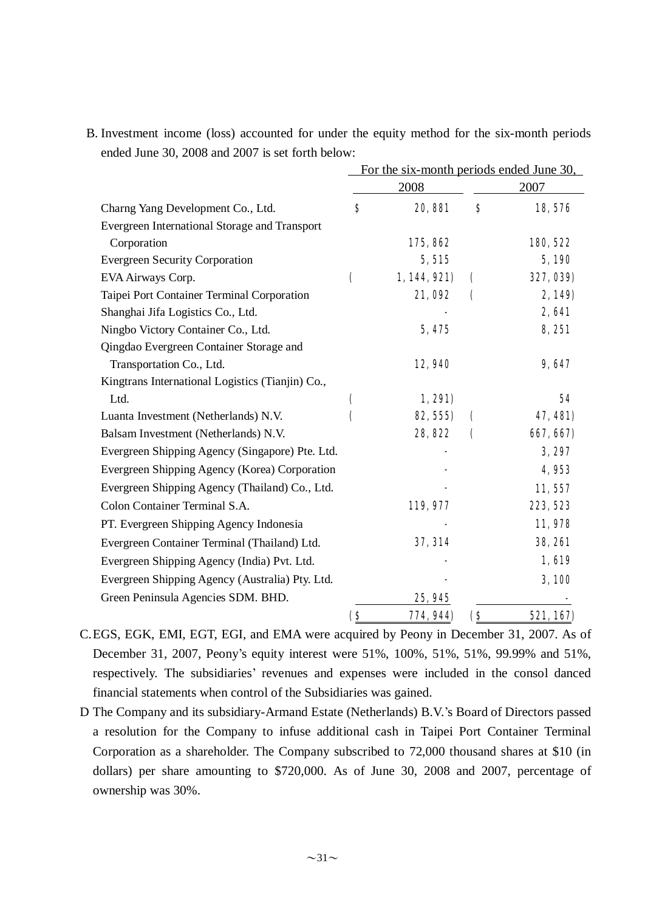|                                                  | For the six-month periods ended June 30, |              |                    |                |  |
|--------------------------------------------------|------------------------------------------|--------------|--------------------|----------------|--|
|                                                  |                                          | 2008         |                    | 2007           |  |
| Charng Yang Development Co., Ltd.                | \$                                       | 20, 881      | \$                 | 18,576         |  |
| Evergreen International Storage and Transport    |                                          |              |                    |                |  |
| Corporation                                      |                                          | 175,862      |                    | 180, 522       |  |
| <b>Evergreen Security Corporation</b>            |                                          | 5,515        |                    | 5,190          |  |
| EVA Airways Corp.                                | (                                        | 1, 144, 921) | $\mathbf \epsilon$ | 327, 039)      |  |
| Taipei Port Container Terminal Corporation       |                                          | 21,092       | $\mathcal{L}$      | 2,149)         |  |
| Shanghai Jifa Logistics Co., Ltd.                |                                          |              |                    | 2,641          |  |
| Ningbo Victory Container Co., Ltd.               |                                          | 5,475        |                    | 8,251          |  |
| Qingdao Evergreen Container Storage and          |                                          |              |                    |                |  |
| Transportation Co., Ltd.                         |                                          | 12,940       |                    | 9,647          |  |
| Kingtrans International Logistics (Tianjin) Co., |                                          |              |                    |                |  |
| Ltd.                                             | C                                        | 1,291)       |                    | 54             |  |
| Luanta Investment (Netherlands) N.V.             | (                                        | 82, 555)     | €                  | 47, 481)       |  |
| Balsam Investment (Netherlands) N.V.             |                                          | 28,822       | C                  | 667, 667)      |  |
| Evergreen Shipping Agency (Singapore) Pte. Ltd.  |                                          |              |                    | 3,297          |  |
| Evergreen Shipping Agency (Korea) Corporation    |                                          |              |                    | 4,953          |  |
| Evergreen Shipping Agency (Thailand) Co., Ltd.   |                                          |              |                    | 11,557         |  |
| Colon Container Terminal S.A.                    |                                          | 119, 977     |                    | 223, 523       |  |
| PT. Evergreen Shipping Agency Indonesia          |                                          |              |                    | 11,978         |  |
| Evergreen Container Terminal (Thailand) Ltd.     |                                          | 37, 314      |                    | <b>38, 261</b> |  |
| Evergreen Shipping Agency (India) Pvt. Ltd.      |                                          |              |                    | 1,619          |  |
| Evergreen Shipping Agency (Australia) Pty. Ltd.  |                                          |              |                    | 3,100          |  |
| Green Peninsula Agencies SDM. BHD.               |                                          | 25, 945      |                    |                |  |
|                                                  | $\bf(8)$                                 | 774, 944)    | $\bf(8)$           | 521, 167)      |  |

B. Investment income (loss) accounted for under the equity method for the six-month periods ended June 30, 2008 and 2007 is set forth below:

C.EGS, EGK, EMI, EGT, EGI, and EMA were acquired by Peony in December 31, 2007. As of December 31, 2007, Peony's equity interest were 51%, 100%, 51%, 51%, 99.99% and 51%, respectively. The subsidiaries' revenues and expenses were included in the consol danced financial statements when control of the Subsidiaries was gained.

D The Company and its subsidiary-Armand Estate (Netherlands) B.V.'s Board of Directors passed a resolution for the Company to infuse additional cash in Taipei Port Container Terminal Corporation as a shareholder. The Company subscribed to 72,000 thousand shares at \$10 (in dollars) per share amounting to \$720,000. As of June 30, 2008 and 2007, percentage of ownership was 30%.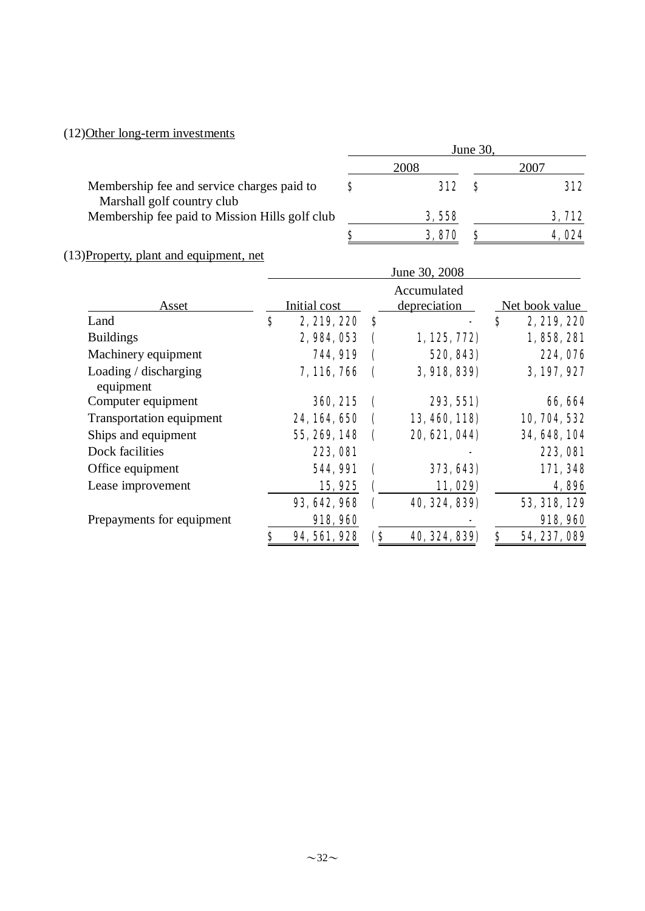## (12)Other long-term investments

|                                                                          | June 30, |              |  |               |  |
|--------------------------------------------------------------------------|----------|--------------|--|---------------|--|
|                                                                          |          | 2008         |  | 2007          |  |
| Membership fee and service charges paid to<br>Marshall golf country club | S        | <b>312</b> S |  | 312           |  |
| Membership fee paid to Mission Hills golf club                           |          | 3,558        |  | 3,712         |  |
|                                                                          | S        | 3,870        |  | <b>4. O24</b> |  |

# (13)Property, plant and equipment, net

|                                    | June 30, 2008 |                 |                             |                |    |                 |  |  |
|------------------------------------|---------------|-----------------|-----------------------------|----------------|----|-----------------|--|--|
| Asset                              |               | Initial cost    | Accumulated<br>depreciation | Net book value |    |                 |  |  |
| Land                               | \$            | 2, 219, 220     | S                           |                | \$ | 2, 219, 220     |  |  |
| <b>Buildings</b>                   |               | 2, 984, 053     |                             | 1, 125, 772    |    | 1,858,281       |  |  |
| Machinery equipment                |               | <b>744, 919</b> |                             | 520, 843)      |    | 224,076         |  |  |
| Loading / discharging<br>equipment |               | 7, 116, 766     |                             | 3, 918, 839)   |    | 3, 197, 927     |  |  |
| Computer equipment                 |               | 360, 215        |                             | 293, 551)      |    | 66, 664         |  |  |
| Transportation equipment           |               | 24, 164, 650    |                             | 13, 460, 118)  |    | 10, 704, 532    |  |  |
| Ships and equipment                |               | 55, 269, 148    |                             | 20, 621, 044)  |    | 34, 648, 104    |  |  |
| Dock facilities                    |               | 223,081         |                             |                |    | <b>223, 081</b> |  |  |
| Office equipment                   |               | 544, 991        |                             | 373, 643)      |    | 171,348         |  |  |
| Lease improvement                  |               | 15,925          |                             | 11,029)        |    | 4,896           |  |  |
|                                    |               | 93, 642, 968    |                             | 40, 324, 839)  |    | 53, 318, 129    |  |  |
| Prepayments for equipment          |               | 918, 960        |                             |                |    | 918, 960        |  |  |
|                                    | \$            | 94, 561, 928    | (\$                         | 40, 324, 839)  | \$ | 54, 237, 089    |  |  |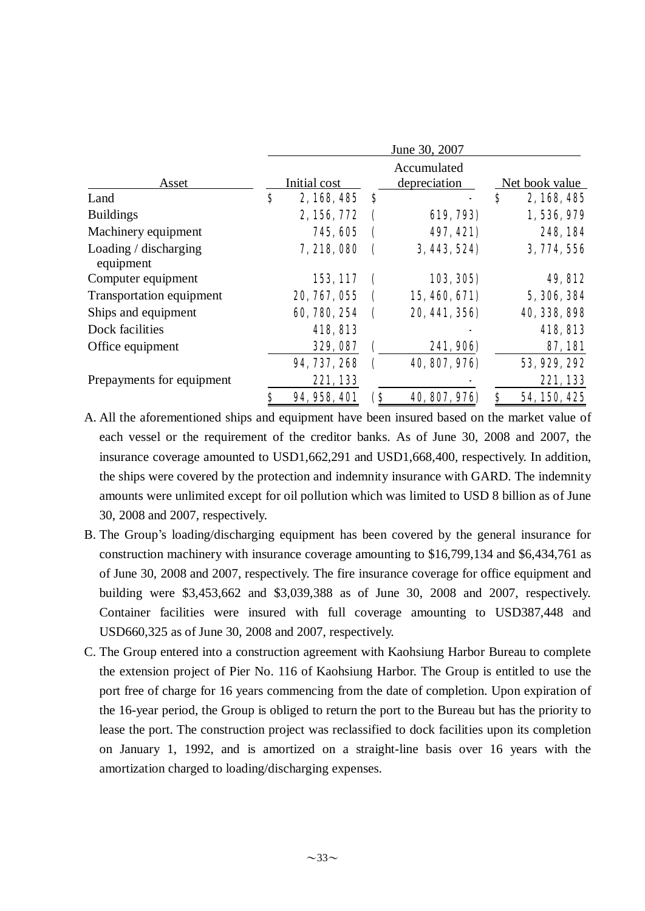|                                    |    | June 30, 2007 |                             |                |    |              |  |  |
|------------------------------------|----|---------------|-----------------------------|----------------|----|--------------|--|--|
| Asset                              |    | Initial cost  | Accumulated<br>depreciation | Net book value |    |              |  |  |
| Land                               | \$ | 2,168,485     | `\$                         |                | \$ | 2, 168, 485  |  |  |
| <b>Buildings</b>                   |    | 2, 156, 772   |                             | 619, 793)      |    | 1,536,979    |  |  |
| Machinery equipment                |    | 745, 605      |                             | 497, 421)      |    | 248, 184     |  |  |
| Loading / discharging<br>equipment |    | 7,218,080     |                             | 3, 443, 524)   |    | 3, 774, 556  |  |  |
| Computer equipment                 |    | 153, 117      |                             | 103, 305)      |    | 49, 812      |  |  |
| Transportation equipment           |    | 20, 767, 055  |                             | 15, 460, 671)  |    | 5, 306, 384  |  |  |
| Ships and equipment                |    | 60, 780, 254  |                             | 20, 441, 356)  |    | 40, 338, 898 |  |  |
| Dock facilities                    |    | 418, 813      |                             |                |    | 418, 813     |  |  |
| Office equipment                   |    | 329, 087      |                             | 241, 906)      |    | 87,181       |  |  |
|                                    |    | 94, 737, 268  |                             | 40, 807, 976)  |    | 53, 929, 292 |  |  |
| Prepayments for equipment          |    | 221,133       |                             |                |    | 221,133      |  |  |
|                                    | \$ | 94, 958, 401  | (\$                         | 40, 807, 976)  | \$ | 54, 150, 425 |  |  |

A. All the aforementioned ships and equipment have been insured based on the market value of each vessel or the requirement of the creditor banks. As of June 30, 2008 and 2007, the insurance coverage amounted to USD1,662,291 and USD1,668,400, respectively. In addition, the ships were covered by the protection and indemnity insurance with GARD. The indemnity amounts were unlimited except for oil pollution which was limited to USD 8 billion as of June 30, 2008 and 2007, respectively.

- B. The Group's loading/discharging equipment has been covered by the general insurance for construction machinery with insurance coverage amounting to \$16,799,134 and \$6,434,761 as of June 30, 2008 and 2007, respectively. The fire insurance coverage for office equipment and building were \$3,453,662 and \$3,039,388 as of June 30, 2008 and 2007, respectively. Container facilities were insured with full coverage amounting to USD387,448 and USD660,325 as of June 30, 2008 and 2007, respectively.
- C. The Group entered into a construction agreement with Kaohsiung Harbor Bureau to complete the extension project of Pier No. 116 of Kaohsiung Harbor. The Group is entitled to use the port free of charge for 16 years commencing from the date of completion. Upon expiration of the 16-year period, the Group is obliged to return the port to the Bureau but has the priority to lease the port. The construction project was reclassified to dock facilities upon its completion on January 1, 1992, and is amortized on a straight-line basis over 16 years with the amortization charged to loading/discharging expenses.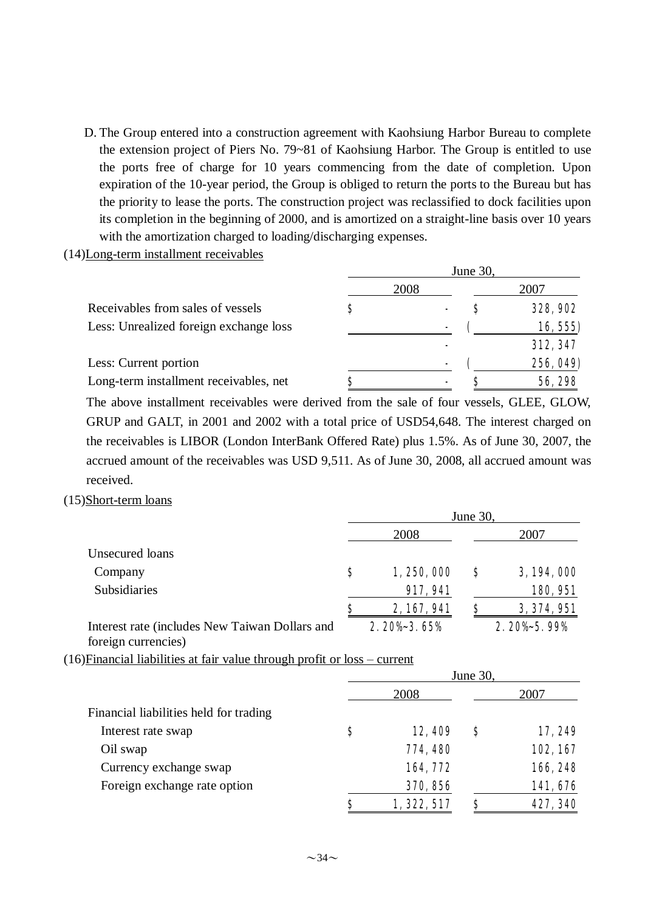D. The Group entered into a construction agreement with Kaohsiung Harbor Bureau to complete the extension project of Piers No. 79~81 of Kaohsiung Harbor. The Group is entitled to use the ports free of charge for 10 years commencing from the date of completion. Upon expiration of the 10-year period, the Group is obliged to return the ports to the Bureau but has the priority to lease the ports. The construction project was reclassified to dock facilities upon its completion in the beginning of 2000, and is amortized on a straight-line basis over 10 years with the amortization charged to loading/discharging expenses.

(14)Long-term installment receivables

|                                        | June 30, |      |  |                 |
|----------------------------------------|----------|------|--|-----------------|
|                                        |          | 2008 |  | 2007            |
| Receivables from sales of vessels      |          |      |  | <b>328, 902</b> |
| Less: Unrealized foreign exchange loss |          | ۰    |  | 16, 555)        |
|                                        |          |      |  | 312, 347        |
| Less: Current portion                  |          | ۰    |  | 256, 049)       |
| Long-term installment receivables, net |          |      |  | 56, 298         |

The above installment receivables were derived from the sale of four vessels, GLEE, GLOW, GRUP and GALT, in 2001 and 2002 with a total price of USD54,648. The interest charged on the receivables is LIBOR (London InterBank Offered Rate) plus 1.5%. As of June 30, 2007, the accrued amount of the receivables was USD 9,511. As of June 30, 2008, all accrued amount was received.

#### (15)Short-term loans

|                                                | June 30, |             |   |             |
|------------------------------------------------|----------|-------------|---|-------------|
|                                                |          | 2008        |   | 2007        |
| Unsecured loans                                |          |             |   |             |
| Company                                        | S        | 1,250,000   | S | 3, 194, 000 |
| Subsidiaries                                   |          | 917, 941    |   | 180, 951    |
|                                                | s        | 2, 167, 941 | S | 3, 374, 951 |
| Interest rate (includes New Taiwan Dollars and |          | 2.20% 3.65% |   | 2.20% 5.99% |

foreign currencies)

(16)Financial liabilities at fair value through profit or loss – current

|                                        | June 30, |             |   |          |  |
|----------------------------------------|----------|-------------|---|----------|--|
|                                        |          | 2008        |   | 2007     |  |
| Financial liabilities held for trading |          |             |   |          |  |
| Interest rate swap                     | \$       | 12,409      | Ş | 17,249   |  |
| Oil swap                               |          | 774, 480    |   | 102, 167 |  |
| Currency exchange swap                 |          | 164,772     |   | 166, 248 |  |
| Foreign exchange rate option           |          | 370, 856    |   | 141,676  |  |
|                                        | \$       | 1, 322, 517 |   | 427, 340 |  |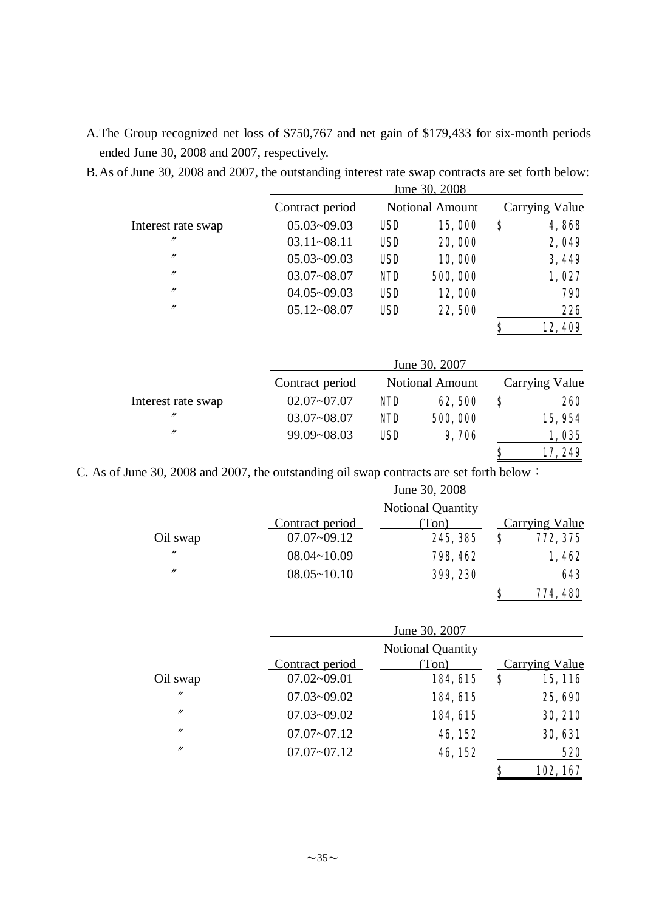A.The Group recognized net loss of \$750,767 and net gain of \$179,433 for six-month periods ended June 30, 2008 and 2007, respectively.

| B. As of June 30, 2008 and 2007, the outstanding interest rate swap contracts are set forth below: |
|----------------------------------------------------------------------------------------------------|
|----------------------------------------------------------------------------------------------------|

|                    |                 |            | June 30, 2008          |    |                       |
|--------------------|-----------------|------------|------------------------|----|-----------------------|
|                    | Contract period |            | <b>Notional Amount</b> |    | <b>Carrying Value</b> |
| Interest rate swap | $05.03 - 09.03$ | <b>USD</b> | 15,000                 | S  | 4,868                 |
| "                  | $03.11 - 08.11$ | <b>USD</b> | 20,000                 |    | 2,049                 |
| $^{\prime\prime}$  | $05.03 - 09.03$ | <b>USD</b> | 10,000                 |    | 3,449                 |
| $^{\prime\prime}$  | $03.07 - 08.07$ | <b>NID</b> | 500,000                |    | 1,027                 |
| $^{\prime\prime}$  | $04.05 - 09.03$ | <b>USD</b> | 12,000                 |    | 790                   |
| $^{\prime\prime}$  | $05.12 - 08.07$ | <b>USD</b> | 22,500                 |    | 226                   |
|                    |                 |            |                        | Ś  | 12,409                |
|                    |                 |            | June 30, 2007          |    |                       |
|                    | Contract period |            | <b>Notional Amount</b> |    | Carrying Value        |
| Interest rate swap | $02.07 - 07.07$ | <b>NID</b> | 62,500                 | \$ | 260                   |
| $^{\prime\prime}$  | $03.07 - 08.07$ | <b>NID</b> | 500,000                |    | 15,954                |
| $^{\prime\prime}$  | 00.00.08.03     | TEN        | 0 MR                   |    | <b>MPK</b><br>1       |

**\$** 17, 249 C. As of June 30, 2008 and 2007, the outstanding oil swap contracts are set forth below:

|                   |                 | June 30, 2008            |   |                |
|-------------------|-----------------|--------------------------|---|----------------|
|                   |                 | <b>Notional Quantity</b> |   |                |
|                   | Contract period | (Ton)                    |   | Carrying Value |
| Oil swap          | $07.07 - 09.12$ | 245, 385                 | S | 772, 375       |
| $^{\prime\prime}$ | $08.04 - 10.09$ | 798, 462                 |   | 1,462          |
| $^{\prime\prime}$ | $08.05 - 10.10$ | 399, 230                 |   | 643            |
|                   |                 |                          | S | 774, 480       |

99.09~08.03 USD 9,706 1,035

|                |                 | June 30, 2007            |                |
|----------------|-----------------|--------------------------|----------------|
|                |                 | <b>Notional Quantity</b> |                |
|                | Contract period | (Ton)                    | Carrying Value |
| Oil swap       | $07.02 - 09.01$ | 184, 615                 | \$<br>15, 116  |
| $\prime\prime$ | $07.03 - 09.02$ | 184, 615                 | 25,690         |
| $\prime\prime$ | $07.03 - 09.02$ | 184, 615                 | 30, 210        |
| $\prime$       | $07.07 - 07.12$ | 46, 152                  | 30, 631        |
| $\prime$       | $07.07 - 07.12$ | 46, 152                  | 520            |
|                |                 |                          | \$<br>102, 167 |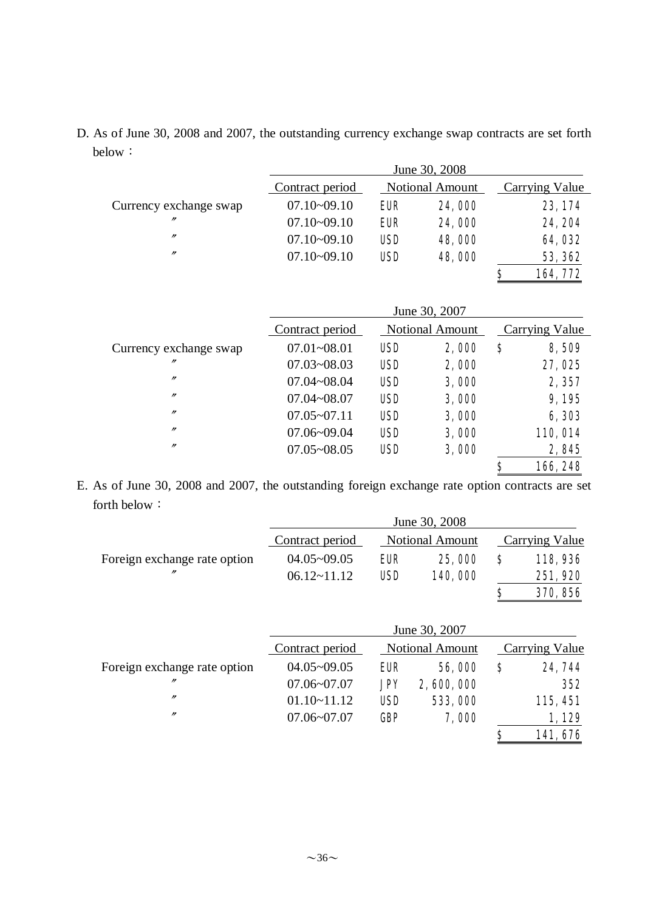D. As of June 30, 2008 and 2007, the outstanding currency exchange swap contracts are set forth below:

|                        |                 |                        | June 30, 2008 |                |
|------------------------|-----------------|------------------------|---------------|----------------|
|                        | Contract period | <b>Notional Amount</b> |               | Carrying Value |
| Currency exchange swap | $07.10 - 09.10$ | EUR                    | 24,000        | 23, 174        |
| $^{\prime\prime}$      | $07.10 - 09.10$ | <b>EUR</b>             | 24,000        | 24, 204        |
| $\prime\prime$         | $07.10 - 09.10$ | <b>USD</b>             | 48,000        | 64,032         |
| $^{\prime\prime}$      | $07.10 - 09.10$ | <b>USD</b>             | 48,000        | 53, 362        |
|                        |                 |                        |               | \$<br>164,772  |

|                        | June 30, 2007   |            |                        |    |                 |  |  |  |
|------------------------|-----------------|------------|------------------------|----|-----------------|--|--|--|
|                        | Contract period |            | <b>Notional Amount</b> |    | Carrying Value  |  |  |  |
| Currency exchange swap | $07.01 - 08.01$ | <b>USD</b> | 2,000                  | \$ | 8,509           |  |  |  |
| $^{\prime\prime}$      | $07.03 - 08.03$ | <b>USD</b> | 2,000                  |    | 27,025          |  |  |  |
| $^{\prime\prime}$      | $07.04 - 08.04$ | <b>USD</b> | 3,000                  |    | 2,357           |  |  |  |
| $^{\prime\prime}$      | $07.04 - 08.07$ | <b>USD</b> | 3,000                  |    | 9,195           |  |  |  |
| $^{\prime\prime}$      | $07.05 - 07.11$ | <b>USD</b> | 3,000                  |    | 6,303           |  |  |  |
| $^{\prime\prime}$      | $07.06 - 09.04$ | <b>USD</b> | 3,000                  |    | <b>110, 014</b> |  |  |  |
| $^{\prime\prime}$      | $07.05 - 08.05$ | <b>USD</b> | 3,000                  |    | 2,845           |  |  |  |
|                        |                 |            |                        | Ş  | 166, 248        |  |  |  |

E. As of June 30, 2008 and 2007, the outstanding foreign exchange rate option contracts are set forth below:

|                              | Contract period | <b>Notional Amount</b> |                 |    | Carrying Value |
|------------------------------|-----------------|------------------------|-----------------|----|----------------|
| Foreign exchange rate option | $04.05 - 09.05$ | <b>EUR</b>             | 25,000          | S  | 118,936        |
| $\prime\prime$               | $06.12 - 11.12$ | <b>USD</b>             | 140,000         |    | 251,920        |
|                              |                 |                        |                 | \$ | 370, 856       |
|                              |                 |                        |                 |    |                |
|                              |                 |                        | June 30, 2007   |    |                |
|                              | Contract period |                        | Notional Amount |    | Carrying Value |
| Foreign exchange rate option | $04.05 - 09.05$ | <b>EUR</b>             | 56,000          | S  | 24, 744        |
| $^{\prime\prime}$            | $07.06 - 07.07$ | <b>JPY</b>             | 2,600,000       |    | 352            |
| $^{\prime\prime}$            | $01.10 - 11.12$ | <b>USD</b>             | 533,000         |    | 115, 451       |
| $^{\prime\prime}$            | $07.06 - 07.07$ | Œ                      | 7,000           |    | 1,129          |
|                              |                 |                        |                 | \$ | 141,676        |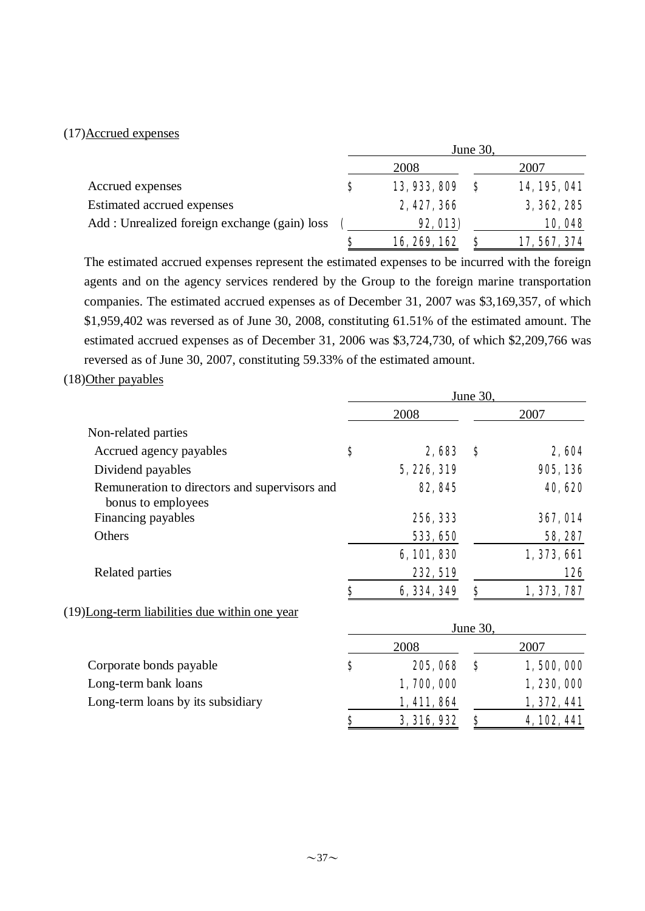#### (17)Accrued expenses

|                                              |   | June $30$ ,     |          |              |  |
|----------------------------------------------|---|-----------------|----------|--------------|--|
|                                              |   | 2008            |          | 2007         |  |
| Accrued expenses                             | S | 13, 933, 809    | <b>S</b> | 14, 195, 041 |  |
| Estimated accrued expenses                   |   | 2, 427, 366     |          | 3, 362, 285  |  |
| Add: Unrealized foreign exchange (gain) loss |   | <b>92, 013)</b> |          | 10,048       |  |
|                                              | S | 16, 269, 162    |          | 17, 567, 374 |  |

The estimated accrued expenses represent the estimated expenses to be incurred with the foreign agents and on the agency services rendered by the Group to the foreign marine transportation companies. The estimated accrued expenses as of December 31, 2007 was \$3,169,357, of which \$1,959,402 was reversed as of June 30, 2008, constituting 61.51% of the estimated amount. The estimated accrued expenses as of December 31, 2006 was \$3,724,730, of which \$2,209,766 was reversed as of June 30, 2007, constituting 59.33% of the estimated amount.

#### (18)Other payables

|                                                                     | June 30, |             |          |                 |
|---------------------------------------------------------------------|----------|-------------|----------|-----------------|
|                                                                     |          | 2008        |          | 2007            |
| Non-related parties                                                 |          |             |          |                 |
| Accrued agency payables                                             | S        | 2,683       | S        | 2,604           |
| Dividend payables                                                   |          | 5,226,319   |          | 905, 136        |
| Remuneration to directors and supervisors and<br>bonus to employees |          | 82, 845     |          | 40,620          |
| Financing payables                                                  |          | 256, 333    |          | <b>367, 014</b> |
| Others                                                              |          | 533, 650    |          | 58, 287         |
|                                                                     |          | 6, 101, 830 |          | 1, 373, 661     |
| Related parties                                                     |          | 232, 519    |          | 126             |
|                                                                     | \$       | 6, 334, 349 | \$       | 1, 373, 787     |
| (19)Long-term liabilities due within one year                       |          |             |          |                 |
|                                                                     |          |             | June 30, |                 |
|                                                                     |          | 2008        |          | 2007            |
| Corporate bonds payable                                             | \$       | 205, 068    | S        | 1,500,000       |
| Long-term bank loans                                                |          | 1,700,000   |          | 1, 230, 000     |
| Long-term loans by its subsidiary                                   |          | 1, 411, 864 |          | 1, 372, 441     |
|                                                                     | \$       | 3, 316, 932 | \$       | 4, 102, 441     |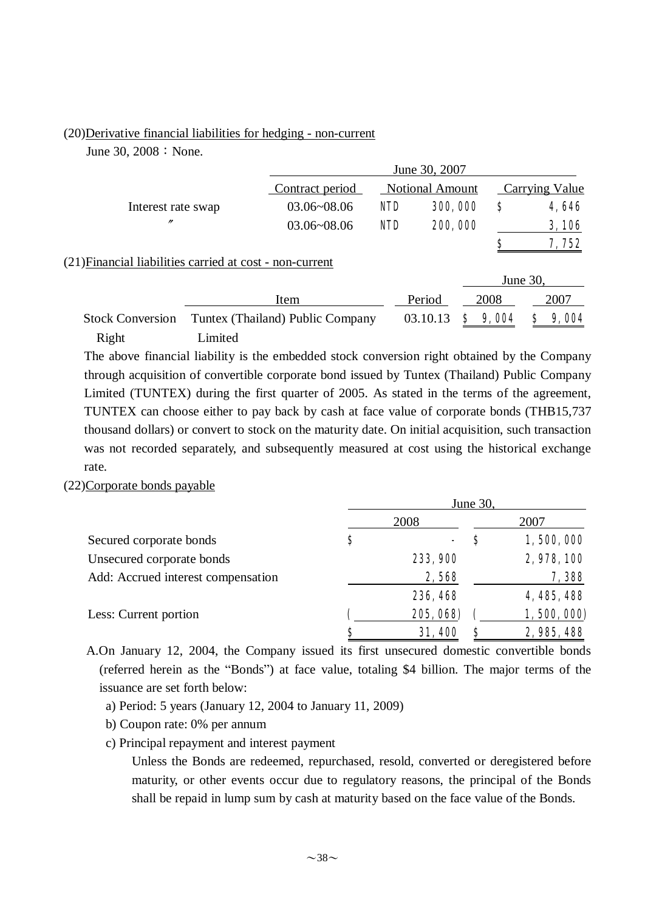#### (20)Derivative financial liabilities for hedging - non-current

June 30,  $2008:$  None.

|                                                          |         | June 30, 2007                             |            |          |   |          |                |       |
|----------------------------------------------------------|---------|-------------------------------------------|------------|----------|---|----------|----------------|-------|
|                                                          |         | <b>Notional Amount</b><br>Contract period |            |          |   |          | Carrying Value |       |
| Interest rate swap                                       |         | $03.06 - 08.06$                           | <b>NID</b> | 300,000  |   | \$       |                | 4,646 |
| $^{\prime\prime}$                                        |         | $03.06 - 08.06$                           | <b>NID</b> | 200,000  |   |          |                | 3,106 |
|                                                          |         |                                           |            |          |   | S        |                | 7,752 |
| (21) Financial liabilities carried at cost - non-current |         |                                           |            |          |   |          |                |       |
|                                                          |         |                                           |            |          |   | June 30, |                |       |
|                                                          |         | Item                                      |            | Period   |   | 2008     |                | 2007  |
| <b>Stock Conversion</b>                                  |         | Tuntex (Thailand) Public Company          |            | 03.10.13 | S | 9,004    |                | 9,004 |
| Right                                                    | Limited |                                           |            |          |   |          |                |       |

The above financial liability is the embedded stock conversion right obtained by the Company through acquisition of convertible corporate bond issued by Tuntex (Thailand) Public Company Limited (TUNTEX) during the first quarter of 2005. As stated in the terms of the agreement, TUNTEX can choose either to pay back by cash at face value of corporate bonds (THB15,737 thousand dollars) or convert to stock on the maturity date. On initial acquisition, such transaction was not recorded separately, and subsequently measured at cost using the historical exchange rate.

#### (22)Corporate bonds payable

|                                    | June 30, |           |   |             |  |  |
|------------------------------------|----------|-----------|---|-------------|--|--|
|                                    |          | 2008      |   | 2007        |  |  |
| Secured corporate bonds            | Ş        | ۰         | S | 1,500,000   |  |  |
| Unsecured corporate bonds          |          | 233, 900  |   | 2,978,100   |  |  |
| Add: Accrued interest compensation |          | 2,568     |   | 7,388       |  |  |
|                                    |          | 236, 468  |   | 4, 485, 488 |  |  |
| Less: Current portion              |          | 205, 068) |   | 1,500,000)  |  |  |
|                                    | S        | 31,400    | S | 2, 985, 488 |  |  |

A.On January 12, 2004, the Company issued its first unsecured domestic convertible bonds (referred herein as the "Bonds") at face value, totaling \$4 billion. The major terms of the issuance are set forth below:

- a) Period: 5 years (January 12, 2004 to January 11, 2009)
- b) Coupon rate: 0% per annum
- c) Principal repayment and interest payment

Unless the Bonds are redeemed, repurchased, resold, converted or deregistered before maturity, or other events occur due to regulatory reasons, the principal of the Bonds shall be repaid in lump sum by cash at maturity based on the face value of the Bonds.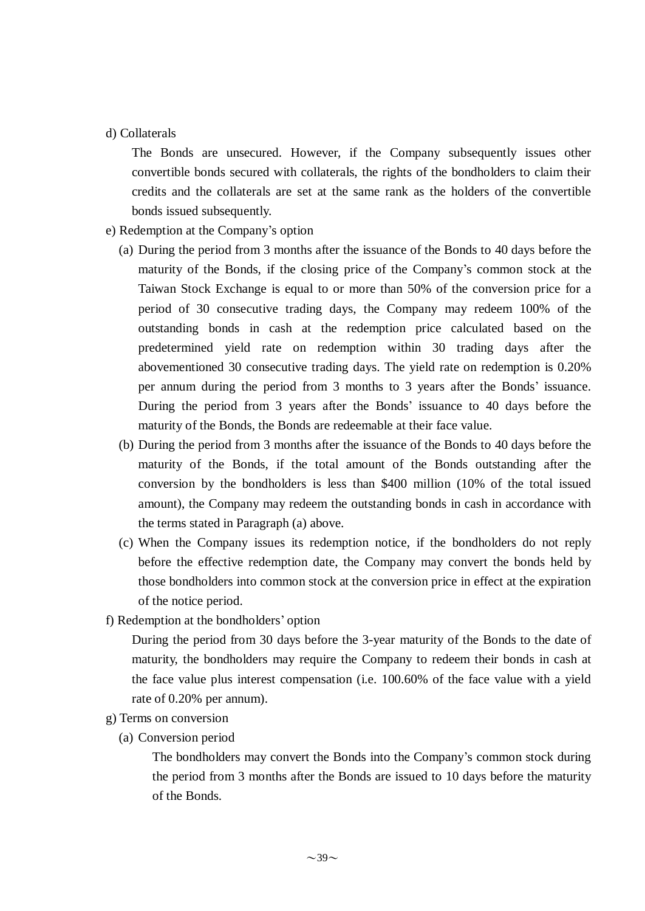#### d) Collaterals

The Bonds are unsecured. However, if the Company subsequently issues other convertible bonds secured with collaterals, the rights of the bondholders to claim their credits and the collaterals are set at the same rank as the holders of the convertible bonds issued subsequently.

- e) Redemption at the Company's option
	- (a) During the period from 3 months after the issuance of the Bonds to 40 days before the maturity of the Bonds, if the closing price of the Company's common stock at the Taiwan Stock Exchange is equal to or more than 50% of the conversion price for a period of 30 consecutive trading days, the Company may redeem 100% of the outstanding bonds in cash at the redemption price calculated based on the predetermined yield rate on redemption within 30 trading days after the abovementioned 30 consecutive trading days. The yield rate on redemption is 0.20% per annum during the period from 3 months to 3 years after the Bonds' issuance. During the period from 3 years after the Bonds' issuance to 40 days before the maturity of the Bonds, the Bonds are redeemable at their face value.
	- (b) During the period from 3 months after the issuance of the Bonds to 40 days before the maturity of the Bonds, if the total amount of the Bonds outstanding after the conversion by the bondholders is less than \$400 million (10% of the total issued amount), the Company may redeem the outstanding bonds in cash in accordance with the terms stated in Paragraph (a) above.
	- (c) When the Company issues its redemption notice, if the bondholders do not reply before the effective redemption date, the Company may convert the bonds held by those bondholders into common stock at the conversion price in effect at the expiration of the notice period.
- f) Redemption at the bondholders' option

During the period from 30 days before the 3-year maturity of the Bonds to the date of maturity, the bondholders may require the Company to redeem their bonds in cash at the face value plus interest compensation (i.e. 100.60% of the face value with a yield rate of 0.20% per annum).

- g) Terms on conversion
	- (a) Conversion period

The bondholders may convert the Bonds into the Company's common stock during the period from 3 months after the Bonds are issued to 10 days before the maturity of the Bonds.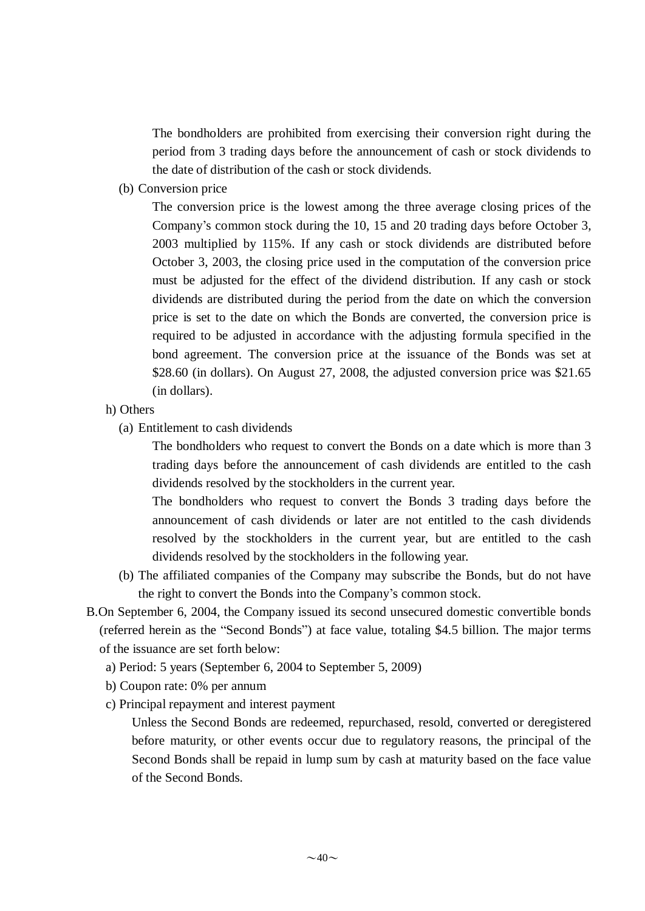The bondholders are prohibited from exercising their conversion right during the period from 3 trading days before the announcement of cash or stock dividends to the date of distribution of the cash or stock dividends.

(b) Conversion price

The conversion price is the lowest among the three average closing prices of the Company's common stock during the 10, 15 and 20 trading days before October 3, 2003 multiplied by 115%. If any cash or stock dividends are distributed before October 3, 2003, the closing price used in the computation of the conversion price must be adjusted for the effect of the dividend distribution. If any cash or stock dividends are distributed during the period from the date on which the conversion price is set to the date on which the Bonds are converted, the conversion price is required to be adjusted in accordance with the adjusting formula specified in the bond agreement. The conversion price at the issuance of the Bonds was set at \$28.60 (in dollars). On August 27, 2008, the adjusted conversion price was \$21.65 (in dollars).

- h) Others
	- (a) Entitlement to cash dividends

The bondholders who request to convert the Bonds on a date which is more than 3 trading days before the announcement of cash dividends are entitled to the cash dividends resolved by the stockholders in the current year.

The bondholders who request to convert the Bonds 3 trading days before the announcement of cash dividends or later are not entitled to the cash dividends resolved by the stockholders in the current year, but are entitled to the cash dividends resolved by the stockholders in the following year.

- (b) The affiliated companies of the Company may subscribe the Bonds, but do not have the right to convert the Bonds into the Company's common stock.
- B.On September 6, 2004, the Company issued its second unsecured domestic convertible bonds (referred herein as the "Second Bonds") at face value, totaling \$4.5 billion. The major terms of the issuance are set forth below:
	- a) Period: 5 years (September 6, 2004 to September 5, 2009)
	- b) Coupon rate: 0% per annum
	- c) Principal repayment and interest payment

Unless the Second Bonds are redeemed, repurchased, resold, converted or deregistered before maturity, or other events occur due to regulatory reasons, the principal of the Second Bonds shall be repaid in lump sum by cash at maturity based on the face value of the Second Bonds.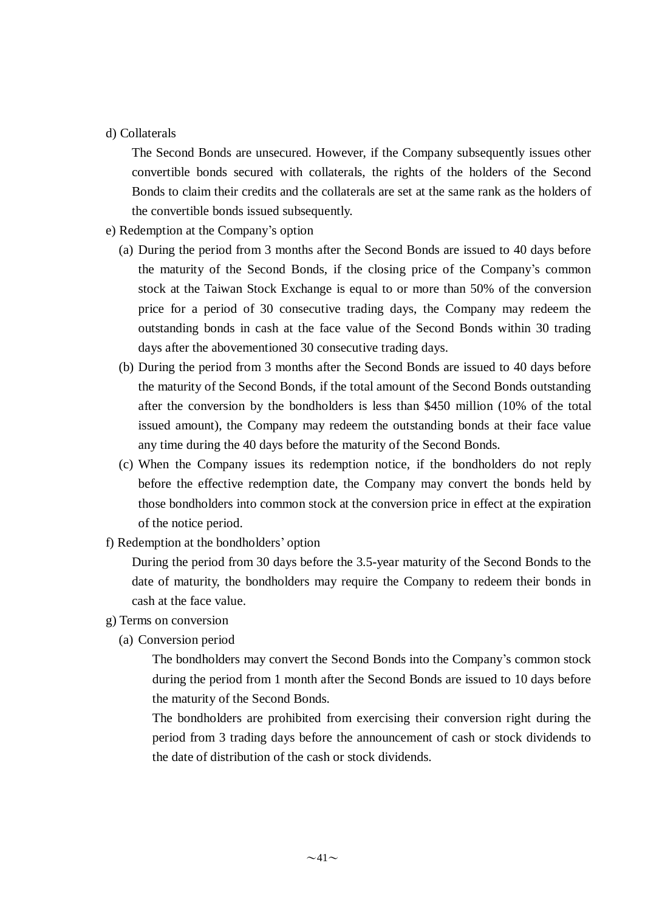#### d) Collaterals

The Second Bonds are unsecured. However, if the Company subsequently issues other convertible bonds secured with collaterals, the rights of the holders of the Second Bonds to claim their credits and the collaterals are set at the same rank as the holders of the convertible bonds issued subsequently.

- e) Redemption at the Company's option
	- (a) During the period from 3 months after the Second Bonds are issued to 40 days before the maturity of the Second Bonds, if the closing price of the Company's common stock at the Taiwan Stock Exchange is equal to or more than 50% of the conversion price for a period of 30 consecutive trading days, the Company may redeem the outstanding bonds in cash at the face value of the Second Bonds within 30 trading days after the abovementioned 30 consecutive trading days.
	- (b) During the period from 3 months after the Second Bonds are issued to 40 days before the maturity of the Second Bonds, if the total amount of the Second Bonds outstanding after the conversion by the bondholders is less than \$450 million (10% of the total issued amount), the Company may redeem the outstanding bonds at their face value any time during the 40 days before the maturity of the Second Bonds.
	- (c) When the Company issues its redemption notice, if the bondholders do not reply before the effective redemption date, the Company may convert the bonds held by those bondholders into common stock at the conversion price in effect at the expiration of the notice period.
- f) Redemption at the bondholders' option

During the period from 30 days before the 3.5-year maturity of the Second Bonds to the date of maturity, the bondholders may require the Company to redeem their bonds in cash at the face value.

- g) Terms on conversion
	- (a) Conversion period

The bondholders may convert the Second Bonds into the Company's common stock during the period from 1 month after the Second Bonds are issued to 10 days before the maturity of the Second Bonds.

The bondholders are prohibited from exercising their conversion right during the period from 3 trading days before the announcement of cash or stock dividends to the date of distribution of the cash or stock dividends.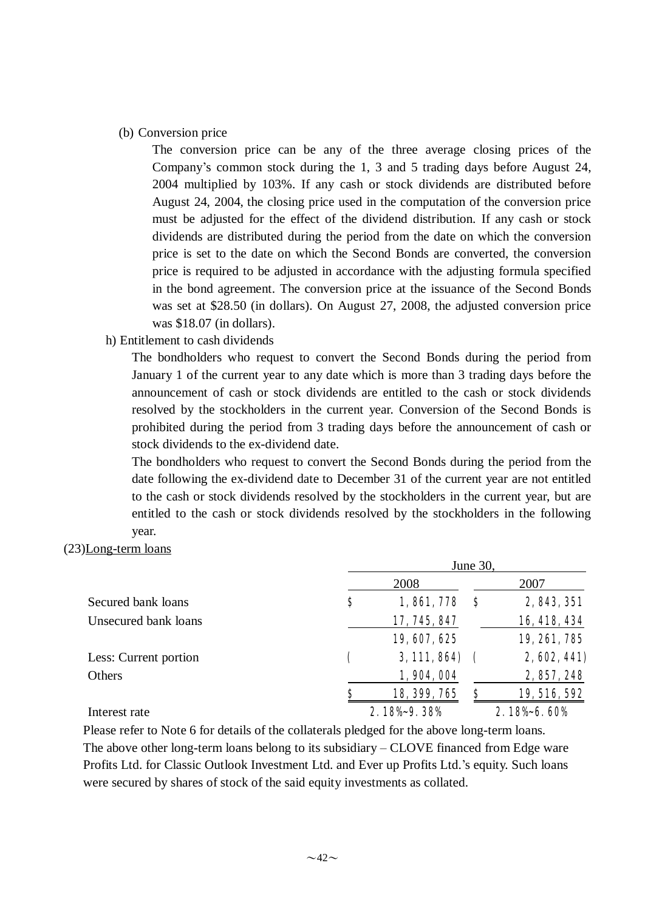#### (b) Conversion price

The conversion price can be any of the three average closing prices of the Company's common stock during the 1, 3 and 5 trading days before August 24, 2004 multiplied by 103%. If any cash or stock dividends are distributed before August 24, 2004, the closing price used in the computation of the conversion price must be adjusted for the effect of the dividend distribution. If any cash or stock dividends are distributed during the period from the date on which the conversion price is set to the date on which the Second Bonds are converted, the conversion price is required to be adjusted in accordance with the adjusting formula specified in the bond agreement. The conversion price at the issuance of the Second Bonds was set at \$28.50 (in dollars). On August 27, 2008, the adjusted conversion price was \$18.07 (in dollars).

#### h) Entitlement to cash dividends

The bondholders who request to convert the Second Bonds during the period from January 1 of the current year to any date which is more than 3 trading days before the announcement of cash or stock dividends are entitled to the cash or stock dividends resolved by the stockholders in the current year. Conversion of the Second Bonds is prohibited during the period from 3 trading days before the announcement of cash or stock dividends to the ex-dividend date.

The bondholders who request to convert the Second Bonds during the period from the date following the ex-dividend date to December 31 of the current year are not entitled to the cash or stock dividends resolved by the stockholders in the current year, but are entitled to the cash or stock dividends resolved by the stockholders in the following year.

#### (23)Long-term loans

|                       | June 30, |              |     |              |  |  |  |
|-----------------------|----------|--------------|-----|--------------|--|--|--|
|                       |          | 2008         |     | 2007         |  |  |  |
| Secured bank loans    | \$       | 1,861,778    | - 8 | 2, 843, 351  |  |  |  |
| Unsecured bank loans  |          | 17, 745, 847 |     | 16, 418, 434 |  |  |  |
|                       |          | 19, 607, 625 |     | 19, 261, 785 |  |  |  |
| Less: Current portion |          | 3, 111, 864) |     | 2,602,441)   |  |  |  |
| Others                |          | 1,904,004    |     | 2, 857, 248  |  |  |  |
|                       | S        | 18, 399, 765 | \$  | 19, 516, 592 |  |  |  |
| Interest rate         |          | 2.18%-9.38%  |     | 2.18% 6.60%  |  |  |  |

 Please refer to Note 6 for details of the collaterals pledged for the above long-term loans. The above other long-term loans belong to its subsidiary – CLOVE financed from Edge ware Profits Ltd. for Classic Outlook Investment Ltd. and Ever up Profits Ltd.'s equity. Such loans were secured by shares of stock of the said equity investments as collated.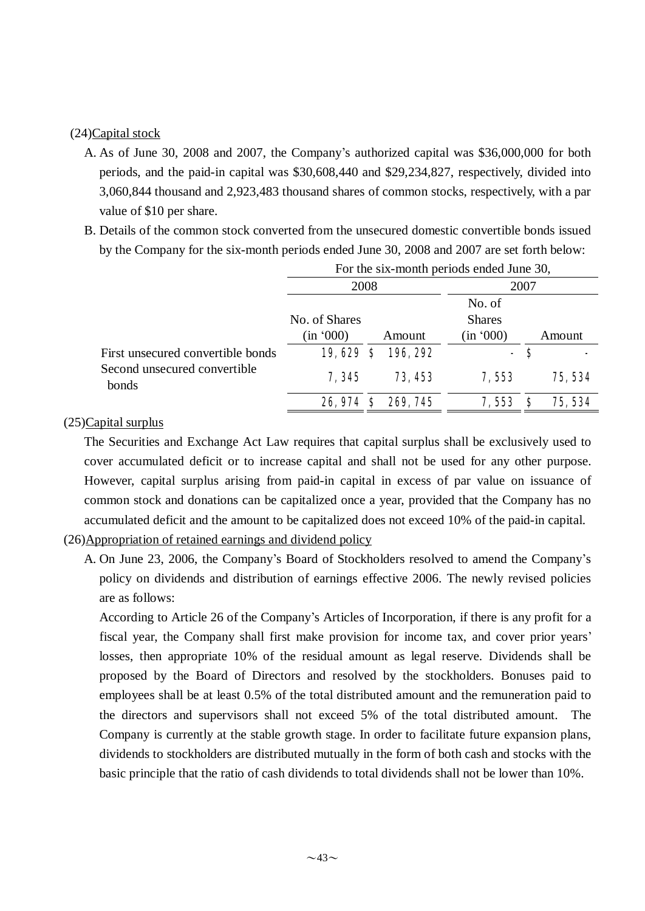#### (24)Capital stock

- A. As of June 30, 2008 and 2007, the Company's authorized capital was \$36,000,000 for both periods, and the paid-in capital was \$30,608,440 and \$29,234,827, respectively, divided into 3,060,844 thousand and 2,923,483 thousand shares of common stocks, respectively, with a par value of \$10 per share.
- B. Details of the common stock converted from the unsecured domestic convertible bonds issued by the Company for the six-month periods ended June 30, 2008 and 2007 are set forth below:

|                                       | For the six-month periods ended June 30, |      |          |                         |     |         |
|---------------------------------------|------------------------------------------|------|----------|-------------------------|-----|---------|
|                                       |                                          | 2008 |          | 2007                    |     |         |
|                                       | No. of Shares                            |      |          | No. of<br><b>Shares</b> |     |         |
|                                       | (in '000)                                |      | Amount   | (in '000)               |     | Amount  |
| First unsecured convertible bonds     | 19,629                                   | S    | 196, 292 |                         | - S |         |
| Second unsecured convertible<br>bonds | 7,345                                    |      | 73, 453  | 7,553                   |     | 75, 534 |
|                                       | 26,974 \$                                |      | 269, 745 | 7,553                   | S   | 75, 534 |

#### (25)Capital surplus

The Securities and Exchange Act Law requires that capital surplus shall be exclusively used to cover accumulated deficit or to increase capital and shall not be used for any other purpose. However, capital surplus arising from paid-in capital in excess of par value on issuance of common stock and donations can be capitalized once a year, provided that the Company has no accumulated deficit and the amount to be capitalized does not exceed 10% of the paid-in capital.

- (26)Appropriation of retained earnings and dividend policy
	- A. On June 23, 2006, the Company's Board of Stockholders resolved to amend the Company's policy on dividends and distribution of earnings effective 2006. The newly revised policies are as follows:

According to Article 26 of the Company's Articles of Incorporation, if there is any profit for a fiscal year, the Company shall first make provision for income tax, and cover prior years' losses, then appropriate 10% of the residual amount as legal reserve. Dividends shall be proposed by the Board of Directors and resolved by the stockholders. Bonuses paid to employees shall be at least 0.5% of the total distributed amount and the remuneration paid to the directors and supervisors shall not exceed 5% of the total distributed amount. The Company is currently at the stable growth stage. In order to facilitate future expansion plans, dividends to stockholders are distributed mutually in the form of both cash and stocks with the basic principle that the ratio of cash dividends to total dividends shall not be lower than 10%.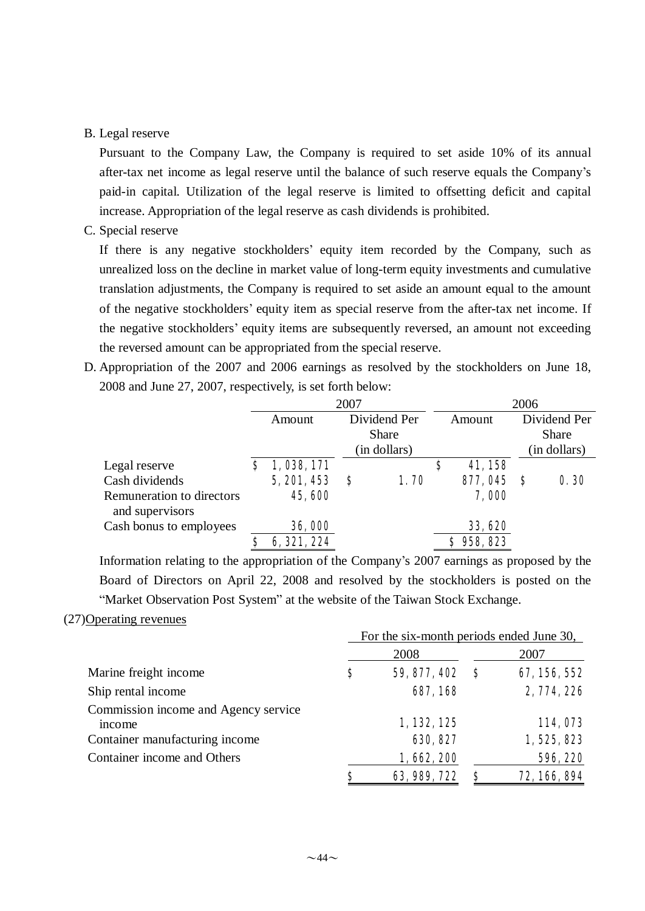#### B. Legal reserve

Pursuant to the Company Law, the Company is required to set aside 10% of its annual after-tax net income as legal reserve until the balance of such reserve equals the Company's paid-in capital. Utilization of the legal reserve is limited to offsetting deficit and capital increase. Appropriation of the legal reserve as cash dividends is prohibited.

#### C. Special reserve

If there is any negative stockholders' equity item recorded by the Company, such as unrealized loss on the decline in market value of long-term equity investments and cumulative translation adjustments, the Company is required to set aside an amount equal to the amount of the negative stockholders' equity item as special reserve from the after-tax net income. If the negative stockholders' equity items are subsequently reversed, an amount not exceeding the reversed amount can be appropriated from the special reserve.

D. Appropriation of the 2007 and 2006 earnings as resolved by the stockholders on June 18, 2008 and June 27, 2007, respectively, is set forth below:

|                                              | 2007 |             |              |              |    | 2006      |      |              |
|----------------------------------------------|------|-------------|--------------|--------------|----|-----------|------|--------------|
|                                              |      | Amount      | Dividend Per |              |    | Amount    |      | Dividend Per |
|                                              |      |             | <b>Share</b> |              |    |           |      | <b>Share</b> |
|                                              |      |             |              | (in dollars) |    |           |      | (in dollars) |
| Legal reserve                                |      | 1,038,171   |              |              | \$ | 41,158    |      |              |
| Cash dividends                               |      | 5, 201, 453 | S            | 1.70         |    | 877, 045  | - \$ | 0.30         |
| Remuneration to directors<br>and supervisors |      | 45,600      |              |              |    | 7,000     |      |              |
| Cash bonus to employees                      |      | 36,000      |              |              |    | 33, 620   |      |              |
|                                              |      | 6, 321, 224 |              |              |    | \$958,823 |      |              |

Information relating to the appropriation of the Company's 2007 earnings as proposed by the Board of Directors on April 22, 2008 and resolved by the stockholders is posted on the "Market Observation Post System" at the website of the Taiwan Stock Exchange.

#### (27)Operating revenues

|                                                | For the six-month periods ended June 30, |              |   |              |
|------------------------------------------------|------------------------------------------|--------------|---|--------------|
|                                                |                                          | 2008         |   | 2007         |
| Marine freight income                          | S                                        | 59, 877, 402 |   | 67, 156, 552 |
| Ship rental income                             |                                          | 687, 168     |   | 2, 774, 226  |
| Commission income and Agency service<br>income |                                          | 1, 132, 125  |   | 114,073      |
| Container manufacturing income                 |                                          | 630, 827     |   | 1,525,823    |
| Container income and Others                    |                                          | 1,662,200    |   | 596, 220     |
|                                                | \$                                       | 63, 989, 722 | S | 72, 166, 894 |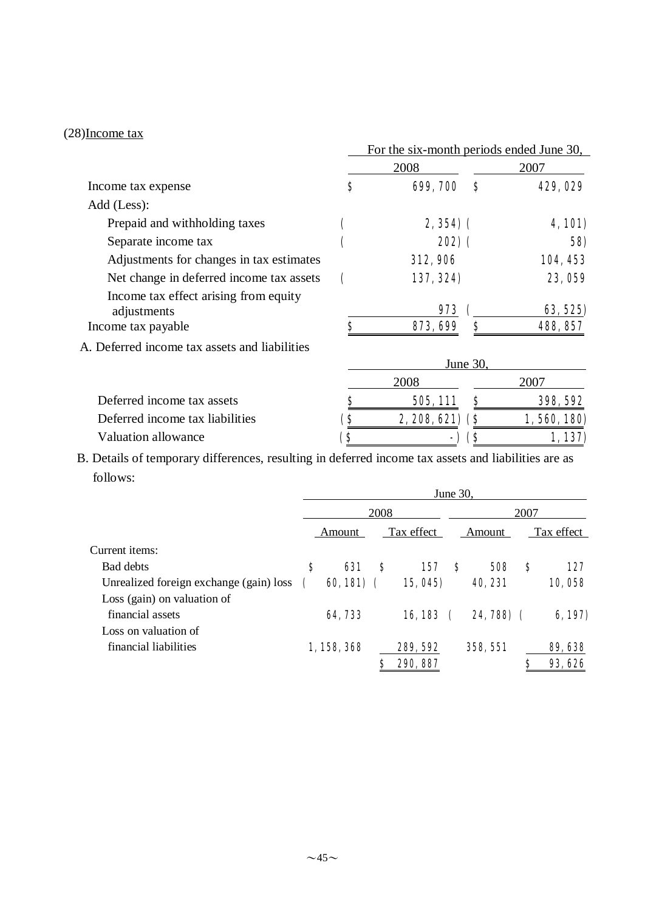## (28)Income tax

|                                                      | For the six-month periods ended June 30, |                  |     |                 |  |  |
|------------------------------------------------------|------------------------------------------|------------------|-----|-----------------|--|--|
|                                                      |                                          | 2008             |     | 2007            |  |  |
| Income tax expense                                   | \$                                       | 699, 700         | S   | 429,029         |  |  |
| Add (Less):                                          |                                          |                  |     |                 |  |  |
| Prepaid and withholding taxes                        |                                          | $2, 354$ ) (     |     | <b>4,101)</b>   |  |  |
| Separate income tax                                  |                                          | <b>202)</b> (    |     | 58)             |  |  |
| Adjustments for changes in tax estimates             |                                          | <b>312, 906</b>  |     | 104, 453        |  |  |
| Net change in deferred income tax assets             |                                          | 137, 324)        |     | 23,059          |  |  |
| Income tax effect arising from equity<br>adjustments |                                          | 973              |     | 63, 525)        |  |  |
| Income tax payable                                   | \$                                       | 873, 699         | \$  | 488, 857        |  |  |
| A. Deferred income tax assets and liabilities        |                                          |                  |     |                 |  |  |
|                                                      |                                          | June 30,         |     |                 |  |  |
|                                                      |                                          | 2008             |     | 2007            |  |  |
| Deferred income tax assets                           |                                          | 505, 111         |     | <b>398, 592</b> |  |  |
| Deferred income tax liabilities                      | (\$                                      | $2,208,621)$ (\$ |     | 1,560,180)      |  |  |
| Valuation allowance                                  | `\$                                      |                  | (\$ | 1,137)          |  |  |

B. Details of temporary differences, resulting in deferred income tax assets and liabilities are as follows:

|                                         | June 30. |             |      |            |   |            |   |            |  |
|-----------------------------------------|----------|-------------|------|------------|---|------------|---|------------|--|
|                                         |          |             | 2008 |            |   | 2007       |   |            |  |
|                                         |          | Amount      |      | Tax effect |   | Amount     |   | Tax effect |  |
| Current items:                          |          |             |      |            |   |            |   |            |  |
| <b>Bad debts</b>                        | S        | 631         | S    | 157        | S | <b>508</b> | S | 127        |  |
| Unrealized foreign exchange (gain) loss |          | $60,181)$ ( |      | 15, 045)   |   | 40, 231    |   | 10,058     |  |
| Loss (gain) on valuation of             |          |             |      |            |   |            |   |            |  |
| financial assets                        |          | 64,733      |      | 16,183     |   | 24,788) (  |   | 6,197)     |  |
| Loss on valuation of                    |          |             |      |            |   |            |   |            |  |
| financial liabilities                   |          | 1,158,368   |      | 289, 592   |   | 358, 551   |   | 89, 638    |  |
|                                         |          |             |      | 290, 887   |   |            |   | 93, 626    |  |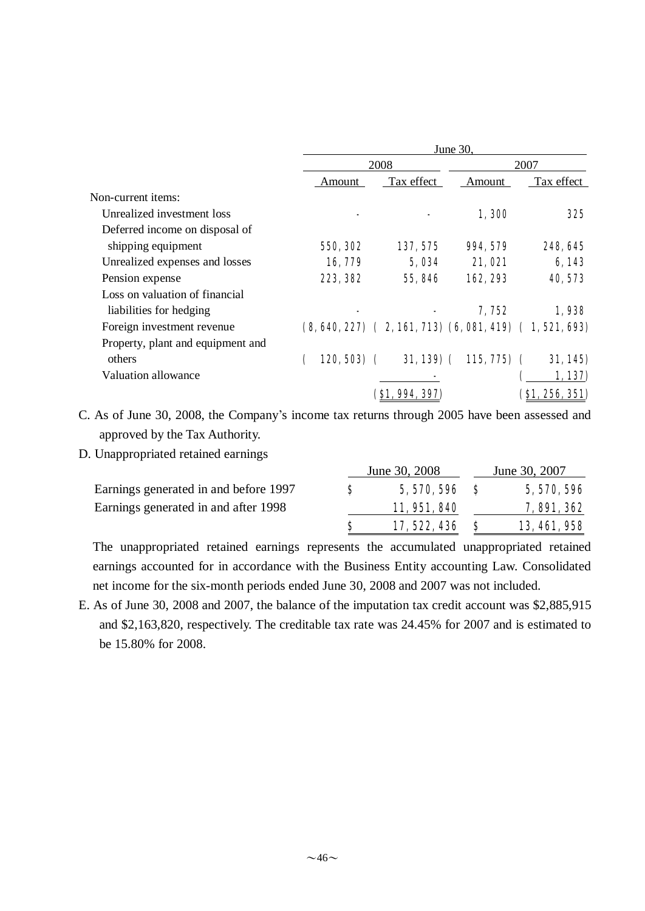|                                   | June 30,     |      |                       |                |                                                                 |  |  |
|-----------------------------------|--------------|------|-----------------------|----------------|-----------------------------------------------------------------|--|--|
|                                   |              | 2008 |                       | 2007           |                                                                 |  |  |
|                                   | Amount       |      | Tax effect            | Amount         | Tax effect                                                      |  |  |
| Non-current items:                |              |      |                       |                |                                                                 |  |  |
| Unrealized investment loss        |              |      |                       | 1,300          | 325                                                             |  |  |
| Deferred income on disposal of    |              |      |                       |                |                                                                 |  |  |
| shipping equipment                | 550, 302     |      | 137, 575              | 994, 579       | 248, 645                                                        |  |  |
| Unrealized expenses and losses    | 16,779       |      | 5,034                 | 21,021         | 6,143                                                           |  |  |
| Pension expense                   | 223, 382     |      | 55,846                | 162, 293       | 40, 573                                                         |  |  |
| Loss on valuation of financial    |              |      |                       |                |                                                                 |  |  |
| liabilities for hedging           |              |      |                       | 7,752          | 1,938                                                           |  |  |
| Foreign investment revenue        |              |      |                       |                | $(8, 640, 227)$ $(2, 161, 713)$ $(6, 081, 419)$ $(1, 521, 693)$ |  |  |
| Property, plant and equipment and |              |      |                       |                |                                                                 |  |  |
| others                            | $120, 503$ ( |      | $31,139$ (            | $115, 775$ ) ( | 31,145                                                          |  |  |
| Valuation allowance               |              |      |                       |                | 1,137)                                                          |  |  |
|                                   |              |      | <b>(S1, 994, 397)</b> |                | <b>(\$1, 256, 351)</b>                                          |  |  |

C. As of June 30, 2008, the Company's income tax returns through 2005 have been assessed and approved by the Tax Authority.

D. Unappropriated retained earnings

|                                       |   | June 30, 2008  | June 30, 2007       |
|---------------------------------------|---|----------------|---------------------|
| Earnings generated in and before 1997 | S | $5,570,596$ \$ | 5, 570, 596         |
| Earnings generated in and after 1998  |   | 11, 951, 840   | <b>7, 891, 362</b>  |
|                                       |   | 17, 522, 436   | <b>13, 461, 958</b> |

The unappropriated retained earnings represents the accumulated unappropriated retained earnings accounted for in accordance with the Business Entity accounting Law. Consolidated net income for the six-month periods ended June 30, 2008 and 2007 was not included.

E. As of June 30, 2008 and 2007, the balance of the imputation tax credit account was \$2,885,915 and \$2,163,820, respectively. The creditable tax rate was 24.45% for 2007 and is estimated to be 15.80% for 2008.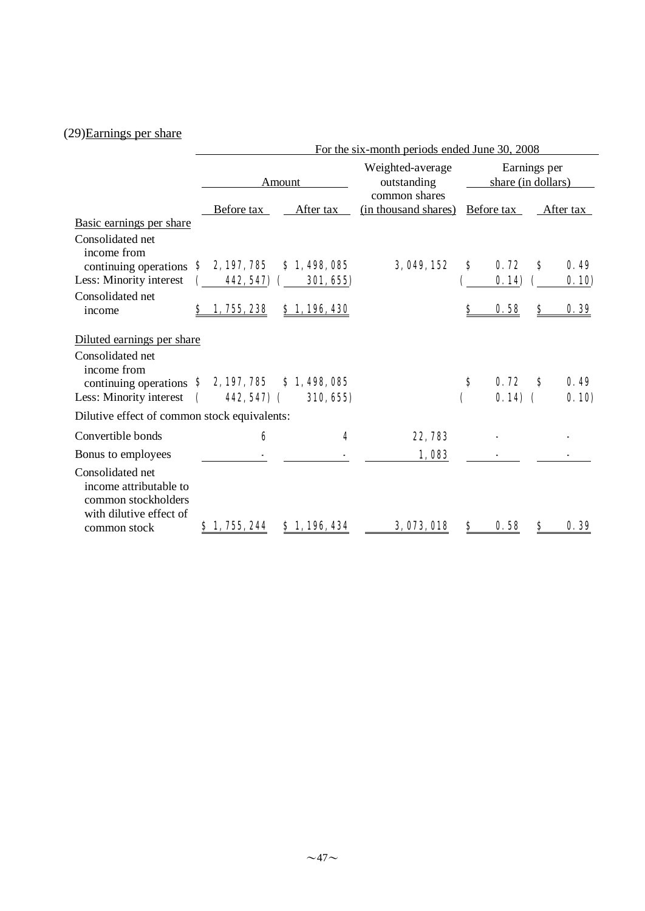# (29)Earnings per share

|                                                                                                                   | For the six-month periods ended June 30, 2008 |                          |                                       |                                    |                   |   |              |  |
|-------------------------------------------------------------------------------------------------------------------|-----------------------------------------------|--------------------------|---------------------------------------|------------------------------------|-------------------|---|--------------|--|
|                                                                                                                   |                                               | Amount                   | Weighted-average<br>outstanding       | Earnings per<br>share (in dollars) |                   |   |              |  |
| Basic earnings per share                                                                                          | Before tax                                    | After tax                | common shares<br>(in thousand shares) |                                    | Before tax        |   | After tax    |  |
| Consolidated net<br>income from                                                                                   |                                               |                          | 3, 049, 152                           | \$                                 | 0.72              | S | 0.49         |  |
| continuing operations<br>Less: Minority interest                                                                  | 2, 197, 785<br>S<br>442, 547)                 | \$1,498,085<br>301, 655  |                                       |                                    | 0.14)             |   | 0.10         |  |
| Consolidated net                                                                                                  |                                               |                          |                                       |                                    |                   |   |              |  |
| income                                                                                                            | 1, 755, 238<br>S                              | \$1,196,430              |                                       | \$                                 | 0.58              | S | 0.39         |  |
| Diluted earnings per share<br>Consolidated net<br>income from<br>continuing operations<br>Less: Minority interest | \$2,197,785<br>$442,547$ (                    | \$1,498,085<br>310, 655) |                                       | \$                                 | 0.72<br>$0.14)$ ( | S | 0.49<br>0.10 |  |
| Dilutive effect of common stock equivalents:                                                                      |                                               |                          |                                       |                                    |                   |   |              |  |
| Convertible bonds                                                                                                 | 6                                             | 4                        | 22,783                                |                                    |                   |   |              |  |
| Bonus to employees                                                                                                |                                               |                          | 1,083                                 |                                    |                   |   |              |  |
| Consolidated net<br>income attributable to<br>common stockholders<br>with dilutive effect of<br>common stock      | \$1,755,244                                   | \$1,196,434              | 3,073,018                             | S                                  | 0.58              | S | 0.39         |  |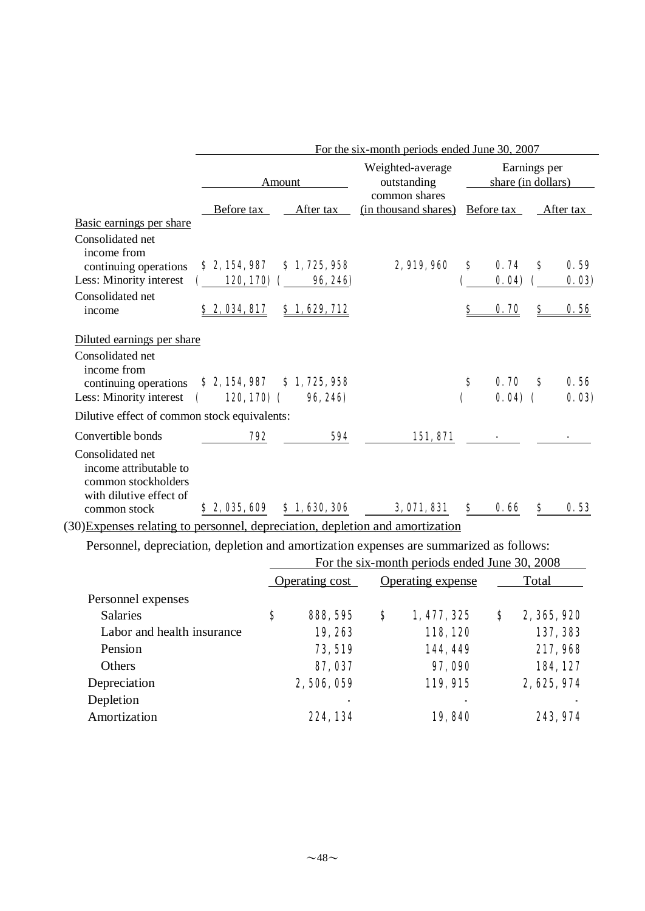|                                                                                                              |                                                  | For the six-month periods ended June 30, 2007 |                                 |                                    |                  |           |               |  |  |  |
|--------------------------------------------------------------------------------------------------------------|--------------------------------------------------|-----------------------------------------------|---------------------------------|------------------------------------|------------------|-----------|---------------|--|--|--|
|                                                                                                              |                                                  | Amount                                        | Weighted-average<br>outstanding | Earnings per<br>share (in dollars) |                  |           |               |  |  |  |
| Basic earnings per share                                                                                     | common shares<br>Before tax<br>After tax         |                                               | (in thousand shares)            | Before tax                         |                  | After tax |               |  |  |  |
| Consolidated net<br>income from<br>continuing operations<br>Less: Minority interest                          | \$2,154,987<br>120, 170)                         | \$1,725,958<br>96, 246)                       | 2,919,960                       | S                                  | 0.74<br>0.04     | S         | 0.59<br>0.03  |  |  |  |
| Consolidated net<br>income                                                                                   | 82,034,817                                       | \$1,629,712                                   |                                 | S                                  | 0.70             | \$        | 0.56          |  |  |  |
| Diluted earnings per share                                                                                   |                                                  |                                               |                                 |                                    |                  |           |               |  |  |  |
| Consolidated net<br>income from<br>continuing operations<br>Less: Minority interest                          | \$2,154,987<br>$120, 170)$ (<br>$\mathbf \Gamma$ | \$1,725,958<br>96, 246)                       |                                 | S                                  | 0.70<br>$0.04$ ( | S         | 0.56<br>0.03) |  |  |  |
| Dilutive effect of common stock equivalents:                                                                 |                                                  |                                               |                                 |                                    |                  |           |               |  |  |  |
| Convertible bonds                                                                                            | 792                                              | 594                                           | 151,871                         |                                    |                  |           |               |  |  |  |
| Consolidated net<br>income attributable to<br>common stockholders<br>with dilutive effect of<br>common stock | \$2,035,609                                      | \$1,630,306                                   | 3,071,831                       | Ş                                  | 0.66             | S         | 0.53          |  |  |  |
| (30) Expenses relating to personnel, depreciation, depletion and amortization                                |                                                  |                                               |                                 |                                    |                  |           |               |  |  |  |

Personnel, depreciation, depletion and amortization expenses are summarized as follows:

|                            | For the six-month periods ended June 30, 2008 |                 |    |                   |       |             |  |
|----------------------------|-----------------------------------------------|-----------------|----|-------------------|-------|-------------|--|
|                            | Operating cost                                |                 |    | Operating expense | Total |             |  |
| Personnel expenses         |                                               |                 |    |                   |       |             |  |
| <b>Salaries</b>            | \$                                            | <b>888, 595</b> | \$ | 1, 477, 325       | \$    | 2, 365, 920 |  |
| Labor and health insurance |                                               | 19,263          |    | 118, 120          |       | 137, 383    |  |
| Pension                    |                                               | 73, 519         |    | 144,449           |       | 217,968     |  |
| <b>Others</b>              |                                               | 87, 037         |    | 97,090            |       | 184, 127    |  |
| Depreciation               |                                               | 2,506,059       |    | 119, 915          |       | 2, 625, 974 |  |
| Depletion                  |                                               |                 |    |                   |       |             |  |
| Amortization               |                                               | 224, 134        |    | 19,840            |       | 243, 974    |  |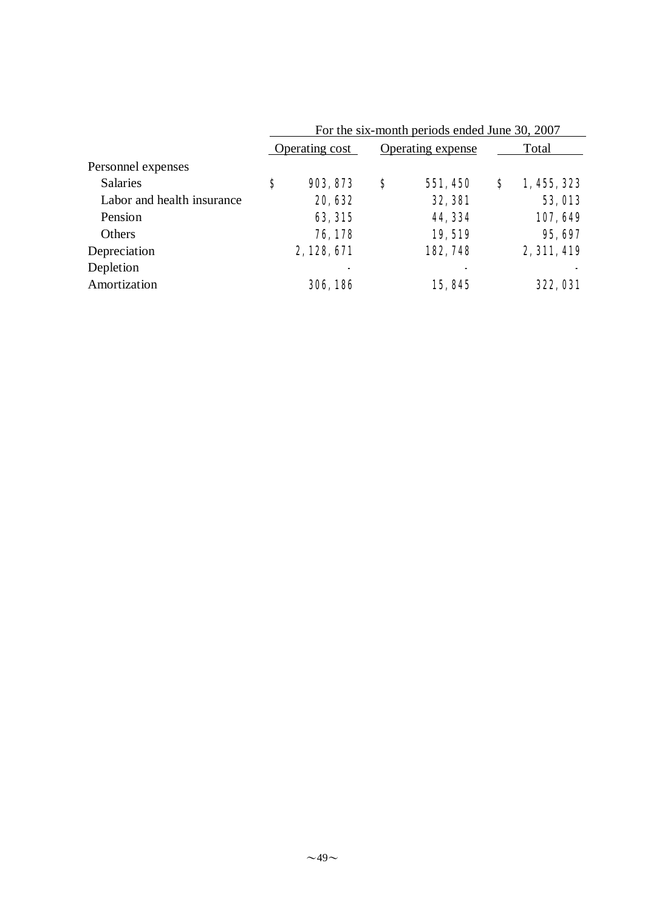|                            | For the six-month periods ended June 30, 2007 |           |    |                   |       |                 |  |
|----------------------------|-----------------------------------------------|-----------|----|-------------------|-------|-----------------|--|
|                            | Operating cost                                |           |    | Operating expense | Total |                 |  |
| Personnel expenses         |                                               |           |    |                   |       |                 |  |
| <b>Salaries</b>            | \$                                            | 903, 873  | \$ | 551, 450          | S     | 1, 455, 323     |  |
| Labor and health insurance |                                               | 20, 632   |    | <b>32, 381</b>    |       | <b>53, 013</b>  |  |
| Pension                    |                                               | 63, 315   |    | 44, 334           |       | 107,649         |  |
| Others                     |                                               | 76,178    |    | 19,519            |       | 95, 697         |  |
| Depreciation               |                                               | 2,128,671 |    | 182, 748          |       | 2, 311, 419     |  |
| Depletion                  |                                               | -         |    |                   |       |                 |  |
| Amortization               |                                               | 306, 186  |    | 15,845            |       | <b>322, 031</b> |  |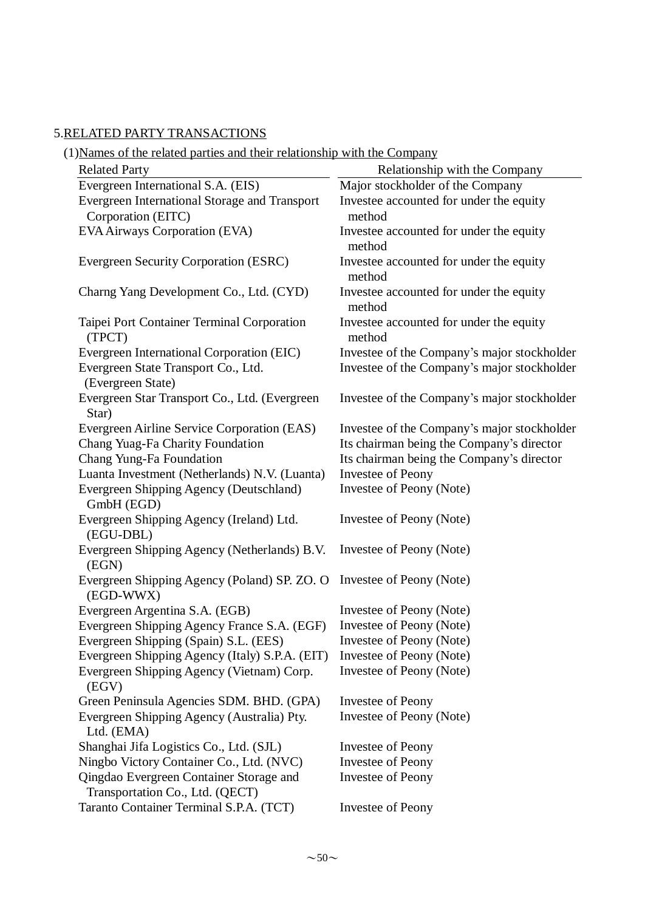## 5.RELATED PARTY TRANSACTIONS

| <b>Related Party</b>                                                       | Relationship with the Company                     |
|----------------------------------------------------------------------------|---------------------------------------------------|
| Evergreen International S.A. (EIS)                                         | Major stockholder of the Company                  |
| Evergreen International Storage and Transport                              | Investee accounted for under the equity           |
| Corporation (EITC)                                                         | method                                            |
| EVA Airways Corporation (EVA)                                              | Investee accounted for under the equity<br>method |
| Evergreen Security Corporation (ESRC)                                      | Investee accounted for under the equity<br>method |
| Charng Yang Development Co., Ltd. (CYD)                                    | Investee accounted for under the equity<br>method |
| Taipei Port Container Terminal Corporation<br>(TPCT)                       | Investee accounted for under the equity<br>method |
| Evergreen International Corporation (EIC)                                  | Investee of the Company's major stockholder       |
| Evergreen State Transport Co., Ltd.<br>(Evergreen State)                   | Investee of the Company's major stockholder       |
| Evergreen Star Transport Co., Ltd. (Evergreen<br>Star)                     | Investee of the Company's major stockholder       |
| Evergreen Airline Service Corporation (EAS)                                | Investee of the Company's major stockholder       |
| Chang Yuag-Fa Charity Foundation                                           | Its chairman being the Company's director         |
| Chang Yung-Fa Foundation                                                   | Its chairman being the Company's director         |
| Luanta Investment (Netherlands) N.V. (Luanta)                              | Investee of Peony                                 |
| Evergreen Shipping Agency (Deutschland)<br>GmbH (EGD)                      | Investee of Peony (Note)                          |
| Evergreen Shipping Agency (Ireland) Ltd.<br>(EGU-DBL)                      | Investee of Peony (Note)                          |
| Evergreen Shipping Agency (Netherlands) B.V.<br>(EGN)                      | Investee of Peony (Note)                          |
| Evergreen Shipping Agency (Poland) SP. ZO. O<br>(EGD-WWX)                  | Investee of Peony (Note)                          |
| Evergreen Argentina S.A. (EGB)                                             | Investee of Peony (Note)                          |
| Evergreen Shipping Agency France S.A. (EGF)                                | Investee of Peony (Note)                          |
| Evergreen Shipping (Spain) S.L. (EES)                                      | Investee of Peony (Note)                          |
| Evergreen Shipping Agency (Italy) S.P.A. (EIT)                             | Investee of Peony (Note)                          |
| Evergreen Shipping Agency (Vietnam) Corp.<br>(EGV)                         | Investee of Peony (Note)                          |
| Green Peninsula Agencies SDM. BHD. (GPA)                                   | Investee of Peony                                 |
| Evergreen Shipping Agency (Australia) Pty.<br>Ltd. (EMA)                   | Investee of Peony (Note)                          |
| Shanghai Jifa Logistics Co., Ltd. (SJL)                                    | Investee of Peony                                 |
| Ningbo Victory Container Co., Ltd. (NVC)                                   | Investee of Peony                                 |
| Qingdao Evergreen Container Storage and<br>Transportation Co., Ltd. (QECT) | <b>Investee of Peony</b>                          |
| Taranto Container Terminal S.P.A. (TCT)                                    | Investee of Peony                                 |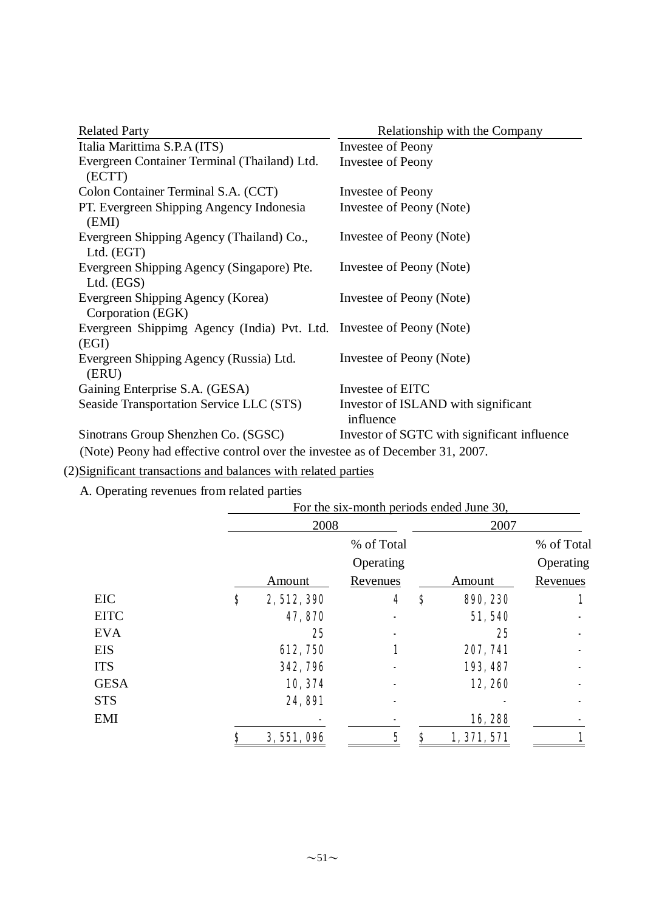| <b>Related Party</b>                                                           | Relationship with the Company                    |
|--------------------------------------------------------------------------------|--------------------------------------------------|
| Italia Marittima S.P.A (ITS)                                                   | Investee of Peony                                |
| Evergreen Container Terminal (Thailand) Ltd.<br>(ECTT)                         | Investee of Peony                                |
| Colon Container Terminal S.A. (CCT)                                            | Investee of Peony                                |
| PT. Evergreen Shipping Angency Indonesia<br>(EMI)                              | Investee of Peony (Note)                         |
| Evergreen Shipping Agency (Thailand) Co.,<br>Ltd. (EGT)                        | Investee of Peony (Note)                         |
| Evergreen Shipping Agency (Singapore) Pte.<br>Ltd. $(EGS)$                     | Investee of Peony (Note)                         |
| Evergreen Shipping Agency (Korea)<br>Corporation (EGK)                         | Investee of Peony (Note)                         |
| Evergreen Shippimg Agency (India) Pvt. Ltd. Investee of Peony (Note)<br>(EGI)  |                                                  |
| Evergreen Shipping Agency (Russia) Ltd.<br>(ERU)                               | Investee of Peony (Note)                         |
| Gaining Enterprise S.A. (GESA)                                                 | Investee of EITC                                 |
| Seaside Transportation Service LLC (STS)                                       | Investor of ISLAND with significant<br>influence |
| Sinotrans Group Shenzhen Co. (SGSC)                                            | Investor of SGTC with significant influence      |
| (Note) Peopy had effective control over the investee as of December $31, 2007$ |                                                  |

(Note) Peony had effective control over the investee as of December 31, 2007.

(2)Significant transactions and balances with related parties

A. Operating revenues from related parties

| $\circ$     |                                          |             |    |           |            |  |  |  |  |
|-------------|------------------------------------------|-------------|----|-----------|------------|--|--|--|--|
|             | For the six-month periods ended June 30, |             |    |           |            |  |  |  |  |
|             | 2008                                     |             |    | 2007      |            |  |  |  |  |
|             |                                          | % of Total  |    |           | % of Total |  |  |  |  |
|             |                                          | Operating   |    |           | Operating  |  |  |  |  |
|             | Amount                                   | Revenues    |    | Amount    | Revenues   |  |  |  |  |
| <b>EIC</b>  | \$<br>2, 512, 390                        | 4           | \$ | 890, 230  |            |  |  |  |  |
| <b>EITC</b> | 47,870                                   |             |    | 51,540    |            |  |  |  |  |
| <b>EVA</b>  | 25                                       |             |    | 25        |            |  |  |  |  |
| <b>EIS</b>  | <b>612, 750</b>                          | 1           |    | 207, 741  |            |  |  |  |  |
| <b>ITS</b>  | 342, 796                                 |             |    | 193, 487  |            |  |  |  |  |
| <b>GESA</b> | 10, 374                                  |             |    | 12,260    |            |  |  |  |  |
| <b>STS</b>  | <b>24, 891</b>                           |             |    |           |            |  |  |  |  |
| <b>EMI</b>  |                                          |             |    | 16,288    |            |  |  |  |  |
|             | \$<br>3, 551, 096                        | $\mathbf 5$ | Ş  | 1,371,571 |            |  |  |  |  |
|             |                                          |             |    |           |            |  |  |  |  |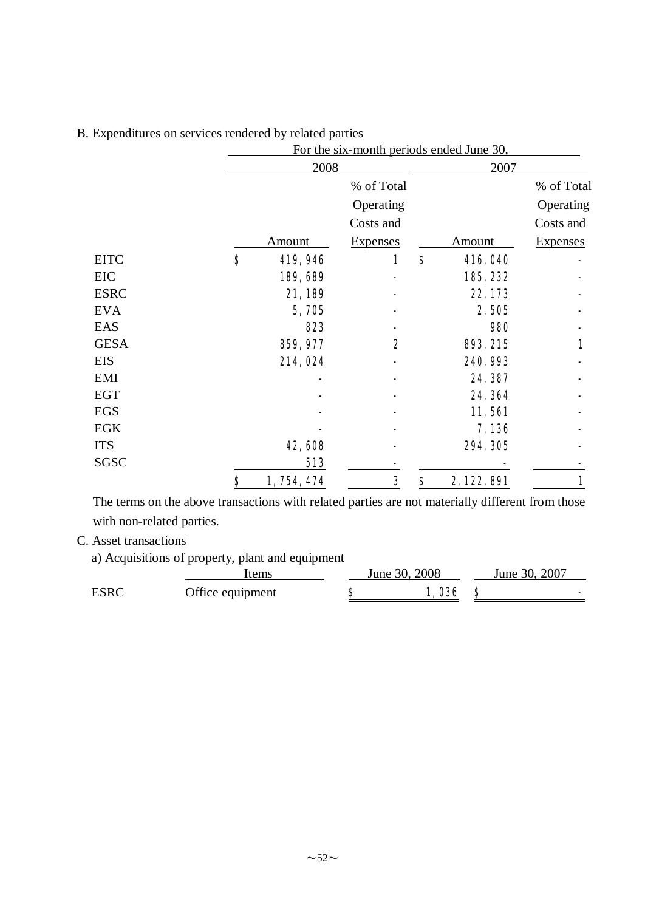|             |                     | For the six-month periods ended June 30, |                     |                 |  |  |  |  |  |
|-------------|---------------------|------------------------------------------|---------------------|-----------------|--|--|--|--|--|
|             | 2008                |                                          | 2007                |                 |  |  |  |  |  |
|             |                     | % of Total                               |                     | % of Total      |  |  |  |  |  |
|             |                     | Operating                                |                     | Operating       |  |  |  |  |  |
|             |                     | Costs and                                |                     | Costs and       |  |  |  |  |  |
|             | Amount              | <b>Expenses</b>                          | <b>Amount</b>       | <b>Expenses</b> |  |  |  |  |  |
| <b>EITC</b> | $\bf{s}$<br>419,946 | 1                                        | $\bf{s}$<br>416,040 |                 |  |  |  |  |  |
| EIC         | 189,689             |                                          | 185, 232            |                 |  |  |  |  |  |
| <b>ESRC</b> | 21,189              |                                          | 22,173              |                 |  |  |  |  |  |
| <b>EVA</b>  | 5,705               |                                          | 2,505               |                 |  |  |  |  |  |
| EAS         | 823                 |                                          | 980                 |                 |  |  |  |  |  |
| <b>GESA</b> | 859, 977            | 2                                        | 893, 215            | 1               |  |  |  |  |  |
| <b>EIS</b>  | 214,024             |                                          | 240, 993            |                 |  |  |  |  |  |
| <b>EMI</b>  |                     |                                          | 24, 387             |                 |  |  |  |  |  |
| <b>EGT</b>  |                     |                                          | 24, 364             |                 |  |  |  |  |  |
| <b>EGS</b>  |                     |                                          | 11,561              |                 |  |  |  |  |  |
| <b>EGK</b>  |                     |                                          | 7,136               |                 |  |  |  |  |  |
| <b>ITS</b>  | 42,608              |                                          | 294, 305            |                 |  |  |  |  |  |
| SGSC        | 513                 |                                          |                     |                 |  |  |  |  |  |
|             | \$<br>1, 754, 474   | 3                                        | \$<br>2, 122, 891   |                 |  |  |  |  |  |

## B. Expenditures on services rendered by related parties

The terms on the above transactions with related parties are not materially different from those with non-related parties.

## C. Asset transactions

a) Acquisitions of property, plant and equipment

|             | tems             | June 30, 2008 |       | June 30, 2007 |
|-------------|------------------|---------------|-------|---------------|
| <b>ESRC</b> | Office equipment |               | 1,036 |               |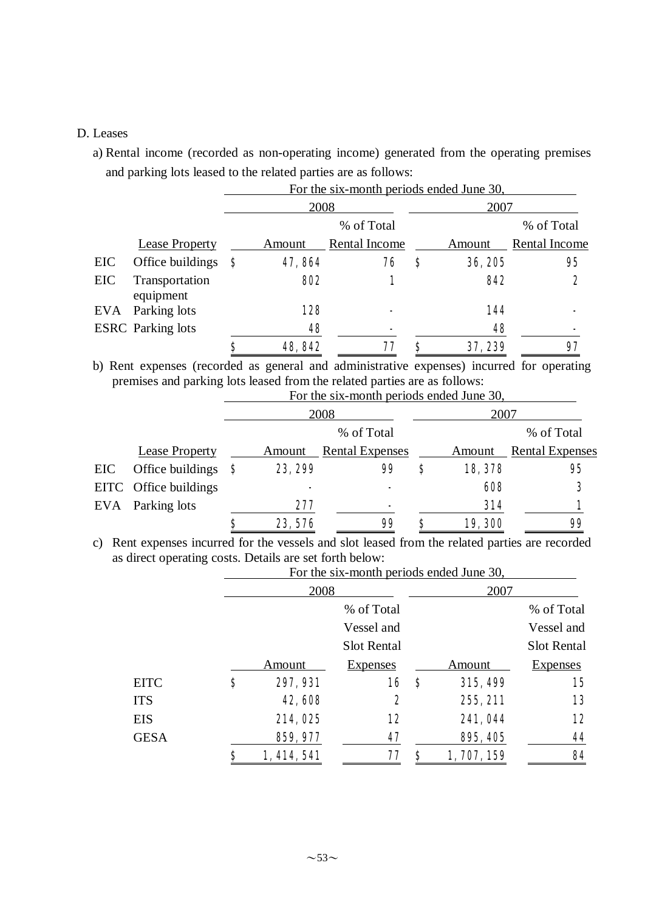#### D. Leases

a) Rental income (recorded as non-operating income) generated from the operating premises and parking lots leased to the related parties are as follows:

|     |                             |     |         | For the six-month periods ended June 30, |   |         |               |
|-----|-----------------------------|-----|---------|------------------------------------------|---|---------|---------------|
|     |                             |     | 2008    |                                          |   | 2007    |               |
|     |                             |     |         | % of Total                               |   |         | % of Total    |
|     | Lease Property              |     | Amount  | Rental Income                            |   | Amount  | Rental Income |
| EIC | Office buildings            | - 8 | 47,864  | 76                                       | S | 36, 205 | 95            |
| EIC | Transportation<br>equipment |     | 802     |                                          |   | 842     | 2             |
| EVA | Parking lots                |     | 128     |                                          |   | 144     |               |
|     | <b>ESRC</b> Parking lots    |     | 48      |                                          |   | 48      |               |
|     |                             | S   | 48, 842 |                                          | S | 37,239  | 97            |

b) Rent expenses (recorded as general and administrative expenses) incurred for operating premises and parking lots leased from the related parties are as follows:<br>For the six month pariods anded June 30

|     |                       |     |         | For the six-month periods ended June 30, |   |         |                        |
|-----|-----------------------|-----|---------|------------------------------------------|---|---------|------------------------|
|     |                       |     | 2008    |                                          |   | 2007    |                        |
|     |                       |     |         | % of Total                               |   |         | % of Total             |
|     | <b>Lease Property</b> |     | Amount  | <b>Rental Expenses</b>                   |   | Amount  | <b>Rental Expenses</b> |
| EIC | Office buildings      | - 8 | 23, 299 | 99                                       | S | 18,378  | 95                     |
|     | EITC Office buildings |     | ۰       |                                          |   | 608     | 3                      |
| EVA | Parking lots          |     | 277     | ۰                                        |   | 314     |                        |
|     |                       |     | 23,576  | 99                                       |   | 19, 300 | 99                     |

c) Rent expenses incurred for the vessels and slot leased from the related parties are recorded as direct operating costs. Details are set forth below:

|             |    | For the six-month periods ended June 30, |                    |    |             |                 |  |  |
|-------------|----|------------------------------------------|--------------------|----|-------------|-----------------|--|--|
|             |    | 2008                                     |                    |    | 2007        |                 |  |  |
|             |    |                                          | % of Total         |    |             | % of Total      |  |  |
|             |    |                                          | Vessel and         |    |             | Vessel and      |  |  |
|             |    |                                          | <b>Slot Rental</b> |    |             | Slot Rental     |  |  |
|             |    | Amount                                   | <b>Expenses</b>    |    | Amount      | <b>Expenses</b> |  |  |
| <b>EITC</b> | \$ | 297, 931                                 | 16                 | \$ | 315,499     | 15              |  |  |
| <b>ITS</b>  |    | 42,608                                   | 2                  |    | 255, 211    | 13              |  |  |
| <b>EIS</b>  |    | 214,025                                  | 12                 |    | 241,044     | 12              |  |  |
| <b>GESA</b> |    | 859, 977                                 | 47                 |    | 895, 405    | 44              |  |  |
|             | Ş  | 1, 414, 541                              | 77                 | S  | 1, 707, 159 | 84              |  |  |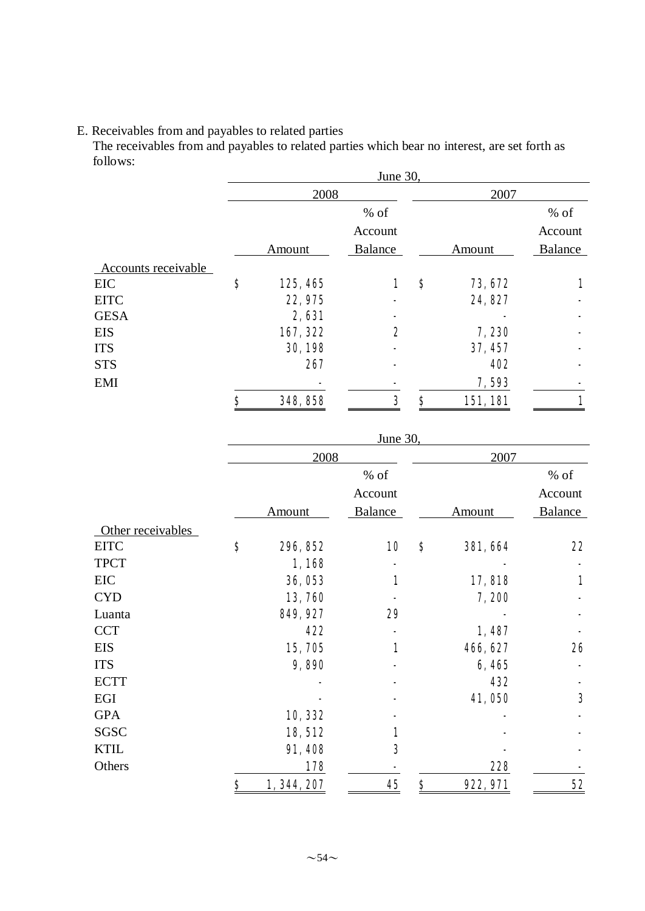#### E. Receivables from and payables to related parties

The receivables from and payables to related parties which bear no interest, are set forth as follows:

|    | 2008     |                |    | 2007       |         |
|----|----------|----------------|----|------------|---------|
|    |          | $%$ of         |    |            | $%$ of  |
|    |          | Account        |    |            | Account |
|    | Amount   | <b>Balance</b> |    | Amount     | Balance |
|    |          |                |    |            |         |
| \$ | 125, 465 | 1              | \$ | 73, 672    | 1       |
|    | 22, 975  | -              |    | 24, 827    |         |
|    | 2,631    |                |    |            |         |
|    | 167, 322 | 2              |    | 7,230      |         |
|    | 30, 198  |                |    | 37, 457    |         |
|    | 267      |                |    | <b>402</b> |         |
|    |          |                |    | 7,593      |         |
| S  | 348, 858 | 3              | \$ | 151,181    |         |
|    |          |                |    | June 30,   |         |

|                   | June 30,          |                |    |                 |         |  |  |
|-------------------|-------------------|----------------|----|-----------------|---------|--|--|
|                   | 2008              |                |    | 2007            |         |  |  |
|                   |                   | % of           |    |                 | % of    |  |  |
|                   |                   | Account        |    |                 | Account |  |  |
|                   | <b>Amount</b>     | <b>Balance</b> |    | <b>Amount</b>   | Balance |  |  |
| Other receivables |                   |                |    |                 |         |  |  |
| <b>EITC</b>       | \$<br>296, 852    | 10             | \$ | <b>381, 664</b> | 22      |  |  |
| <b>TPCT</b>       | 1,168             |                |    |                 |         |  |  |
| EIC               | 36,053            | 1              |    | 17,818          | 1       |  |  |
| <b>CYD</b>        | 13,760            |                |    | 7,200           |         |  |  |
| Luanta            | 849, 927          | 29             |    |                 |         |  |  |
| <b>CCT</b>        | 422               |                |    | 1,487           |         |  |  |
| <b>EIS</b>        | 15,705            | 1              |    | 466, 627        | 26      |  |  |
| <b>ITS</b>        | 9,890             |                |    | 6,465           |         |  |  |
| <b>ECTT</b>       |                   |                |    | 432             |         |  |  |
| EGI               |                   |                |    | 41,050          | 3       |  |  |
| <b>GPA</b>        | 10,332            |                |    |                 |         |  |  |
| SGSC              | 18,512            | 1              |    |                 |         |  |  |
| <b>KTIL</b>       | 91,408            | 3              |    |                 |         |  |  |
| Others            | 178               |                |    | 228             |         |  |  |
|                   | \$<br>1, 344, 207 | 45             | \$ | 922, 971        | 52      |  |  |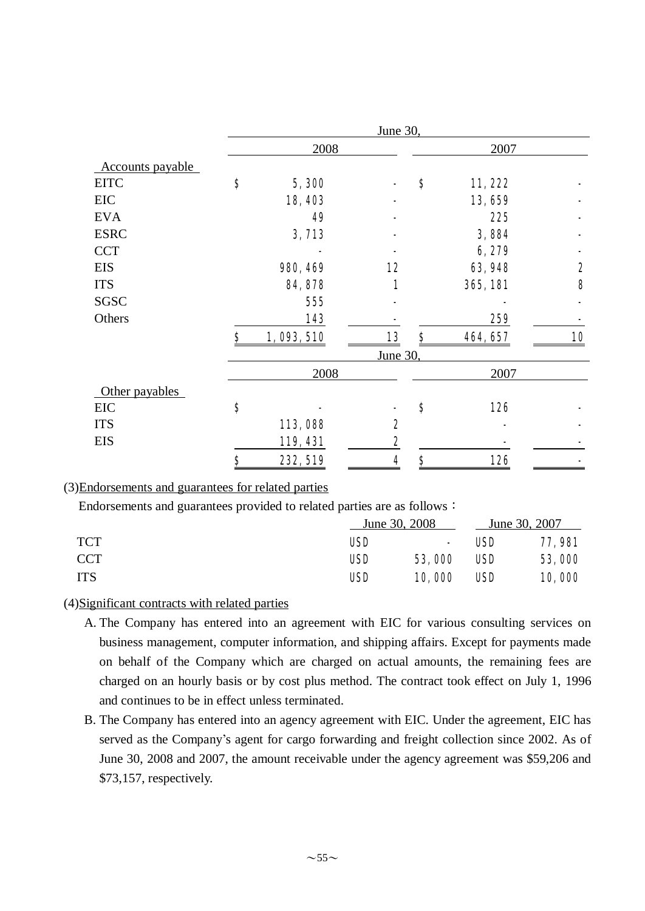|                  | June 30, |           |          |    |                 |    |  |  |
|------------------|----------|-----------|----------|----|-----------------|----|--|--|
|                  |          | 2008      |          |    | 2007            |    |  |  |
| Accounts payable |          |           |          |    |                 |    |  |  |
| <b>EITC</b>      | \$       | 5,300     |          | \$ | 11,222          |    |  |  |
| <b>EIC</b>       |          | 18,403    |          |    | 13,659          |    |  |  |
| <b>EVA</b>       |          | 49        |          |    | 225             |    |  |  |
| <b>ESRC</b>      |          | 3,713     |          |    | 3,884           |    |  |  |
| <b>CCT</b>       |          |           |          |    | 6,279           |    |  |  |
| <b>EIS</b>       |          | 980, 469  | 12       |    | 63,948          | 2  |  |  |
| <b>ITS</b>       |          | 84, 878   | 1        |    | <b>365, 181</b> | 8  |  |  |
| <b>SGSC</b>      |          | 555       |          |    |                 |    |  |  |
| Others           |          | 143       |          |    | 259             |    |  |  |
|                  | \$       | 1,093,510 | 13       | \$ | 464, 657        | 10 |  |  |
|                  |          |           | June 30, |    |                 |    |  |  |
|                  |          | 2008      |          |    | 2007            |    |  |  |
| Other payables   |          |           |          |    |                 |    |  |  |
| EIC              | \$       |           |          | \$ | 126             |    |  |  |
| <b>ITS</b>       |          | 113,088   | 2        |    |                 |    |  |  |
| <b>EIS</b>       |          | 119, 431  | 2        |    |                 |    |  |  |
|                  | \$       | 232, 519  | 4        | \$ | 126             |    |  |  |

## (3)Endorsements and guarantees for related parties

Endorsements and guarantees provided to related parties are as follows:

|            | June 30, 2008 |        |            | June 30, 2007  |
|------------|---------------|--------|------------|----------------|
| <b>TCT</b> | <b>USD</b>    | $\sim$ | <b>USD</b> | <b>77, 981</b> |
| CCT        | <b>USD</b>    | 53,000 | <b>USD</b> | 53,000         |
| <b>ITS</b> | <b>USD</b>    | 10,000 | <b>USD</b> | 10,000         |

#### (4)Significant contracts with related parties

- A. The Company has entered into an agreement with EIC for various consulting services on business management, computer information, and shipping affairs. Except for payments made on behalf of the Company which are charged on actual amounts, the remaining fees are charged on an hourly basis or by cost plus method. The contract took effect on July 1, 1996 and continues to be in effect unless terminated.
- B. The Company has entered into an agency agreement with EIC. Under the agreement, EIC has served as the Company's agent for cargo forwarding and freight collection since 2002. As of June 30, 2008 and 2007, the amount receivable under the agency agreement was \$59,206 and \$73,157, respectively.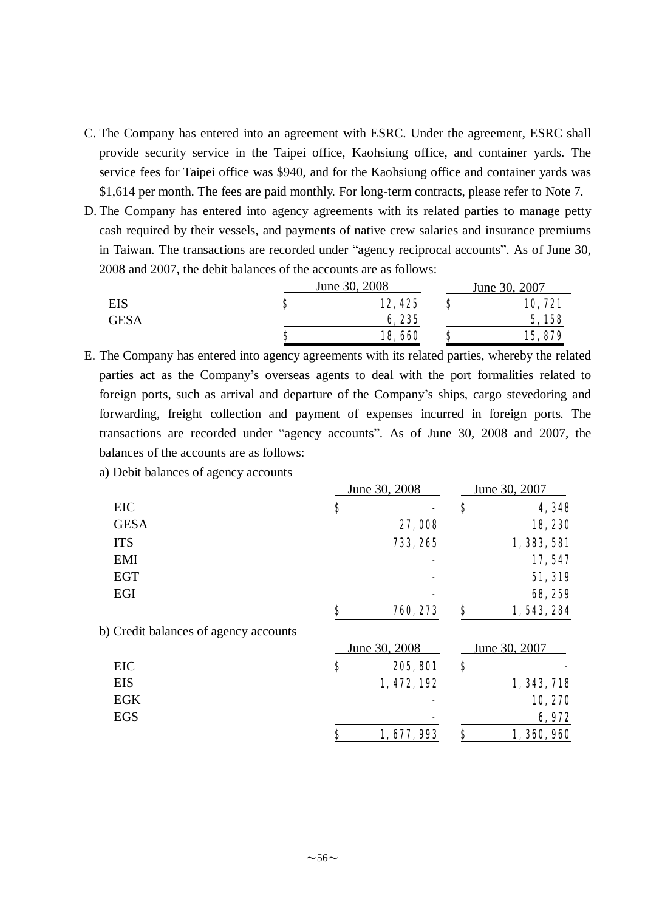- C. The Company has entered into an agreement with ESRC. Under the agreement, ESRC shall provide security service in the Taipei office, Kaohsiung office, and container yards. The service fees for Taipei office was \$940, and for the Kaohsiung office and container yards was \$1,614 per month. The fees are paid monthly. For long-term contracts, please refer to Note 7.
- D. The Company has entered into agency agreements with its related parties to manage petty cash required by their vessels, and payments of native crew salaries and insurance premiums in Taiwan. The transactions are recorded under "agency reciprocal accounts". As of June 30, 2008 and 2007, the debit balances of the accounts are as follows:

|             |   | June 30, 2008 |   | June 30, 2007 |
|-------------|---|---------------|---|---------------|
| EIS         |   | 12, 425       |   | 10,721        |
| <b>GESA</b> |   | 6,235         |   | 5,158         |
|             | o | 18,660        | σ | 15,879        |

E. The Company has entered into agency agreements with its related parties, whereby the related parties act as the Company's overseas agents to deal with the port formalities related to foreign ports, such as arrival and departure of the Company's ships, cargo stevedoring and forwarding, freight collection and payment of expenses incurred in foreign ports. The transactions are recorded under "agency accounts". As of June 30, 2008 and 2007, the balances of the accounts are as follows:

a) Debit balances of agency accounts

|                                       | June 30, 2008   | June 30, 2007 |               |  |
|---------------------------------------|-----------------|---------------|---------------|--|
| <b>EIC</b>                            | \$              | \$            | 4,348         |  |
| <b>GESA</b>                           | 27,008          |               | 18,230        |  |
| <b>ITS</b>                            | 733, 265        |               | 1, 383, 581   |  |
| <b>EMI</b>                            | -               |               | 17,547        |  |
| <b>EGT</b>                            |                 |               | 51, 319       |  |
| EGI                                   |                 |               | 68, 259       |  |
|                                       | \$<br>760, 273  | \$            | 1, 543, 284   |  |
| b) Credit balances of agency accounts |                 |               |               |  |
|                                       | June 30, 2008   |               | June 30, 2007 |  |
| <b>EIC</b>                            | \$<br>205, 801  | \$            |               |  |
| <b>EIS</b>                            | 1, 472, 192     |               | 1, 343, 718   |  |
| <b>EGK</b>                            |                 |               | 10,270        |  |
| <b>EGS</b>                            |                 |               | 6,972         |  |
|                                       | \$<br>1,677,993 | \$            | 1,360,960     |  |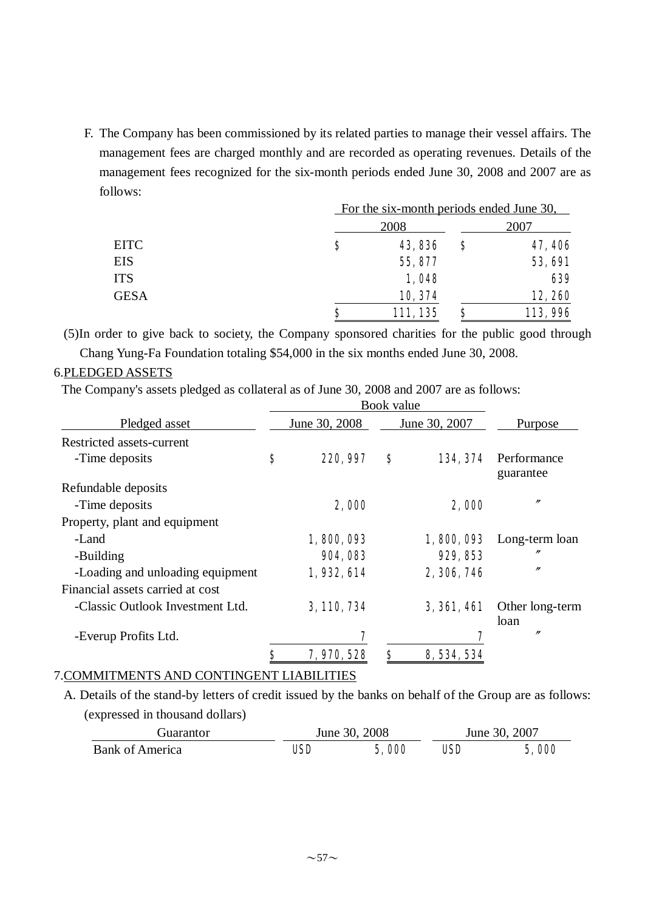F. The Company has been commissioned by its related parties to manage their vessel affairs. The management fees are charged monthly and are recorded as operating revenues. Details of the management fees recognized for the six-month periods ended June 30, 2008 and 2007 are as follows:

|             |   | For the six-month periods ended June 30, |    |                |  |  |
|-------------|---|------------------------------------------|----|----------------|--|--|
|             |   | 2008                                     |    | 2007           |  |  |
| <b>EITC</b> | S | 43,836                                   | \$ | 47, 406        |  |  |
| <b>EIS</b>  |   | 55, 877                                  |    | <b>53, 691</b> |  |  |
| <b>ITS</b>  |   | 1,048                                    |    | 639            |  |  |
| <b>GESA</b> |   | 10, 374                                  |    | 12,260         |  |  |
|             | Ş | 111, 135                                 | \$ | 113,996        |  |  |

(5)In order to give back to society, the Company sponsored charities for the public good through Chang Yung-Fa Foundation totaling \$54,000 in the six months ended June 30, 2008.

### 6.PLEDGED ASSETS

The Company's assets pledged as collateral as of June 30, 2008 and 2007 are as follows:

|                                  | Book value        |    |                    |                          |
|----------------------------------|-------------------|----|--------------------|--------------------------|
| Pledged asset                    | June 30, 2008     |    | June 30, 2007      | Purpose                  |
| Restricted assets-current        |                   |    |                    |                          |
| -Time deposits                   | \$<br>220, 997    | \$ | 134, 374           | Performance<br>guarantee |
| Refundable deposits              |                   |    |                    |                          |
| -Time deposits                   | 2,000             |    | 2,000              | $^{\prime\prime}$        |
| Property, plant and equipment    |                   |    |                    |                          |
| -Land                            | 1,800,093         |    | 1,800,093          | Long-term loan           |
| -Building                        | 904, 083          |    | 929, 853           | n                        |
| -Loading and unloading equipment | 1,932,614         |    | 2, 306, 746        | $^{\prime\prime}$        |
| Financial assets carried at cost |                   |    |                    |                          |
| -Classic Outlook Investment Ltd. | 3, 110, 734       |    | <b>3, 361, 461</b> | Other long-term<br>loan  |
| -Everup Profits Ltd.             | 7                 |    | 7                  | $\prime$                 |
|                                  | \$<br>7, 970, 528 | S  | 8, 534, 534        |                          |

### 7.COMMITMENTS AND CONTINGENT LIABILITIES

A. Details of the stand-by letters of credit issued by the banks on behalf of the Group are as follows: (expressed in thousand dollars)

| Guarantor              |     | June 30, 2008 | June 30, 2007 |       |  |
|------------------------|-----|---------------|---------------|-------|--|
| <b>Bank of America</b> | USD | 5,000         | USD           | 5,000 |  |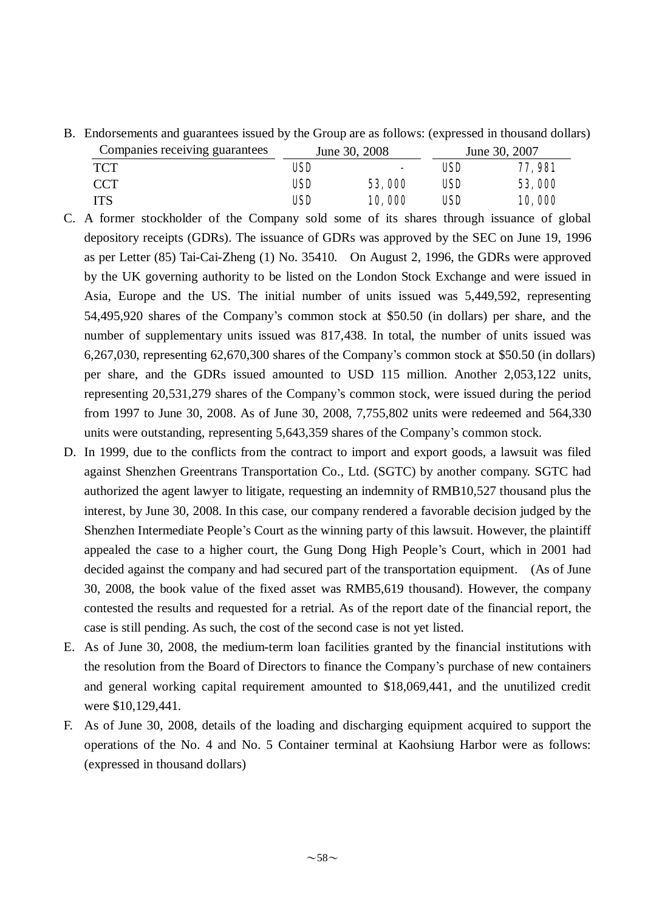B. Endorsements and guarantees issued by the Group are as follows: (expressed in thousand dollars)

| Companies receiving guarantees |            | June 30, 2008            | June 30, 2007 |                |  |
|--------------------------------|------------|--------------------------|---------------|----------------|--|
| <b>TCT</b>                     | USD        | $\overline{\phantom{0}}$ | USD-          | <b>77, 981</b> |  |
| <b>CCT</b>                     | <b>USD</b> | 53,000                   | USD           | 53,000         |  |
| <b>ITS</b>                     | USD        | 10,000                   | USD           | <b>10,000</b>  |  |

- C. A former stockholder of the Company sold some of its shares through issuance of global depository receipts (GDRs). The issuance of GDRs was approved by the SEC on June 19, 1996 as per Letter (85) Tai-Cai-Zheng (1) No. 35410. On August 2, 1996, the GDRs were approved by the UK governing authority to be listed on the London Stock Exchange and were issued in Asia, Europe and the US. The initial number of units issued was 5,449,592, representing 54,495,920 shares of the Company's common stock at \$50.50 (in dollars) per share, and the number of supplementary units issued was 817,438. In total, the number of units issued was 6,267,030, representing 62,670,300 shares of the Company's common stock at \$50.50 (in dollars) per share, and the GDRs issued amounted to USD 115 million. Another 2,053,122 units, representing 20,531,279 shares of the Company's common stock, were issued during the period from 1997 to June 30, 2008. As of June 30, 2008, 7,755,802 units were redeemed and 564,330 units were outstanding, representing 5,643,359 shares of the Company's common stock.
- D. In 1999, due to the conflicts from the contract to import and export goods, a lawsuit was filed against Shenzhen Greentrans Transportation Co., Ltd. (SGTC) by another company. SGTC had authorized the agent lawyer to litigate, requesting an indemnity of RMB10,527 thousand plus the interest, by June 30, 2008. In this case, our company rendered a favorable decision judged by the Shenzhen Intermediate People's Court as the winning party of this lawsuit. However, the plaintiff appealed the case to a higher court, the Gung Dong High People's Court, which in 2001 had decided against the company and had secured part of the transportation equipment. (As of June 30, 2008, the book value of the fixed asset was RMB5,619 thousand). However, the company contested the results and requested for a retrial. As of the report date of the financial report, the case is still pending. As such, the cost of the second case is not yet listed.
- E. As of June 30, 2008, the medium-term loan facilities granted by the financial institutions with the resolution from the Board of Directors to finance the Company's purchase of new containers and general working capital requirement amounted to \$18,069,441, and the unutilized credit were \$10,129,441.
- F. As of June 30, 2008, details of the loading and discharging equipment acquired to support the operations of the No. 4 and No. 5 Container terminal at Kaohsiung Harbor were as follows: (expressed in thousand dollars)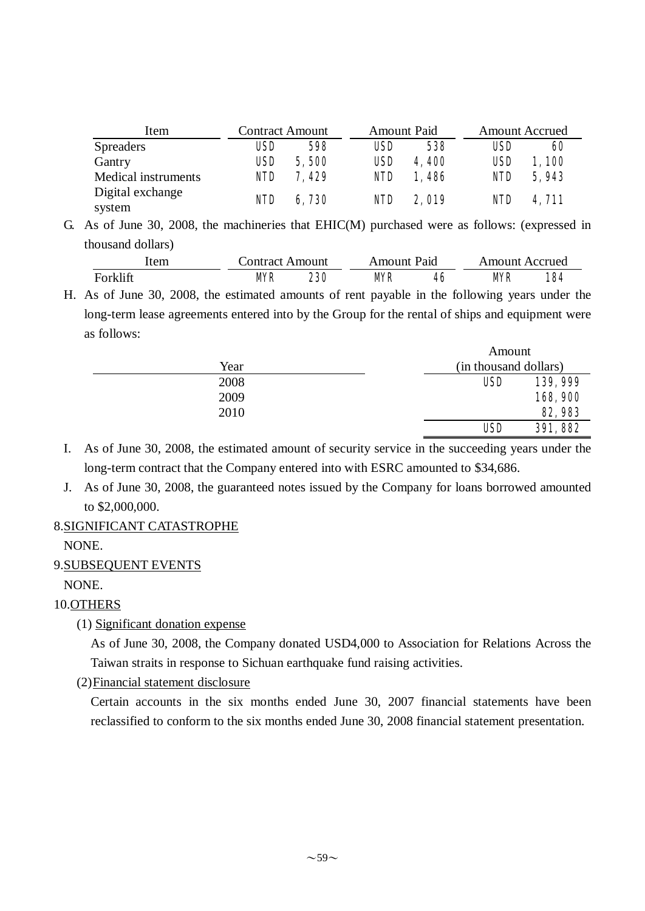| Item                       | <b>Contract Amount</b> |       | <b>Amount Paid</b> |              | <b>Amount Accrued</b> |       |  |
|----------------------------|------------------------|-------|--------------------|--------------|-----------------------|-------|--|
| <b>Spreaders</b>           | USD                    | 598   | <b>USD</b>         | 538          | <b>USD</b>            | 60    |  |
| Gantry                     | <b>USD</b>             | 5,500 | <b>USD</b>         | 4,400        | <b>USD</b>            | 1,100 |  |
| Medical instruments        | <b>NID</b>             | 7,429 | <b>NID</b>         | 1,486        | <b>NID</b>            | 5,943 |  |
| Digital exchange<br>system | <b>NID</b>             | 6,730 | <b>NID</b>         | <b>2,019</b> | <b>NID</b>            | 4,711 |  |

G. As of June 30, 2008, the machineries that EHIC(M) purchased were as follows: (expressed in thousand dollars)

| ltem     | Contract Amount | Amount Paid |    | Amount Accrued |     |  |  |
|----------|-----------------|-------------|----|----------------|-----|--|--|
| Forklift | <b>MR</b>       | MR          | 46 | <b>MR</b>      | 184 |  |  |

H. As of June 30, 2008, the estimated amounts of rent payable in the following years under the long-term lease agreements entered into by the Group for the rental of ships and equipment were as follows:

|      | Amount                |          |
|------|-----------------------|----------|
| Year | (in thousand dollars) |          |
| 2008 | <b>USD</b>            | 139, 999 |
| 2009 |                       | 168,900  |
| 2010 |                       | 82,983   |
|      | <b>USD</b>            | 391,882  |

 $\lambda$ 

I. As of June 30, 2008, the estimated amount of security service in the succeeding years under the long-term contract that the Company entered into with ESRC amounted to \$34,686.

J. As of June 30, 2008, the guaranteed notes issued by the Company for loans borrowed amounted to \$2,000,000.

### 8.SIGNIFICANT CATASTROPHE

NONE.

9.SUBSEQUENT EVENTS

### NONE.

## 10.OTHERS

(1) Significant donation expense

As of June 30, 2008, the Company donated USD4,000 to Association for Relations Across the Taiwan straits in response to Sichuan earthquake fund raising activities.

(2)Financial statement disclosure

Certain accounts in the six months ended June 30, 2007 financial statements have been reclassified to conform to the six months ended June 30, 2008 financial statement presentation.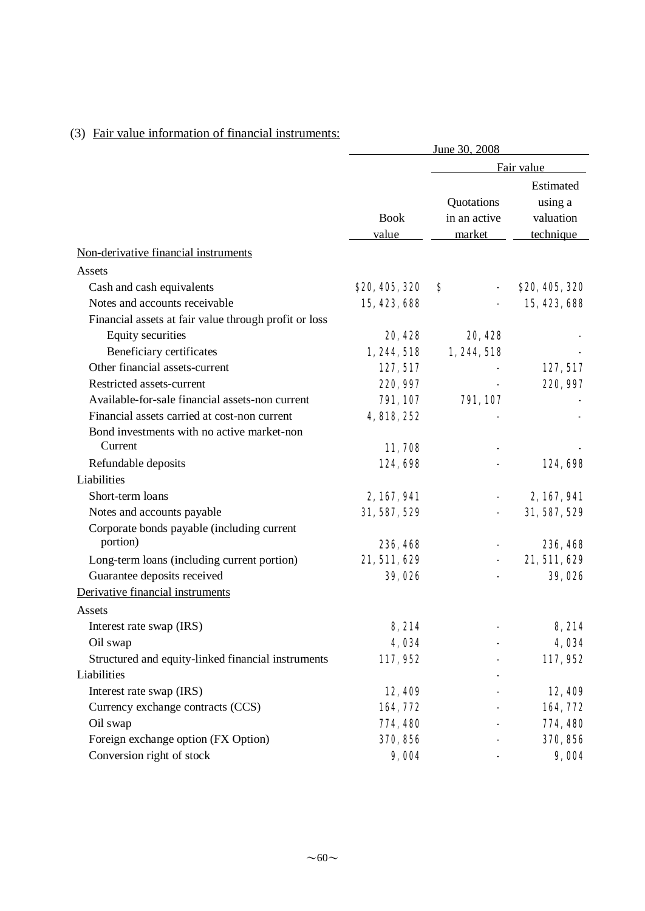# (3) Fair value information of financial instruments:

|                                                       | June 30, 2008  |              |                      |  |  |  |
|-------------------------------------------------------|----------------|--------------|----------------------|--|--|--|
|                                                       |                |              | Fair value           |  |  |  |
|                                                       |                | Quotations   | Estimated<br>using a |  |  |  |
|                                                       | <b>Book</b>    | in an active | valuation            |  |  |  |
|                                                       | value          | market       | technique            |  |  |  |
| Non-derivative financial instruments                  |                |              |                      |  |  |  |
| Assets                                                |                |              |                      |  |  |  |
| Cash and cash equivalents                             | \$20, 405, 320 | S            | \$20, 405, 320       |  |  |  |
| Notes and accounts receivable                         | 15, 423, 688   |              | 15, 423, 688         |  |  |  |
| Financial assets at fair value through profit or loss |                |              |                      |  |  |  |
| Equity securities                                     | 20, 428        | 20, 428      |                      |  |  |  |
| Beneficiary certificates                              | 1, 244, 518    | 1, 244, 518  |                      |  |  |  |
| Other financial assets-current                        | 127, 517       |              | 127, 517             |  |  |  |
| Restricted assets-current                             | 220, 997       |              | 220, 997             |  |  |  |
| Available-for-sale financial assets-non current       | 791, 107       | 791, 107     |                      |  |  |  |
| Financial assets carried at cost-non current          | 4, 818, 252    |              |                      |  |  |  |
| Bond investments with no active market-non            |                |              |                      |  |  |  |
| Current                                               | 11,708         |              |                      |  |  |  |
| Refundable deposits                                   | 124,698        |              | 124,698              |  |  |  |
| Liabilities                                           |                |              |                      |  |  |  |
| Short-term loans                                      | 2, 167, 941    |              | 2, 167, 941          |  |  |  |
| Notes and accounts payable                            | 31, 587, 529   |              | 31, 587, 529         |  |  |  |
| Corporate bonds payable (including current            |                |              |                      |  |  |  |
| portion)                                              | 236, 468       |              | 236, 468             |  |  |  |
| Long-term loans (including current portion)           | 21,511,629     |              | 21,511,629           |  |  |  |
| Guarantee deposits received                           | 39,026         |              | 39,026               |  |  |  |
| Derivative financial instruments                      |                |              |                      |  |  |  |
| Assets                                                |                |              |                      |  |  |  |
| Interest rate swap (IRS)                              | 8,214          |              | 8,214                |  |  |  |
| Oil swap                                              | 4,034          |              | 4,034                |  |  |  |
| Structured and equity-linked financial instruments    | 117,952        |              | 117,952              |  |  |  |
| Liabilities                                           |                |              |                      |  |  |  |
| Interest rate swap (IRS)                              | 12,409         |              | 12,409               |  |  |  |
| Currency exchange contracts (CCS)                     | 164, 772       |              | 164,772              |  |  |  |
| Oil swap                                              | 774, 480       |              | 774, 480             |  |  |  |
| Foreign exchange option (FX Option)                   | 370, 856       |              | 370, 856             |  |  |  |
| Conversion right of stock                             | 9,004          |              | 9,004                |  |  |  |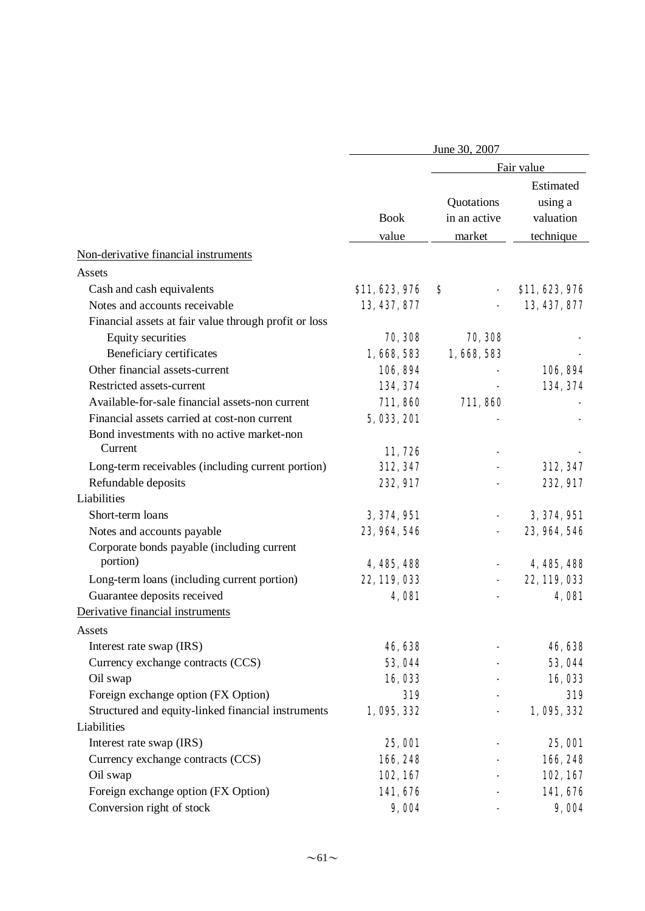|                                                        |                | June 30, 2007              |                                   |
|--------------------------------------------------------|----------------|----------------------------|-----------------------------------|
|                                                        |                |                            | Fair value                        |
|                                                        | <b>Book</b>    | Quotations<br>in an active | Estimated<br>using a<br>valuation |
|                                                        | value          | market                     | technique                         |
| Non-derivative financial instruments                   |                |                            |                                   |
| Assets                                                 |                |                            |                                   |
| Cash and cash equivalents                              | \$11, 623, 976 | S                          | \$11, 623, 976                    |
| Notes and accounts receivable                          | 13, 437, 877   |                            | 13, 437, 877                      |
| Financial assets at fair value through profit or loss  |                |                            |                                   |
| Equity securities                                      | 70, 308        | 70, 308                    |                                   |
| Beneficiary certificates                               | 1,668,583      | 1,668,583                  |                                   |
| Other financial assets-current                         | 106, 894       |                            | 106, 894                          |
| Restricted assets-current                              | 134, 374       |                            | 134, 374                          |
| Available-for-sale financial assets-non current        | 711,860        | 711,860                    |                                   |
| Financial assets carried at cost-non current           | 5, 033, 201    |                            |                                   |
| Bond investments with no active market-non<br>Current  | 11,726         |                            |                                   |
| Long-term receivables (including current portion)      | 312, 347       |                            | 312, 347                          |
| Refundable deposits                                    | 232, 917       |                            | 232, 917                          |
| Liabilities                                            |                |                            |                                   |
| Short-term loans                                       | 3, 374, 951    |                            | 3, 374, 951                       |
| Notes and accounts payable                             | 23, 964, 546   |                            | 23, 964, 546                      |
| Corporate bonds payable (including current<br>portion) | 4, 485, 488    |                            | 4, 485, 488                       |
| Long-term loans (including current portion)            | 22, 119, 033   |                            | 22, 119, 033                      |
| Guarantee deposits received                            | 4,081          |                            | <b>4,081</b>                      |
| Derivative financial instruments                       |                |                            |                                   |
| Assets                                                 |                |                            |                                   |
| Interest rate swap (IRS)                               | 46,638         |                            | 46, 638                           |
| Currency exchange contracts (CCS)                      | 53,044         |                            | 53,044                            |
| Oil swap                                               | 16,033         |                            | 16,033                            |
| Foreign exchange option (FX Option)                    | 319            |                            | 319                               |
| Structured and equity-linked financial instruments     | 1,095,332      |                            | 1,095,332                         |
| Liabilities                                            |                |                            |                                   |
| Interest rate swap (IRS)                               | <b>25, 001</b> |                            | <b>25, 001</b>                    |
| Currency exchange contracts (CCS)                      | 166, 248       |                            | 166, 248                          |
| Oil swap                                               | 102, 167       |                            | 102, 167                          |
| Foreign exchange option (FX Option)                    | 141,676        |                            | 141,676                           |
| Conversion right of stock                              | 9,004          |                            | 9,004                             |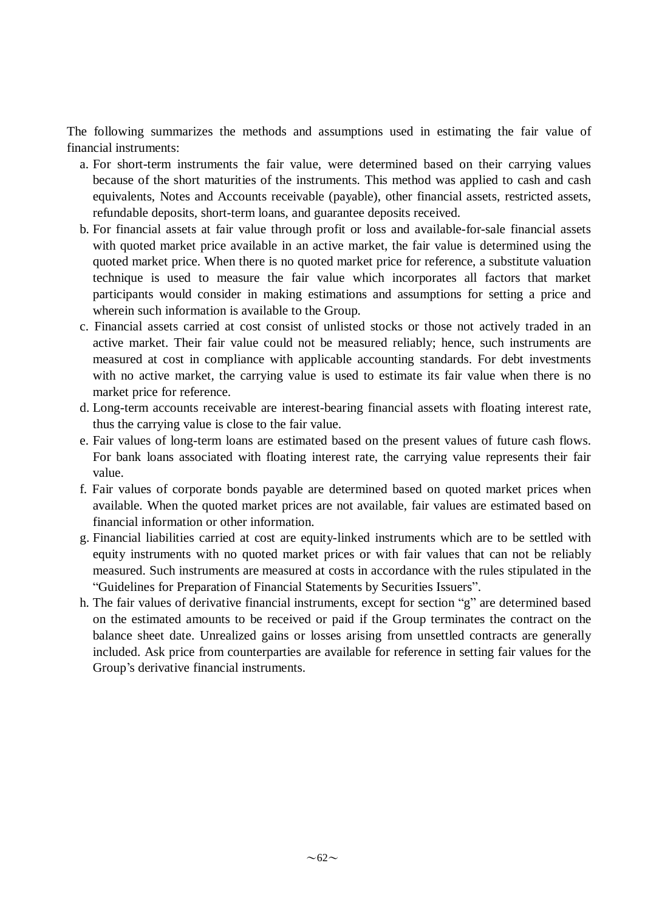The following summarizes the methods and assumptions used in estimating the fair value of financial instruments:

- a. For short-term instruments the fair value, were determined based on their carrying values because of the short maturities of the instruments. This method was applied to cash and cash equivalents, Notes and Accounts receivable (payable), other financial assets, restricted assets, refundable deposits, short-term loans, and guarantee deposits received.
- b. For financial assets at fair value through profit or loss and available-for-sale financial assets with quoted market price available in an active market, the fair value is determined using the quoted market price. When there is no quoted market price for reference, a substitute valuation technique is used to measure the fair value which incorporates all factors that market participants would consider in making estimations and assumptions for setting a price and wherein such information is available to the Group.
- c. Financial assets carried at cost consist of unlisted stocks or those not actively traded in an active market. Their fair value could not be measured reliably; hence, such instruments are measured at cost in compliance with applicable accounting standards. For debt investments with no active market, the carrying value is used to estimate its fair value when there is no market price for reference.
- d. Long-term accounts receivable are interest-bearing financial assets with floating interest rate, thus the carrying value is close to the fair value.
- e. Fair values of long-term loans are estimated based on the present values of future cash flows. For bank loans associated with floating interest rate, the carrying value represents their fair value.
- f. Fair values of corporate bonds payable are determined based on quoted market prices when available. When the quoted market prices are not available, fair values are estimated based on financial information or other information.
- g. Financial liabilities carried at cost are equity-linked instruments which are to be settled with equity instruments with no quoted market prices or with fair values that can not be reliably measured. Such instruments are measured at costs in accordance with the rules stipulated in the "Guidelines for Preparation of Financial Statements by Securities Issuers".
- h. The fair values of derivative financial instruments, except for section "g" are determined based on the estimated amounts to be received or paid if the Group terminates the contract on the balance sheet date. Unrealized gains or losses arising from unsettled contracts are generally included. Ask price from counterparties are available for reference in setting fair values for the Group's derivative financial instruments.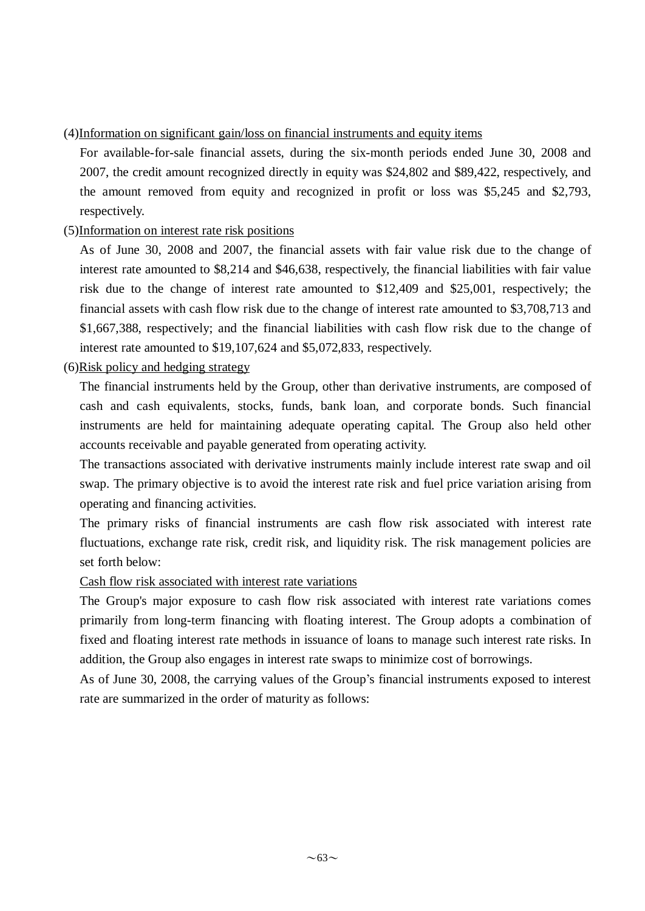## (4)Information on significant gain/loss on financial instruments and equity items

For available-for-sale financial assets, during the six-month periods ended June 30, 2008 and 2007, the credit amount recognized directly in equity was \$24,802 and \$89,422, respectively, and the amount removed from equity and recognized in profit or loss was \$5,245 and \$2,793, respectively.

## (5)Information on interest rate risk positions

As of June 30, 2008 and 2007, the financial assets with fair value risk due to the change of interest rate amounted to \$8,214 and \$46,638, respectively, the financial liabilities with fair value risk due to the change of interest rate amounted to \$12,409 and \$25,001, respectively; the financial assets with cash flow risk due to the change of interest rate amounted to \$3,708,713 and \$1,667,388, respectively; and the financial liabilities with cash flow risk due to the change of interest rate amounted to \$19,107,624 and \$5,072,833, respectively.

## (6)Risk policy and hedging strategy

The financial instruments held by the Group, other than derivative instruments, are composed of cash and cash equivalents, stocks, funds, bank loan, and corporate bonds. Such financial instruments are held for maintaining adequate operating capital. The Group also held other accounts receivable and payable generated from operating activity.

The transactions associated with derivative instruments mainly include interest rate swap and oil swap. The primary objective is to avoid the interest rate risk and fuel price variation arising from operating and financing activities.

The primary risks of financial instruments are cash flow risk associated with interest rate fluctuations, exchange rate risk, credit risk, and liquidity risk. The risk management policies are set forth below:

### Cash flow risk associated with interest rate variations

The Group's major exposure to cash flow risk associated with interest rate variations comes primarily from long-term financing with floating interest. The Group adopts a combination of fixed and floating interest rate methods in issuance of loans to manage such interest rate risks. In addition, the Group also engages in interest rate swaps to minimize cost of borrowings.

As of June 30, 2008, the carrying values of the Group's financial instruments exposed to interest rate are summarized in the order of maturity as follows: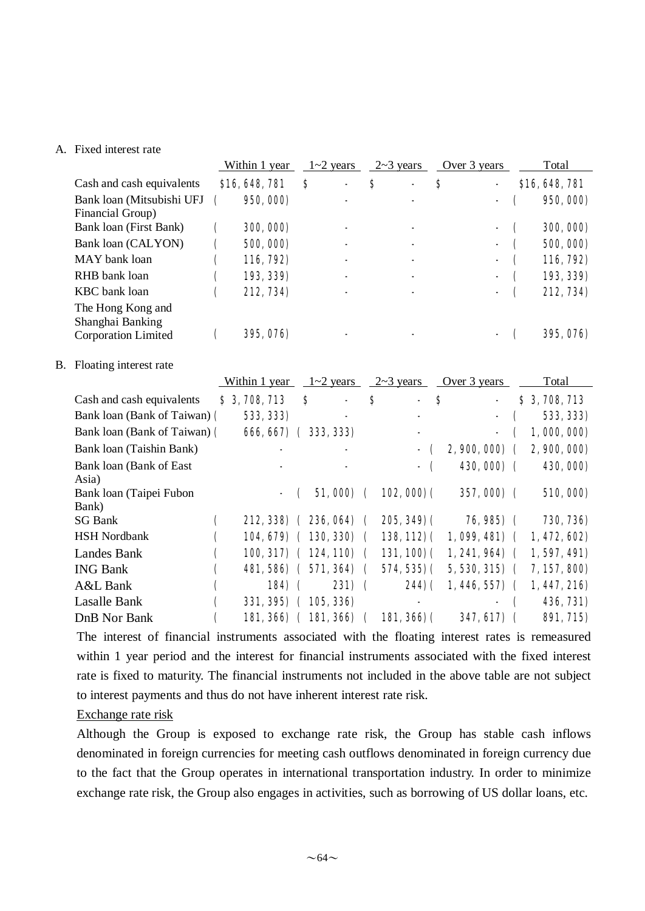#### A. Fixed interest rate

|    |                                                                     |                    | Within 1 year |             |                      | $1 - 2$ years        |                    | $2 \sim 3$ years |                |                  | Over 3 years    |            |   | Total        |
|----|---------------------------------------------------------------------|--------------------|---------------|-------------|----------------------|----------------------|--------------------|------------------|----------------|------------------|-----------------|------------|---|--------------|
|    | Cash and cash equivalents                                           |                    | \$16,648,781  |             | $\boldsymbol{s}$     |                      | $\bf{s}$           |                  |                | \$               |                 |            |   | \$16,648,781 |
|    | Bank loan (Mitsubishi UFJ<br>Financial Group)                       | (                  | 950, 000)     |             |                      |                      |                    |                  |                |                  |                 |            |   | 950, 000)    |
|    | Bank loan (First Bank)                                              | C                  | 300, 000)     |             |                      |                      |                    |                  |                |                  |                 |            | C | 300, 000)    |
|    | Bank loan (CALYON)                                                  | C                  | 500, 000)     |             |                      |                      |                    |                  |                |                  |                 |            | C | 500, 000)    |
|    | MAY bank loan                                                       | C                  | 116, 792)     |             |                      |                      |                    |                  |                |                  |                 |            | C | 116, 792)    |
|    | RHB bank loan                                                       | C                  | 193, 339)     |             |                      |                      |                    |                  |                |                  |                 |            | C | 193, 339)    |
|    | <b>KBC</b> bank loan                                                | C                  | 212, 734)     |             |                      |                      |                    |                  |                |                  |                 |            |   | 212, 734)    |
|    | The Hong Kong and<br>Shanghai Banking<br><b>Corporation Limited</b> | $\mathbf \epsilon$ | 395, 076)     |             |                      |                      |                    |                  |                |                  |                 |            | ( | 395, 076)    |
| B. | Floating interest rate                                              |                    | Within 1 year |             |                      | $1 - 2$ years        |                    | $2 \sim 3$ years |                |                  | Over 3 years    |            |   | Total        |
|    | Cash and cash equivalents                                           |                    | \$3,708,713   |             | $\boldsymbol{s}$     |                      | \$                 |                  | $\blacksquare$ | $\boldsymbol{s}$ |                 |            |   | \$3,708,713  |
|    | Bank loan (Bank of Taiwan) (                                        |                    | 533, 333)     |             |                      |                      |                    |                  |                |                  |                 |            |   | 533, 333)    |
|    | Bank loan (Bank of Taiwan) (                                        |                    |               |             | 666, 667) (333, 333) |                      |                    |                  |                |                  |                 |            |   | 1,000,000)   |
|    | Bank loan (Taishin Bank)                                            |                    |               |             |                      |                      |                    |                  |                |                  | 2, 900, 000)    |            |   | 2, 900, 000) |
|    | Bank loan (Bank of East                                             |                    |               |             |                      |                      |                    |                  |                |                  | 430,000) (      |            |   | 430, 000)    |
|    | Asia)                                                               |                    |               |             |                      |                      |                    |                  |                |                  |                 |            |   |              |
|    | Bank loan (Taipei Fubon<br>Bank)                                    |                    |               |             |                      | 51,000)              | $\mathbf \Gamma$   |                  | $102,000$ (    |                  |                 | 357,000) ( |   | 510,000)     |
|    | <b>SG Bank</b>                                                      | $\mathbf \epsilon$ |               |             |                      | 212, 338) (236, 064) | $\mathbf \Gamma$   |                  | $205, 349$ ) ( |                  |                 | 76,985) (  |   | 730, 736)    |
|    | <b>HSH Nordbank</b>                                                 |                    |               |             | 104, 679) (130, 330) |                      |                    |                  | $138, 112)$ (  |                  | $1,099,481)$ (  |            |   | 1,472,602    |
|    | Landes Bank                                                         |                    |               |             | 100, 317) (124, 110) |                      |                    |                  | 131,100(       |                  | $1, 241, 964$ ( |            |   | 1,597,491)   |
|    | <b>ING Bank</b>                                                     | €                  |               |             | 481, 586) (571, 364) |                      |                    |                  | $574,535$ ) (  |                  | $5,530,315$ (   |            |   | 7, 157, 800) |
|    | A&L Bank                                                            | C                  |               | <b>184)</b> |                      | 231)                 | $\epsilon$         |                  | 244) (         |                  | 1, 446, 557)    |            |   | 1,447,216    |
|    | Lasalle Bank                                                        | C                  |               |             | 331, 395) (105, 336) |                      |                    |                  |                |                  |                 |            |   | 436, 731)    |
|    | DnB Nor Bank                                                        | (                  |               |             | 181, 366) (181, 366) |                      | $\mathbf \epsilon$ |                  | $181,366$ $($  |                  |                 | 347, 617)  |   | 891, 715)    |

The interest of financial instruments associated with the floating interest rates is remeasured within 1 year period and the interest for financial instruments associated with the fixed interest rate is fixed to maturity. The financial instruments not included in the above table are not subject to interest payments and thus do not have inherent interest rate risk.

#### Exchange rate risk

Although the Group is exposed to exchange rate risk, the Group has stable cash inflows denominated in foreign currencies for meeting cash outflows denominated in foreign currency due to the fact that the Group operates in international transportation industry. In order to minimize exchange rate risk, the Group also engages in activities, such as borrowing of US dollar loans, etc.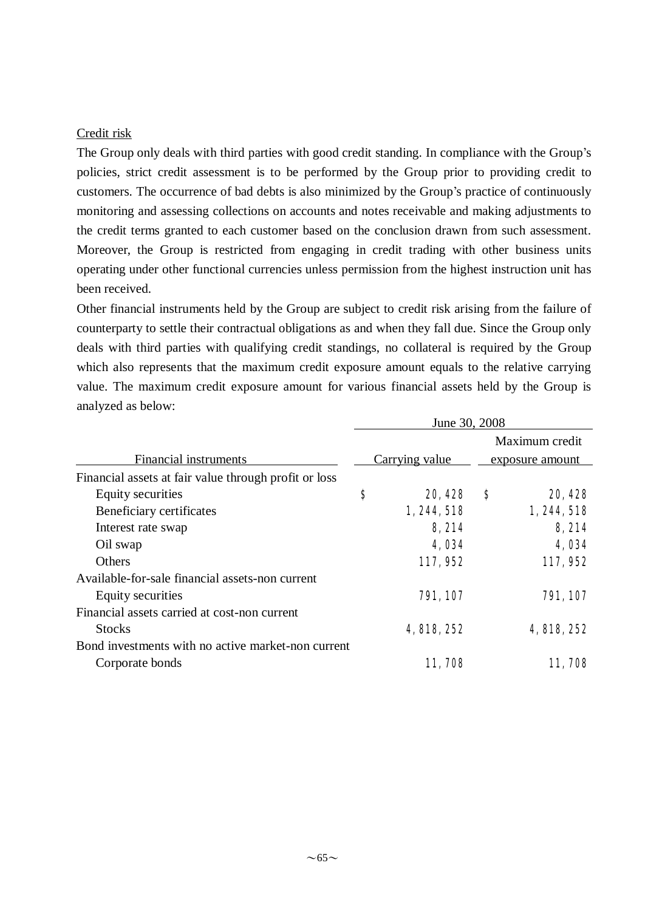#### Credit risk

The Group only deals with third parties with good credit standing. In compliance with the Group's policies, strict credit assessment is to be performed by the Group prior to providing credit to customers. The occurrence of bad debts is also minimized by the Group's practice of continuously monitoring and assessing collections on accounts and notes receivable and making adjustments to the credit terms granted to each customer based on the conclusion drawn from such assessment. Moreover, the Group is restricted from engaging in credit trading with other business units operating under other functional currencies unless permission from the highest instruction unit has been received.

Other financial instruments held by the Group are subject to credit risk arising from the failure of counterparty to settle their contractual obligations as and when they fall due. Since the Group only deals with third parties with qualifying credit standings, no collateral is required by the Group which also represents that the maximum credit exposure amount equals to the relative carrying value. The maximum credit exposure amount for various financial assets held by the Group is analyzed as below:

| June 30, 2008 |             |                 |                |  |  |
|---------------|-------------|-----------------|----------------|--|--|
|               |             |                 | Maximum credit |  |  |
|               |             | exposure amount |                |  |  |
|               |             |                 |                |  |  |
| \$            | 20, 428     | S               | 20, 428        |  |  |
|               | 1, 244, 518 |                 | 1, 244, 518    |  |  |
|               | 8,214       |                 | 8,214          |  |  |
|               | 4,034       |                 | 4,034          |  |  |
|               | 117,952     |                 | 117,952        |  |  |
|               |             |                 |                |  |  |
|               | 791, 107    |                 | 791, 107       |  |  |
|               |             |                 |                |  |  |
|               | 4, 818, 252 |                 | 4, 818, 252    |  |  |
|               |             |                 |                |  |  |
|               | 11,708      |                 | 11,708         |  |  |
|               |             | Carrying value  |                |  |  |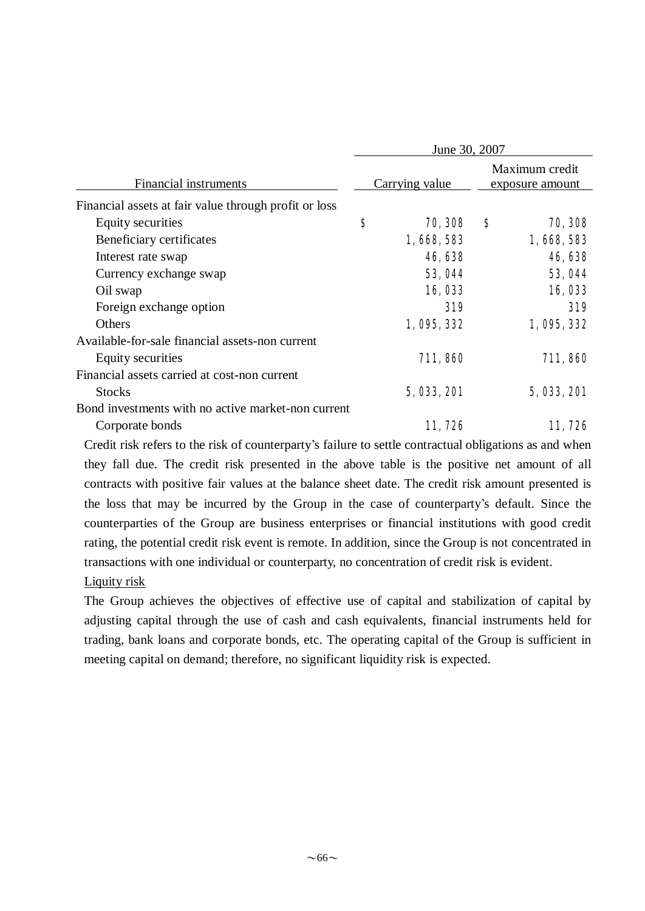|                                                       | June 30, 2007 |                |   |                                   |  |
|-------------------------------------------------------|---------------|----------------|---|-----------------------------------|--|
| Financial instruments                                 |               | Carrying value |   | Maximum credit<br>exposure amount |  |
| Financial assets at fair value through profit or loss |               |                |   |                                   |  |
| Equity securities                                     | \$            | 70, 308        | S | 70, 308                           |  |
| Beneficiary certificates                              |               | 1,668,583      |   | 1,668,583                         |  |
| Interest rate swap                                    |               | 46,638         |   | 46,638                            |  |
| Currency exchange swap                                |               | <b>53, 044</b> |   | 53,044                            |  |
| Oil swap                                              |               | 16,033         |   | 16,033                            |  |
| Foreign exchange option                               |               | 319            |   | 319                               |  |
| Others                                                |               | 1,095,332      |   | 1,095,332                         |  |
| Available-for-sale financial assets-non current       |               |                |   |                                   |  |
| Equity securities                                     |               | 711,860        |   | 711,860                           |  |
| Financial assets carried at cost-non current          |               |                |   |                                   |  |
| <b>Stocks</b>                                         |               | 5, 033, 201    |   | 5, 033, 201                       |  |
| Bond investments with no active market-non current    |               |                |   |                                   |  |
| Corporate bonds                                       |               | 11,726         |   | 11, 726                           |  |

Credit risk refers to the risk of counterparty's failure to settle contractual obligations as and when they fall due. The credit risk presented in the above table is the positive net amount of all contracts with positive fair values at the balance sheet date. The credit risk amount presented is the loss that may be incurred by the Group in the case of counterparty's default. Since the counterparties of the Group are business enterprises or financial institutions with good credit rating, the potential credit risk event is remote. In addition, since the Group is not concentrated in transactions with one individual or counterparty, no concentration of credit risk is evident. Liquity risk

The Group achieves the objectives of effective use of capital and stabilization of capital by adjusting capital through the use of cash and cash equivalents, financial instruments held for trading, bank loans and corporate bonds, etc. The operating capital of the Group is sufficient in meeting capital on demand; therefore, no significant liquidity risk is expected.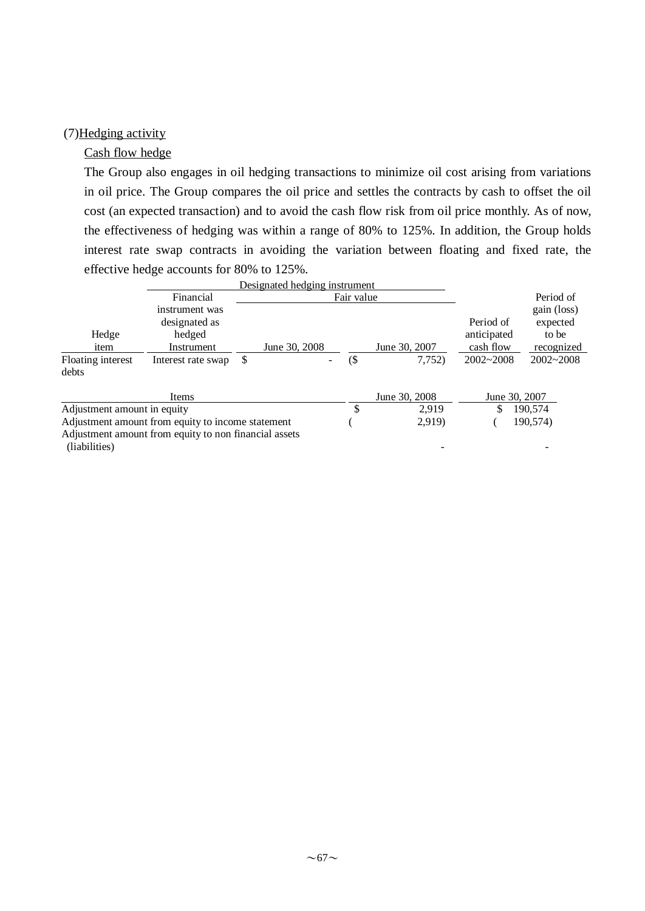#### (7)Hedging activity

#### Cash flow hedge

The Group also engages in oil hedging transactions to minimize oil cost arising from variations in oil price. The Group compares the oil price and settles the contracts by cash to offset the oil cost (an expected transaction) and to avoid the cash flow risk from oil price monthly. As of now, the effectiveness of hedging was within a range of 80% to 125%. In addition, the Group holds interest rate swap contracts in avoiding the variation between floating and fixed rate, the effective hedge accounts for 80% to 125%.

|                                                   |                                                         | Designated hedging instrument |            |        |               |                                       |                                                |
|---------------------------------------------------|---------------------------------------------------------|-------------------------------|------------|--------|---------------|---------------------------------------|------------------------------------------------|
|                                                   | Financial                                               |                               | Fair value |        | Period of     |                                       |                                                |
| Hedge<br>item                                     | instrument was<br>designated as<br>hedged<br>Instrument | June 30, 2008                 |            |        | June 30, 2007 | Period of<br>anticipated<br>cash flow | gain (loss)<br>expected<br>to be<br>recognized |
| Floating interest<br>debts                        | Interest rate swap                                      | \$                            |            | $($ \$ | 7,752)        | $2002 - 2008$                         | $2002 - 2008$                                  |
|                                                   | Items                                                   |                               |            |        | June 30, 2008 |                                       | June 30, 2007                                  |
| Adjustment amount in equity                       |                                                         |                               |            | S      | 2.919         | \$                                    | 190.574                                        |
| Adjustment amount from equity to income statement |                                                         |                               |            |        | 2,919)        |                                       | 190,574)                                       |
|                                                   | Adjustment amount from equity to non financial assets   |                               |            |        |               |                                       |                                                |
| (liabilities)                                     |                                                         |                               |            |        |               |                                       |                                                |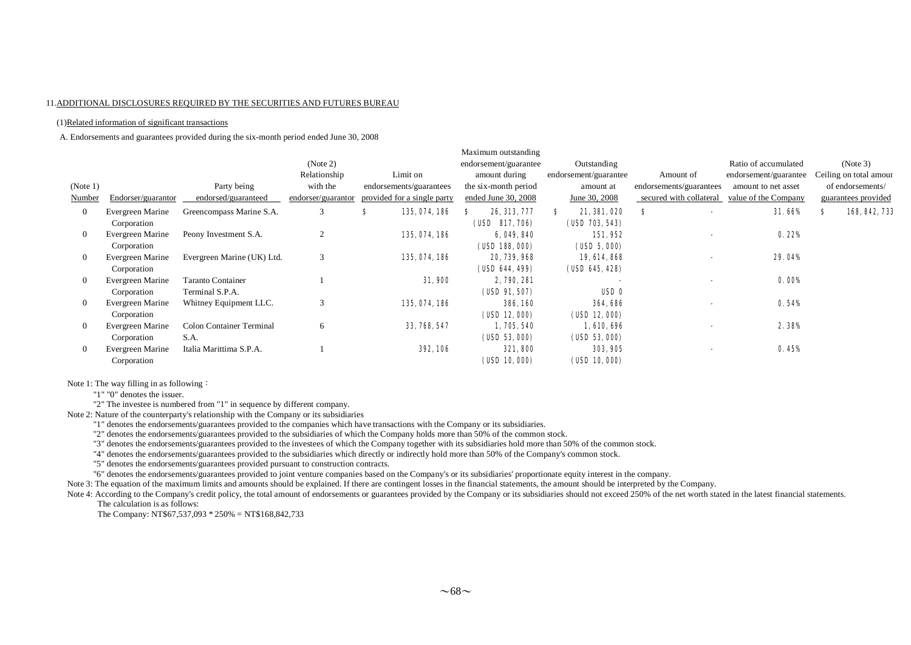#### 11.ADDITIONAL DISCLOSURES REQUIRED BY THE SECURITIES AND FUTURES BUREAU

#### (1)Related information of significant transactions

A. Endorsements and guarantees provided during the six-month period ended June 30, 2008

|                |                    |                            |                    |                             | Maximum outstanding   |                       |                         |                       |                        |
|----------------|--------------------|----------------------------|--------------------|-----------------------------|-----------------------|-----------------------|-------------------------|-----------------------|------------------------|
|                |                    |                            | (Note 2)           |                             | endorsement/guarantee | Outstanding           |                         | Ratio of accumulated  | (Note 3)               |
|                |                    |                            | Relationship       | Limit on                    | amount during         | endorsement/guarantee | Amount of               | endorsement/guarantee | Ceiling on total amour |
| (Note 1)       |                    | Party being                | with the           | endorsements/guarantees     | the six-month period  | amount at             | endorsements/guarantees | amount to net asset   | of endorsements/       |
| Number         | Endorser/guarantor | endorsed/guaranteed        | endorser/guarantor | provided for a single party | ended June 30, 2008   | June 30, 2008         | secured with collateral | value of the Company  | guarantees provided    |
| $\overline{0}$ | Evergreen Marine   | Greencompass Marine S.A.   | 3                  | 135, 074, 186<br>s          | 26, 313, 777<br>s     | 21, 381, 020<br>S.    | S                       | <b>31.66%</b>         | 168, 842, 73<br>S      |
|                | Corporation        |                            |                    |                             | (USD 817, 706)        | (USD 703, 543)        |                         |                       |                        |
| $\overline{0}$ | Evergreen Marine   | Peony Investment S.A.      | $\overline{2}$     | 135, 074, 186               | 6, 049, 840           | 151,952               |                         | 0.22%                 |                        |
|                | Corporation        |                            |                    |                             | (USD 188, 000)        | (USD 5,000)           |                         |                       |                        |
| $\mathbf{0}$   | Evergreen Marine   | Evergreen Marine (UK) Ltd. | 3                  | 135, 074, 186               | 20, 739, 968          | 19, 614, 868          |                         | <b>29.04%</b>         |                        |
|                | Corporation        |                            |                    |                             | (USD 644, 499)        | (USD 645, 428)        |                         |                       |                        |
| $\mathbf{0}$   | Evergreen Marine   | <b>Taranto Container</b>   |                    | 31,900                      | 2, 790, 281           |                       |                         | 0.00%                 |                        |
|                | Corporation        | Terminal S.P.A.            |                    |                             | (UBD 91, 507)         | USD <sub>0</sub>      |                         |                       |                        |
| $\mathbf{0}$   | Evergreen Marine   | Whitney Equipment LLC.     | 3                  | 135, 074, 186               | 386,160               | 364.686               |                         | 0.54%                 |                        |
|                | Corporation        |                            |                    |                             | (UD12,000)            | (UD12,000)            |                         |                       |                        |
| $\overline{0}$ | Evergreen Marine   | Colon Container Terminal   | 6                  | 33, 768, 547                | 1,705,540             | 1,610,696             |                         | 2.38%                 |                        |
|                | Corporation        | S.A.                       |                    |                             | (USD 53, 000)         | (USD 53, 000)         |                         |                       |                        |
| $\overline{0}$ | Evergreen Marine   | Italia Marittima S.P.A.    |                    | <b>392, 106</b>             | 321,800               | 303, 905              |                         | 0.45%                 |                        |
|                | Corporation        |                            |                    |                             | (USD 10, 000)         | (USD 10, 000)         |                         |                       |                        |
|                |                    |                            |                    |                             |                       |                       |                         |                       |                        |

Note 1: The way filling in as following:

"1" "0" denotes the issuer.

"2" The investee is numbered from "1" in sequence by different company.

Note 2: Nature of the counterparty's relationship with the Company or its subsidiaries

"1" denotes the endorsements/guarantees provided to the companies which have transactions with the Company or its subsidiaries.

"2" denotes the endorsements/guarantees provided to the subsidiaries of which the Company holds more than 50% of the common stock.

"3" denotes the endorsements/guarantees provided to the investees of which the Company together with its subsidiaries hold more than 50% of the common stock.

"4" denotes the endorsements/guarantees provided to the subsidiaries which directly or indirectly hold more than 50% of the Company's common stock.

"5" denotes the endorsements/guarantees provided pursuant to construction contracts.

"6" denotes the endorsements/guarantees provided to joint venture companies based on the Company's or its subsidiaries' proportionate equity interest in the company.

Note 3: The equation of the maximum limits and amounts should be explained. If there are contingent losses in the financial statements, the amount should be interpreted by the Company.

Note 4: According to the Company's credit policy, the total amount of endorsements or guarantees provided by the Company or its subsidiaries should not exceed 250% of the net worth stated in the latest financial statements The calculation is as follows:

The Company: NT\$67,537,093 \* 250% = NT\$168,842,733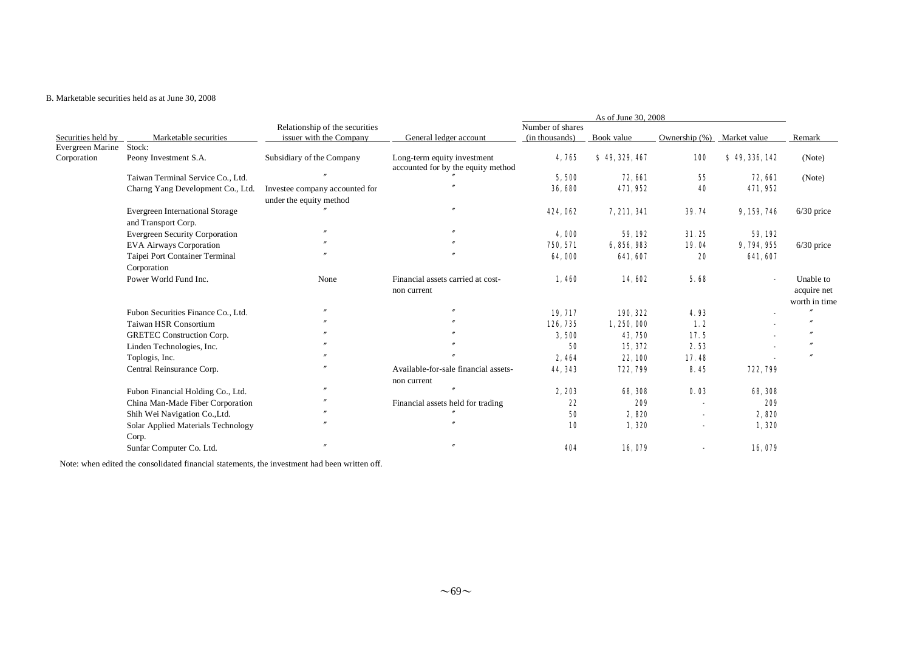# B. Marketable securities held as at June 30, 2008

|                    |                                        | Relationship of the securities |                                      | Number of shares |                |                          |                          |               |
|--------------------|----------------------------------------|--------------------------------|--------------------------------------|------------------|----------------|--------------------------|--------------------------|---------------|
| Securities held by | Marketable securities                  | issuer with the Company        | General ledger account               | (in thousands)   | Book value     | Ownership $(\%)$         | Market value             | Remark        |
| Evergreen Marine   | Stock:                                 |                                |                                      |                  |                |                          |                          |               |
| Corporation        | Peony Investment S.A.                  | Subsidiary of the Company      | Long-term equity investment          | 4,765            | \$49, 329, 467 | <b>100</b>               | \$49,336,142             | (Note)        |
|                    | Taiwan Terminal Service Co., Ltd.      |                                | accounted for by the equity method   | 5,500            | 72, 661        | 55                       | <b>72, 661</b>           | (Note)        |
|                    |                                        |                                |                                      | 36,680           | 471,952        | 40                       | 471,952                  |               |
|                    | Charng Yang Development Co., Ltd.      | Investee company accounted for |                                      |                  |                |                          |                          |               |
|                    |                                        | under the equity method        |                                      | 424,062          | 7, 211, 341    | 39.74                    | 9, 159, 746              |               |
|                    | <b>Evergreen International Storage</b> |                                |                                      |                  |                |                          |                          | $6/30$ price  |
|                    | and Transport Corp.                    |                                |                                      |                  |                |                          |                          |               |
|                    | <b>Evergreen Security Corporation</b>  |                                |                                      | 4,000            | 59, 192        | 31.25                    | 59, 192                  |               |
|                    | <b>EVA Airways Corporation</b>         |                                |                                      | 750, 571         | 6, 856, 983    | 19.04                    | 9, 794, 955              | $6/30$ price  |
|                    | Taipei Port Container Terminal         |                                |                                      | 64,000           | 641,607        | 20                       | 641, 607                 |               |
|                    | Corporation                            |                                |                                      |                  |                |                          |                          |               |
|                    | Power World Fund Inc.                  | None                           | Financial assets carried at cost-    | 1,460            | 14,602         | 5.68                     | $\overline{\phantom{a}}$ | Unable to     |
|                    |                                        |                                | non current                          |                  |                |                          |                          | acquire net   |
|                    |                                        |                                |                                      |                  |                |                          |                          | worth in time |
|                    | Fubon Securities Finance Co., Ltd.     |                                |                                      | 19, 717          | 190, 322       | 4.93                     |                          |               |
|                    | Taiwan HSR Consortium                  |                                |                                      | 126, 735         | 1,250,000      | 1.2                      |                          |               |
|                    | <b>GRETEC Construction Corp.</b>       |                                |                                      | 3,500            | 43, 750        | 17.5                     |                          |               |
|                    | Linden Technologies, Inc.              |                                |                                      | 50               | 15, 372        | 2.53                     |                          |               |
|                    | Toplogis, Inc.                         |                                |                                      | 2,464            | 22, 100        | 17.48                    |                          |               |
|                    | Central Reinsurance Corp.              |                                | Available-for-sale financial assets- | 44, 343          | 722, 799       | 8.45                     | 722, 799                 |               |
|                    |                                        |                                | non current                          |                  |                |                          |                          |               |
|                    | Fubon Financial Holding Co., Ltd.      |                                |                                      | 2,203            | 68, 308        | 0.03                     | 68, 308                  |               |
|                    | China Man-Made Fiber Corporation       |                                | Financial assets held for trading    | 22               | 209            | $\overline{\phantom{a}}$ | 209                      |               |
|                    | Shih Wei Navigation Co., Ltd.          |                                |                                      | 50               | 2,820          |                          | 2,820                    |               |
|                    | Solar Applied Materials Technology     |                                |                                      | 10               | 1,320          |                          | 1,320                    |               |
|                    | Corp.                                  |                                |                                      |                  |                |                          |                          |               |
|                    | Sunfar Computer Co. Ltd.               |                                |                                      | 404              | 16,079         |                          | 16,079                   |               |

Note: when edited the consolidated financial statements, the investment had been written off.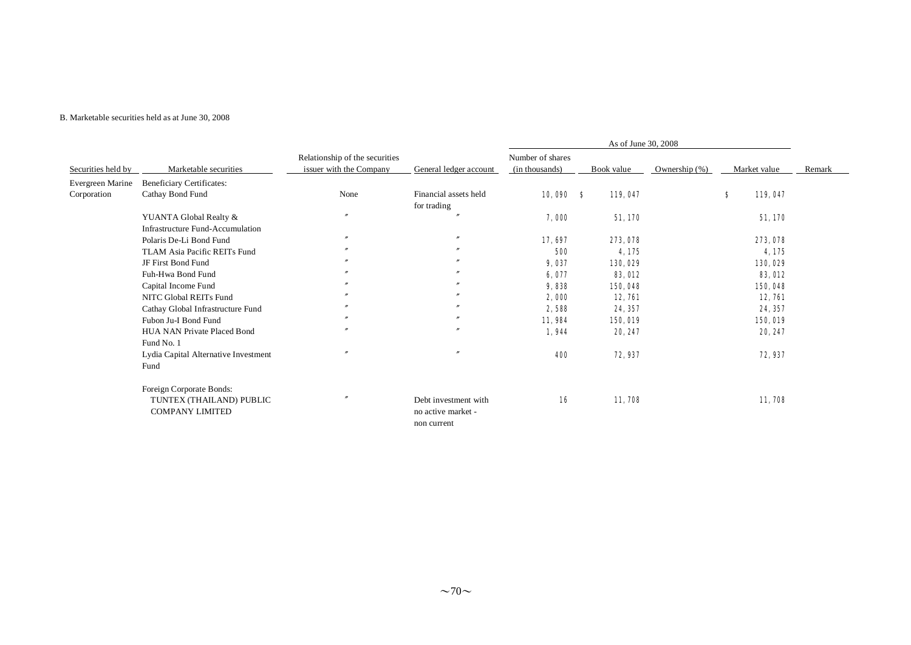#### B. Marketable securities held as at June 30, 2008

| Securities held by | Marketable securities                |                                                           |                        |                                    |                |                  |   |                |        |
|--------------------|--------------------------------------|-----------------------------------------------------------|------------------------|------------------------------------|----------------|------------------|---|----------------|--------|
|                    |                                      | Relationship of the securities<br>issuer with the Company | General ledger account | Number of shares<br>(in thousands) | Book value     | Ownership $(\%)$ |   | Market value   | Remark |
| Evergreen Marine   | Beneficiary Certificates:            |                                                           |                        |                                    |                |                  |   |                |        |
| Corporation        | Cathay Bond Fund                     | None                                                      | Financial assets held  | $10,090$ \$                        | 119,047        |                  | s | 119,047        |        |
|                    |                                      |                                                           | for trading            |                                    |                |                  |   |                |        |
|                    | YUANTA Global Realty &               | $\mathbf{v}$                                              |                        | 7,000                              | 51, 170        |                  |   | 51,170         |        |
|                    | Infrastructure Fund-Accumulation     |                                                           |                        |                                    |                |                  |   |                |        |
|                    | Polaris De-Li Bond Fund              | $\prime\prime$                                            | $\boldsymbol{''}$      | 17, 697                            | 273, 078       |                  |   | 273, 078       |        |
|                    | TLAM Asia Pacific REITs Fund         |                                                           | $\boldsymbol{''}$      | 500                                | 4,175          |                  |   | 4,175          |        |
|                    | JF First Bond Fund                   |                                                           |                        | 9,037                              | 130,029        |                  |   | 130,029        |        |
|                    | Fuh-Hwa Bond Fund                    | $\boldsymbol{r}$                                          |                        | 6,077                              | <b>83, OL2</b> |                  |   | <b>83, 012</b> |        |
|                    | Capital Income Fund                  |                                                           | $\overline{v}$         | 9,838                              | 150,048        |                  |   | 150,048        |        |
|                    | NITC Global REITs Fund               | $\prime\prime$                                            | $\boldsymbol{''}$      | 2,000                              | <b>12, 761</b> |                  |   | 12,761         |        |
|                    | Cathay Global Infrastructure Fund    | $\prime\prime$                                            | $\boldsymbol{''}$      | 2,588                              | 24, 357        |                  |   | 24, 357        |        |
|                    | Fubon Ju-I Bond Fund                 | $\prime\prime$                                            | $\boldsymbol{''}$      | 11,984                             | 150,019        |                  |   | 150,019        |        |
|                    | HUA NAN Private Placed Bond          | $^{\prime\prime}$                                         | $^{\prime\prime}$      | 1,944                              | 20, 247        |                  |   | 20, 247        |        |
|                    | Fund No. 1                           |                                                           |                        |                                    |                |                  |   |                |        |
|                    | Lydia Capital Alternative Investment | $\prime$                                                  | $\boldsymbol{r}$       | 400                                | 72, 937        |                  |   | 72, 937        |        |
|                    | Fund                                 |                                                           |                        |                                    |                |                  |   |                |        |
|                    | Foreign Corporate Bonds:             |                                                           |                        |                                    |                |                  |   |                |        |
|                    | TUNTEX (THAILAND) PUBLIC             |                                                           | Debt investment with   | 16                                 | 11,708         |                  |   | 11,708         |        |
|                    | <b>COMPANY LIMITED</b>               |                                                           | no active market -     |                                    |                |                  |   |                |        |
|                    |                                      |                                                           | non current            |                                    |                |                  |   |                |        |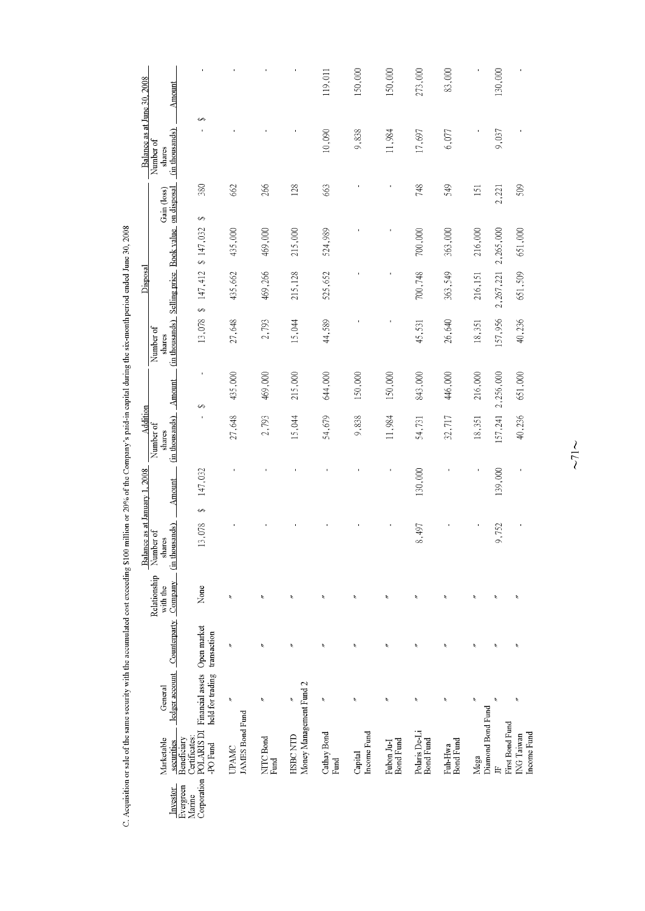|                               | Amount                                |                                                                                     |                                 |                   |                                     | 119,011               | 150,000                | 150,000                 | 273,000                    | 83,000                   |                           | 130,000                         |                           |
|-------------------------------|---------------------------------------|-------------------------------------------------------------------------------------|---------------------------------|-------------------|-------------------------------------|-----------------------|------------------------|-------------------------|----------------------------|--------------------------|---------------------------|---------------------------------|---------------------------|
| Balance as at June 30, 2008   | (in thousands)<br>Number of<br>shares | ٥                                                                                   |                                 |                   |                                     | 10,090                | 9,838                  | 11,984                  | 17,697                     | 6,077                    |                           | 9,037                           |                           |
|                               | on disposal<br>Gain (loss)            | 380                                                                                 | 662                             | 266               | 128                                 | 663                   |                        |                         | 748                        | 549                      | 151                       | 2,221                           | 509                       |
|                               |                                       | $\leftrightarrow$<br>\$147,032                                                      | 435,000                         | 469,000           | 215,000                             | 524,989               |                        |                         | 700,000                    | 363,000                  | 216,000                   | 2,265,000                       | 651,000                   |
| Disposal                      | Selling price Book value              | 147,412                                                                             | 435,662                         | 469,266           | 215,128                             | 525,652               |                        |                         | 700,748                    | 363,549                  | 216,151                   | 2,267,221                       | 651,509                   |
|                               | (in thousands)<br>Number of<br>shares | S<br>13,078                                                                         | 27,648                          | 2,793             | 15,044                              | 44,589                |                        |                         | 45,531                     | 26,640                   | 18,351                    | 157,956                         | 40,236                    |
|                               | Amount                                | $\blacksquare$                                                                      | 435,000                         | 469,000           | 215,000                             | 644,000               | 150,000                | 150,000                 | 843,000                    | 446,000                  | 216,000                   | 2,256,000                       | 651,000                   |
| Addition                      | (in thousands)<br>Number of<br>shares | ↮                                                                                   | 27,648                          | 2,793             | 15,044                              | 54,679                | 9,838                  | 11,984                  | 54,731                     | 32,717                   | 18,351                    | 157,241                         | 40,236                    |
|                               | Amount                                | 147,032                                                                             |                                 |                   |                                     |                       |                        |                         | 130,000                    |                          |                           | 139,000                         |                           |
| Balance as at January 1, 2008 | (in thousands)<br>Number of<br>shares | S<br>13,078                                                                         |                                 |                   |                                     |                       |                        |                         | 8,497                      |                          |                           | 9,752                           |                           |
|                               | Relationship<br>with the              | None                                                                                | ř                               | ź                 | ŕ                                   | $\boldsymbol{\xi}$    | ř                      | ř                       | $\boldsymbol{\tilde{z}}$   | $\boldsymbol{z}$         | ź                         | ř                               | ř                         |
|                               | ledger account Counterparty Company   | Open market<br>transaction                                                          | ŕ                               | ŕ                 | ř                                   | ŕ                     | ŕ                      | ŕ                       | $\overline{\phantom{a}}$   | $\check{\phantom{0}}$    | $\overline{\phantom{a}}$  | ŕ                               | ŕ                         |
|                               | General                               | held for trading                                                                    | $\boldsymbol{\xi}$              | $\lambda$         | ŕ                                   | $\tilde{\phantom{a}}$ | ŕ                      | ź                       | $\overline{\phantom{a}}$   | $\boldsymbol{\tilde{z}}$ | ź                         | ŕ                               | $\boldsymbol{\xi}$        |
|                               | Marketable<br>securities              | Corporation POLARIS DI Financial assets<br>Certificates:<br>Beneficiary<br>-PO Fund | JAMES Bond Fund<br><b>UPAMC</b> | NITC Bond<br>Fund | Money Management Fund 2<br>HSBC NTD | Cathay Bond<br>Fund   | Income Fund<br>Capital | Bond Fund<br>Fubon Ju-I | Polaris De-Li<br>Bond Fund | Bond Fund<br>Fuh Hwa     | Diamond Bond Fund<br>Mega | First Bond Fund<br>$\mathbb{R}$ | Income Fund<br>ING Taiwan |
|                               | Investor                              | Evergreen<br>Marine                                                                 |                                 |                   |                                     |                       |                        |                         |                            |                          |                           |                                 |                           |

C. Acquisition or sale of the same security with the accumulated cost exceeding \$100 million or 20% of the Company's paid-in capital during the six-month period ended June 30, 2008

 $\sim$  71  $\sim$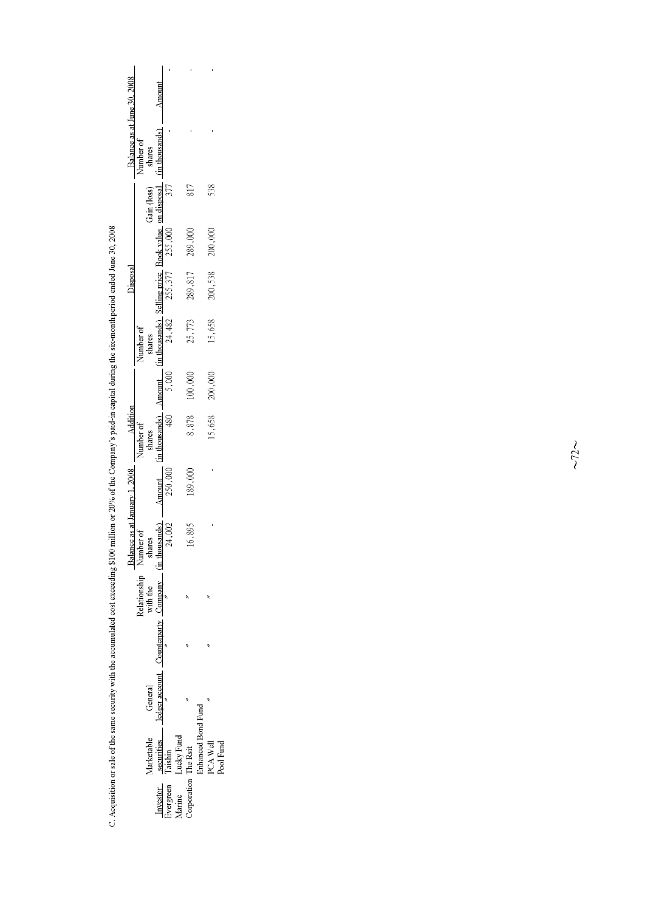|                                 |                                                                                                                                                                                              |                                                             |  |                                                                                                                                                         |          |                                                                                                                                       |         |                     | Disposal |         |     | Balance as at June 30, 2008 |       |
|---------------------------------|----------------------------------------------------------------------------------------------------------------------------------------------------------------------------------------------|-------------------------------------------------------------|--|---------------------------------------------------------------------------------------------------------------------------------------------------------|----------|---------------------------------------------------------------------------------------------------------------------------------------|---------|---------------------|----------|---------|-----|-----------------------------|-------|
|                                 |                                                                                                                                                                                              |                                                             |  | Balance as at January 1, 2008<br>Number of<br>shares<br>Relationship $\frac{\text{Number}}{\text{Number}}$<br>with the shares<br>Company (in thousands) |          | Number of                                                                                                                             |         | Number of<br>shares |          |         |     | Number of                   |       |
|                                 | <b>larketable</b>                                                                                                                                                                            | General                                                     |  |                                                                                                                                                         |          |                                                                                                                                       |         |                     |          |         |     | shares                      |       |
|                                 |                                                                                                                                                                                              | ledger account $\frac{3}{\pi}$ Counterparty $\frac{1}{\pi}$ |  |                                                                                                                                                         | Amount ' |                                                                                                                                       |         |                     |          |         |     | $(in$ thousands) $\qquad$   | Amoun |
| Investor<br>Evergreen<br>Marine |                                                                                                                                                                                              |                                                             |  | 24,002                                                                                                                                                  | 250,000  | (in thousands) Amount (in thousands) Selling price Book value on disposal (h. 480 $\frac{24,482}{255,377}$ 255, 000 $\frac{377}{377}$ |         |                     |          |         |     |                             |       |
|                                 |                                                                                                                                                                                              |                                                             |  |                                                                                                                                                         |          |                                                                                                                                       |         |                     |          |         |     |                             |       |
| comporation                     | $\begin{tabular}{ll} \bf . & \bf \underline{seemities} & \bf \underline{leds} \\ \bf Taishin \\ \bf Ludky Fund \\ \bf The Rsiit \\ \bf The Rsiit \\ \bf Enhanced Bond Fund \\ \end{tabular}$ |                                                             |  | ,895                                                                                                                                                    | 89,000   | 8,878                                                                                                                                 | 100,000 | 25,773              | 289,817  | 289,000 | 817 |                             |       |
|                                 |                                                                                                                                                                                              |                                                             |  |                                                                                                                                                         |          |                                                                                                                                       |         |                     |          |         |     |                             |       |
|                                 | <b>POA Well</b>                                                                                                                                                                              |                                                             |  |                                                                                                                                                         |          | 5,658                                                                                                                                 | 200,000 | 15,658              | 200,538  | 200,000 | 538 |                             |       |
|                                 | <b>Pool</b> Fund                                                                                                                                                                             |                                                             |  |                                                                                                                                                         |          |                                                                                                                                       |         |                     |          |         |     |                             |       |

C. Acquisition or sale of the same security with the accumulated cost exceeding \$100 million or 20% of the Company's paid-in capital during the six-month period ended June 30, 2008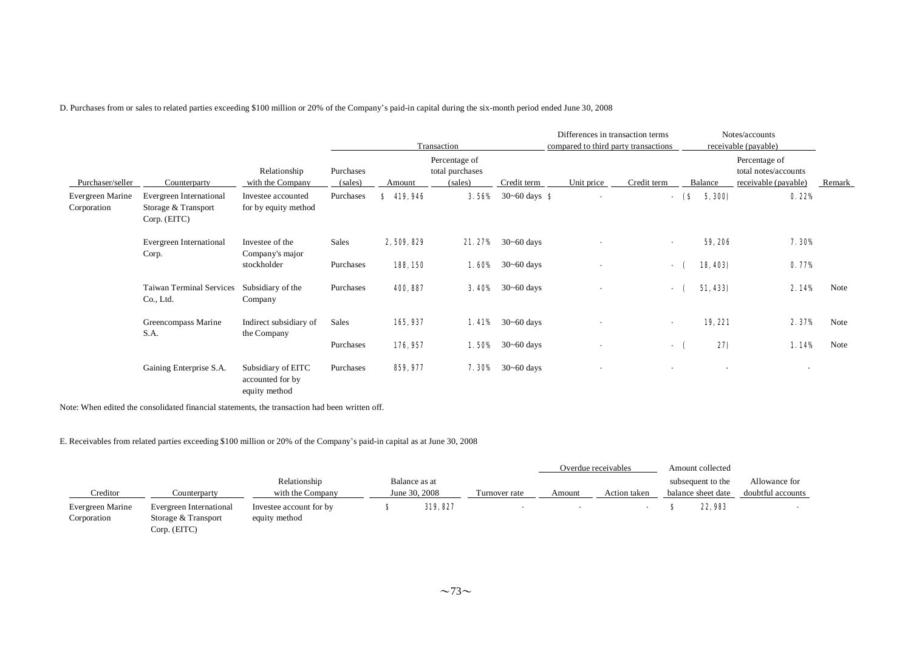D. Purchases from or sales to related parties exceeding \$100 million or 20% of the Company's paid-in capital during the six-month period ended June 30, 2008

|                                 |                                                                |                                                         |                      |               | Transaction                                 |                                | Differences in transaction terms<br>compared to third party transactions |                          |       |          | Notes/accounts<br>receivable (payable)                        |               |
|---------------------------------|----------------------------------------------------------------|---------------------------------------------------------|----------------------|---------------|---------------------------------------------|--------------------------------|--------------------------------------------------------------------------|--------------------------|-------|----------|---------------------------------------------------------------|---------------|
| Purchaser/seller                | Counterparty                                                   | Relationship<br>with the Company                        | Purchases<br>(sales) | Amount        | Percentage of<br>total purchases<br>(sales) | Credit term                    | Unit price                                                               | Credit term              |       | Balance  | Percentage of<br>total notes/accounts<br>receivable (payable) | <b>Remark</b> |
| Evergreen Marine<br>Corporation | Evergreen International<br>Storage & Transport<br>Corp. (EITC) | Investee accounted<br>for by equity method              | Purchases            | 419,946<br>S. | 3.56%                                       | 30~60 days $\bullet$           | $\blacksquare$                                                           |                          | - (\$ | 5, 300)  | 0.22%                                                         |               |
|                                 | Evergreen International<br>Corp.                               | Investee of the<br>Company's major                      | Sales                | 2, 509, 829   |                                             | <b>21.27%</b> 30~60 days       | $\blacksquare$                                                           | $\overline{\phantom{a}}$ |       | 59, 206  | 7.30%                                                         |               |
|                                 |                                                                | stockholder                                             | Purchases            | 188,150       |                                             | <b>1.60%</b> $30 \sim 60$ days | ٠                                                                        |                          | - (   | 18, 403) | 0.77%                                                         |               |
|                                 | <b>Taiwan Terminal Services</b><br>Co., Ltd.                   | Subsidiary of the<br>Company                            | Purchases            | 400, 887      |                                             | <b>3.40%</b> $30-60$ days      | $\blacksquare$                                                           |                          | - (   | 51, 433) | 2.14%                                                         | Note          |
|                                 | Greencompass Marine<br>S.A.                                    | Indirect subsidiary of                                  | Sales                | 165, 937      |                                             | <b>1.41%</b> 30~60 days        | $\blacksquare$                                                           | $\blacksquare$           |       | 19,221   | 2.37%                                                         | Note          |
|                                 |                                                                | the Company                                             | Purchases            | 176, 957      |                                             | <b>1.50%</b> 30~60 days        | $\blacksquare$                                                           |                          | - (   | 27)      | 1.14%                                                         | Note          |
|                                 | Gaining Enterprise S.A.                                        | Subsidiary of EITC<br>accounted for by<br>equity method | Purchases            | 859, 977      |                                             | <b>7.30%</b> $30 \sim 60$ days | $\blacksquare$                                                           | $\overline{\phantom{0}}$ |       |          | $\overline{\phantom{0}}$                                      |               |

Note: When edited the consolidated financial statements, the transaction had been written off.

E. Receivables from related parties exceeding \$100 million or 20% of the Company's paid-in capital as at June 30, 2008

|                  |                         |                         |               |               |        | Overdue receivables | Amount collected   |                   |
|------------------|-------------------------|-------------------------|---------------|---------------|--------|---------------------|--------------------|-------------------|
|                  |                         | Relationship            | Balance as at |               |        |                     | subsequent to the  | Allowance for     |
| Creditor         | Counterparty            | with the Company        | June 30, 2008 | Turnover rate | Amount | Action taken        | balance sheet date | doubtful accounts |
| Evergreen Marine | Evergreen International | Investee account for by | 319, 827      |               |        |                     | 22, 983            |                   |
| Corporation      | Storage & Transport     | equity method           |               |               |        |                     |                    |                   |
|                  | Corp. (EITC)            |                         |               |               |        |                     |                    |                   |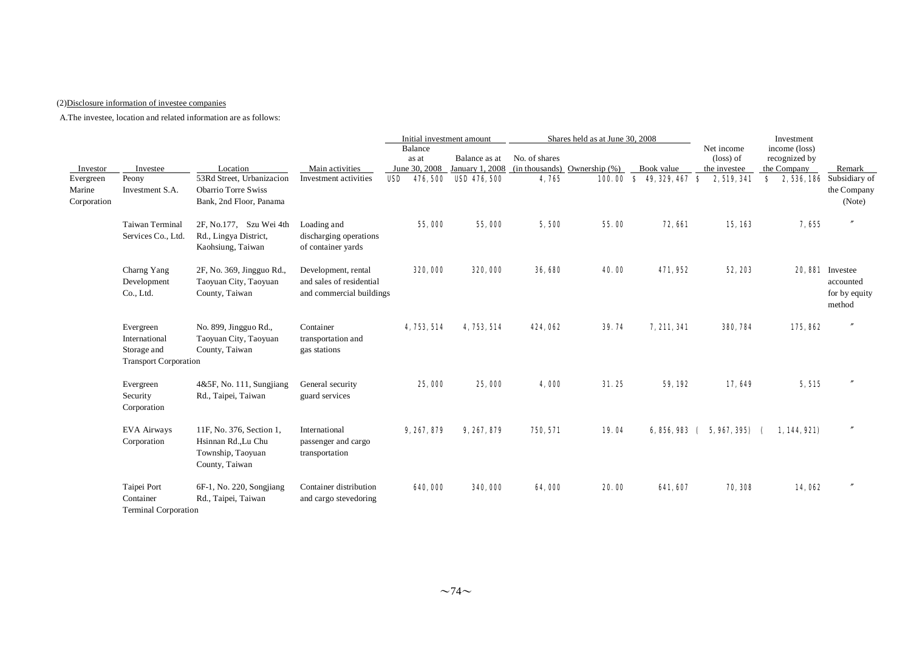## (2)Disclosure information of investee companies

|                       |                                                                           |                                                                                        |                                                                             | Initial investment amount                            |                                                  |                        | Shares held as at June 30, 2008             |                                    |                                                                 | Investment                                          |                                                         |
|-----------------------|---------------------------------------------------------------------------|----------------------------------------------------------------------------------------|-----------------------------------------------------------------------------|------------------------------------------------------|--------------------------------------------------|------------------------|---------------------------------------------|------------------------------------|-----------------------------------------------------------------|-----------------------------------------------------|---------------------------------------------------------|
| Investor<br>Evergreen | Investee<br>Peony                                                         | Location<br>53Rd Street, Urbanizacion                                                  | Main activities<br>Investment activities                                    | Balance<br>as at<br>June 30, 2008<br>476, 500<br>USD | Balance as at<br>January 1, 2008<br>USD 476, 500 | No. of shares<br>4,765 | $(in thousands)$ Ownership $(\%)$<br>100.00 | Book value<br>$8$ 49, 329, 467 $8$ | Net income<br>$(\text{loss})$ of<br>the investee<br>2, 519, 341 | income (loss)<br>recognized by<br>the Company<br>S. | Remark<br><b>2, 536, 186</b> Subsidiary of              |
| Marine<br>Corporation | Investment S.A.                                                           | <b>Obarrio Torre Swiss</b><br>Bank, 2nd Floor, Panama                                  |                                                                             |                                                      |                                                  |                        |                                             |                                    |                                                                 |                                                     | the Company<br>(Note)                                   |
|                       | <b>Taiwan Terminal</b><br>Services Co., Ltd.                              | 2F, No.177, Szu Wei 4th<br>Rd., Lingya District,<br>Kaohsiung, Taiwan                  | Loading and<br>discharging operations<br>of container yards                 | 55,000                                               | 55,000                                           | 5,500                  | 55.00                                       | <b>72, 661</b>                     | 15, 163                                                         | 7,655                                               | $\prime$                                                |
|                       | Charng Yang<br>Development<br>Co., Ltd.                                   | 2F, No. 369, Jingguo Rd.,<br>Taoyuan City, Taoyuan<br>County, Taiwan                   | Development, rental<br>and sales of residential<br>and commercial buildings | 320,000                                              | 320,000                                          | 36, 680                | 40.00                                       | 471, 952                           | 52, 203                                                         |                                                     | 20.881 Investee<br>accounted<br>for by equity<br>method |
|                       | Evergreen<br>International<br>Storage and<br><b>Transport Corporation</b> | No. 899, Jingguo Rd.,<br>Taoyuan City, Taoyuan<br>County, Taiwan                       | Container<br>transportation and<br>gas stations                             | 4, 753, 514                                          | 4, 753, 514                                      | 424,062                | 39.74                                       | 7, 211, 341                        | 380, 784                                                        | 175,862                                             | $^{\prime\prime}$                                       |
|                       | Evergreen<br>Security<br>Corporation                                      | $4&5F$ , No. 111, Sungjiang<br>Rd., Taipei, Taiwan                                     | General security<br>guard services                                          | 25,000                                               | 25,000                                           | 4,000                  | 31.25                                       | 59, 192                            | 17,649                                                          | 5,515                                               | $\overline{''}$                                         |
|                       | EVA Airways<br>Corporation                                                | 11F, No. 376, Section 1,<br>Hsinnan Rd., Lu Chu<br>Township, Taoyuan<br>County, Taiwan | International<br>passenger and cargo<br>transportation                      | 9, 267, 879                                          | 9, 267, 879                                      | 750, 571               | 19.04                                       | 6,856,983 (                        | 5, 967, 395)                                                    | 1, 144, 921)                                        |                                                         |
|                       | Taipei Port<br>Container<br><b>Terminal Corporation</b>                   | 6F-1, No. 220, Songjiang<br>Rd., Taipei, Taiwan                                        | Container distribution<br>and cargo stevedoring                             | 640,000                                              | 340,000                                          | 64.000                 | 20.00                                       | 641, 607                           | 70, 308                                                         | 14,062                                              | $^{\prime\prime}$                                       |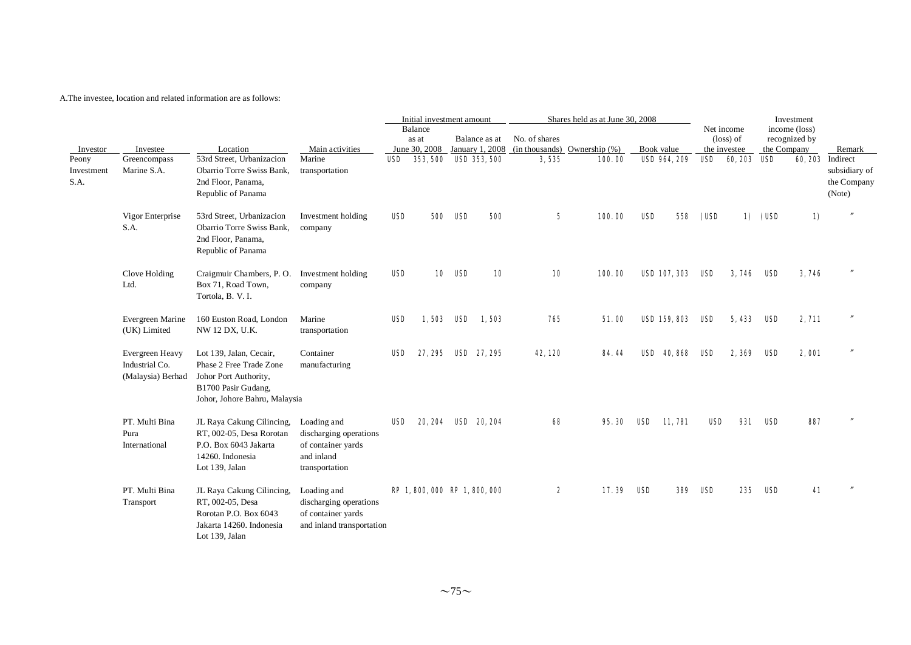|                             |                                                        |                                                                                                                                     |                                                                                             |            | Initial investment amount     |                |                     |                 | Shares held as at June 30, 2008                               |     |                     |            |                         |         | Investment                     |                                        |
|-----------------------------|--------------------------------------------------------|-------------------------------------------------------------------------------------------------------------------------------------|---------------------------------------------------------------------------------------------|------------|-------------------------------|----------------|---------------------|-----------------|---------------------------------------------------------------|-----|---------------------|------------|-------------------------|---------|--------------------------------|----------------------------------------|
|                             |                                                        |                                                                                                                                     |                                                                                             |            | Balance<br>as at              |                | Balance as at       | No. of shares   |                                                               |     |                     |            | Net income<br>(loss) of |         | income (loss)<br>recognized by |                                        |
| Investor                    | Investee                                               | Location                                                                                                                            | Main activities                                                                             |            |                               |                |                     |                 | June 30, 2008 January 1, 2008 (in thousands) Ownership $(\%)$ |     | Book value          |            | the investee            |         | the Company                    | Remark                                 |
| Peony<br>Investment<br>S.A. | Greencompass<br>Marine S.A.                            | 53rd Street, Urbanizacion<br>Obarrio Torre Swiss Bank,<br>2nd Floor, Panama,<br>Republic of Panama                                  | Marine<br>transportation                                                                    | USD.       | <b>353, 500</b>               |                | <b>USD 353, 500</b> | 3,535           | 100.00                                                        |     | <b>USD 964, 209</b> |            | USD 60, 203 USD         |         | 60, 203 Indirect               | subsidiary of<br>the Company<br>(Note) |
|                             | Vigor Enterprise<br>S.A.                               | 53rd Street, Urbanizacion<br>Obarrio Torre Swiss Bank,<br>2nd Floor, Panama,<br>Republic of Panama                                  | Investment holding<br>company                                                               | <b>USD</b> |                               | <b>500 USD</b> | 500                 | $5\phantom{.0}$ | 100.00                                                        | USD | 558                 | (USD       |                         | 1) (USD | 1)                             |                                        |
|                             | Clove Holding<br>Ltd.                                  | Craigmuir Chambers, P.O.<br>Box 71, Road Town,<br>Tortola, B. V. I.                                                                 | Investment holding<br>company                                                               | <b>USD</b> |                               | <b>10 USD</b>  | 10                  | 10              | 100.00                                                        |     | <b>USD 107, 303</b> | USD        | 3,746                   | USD     | 3,746                          |                                        |
|                             | Evergreen Marine<br>(UK) Limited                       | 160 Euston Road, London<br>NW 12 DX, U.K.                                                                                           | Marine<br>transportation                                                                    | <b>USD</b> | 1.503 USD                     |                | 1,503               | 765             | 51.00                                                         |     | <b>USD 159, 803</b> | USD        | 5,433                   | USD     | 2, 711                         |                                        |
|                             | Evergreen Heavy<br>Industrial Co.<br>(Malaysia) Berhad | Lot 139, Jalan, Cecair,<br>Phase 2 Free Trade Zone<br>Johor Port Authority,<br>B1700 Pasir Gudang,<br>Johor, Johore Bahru, Malaysia | Container<br>manufacturing                                                                  | USD        |                               |                | 27, 295 USD 27, 295 | 42, 120         | 84.44                                                         |     | USD 40,868          | USD        | 2,369                   | USD     | 2,001                          |                                        |
|                             | PT. Multi Bina<br>Pura<br>International                | JL Raya Cakung Cilincing,<br>RT, 002-05, Desa Rorotan<br>P.O. Box 6043 Jakarta<br>14260. Indonesia<br>Lot 139, Jalan                | Loading and<br>discharging operations<br>of container yards<br>and inland<br>transportation | USD        |                               |                | 20, 204 USD 20, 204 | 68              | 95.30                                                         | USD | 11,781              | <b>USD</b> | 931                     | USD     | 887                            |                                        |
|                             | PT. Multi Bina<br>Transport                            | JL Raya Cakung Cilincing,<br>RT, 002-05, Desa<br>Rorotan P.O. Box 6043<br>Jakarta 14260. Indonesia<br>Lot 139, Jalan                | Loading and<br>discharging operations<br>of container yards<br>and inland transportation    |            | RP 1, 800, 000 RP 1, 800, 000 |                |                     | 2               | 17.39                                                         | USD | 389                 | USD        | 235                     | USD     | 41                             |                                        |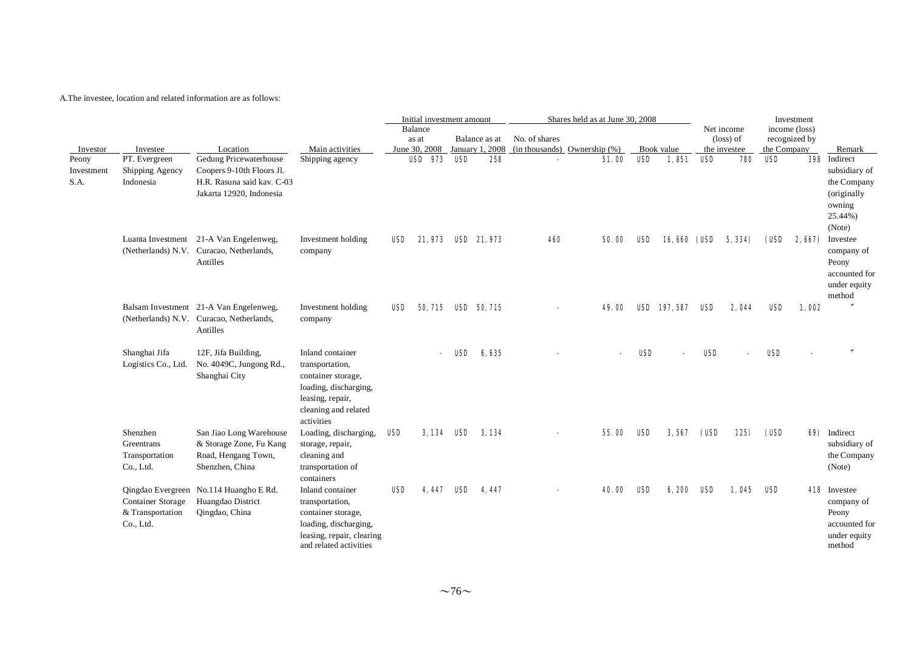|                             |                                                           |                                                                                                               |                                                                                                                                              |       | Initial investment amount |     |                 |               | Shares held as at June 30, 2008   |            |                     |            |                                  |             | Investment                     |                                                                                  |
|-----------------------------|-----------------------------------------------------------|---------------------------------------------------------------------------------------------------------------|----------------------------------------------------------------------------------------------------------------------------------------------|-------|---------------------------|-----|-----------------|---------------|-----------------------------------|------------|---------------------|------------|----------------------------------|-------------|--------------------------------|----------------------------------------------------------------------------------|
|                             |                                                           |                                                                                                               |                                                                                                                                              |       | Balance<br>as at          |     | Balance as at   | No. of shares |                                   |            |                     |            | Net income<br>$(\text{loss})$ of |             | income (loss)<br>recognized by |                                                                                  |
| Investor                    | Investee                                                  | Location                                                                                                      | Main activities                                                                                                                              |       | June 30, 2008             |     | January 1, 2008 |               | $(in thousands)$ Ownership $(\%)$ |            | Book value          |            | the investee                     | the Company |                                | Remark                                                                           |
| Peony<br>Investment<br>S.A. | PT. Evergreen<br>Shipping Agency<br>Indonesia             | Gedung Pricewaterhouse<br>Coopers 9-10th Floors Jl.<br>H.R. Rasuna said kav. C-03<br>Jakarta 12920, Indonesia | Shipping agency                                                                                                                              |       | <b>USD 973</b>            | USD | 258             |               | 51.00                             | <b>USD</b> | 1,851               | <b>USD</b> | 780                              | <b>USD</b>  |                                | 398 Indirect<br>subsidiary of<br>the Company<br>(originally<br>owning<br>25.44%) |
|                             |                                                           | Luanta Investment 21-A Van Engelenweg,<br>(Netherlands) N.V. Curacao, Netherlands,<br>Antilles                | Investment holding<br>company                                                                                                                | USD   | 21.973                    |     | USD 21,973      | 460           | 50.00                             | USD        | <b>16,660 (USD</b>  |            | 5, 334)                          | (USD        | 2,667)                         | (Note)<br>Investee<br>company of<br>Peony<br>accounted for<br>under equity       |
|                             |                                                           | Balsam Investment 21-A Van Engelenweg,<br>(Netherlands) N.V. Curacao, Netherlands,<br>Antilles                | Investment holding<br>company                                                                                                                | USD - | 50, 715 USD 50, 715       |     |                 |               | 49. M                             |            | <b>USD</b> 197, 587 | USD        | 2.044                            | USD         | 1,002                          | method                                                                           |
|                             | Shanghai Jifa<br>Logistics Co., Ltd.                      | 12F, Jifa Building,<br>No. 4049C, Jungong Rd.,<br>Shanghai City                                               | Inland container<br>transportation,<br>container storage,<br>loading, discharging,<br>leasing, repair,<br>cleaning and related<br>activities |       |                           | USD | 6.635           |               |                                   | <b>USD</b> |                     | <b>USD</b> |                                  | <b>USD</b>  |                                |                                                                                  |
|                             | Shenzhen<br>Greentrans<br>Transportation<br>Co., Ltd.     | San Jiao Long Warehouse<br>& Storage Zone, Fu Kang<br>Road, Hengang Town,<br>Shenzhen, China                  | Loading, discharging,<br>storage, repair,<br>cleaning and<br>transportation of<br>containers                                                 | USD   | 3,134 USD                 |     | 3, 134          |               | 55.00                             | <b>USD</b> | 3,567               | (USD       | 125)                             | (USD        |                                | 69) Indirect<br>subsidiary of<br>the Company<br>(Note)                           |
|                             | <b>Container Storage</b><br>& Transportation<br>Co., Ltd. | Qingdao Evergreen No.114 Huangho E Rd.<br>Huangdao District<br>Qingdao, China                                 | Inland container<br>transportation,<br>container storage,<br>loading, discharging,<br>leasing, repair, clearing<br>and related activities    | USD   | 4.447                     | USD | 4.447           |               | 40. OO                            | USD        | 6,200               | USD        | 1,045                            | USD         |                                | 418 Investee<br>company of<br>Peony<br>accounted for<br>under equity<br>method   |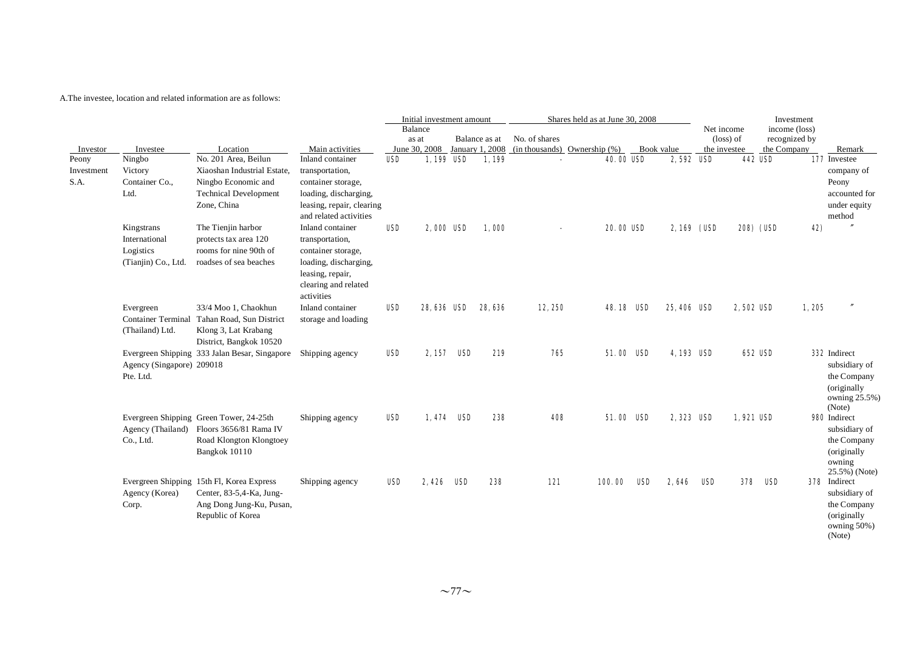|                             |                                                                 |                                                                                                                                 |                                                                                                                                              |            | Initial investment amount |     |               |                                                               | Shares held as at June 30, 2008 |                  |            |                  |              |                    | Investment       |       |                                                                                        |
|-----------------------------|-----------------------------------------------------------------|---------------------------------------------------------------------------------------------------------------------------------|----------------------------------------------------------------------------------------------------------------------------------------------|------------|---------------------------|-----|---------------|---------------------------------------------------------------|---------------------------------|------------------|------------|------------------|--------------|--------------------|------------------|-------|----------------------------------------------------------------------------------------|
|                             |                                                                 |                                                                                                                                 |                                                                                                                                              | Balance    |                           |     |               |                                                               |                                 |                  |            |                  | Net income   |                    | income (loss)    |       |                                                                                        |
|                             |                                                                 |                                                                                                                                 |                                                                                                                                              | as at      |                           |     | Balance as at | No. of shares                                                 |                                 |                  |            |                  |              | $(\text{loss})$ of | recognized by    |       |                                                                                        |
| Investor                    | Investee                                                        | Location                                                                                                                        | Main activities                                                                                                                              |            |                           |     |               | June 30, 2008 January 1, 2008 (in thousands) Ownership $(\%)$ |                                 |                  | Book value |                  | the investee |                    | the Company      |       | Remark                                                                                 |
| Peony<br>Investment<br>S.A. | Ningbo<br>Victory<br>Container Co.,<br>Ltd.                     | No. 201 Area, Beilun<br>Xiaoshan Industrial Estate,<br>Ningbo Economic and<br><b>Technical Development</b><br>Zone, China       | Inland container<br>transportation,<br>container storage,<br>loading, discharging,<br>leasing, repair, clearing<br>and related activities    | <b>USD</b> | 1,199 USD                 |     | 1.199         |                                                               |                                 | <b>40.00 USD</b> |            | 2,592 USD        |              |                    | <b>442 USD</b>   |       | 177 Investee<br>company of<br>Peony<br>accounted for<br>under equity<br>method         |
|                             | Kingstrans<br>International<br>Logistics<br>(Tianjin) Co., Ltd. | The Tienjin harbor<br>protects tax area 120<br>rooms for nine 90th of<br>roadses of sea beaches                                 | Inland container<br>transportation,<br>container storage,<br>loading, discharging,<br>leasing, repair,<br>clearing and related<br>activities | <b>USD</b> | 2,000 USD                 |     | 1.000         |                                                               |                                 | <b>20.00 USD</b> |            | $2,169$ (USD     |              |                    | <b>208) (USD</b> | 42)   |                                                                                        |
|                             | Evergreen<br>(Thailand) Ltd.                                    | 33/4 Moo 1, Chaokhun<br>Container Terminal Tahan Road, Sun District<br>Klong 3, Lat Krabang<br>District, Bangkok 10520          | Inland container<br>storage and loading                                                                                                      | <b>USD</b> | 28,636 USD                |     | 28.636        | 12,250                                                        |                                 | <b>48.18 USD</b> |            | 25,406 USD       |              | <b>2.502 USD</b>   |                  | 1,205 |                                                                                        |
|                             | Agency (Singapore) 209018<br>Pte. Ltd.                          | Evergreen Shipping 333 Jalan Besar, Singapore                                                                                   | Shipping agency                                                                                                                              | <b>USD</b> | 2, 157                    | USD | 219           | 765                                                           |                                 | 51.00 ISD        |            | <b>4,193 USD</b> |              |                    | <b>652 USD</b>   |       | 332 Indirect<br>subsidiary of<br>the Company<br>(originally<br>owning 25.5%)<br>(Note) |
|                             | Co., Ltd.                                                       | Evergreen Shipping Green Tower, 24-25th<br>Agency (Thailand) Floors 3656/81 Rama IV<br>Road Klongton Klongtoey<br>Bangkok 10110 | Shipping agency                                                                                                                              | USD        | 1.474 USD                 |     | 238           | 408                                                           |                                 | 51.00 ISD        |            | 2,323 USD        |              | 1.921 USD          |                  |       | 980 Indirect<br>subsidiary of<br>the Company<br>(originally<br>owning<br>25.5%) (Note) |
|                             | Agency (Korea)<br>Corp.                                         | Evergreen Shipping 15th Fl, Korea Express<br>Center, 83-5,4-Ka, Jung-<br>Ang Dong Jung-Ku, Pusan,<br>Republic of Korea          | Shipping agency                                                                                                                              | <b>USD</b> | 2.426                     | USD | 238           | 121                                                           |                                 | 100.00           | USD        | 2.646            | USD          | 378                | USD              |       | 378 Indirect<br>subsidiary of<br>the Company<br>(originally)<br>owning 50%)<br>(Note)  |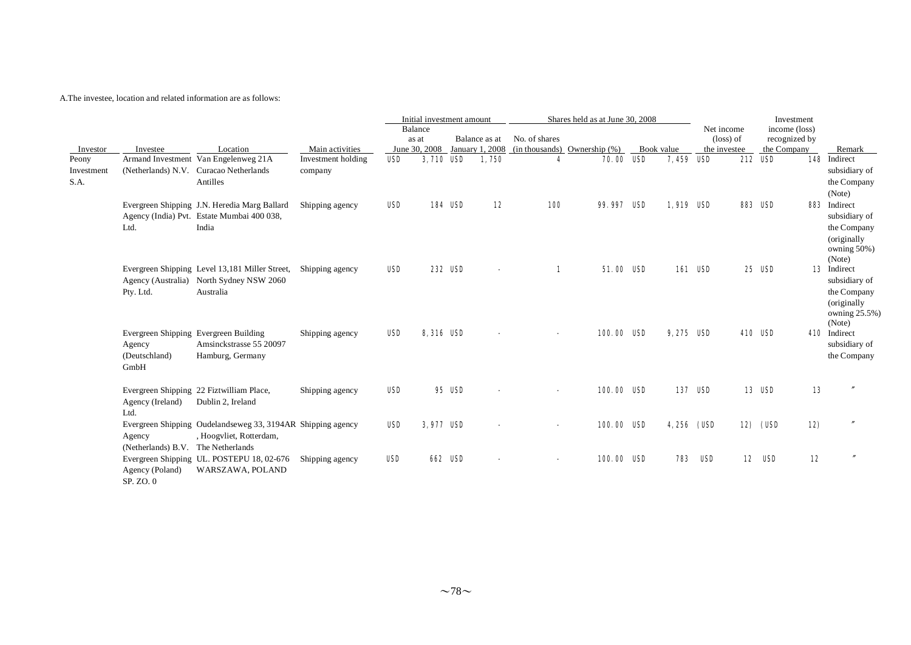|                             |                                                                          |                                                                                                         |                               |            | Initial investment amount         |                |                                  |               | Shares held as at June 30, 2008   |                    |                                                  |                | Investment                                    |     |                                                                                              |
|-----------------------------|--------------------------------------------------------------------------|---------------------------------------------------------------------------------------------------------|-------------------------------|------------|-----------------------------------|----------------|----------------------------------|---------------|-----------------------------------|--------------------|--------------------------------------------------|----------------|-----------------------------------------------|-----|----------------------------------------------------------------------------------------------|
| Investor                    | Investee                                                                 | Location                                                                                                | Main activities               |            | Balance<br>as at<br>June 30, 2008 |                | Balance as at<br>January 1, 2008 | No. of shares | $(in thousands)$ Ownership $(\%)$ | Book value         | Net income<br>$(\text{loss})$ of<br>the investee |                | income (loss)<br>recognized by<br>the Company |     | Remark                                                                                       |
| Peony<br>Investment<br>S.A. |                                                                          | Armand Investment Van Engelenweg 21A<br>(Netherlands) N.V. Curacao Netherlands<br>Antilles              | Investment holding<br>company | USD        | 3.710 USD                         |                | 1.750                            | 4             | <b>70.00 USD</b>                  | 7.459 ISD          |                                                  | 212            | USD                                           |     | 148 Indirect<br>subsidiary of<br>the Company<br>(Note)                                       |
|                             | Ltd.                                                                     | Evergreen Shipping J.N. Heredia Marg Ballard<br>Agency (India) Pvt. Estate Mumbai 400 038,<br>India     | Shipping agency               | USD        |                                   | <b>184 USD</b> | 12                               | <b>100</b>    | 99.997 USD                        | 1,919 USD          |                                                  | <b>883 USD</b> |                                               |     | 883 Indirect<br>subsidiary of<br>the Company<br>(originally<br>owning 50%)<br>(Note)         |
|                             | Pty. Ltd.                                                                | Evergreen Shipping Level 13,181 Miller Street,<br>Agency (Australia) North Sydney NSW 2060<br>Australia | Shipping agency               | USD        |                                   | 232 USD        |                                  | 1             | <b>51.00 USD</b>                  |                    | <b>161 USD</b>                                   |                | <b>25 USD</b>                                 |     | <b>13</b> Indirect<br>subsidiary of<br>the Company<br>(originally<br>owning 25.5%)<br>(Note) |
|                             | Evergreen Shipping Evergreen Building<br>Agency<br>(Deutschland)<br>GmbH | Amsinckstrasse 55 20097<br>Hamburg, Germany                                                             | Shipping agency               | <b>USD</b> | 8,316 USD                         |                |                                  |               | 100.00 USD                        | 9,275 USD          |                                                  | <b>410 USD</b> |                                               |     | 410 Indirect<br>subsidiary of<br>the Company                                                 |
|                             | Agency (Ireland)<br>Ltd.                                                 | Evergreen Shipping 22 Fiztwilliam Place,<br>Dublin 2, Ireland                                           | Shipping agency               | USD        |                                   | <b>95 USD</b>  |                                  |               | 100.00 USD                        |                    | <b>137 USD</b>                                   |                | <b>13 USD</b>                                 | 13  |                                                                                              |
|                             | Agency<br>(Netherlands) B.V. The Netherlands                             | Evergreen Shipping Oudelandseweg 33, 3194AR Shipping agency<br>, Hoogyliet, Rotterdam,                  |                               | <b>USD</b> | 3,977 USD                         |                |                                  |               | 100.00 USD                        | <b>4,256 (USD)</b> |                                                  |                | 12) (USD                                      | 12) |                                                                                              |
|                             | Agency (Poland)<br>SP. ZO. 0                                             | Evergreen Shipping UL. POSTEPU 18, 02-676<br>WARSZAWA, POLAND                                           | Shipping agency               | <b>USD</b> |                                   | <b>662 USD</b> |                                  |               | 100.00 USD                        | 783                | USD                                              |                | <b>12 USD</b>                                 | 12  |                                                                                              |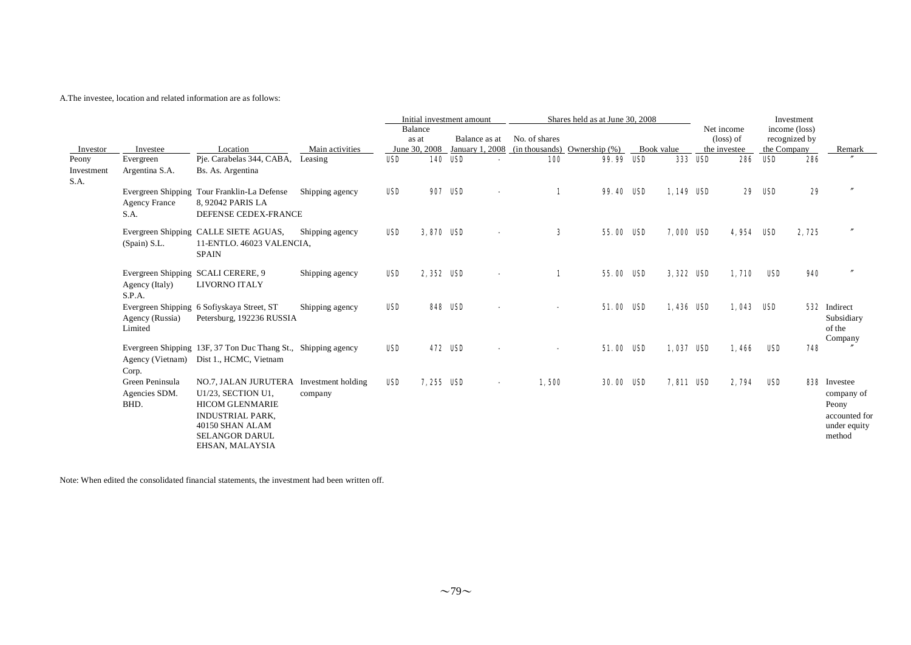|                             |                                          |                                                                                                                                                                                   |                 |                                   | Initial investment amount |                |                                  |                                                    |                | Shares held as at June 30, 2008 |                  |                |                                                  |             | Investment                     |                                                                                |
|-----------------------------|------------------------------------------|-----------------------------------------------------------------------------------------------------------------------------------------------------------------------------------|-----------------|-----------------------------------|---------------------------|----------------|----------------------------------|----------------------------------------------------|----------------|---------------------------------|------------------|----------------|--------------------------------------------------|-------------|--------------------------------|--------------------------------------------------------------------------------|
| Investor                    | Investee                                 | Location                                                                                                                                                                          | Main activities | Balance<br>as at<br>June 30, 2008 |                           |                | Balance as at<br>January 1, 2008 | No. of shares<br>$(in thousands)$ Ownership $(\%)$ |                |                                 | Book value       |                | Net income<br>$(\text{loss})$ of<br>the investee | the Company | income (loss)<br>recognized by | <b>Remark</b>                                                                  |
| Peony<br>Investment<br>S.A. | Evergreen<br>Argentina S.A.              | Pie. Carabelas 344, CABA,<br>Bs. As. Argentina                                                                                                                                    | Leasing         | USD                               |                           | <b>140 USD</b> |                                  | <b>100</b>                                         |                | <b>99.99 USD</b>                |                  | <b>333 USD</b> | 286                                              | USD         | 286                            |                                                                                |
|                             | <b>Agency France</b><br>S.A.             | Evergreen Shipping Tour Franklin-La Defense<br>8, 92042 PARIS LA<br>DEFENSE CEDEX-FRANCE                                                                                          | Shipping agency | <b>USD</b>                        | 907                       | USD            |                                  |                                                    | $\blacksquare$ | 99.40 USD                       | 1,149 USD        |                | 29                                               | USD         | 29                             |                                                                                |
|                             | (Spain) S.L.                             | Evergreen Shipping CALLE SIETE AGUAS,<br>11-ENTLO. 46023 VALENCIA,<br><b>SPAIN</b>                                                                                                | Shipping agency | USD                               | 3,870 USD                 |                |                                  |                                                    | $\bf{3}$       | 55.00 ISD                       | <b>7,000 USD</b> |                | 4.954                                            | USD         | 2,725                          |                                                                                |
|                             | Agency (Italy)<br>S.P.A.                 | Evergreen Shipping SCALI CERERE, 9<br>LIVORNO ITALY                                                                                                                               | Shipping agency | <b>USD</b>                        | 2.352 USD                 |                | $\blacksquare$                   |                                                    | 1              | 55.00 ISD                       | 3,322 USD        |                | 1,710                                            | USD         | 940                            |                                                                                |
|                             | Agency (Russia)<br>Limited               | Evergreen Shipping 6 Sofiyskaya Street, ST<br>Petersburg, 192236 RUSSIA                                                                                                           | Shipping agency | <b>USD</b>                        |                           | <b>848 USD</b> |                                  |                                                    |                | <b>51.00 USD</b>                | 1.436 USD        |                | 1,043                                            | USD         |                                | 532 Indirect<br>Subsidiary<br>of the<br>Company                                |
|                             | Corp.                                    | Evergreen Shipping 13F, 37 Ton Duc Thang St., Shipping agency<br>Agency (Vietnam) Dist 1., HCMC, Vietnam                                                                          |                 | USD                               |                           | <b>472 USD</b> |                                  |                                                    |                | <b>51.00 USD</b>                | 1,037 USD        |                | 1,466                                            | USD         | 748                            |                                                                                |
|                             | Green Peninsula<br>Agencies SDM.<br>BHD. | NO.7, JALAN JURUTERA Investment holding<br>U1/23, SECTION U1,<br><b>HICOM GLENMARIE</b><br><b>INDUSTRIAL PARK.</b><br>40150 SHAN ALAM<br><b>SELANGOR DARUL</b><br>EHSAN, MALAYSIA | company         | <b>USD</b>                        | 7,255 USD                 |                |                                  | 1,500                                              |                | <b>30.00 USD</b>                | <b>7,811 USD</b> |                | 2,794                                            | USD         |                                | 838 Investee<br>company of<br>Peony<br>accounted for<br>under equity<br>method |

Note: When edited the consolidated financial statements, the investment had been written off.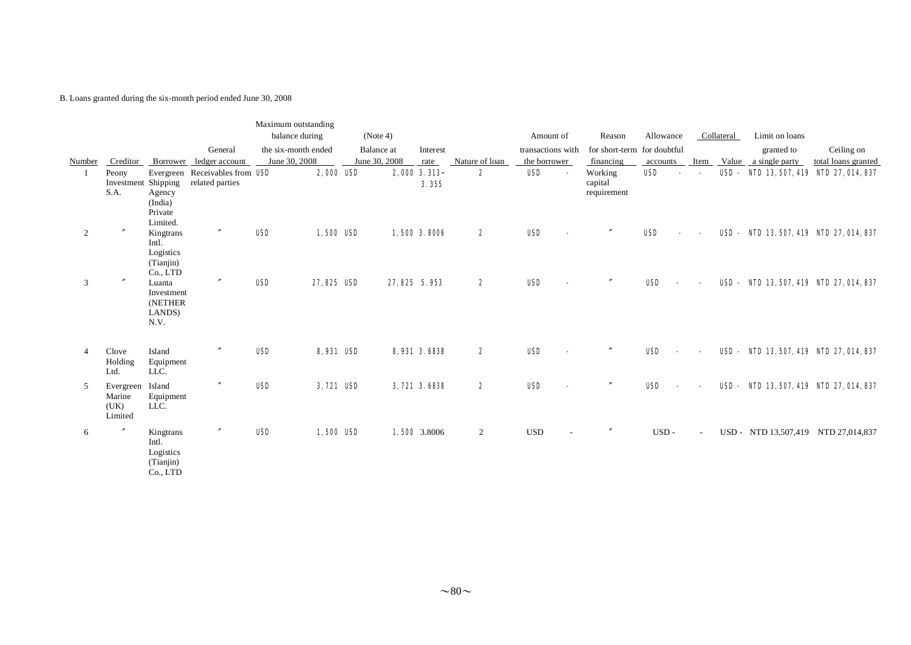B. Loans granted during the six-month period ended June 30, 2008

|                |                                        |                                                          |                                                   | Maximum outstanding<br>balance during |                  | (Note 4)                    |                      |                | Amount of                         | Reason                                   | Allowance  |        | Collateral  | Limit on loans                      |                                   |
|----------------|----------------------------------------|----------------------------------------------------------|---------------------------------------------------|---------------------------------------|------------------|-----------------------------|----------------------|----------------|-----------------------------------|------------------------------------------|------------|--------|-------------|-------------------------------------|-----------------------------------|
| <b>Number</b>  | Creditor                               | Borrower                                                 | General<br>ledger account                         | the six-month ended<br>June 30, 2008  |                  | Balance at<br>June 30, 2008 | Interest<br>rate     | Nature of loan | transactions with<br>the borrower | for short-term for doubtful<br>financing | accounts   | Item   | Value       | granted to<br>a single party        | Ceiling on<br>total loans granted |
|                | Peony<br>Investment Shipping<br>S.A.   | Agency<br>(India)<br>Private<br>Limited.                 | Evergreen Receivables from USD<br>related parties |                                       | 2,000 USD        |                             | 2,000 3.313<br>3.355 | 2              | <b>USD</b>                        | Working<br>capital<br>requirement        | USD        |        | USD -       |                                     | NID 13, 507, 419 NID 27, 014, 837 |
| 2              | $\theta$                               | Kingtrans<br>Intl.<br>Logistics<br>(Tianjin)<br>Co., LTD | $\prime\prime$                                    | <b>USD</b>                            | 1,500 USD        |                             | 1,500 3.8006         | 2              | <b>USD</b>                        |                                          | <b>USD</b> |        | <b>USD-</b> |                                     | NID 13, 507, 419 NID 27, 014, 837 |
| 3              | $^{\prime\prime}$                      | Luanta<br>Investment<br>(NETHER<br>LANDS)<br>N.V.        | $^{\prime\prime}$                                 | <b>USD</b>                            | 27,825 USD       |                             | 27, 825 5.953        | 2              | <b>USD</b>                        |                                          | <b>USD</b> |        | <b>USD-</b> |                                     | NID 13, 507, 419 NID 27, 014, 837 |
| $\overline{4}$ | Clove<br>Holding<br>Ltd.               | Island<br>Equipment<br>LLC.                              |                                                   | <b>USD</b>                            | <b>8,931 USD</b> |                             | 8,931 3.6838         | 2              | <b>USD</b>                        |                                          | USD        |        | USD-        |                                     | NID 13, 507, 419 NID 27, 014, 837 |
| 5              | Evergreen<br>Marine<br>(UK)<br>Limited | Island<br>Equipment<br>LLC.                              |                                                   | <b>USD</b>                            | 3,721 USD        |                             | 3,721 3.6838         | 2              | <b>USD</b>                        |                                          | <b>USD</b> |        | USD-        |                                     | NID 13, 507, 419 NID 27, 014, 837 |
| 6              | $^{\prime\prime}$                      | Kingtrans<br>Intl.<br>Logistics<br>(Tianjin)<br>Co., LTD | $\prime\prime$                                    | <b>USD</b>                            | 1,500 USD        |                             | 1,500 3.8006         | $\overline{2}$ | <b>USD</b>                        | $^{\prime\prime}$                        | USD-       | $\sim$ |             | USD - NTD 13,507,419 NTD 27,014,837 |                                   |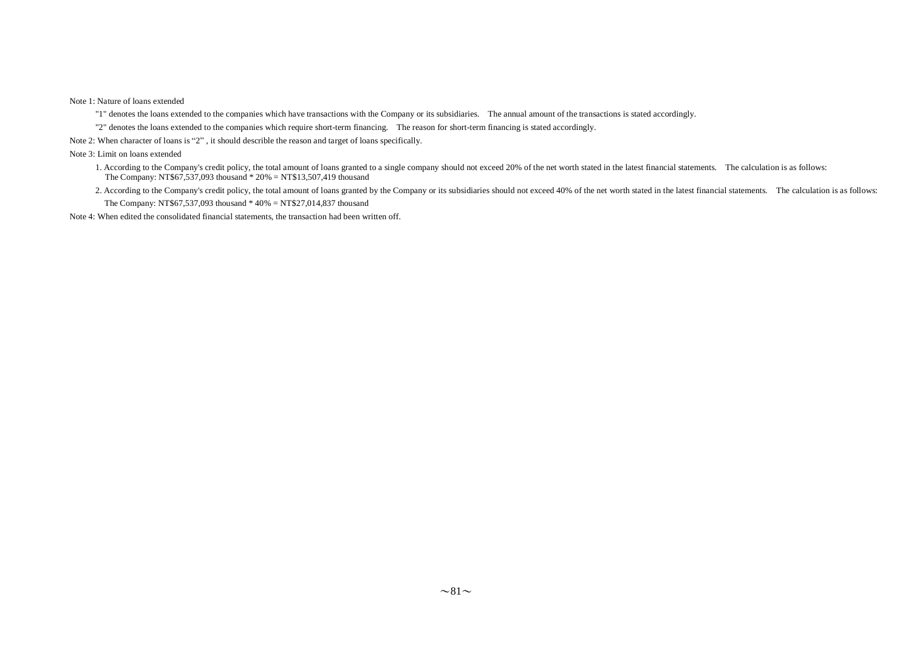Note 1: Nature of loans extended

"1" denotes the loans extended to the companies which have transactions with the Company or its subsidiaries. The annual amount of the transactions is stated accordingly.

"2" denotes the loans extended to the companies which require short-term financing. The reason for short-term financing is stated accordingly.

Note 2: When character of loans is "2" , it should describle the reason and target of loans specifically.

Note 3: Limit on loans extended

- 1. According to the Company's credit policy, the total amount of loans granted to a single company should not exceed 20% of the net worth stated in the latest financial statements. The calculation is as follows: The Company: NT\$67,537,093 thousand \* 20% = NT\$13,507,419 thousand
- 2. According to the Company's credit policy, the total amount of loans granted by the Company or its subsidiaries should not exceed 40% of the net worth stated in the latest financial statements. The calculation is as foll The Company: NT\$67,537,093 thousand \* 40% = NT\$27,014,837 thousand

Note 4: When edited the consolidated financial statements, the transaction had been written off.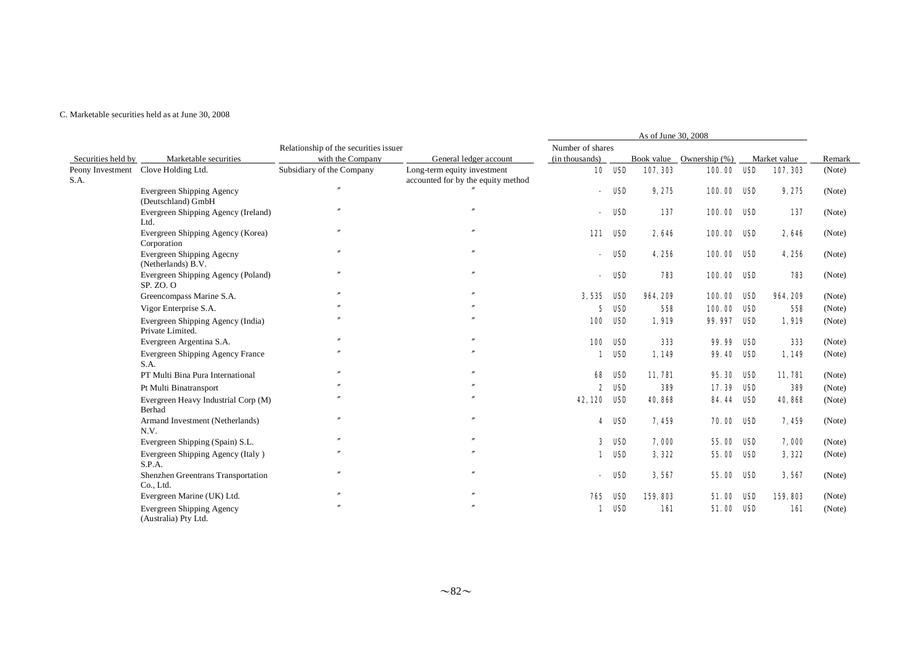|                          |                                                          |                                       |                                                                   |                          |               | As of June 30, 2008 |                          |     |              |        |
|--------------------------|----------------------------------------------------------|---------------------------------------|-------------------------------------------------------------------|--------------------------|---------------|---------------------|--------------------------|-----|--------------|--------|
|                          |                                                          | Relationship of the securities issuer |                                                                   | Number of shares         |               |                     |                          |     |              |        |
| Securities held by       | Marketable securities                                    | with the Company                      | General ledger account                                            | (in thousands)           |               |                     | Book value Ownership (%) |     | Market value | Remark |
| Peony Investment<br>S.A. | Clove Holding Ltd.                                       | Subsidiary of the Company             | Long-term equity investment<br>accounted for by the equity method |                          | <b>10 USD</b> | 107, 303            | 100.00 ISD               |     | 107, 303     | (Note) |
|                          | Evergreen Shipping Agency<br>(Deutschland) GmbH          | $\theta$                              |                                                                   |                          | USD           | 9,275               | 100.00 USD               |     | 9,275        | (Note) |
|                          | Evergreen Shipping Agency (Ireland)<br>Ltd.              | $^{\prime\prime}$                     | $\theta$                                                          |                          | USD           | 137                 | 100.00 USD               |     | 137          | (Note) |
|                          | Evergreen Shipping Agency (Korea)<br>Corporation         | $^{\prime\prime}$                     |                                                                   | 121                      | USD           | 2,646               | 100.00 USD               |     | 2,646        | (Note) |
|                          | <b>Evergreen Shipping Agecny</b><br>(Netherlands) B.V.   | $^{\prime\prime}$                     | $^{\prime\prime}$                                                 | $\overline{\phantom{a}}$ | USD           | 4,256               | 100.00 USD               |     | 4,256        | (Note) |
|                          | Evergreen Shipping Agency (Poland)<br>SP. ZO. O          | $^{\prime\prime}$                     | $\theta$                                                          |                          | USD           | 783                 | 100.00 USD               |     | 783          | (Note) |
|                          | Greencompass Marine S.A.                                 | $\overline{v}$                        |                                                                   | 3,535 USD                |               | 964, 209            | 100.00 USD               |     | 964, 209     | (Note) |
|                          | Vigor Enterprise S.A.                                    |                                       |                                                                   | 5                        | USD           | 558                 | 100.00                   | USD | 558          | (Note) |
|                          | Evergreen Shipping Agency (India)<br>Private Limited.    |                                       |                                                                   | 100                      | USD           | 1,919               | 99.997                   | USD | 1,919        | (Note) |
|                          | Evergreen Argentina S.A.                                 |                                       |                                                                   | 100                      | USD           | 333                 | 99.99                    | USD | 333          | (Note) |
|                          | <b>Evergreen Shipping Agency France</b><br>S.A.          |                                       |                                                                   | 1                        | USD           | 1,149               | 99.40 ISD                |     | 1,149        | (Note) |
|                          | PT Multi Bina Pura International                         |                                       |                                                                   | 68                       | USD           | 11,781              | 95.30 USD                |     | 11,781       | (Note) |
|                          | Pt Multi Binatransport                                   |                                       |                                                                   | 2                        | USD           | 389                 | 17.39                    | USD | 389          | (Note) |
|                          | Evergreen Heavy Industrial Corp (M)<br>Berhad            |                                       |                                                                   | 42.120 USD               |               | 40,868              | <b>84.44 USD</b>         |     | 40,868       | (Note) |
|                          | Armand Investment (Netherlands)<br>N.V.                  |                                       |                                                                   | 4                        | USD           | 7,459               | <b>70.00 USD</b>         |     | 7,459        | (Note) |
|                          | Evergreen Shipping (Spain) S.L.                          |                                       |                                                                   | 3                        | USD           | 7,000               | 55.00 ISD                |     | 7,000        | (Note) |
|                          | Evergreen Shipping Agency (Italy)<br>S.P.A.              |                                       |                                                                   | 1                        | USD           | 3,322               | <b>55.00 USD</b>         |     | 3,322        | (Note) |
|                          | Shenzhen Greentrans Transportation<br>Co., Ltd.          |                                       |                                                                   | $\overline{\phantom{a}}$ | USD           | 3,567               | 55.00 ISD                |     | 3,567        | (Note) |
|                          | Evergreen Marine (UK) Ltd.                               | $\overline{v}$                        |                                                                   | 765                      | USD           | 159, 803            | 51.00 ISD                |     | 159, 803     | (Note) |
|                          | <b>Evergreen Shipping Agency</b><br>(Australia) Pty Ltd. |                                       |                                                                   | 1                        | USD           | 161                 | 51.00 USD                |     | 161          | (Note) |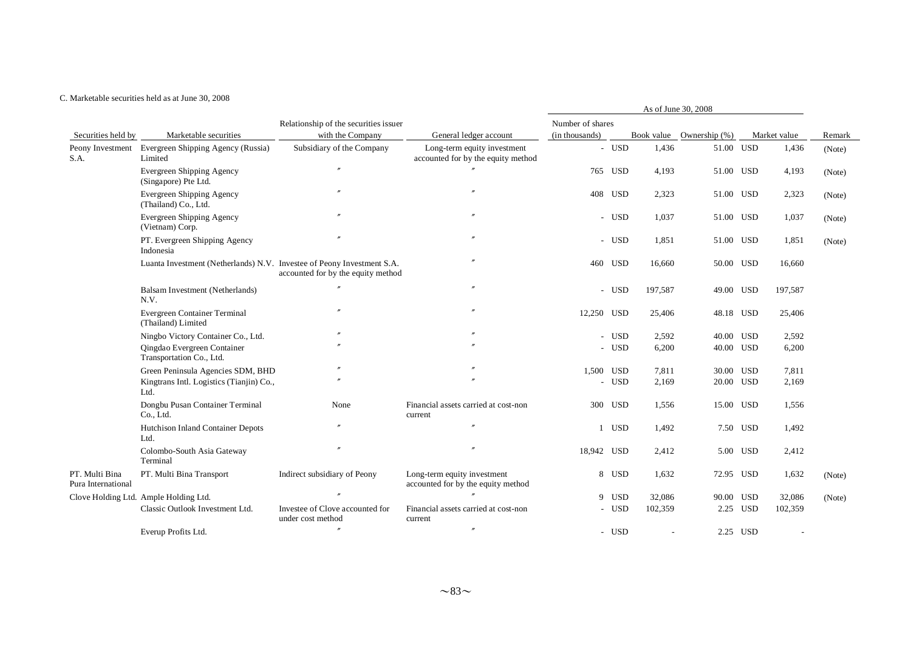|                                      |                                                                        |                                                      |                                                                   |                  |            |                | As of June 30, 2008      |           |              |        |
|--------------------------------------|------------------------------------------------------------------------|------------------------------------------------------|-------------------------------------------------------------------|------------------|------------|----------------|--------------------------|-----------|--------------|--------|
|                                      |                                                                        | Relationship of the securities issuer                |                                                                   | Number of shares |            |                |                          |           |              |        |
| Securities held by                   | Marketable securities                                                  | with the Company                                     | General ledger account                                            | (in thousands)   |            |                | Book value Ownership (%) |           | Market value | Remark |
| Peony Investment<br>S.A.             | Evergreen Shipping Agency (Russia)<br>Limited                          | Subsidiary of the Company                            | Long-term equity investment<br>accounted for by the equity method |                  | - USD      | 1,436          | 51.00 USD                |           | 1,436        | (Note) |
|                                      | Evergreen Shipping Agency<br>(Singapore) Pte Ltd.                      |                                                      |                                                                   |                  | 765 USD    | 4,193          | 51.00 USD                |           | 4,193        | (Note) |
|                                      | Evergreen Shipping Agency<br>(Thailand) Co., Ltd.                      |                                                      |                                                                   |                  | 408 USD    | 2,323          | 51.00 USD                |           | 2,323        | (Note) |
|                                      | Evergreen Shipping Agency<br>(Vietnam) Corp.                           |                                                      |                                                                   |                  | - USD      | 1,037          | 51.00 USD                |           | 1,037        | (Note) |
|                                      | PT. Evergreen Shipping Agency<br>Indonesia                             |                                                      |                                                                   |                  | - USD      | 1,851          | 51.00 USD                |           | 1,851        | (Note) |
|                                      | Luanta Investment (Netherlands) N.V. Investee of Peony Investment S.A. | accounted for by the equity method                   |                                                                   |                  | 460 USD    | 16,660         | 50.00 USD                |           | 16,660       |        |
|                                      | Balsam Investment (Netherlands)<br>N.V.                                |                                                      |                                                                   |                  | - USD      | 197,587        | 49.00 USD                |           | 197,587      |        |
|                                      | Evergreen Container Terminal<br>(Thailand) Limited                     |                                                      |                                                                   | 12,250 USD       |            | 25,406         | 48.18 USD                |           | 25,406       |        |
|                                      | Ningbo Victory Container Co., Ltd.                                     |                                                      |                                                                   |                  | - USD      | 2,592          | 40.00 USD                |           | 2,592        |        |
|                                      | Oingdao Evergreen Container<br>Transportation Co., Ltd.                |                                                      |                                                                   |                  | - USD      | 6,200          | 40.00 USD                |           | 6,200        |        |
|                                      | Green Peninsula Agencies SDM, BHD                                      |                                                      |                                                                   | 1,500 USD        |            | 7,811          |                          | 30.00 USD | 7,811        |        |
|                                      | Kingtrans Intl. Logistics (Tianjin) Co.,<br>Ltd.                       |                                                      |                                                                   |                  | - USD      | 2,169          | 20.00 USD                |           | 2,169        |        |
|                                      | Dongbu Pusan Container Terminal<br>Co., Ltd.                           | None                                                 | Financial assets carried at cost-non<br>current                   |                  | 300 USD    | 1,556          | 15.00 USD                |           | 1,556        |        |
|                                      | Hutchison Inland Container Depots<br>Ltd.                              |                                                      | $\overline{v}$                                                    |                  | 1 USD      | 1,492          |                          | 7.50 USD  | 1,492        |        |
|                                      | Colombo-South Asia Gateway<br>Terminal                                 |                                                      |                                                                   | 18,942 USD       |            | 2,412          |                          | 5.00 USD  | 2,412        |        |
| PT. Multi Bina<br>Pura International | PT. Multi Bina Transport                                               | Indirect subsidiary of Peony                         | Long-term equity investment<br>accounted for by the equity method |                  | 8 USD      | 1,632          | 72.95 USD                |           | 1,632        | (Note) |
|                                      | Clove Holding Ltd. Ample Holding Ltd.                                  |                                                      |                                                                   |                  | 9 USD      | 32,086         | 90.00 USD                |           | 32,086       | (Note) |
|                                      | Classic Outlook Investment Ltd.                                        | Investee of Clove accounted for<br>under cost method | Financial assets carried at cost-non<br>current                   |                  | <b>USD</b> | 102,359        |                          | 2.25 USD  | 102,359      |        |
|                                      | Everup Profits Ltd.                                                    |                                                      | $^{\prime\prime}$                                                 |                  | - USD      | $\overline{a}$ |                          | 2.25 USD  |              |        |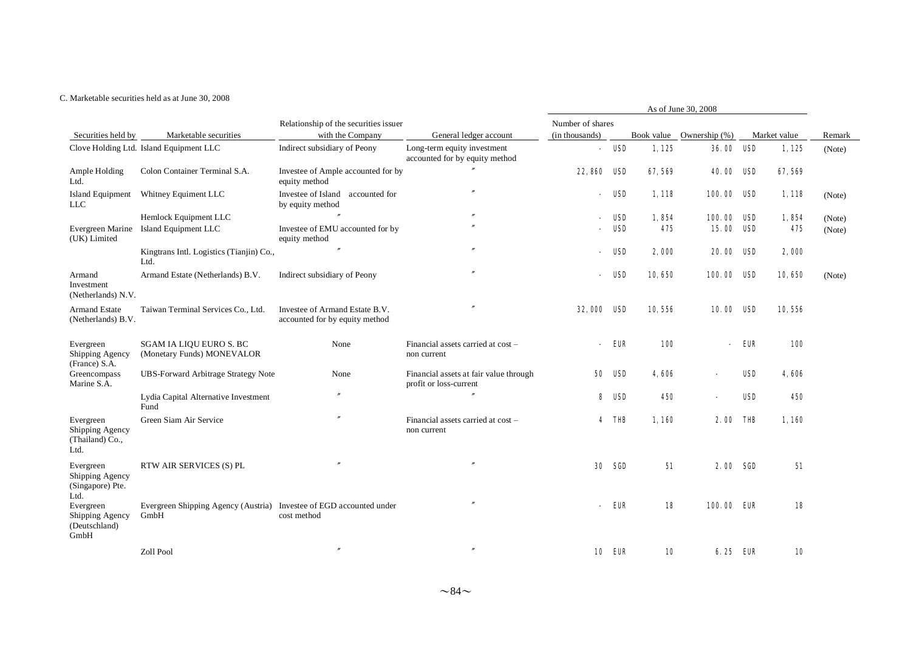| As of June 30, 2008                                      |                                                                             |                                                                  |                                                                  |                  |               |        |                          |            |              |        |
|----------------------------------------------------------|-----------------------------------------------------------------------------|------------------------------------------------------------------|------------------------------------------------------------------|------------------|---------------|--------|--------------------------|------------|--------------|--------|
|                                                          |                                                                             | Relationship of the securities issuer                            |                                                                  | Number of shares |               |        |                          |            |              |        |
| Securities held by                                       | Marketable securities                                                       | with the Company                                                 | General ledger account                                           | (in thousands)   |               |        | Book value Ownership (%) |            | Market value | Remark |
|                                                          | Clove Holding Ltd. Island Equipment LLC                                     | Indirect subsidiary of Peony                                     | Long-term equity investment<br>accounted for by equity method    |                  | USD           | 1,125  | 36.00 USD                |            | 1,125        | (Note) |
| Ample Holding<br>Ltd.                                    | Colon Container Terminal S.A.                                               | Investee of Ample accounted for by<br>equity method              |                                                                  | 22,860           | USD           | 67,569 | <b>40.00</b>             | USD        | 67,569       |        |
| <b>Island Equipment</b><br><b>LLC</b>                    | Whitney Equiment LLC                                                        | Investee of Island accounted for<br>by equity method             |                                                                  | $\sim$           | USD           | 1,118  | 100.00 USD               |            | 1,118        | (Note) |
|                                                          | Hemlock Equipment LLC                                                       |                                                                  | $\overline{''}$                                                  |                  | USD           | 1,854  | 100.00                   | USD        | 1,854        | (Note) |
| Evergreen Marine<br>(UK) Limited                         | Island Equipment LLC                                                        | Investee of EMU accounted for by<br>equity method                |                                                                  |                  | USD           | 475    | 15.00                    | USD        | 475          | (Note) |
|                                                          | Kingtrans Intl. Logistics (Tianjin) Co.,<br>Ltd.                            |                                                                  |                                                                  |                  | USD           | 2,000  | <b>20.00 USD</b>         |            | 2,000        |        |
| Armand<br>Investment<br>(Netherlands) N.V.               | Armand Estate (Netherlands) B.V.                                            | Indirect subsidiary of Peony                                     | $\overline{''}$                                                  |                  | USD           | 10,650 | 100.00                   | USD        | 10,650       | (Note) |
| <b>Armand Estate</b><br>(Netherlands) B.V.               | Taiwan Terminal Services Co., Ltd.                                          | Investee of Armand Estate B.V.<br>accounted for by equity method |                                                                  | <b>32.000</b>    | USD           | 10,556 | 10.00 ISD                |            | 10,556       |        |
| Evergreen<br>Shipping Agency<br>(France) S.A.            | <b>SGAM IA LIQU EURO S. BC</b><br>(Monetary Funds) MONEVALOR                | None                                                             | Financial assets carried at cost -<br>non current                |                  | EUR           | 100    |                          | EUR        | <b>100</b>   |        |
| Greencompass<br>Marine S.A.                              | <b>UBS-Forward Arbitrage Strategy Note</b>                                  | None                                                             | Financial assets at fair value through<br>profit or loss-current | 50               | USD           | 4.606  |                          | <b>USD</b> | 4,606        |        |
|                                                          | Lydia Capital Alternative Investment<br>Fund                                | $\overline{''}$                                                  |                                                                  | 8                | USD           | 450    |                          | USD        | 450          |        |
| Evergreen<br>Shipping Agency<br>(Thailand) Co.,<br>Ltd.  | Green Siam Air Service                                                      | $\theta$                                                         | Financial assets carried at cost -<br>non current                | 4                | THB           | 1,160  | 2.00                     | THB        | 1,160        |        |
| Evergreen<br>Shipping Agency<br>(Singapore) Pte.<br>Ltd. | RTW AIR SERVICES (S) PL                                                     |                                                                  |                                                                  | 30               | SGD           | 51     | 2.00 SGD                 |            | 51           |        |
| Evergreen<br>Shipping Agency<br>(Deutschland)<br>GmbH    | Evergreen Shipping Agency (Austria) Investee of EGD accounted under<br>GmbH | cost method                                                      |                                                                  |                  | <b>EUR</b>    | 18     | 100.00 EUR               |            | 18           |        |
|                                                          | Zoll Pool                                                                   | $\overline{''}$                                                  |                                                                  |                  | <b>10 EUR</b> | 10     | 6.25 ELR                 |            | 10           |        |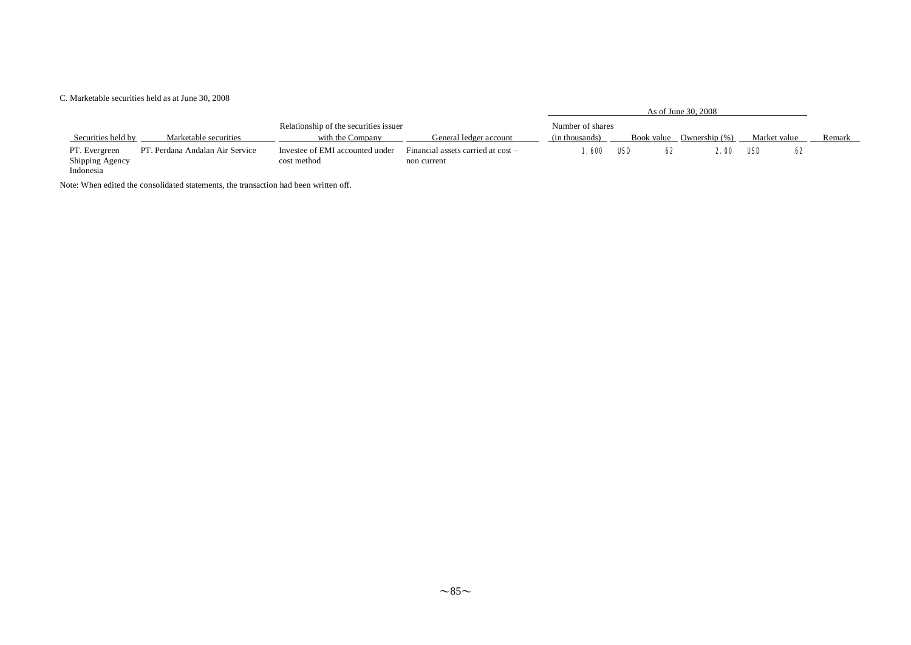Indonesia

|                    |                                 |                                       |                                    |                  |            | As of June 30, 2008 |              |        |
|--------------------|---------------------------------|---------------------------------------|------------------------------------|------------------|------------|---------------------|--------------|--------|
|                    |                                 | Relationship of the securities issuer |                                    | Number of shares |            |                     |              |        |
| Securities held by | Marketable securities           | with the Company                      | General ledger account             | (in thousands)   | Book value | Ownership (%)       | Market value | Remark |
| PT. Evergreen      | PT. Perdana Andalan Air Service | Investee of EMI accounted under       | Financial assets carried at cost – | ., 600           | USD<br>62  | 2. OO               | USF<br>62    |        |
| Shipping Agency    |                                 | cost method                           | non current                        |                  |            |                     |              |        |

Note: When edited the consolidated statements, the transaction had been written off.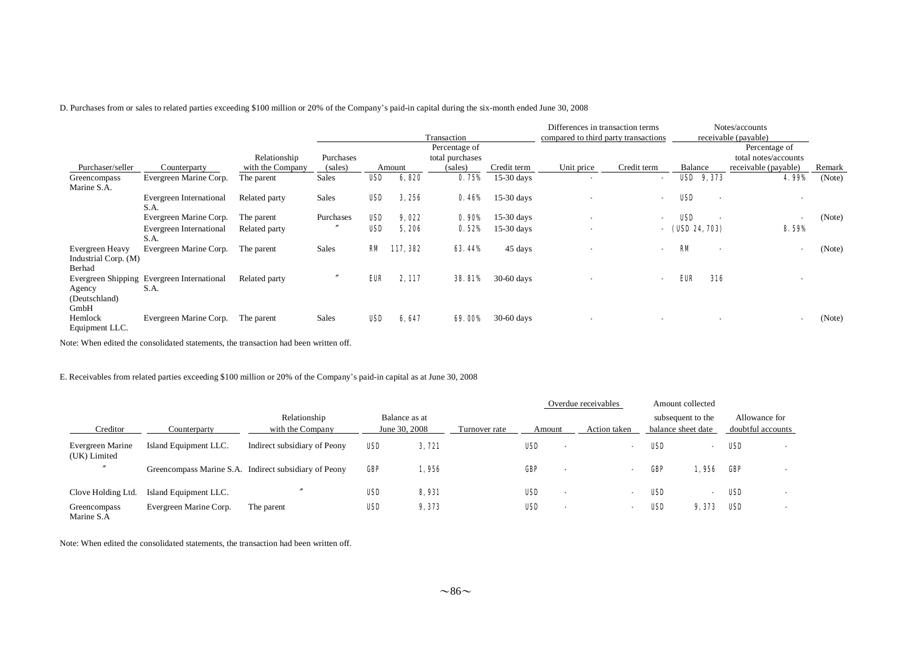D. Purchases from or sales to related parties exceeding \$100 million or 20% of the Company's paid-in capital during the six-month ended June 30, 2008

|                                         |                                                    |                                  |                      |            |          | Transaction                                 |              | Differences in transaction terms<br>compared to third party transactions |                          |                   |                          | Notes/accounts<br>receivable (payable)                        |        |
|-----------------------------------------|----------------------------------------------------|----------------------------------|----------------------|------------|----------|---------------------------------------------|--------------|--------------------------------------------------------------------------|--------------------------|-------------------|--------------------------|---------------------------------------------------------------|--------|
| Purchaser/seller                        | Counterparty                                       | Relationship<br>with the Company | Purchases<br>(sales) |            | Amount   | Percentage of<br>total purchases<br>(sales) | Credit term  | Unit price                                                               | Credit term              | Balance           |                          | Percentage of<br>total notes/accounts<br>receivable (payable) | Remark |
|                                         | Evergreen Marine Corp.                             | The parent                       | <b>Sales</b>         | <b>USD</b> | 6,820    | 0.75%                                       | $15-30$ days |                                                                          |                          |                   | <b>USD</b> 9, 373        | 4.99%                                                         | (Note) |
| Greencompass<br>Marine S.A.             |                                                    |                                  |                      |            |          |                                             |              |                                                                          | $\overline{\phantom{0}}$ |                   |                          |                                                               |        |
|                                         | <b>Evergreen International</b><br>S.A.             | Related party                    | <b>Sales</b>         | USD        | 3,256    | 0.46%                                       | $15-30$ days | $\blacksquare$                                                           | $\blacksquare$           | <b>USD</b>        | $\overline{\phantom{a}}$ |                                                               |        |
|                                         | Evergreen Marine Corp.                             | The parent                       | Purchases            | <b>USD</b> | 9,022    | 0.90%                                       | $15-30$ days | $\blacksquare$                                                           |                          | USD               |                          | $\blacksquare$                                                | (Note) |
|                                         | Evergreen International<br>S.A.                    | Related party                    |                      | USD        | 5,206    | 0.52%                                       | $15-30$ days | $\blacksquare$                                                           |                          | $-$ (USD 24, 703) |                          | 8.59%                                                         |        |
| Evergreen Heavy<br>Industrial Corp. (M) | Evergreen Marine Corp.                             | The parent                       | <b>Sales</b>         | RМ         | 117, 382 | <b>63.44%</b>                               | 45 days      | ٠                                                                        |                          | <b>KM</b>         |                          | $\blacksquare$                                                | (Note) |
| Berhad                                  |                                                    |                                  |                      |            |          |                                             |              |                                                                          |                          |                   |                          |                                                               |        |
| Agency                                  | Evergreen Shipping Evergreen International<br>S.A. | Related party                    |                      | EUR        | 2, 117   | <b>38.81%</b>                               | $30-60$ days |                                                                          | $\blacksquare$           | EUR.              | 316                      |                                                               |        |
| (Deutschland)<br>GmbH                   |                                                    |                                  |                      |            |          |                                             |              |                                                                          |                          |                   |                          |                                                               |        |
| Hemlock<br>Equipment LLC.               | Evergreen Marine Corp.                             | The parent                       | <b>Sales</b>         | USD        | 6,647    | <b>69.00%</b>                               | $30-60$ days | $\blacksquare$                                                           |                          |                   |                          | $\blacksquare$                                                | (Note) |

Note: When edited the consolidated statements, the transaction had been written off.

E. Receivables from related parties exceeding \$100 million or 20% of the Company's paid-in capital as at June 30, 2008

|                                  |                        |                                                       |     |                                |               |            | Overdue receivables |     | Amount collected                        |            |                                    |
|----------------------------------|------------------------|-------------------------------------------------------|-----|--------------------------------|---------------|------------|---------------------|-----|-----------------------------------------|------------|------------------------------------|
| Creditor                         | Counterparty           | Relationship<br>with the Company                      |     | Balance as at<br>June 30, 2008 | Turnover rate | Amount     | Action taken        |     | subsequent to the<br>balance sheet date |            | Allowance for<br>doubtful accounts |
| Evergreen Marine<br>(UK) Limited | Island Equipment LLC.  | Indirect subsidiary of Peony                          | USD | 3,721                          |               | <b>USD</b> |                     | USD | $\overline{\phantom{0}}$                | <b>USD</b> | . .                                |
|                                  |                        | Greencompass Marine S.A. Indirect subsidiary of Peony | GR  | 1,956                          |               | GRP        |                     | Œ   | l. 956                                  | GP         |                                    |
| Clove Holding Ltd.               | Island Equipment LLC.  |                                                       | USD | 8,931                          |               | <b>USD</b> |                     | USD | $\overline{\phantom{0}}$                | <b>USD</b> |                                    |
| Greencompass<br>Marine S.A       | Evergreen Marine Corp. | The parent                                            | USD | 9,373                          |               | <b>USD</b> |                     | USD | 9, 373                                  | <b>USD</b> |                                    |

Note: When edited the consolidated statements, the transaction had been written off.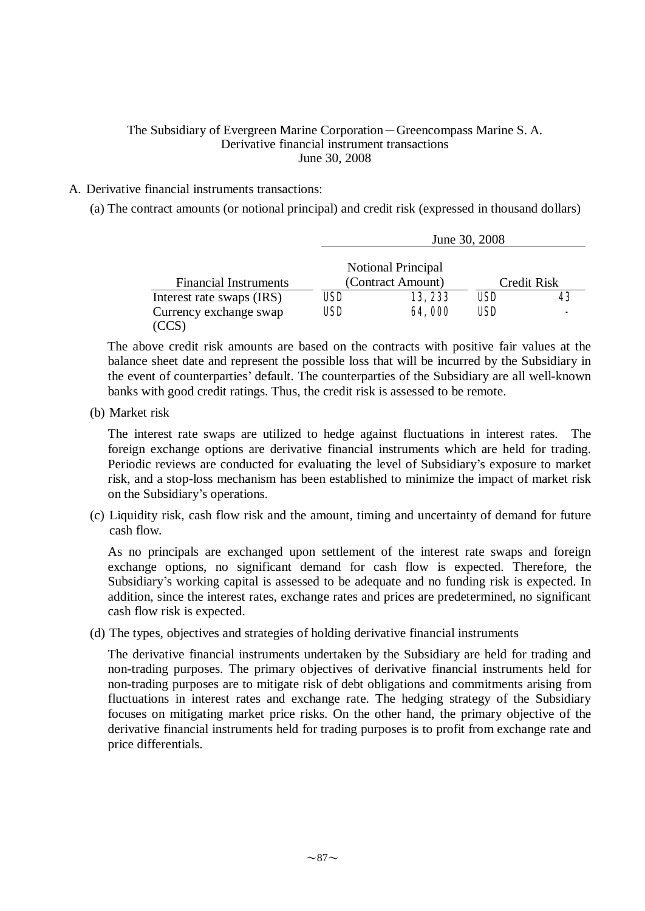# The Subsidiary of Evergreen Marine Corporation-Greencompass Marine S. A. Derivative financial instrument transactions June 30, 2008

# A. Derivative financial instruments transactions:

(a) The contract amounts (or notional principal) and credit risk (expressed in thousand dollars)

|                              |            |                                                | June 30, 2008 |             |
|------------------------------|------------|------------------------------------------------|---------------|-------------|
| <b>Financial Instruments</b> |            | <b>Notional Principal</b><br>(Contract Amount) |               | Credit Risk |
| Interest rate swaps (IRS)    | USD        | 13, 233                                        | USD           |             |
| Currency exchange swap       | <b>USD</b> | 64,000                                         | USD           |             |
|                              |            |                                                |               |             |

The above credit risk amounts are based on the contracts with positive fair values at the balance sheet date and represent the possible loss that will be incurred by the Subsidiary in the event of counterparties' default. The counterparties of the Subsidiary are all well-known banks with good credit ratings. Thus, the credit risk is assessed to be remote.

(b) Market risk

The interest rate swaps are utilized to hedge against fluctuations in interest rates. The foreign exchange options are derivative financial instruments which are held for trading. Periodic reviews are conducted for evaluating the level of Subsidiary's exposure to market risk, and a stop-loss mechanism has been established to minimize the impact of market risk on the Subsidiary's operations.

(c) Liquidity risk, cash flow risk and the amount, timing and uncertainty of demand for future cash flow.

As no principals are exchanged upon settlement of the interest rate swaps and foreign exchange options, no significant demand for cash flow is expected. Therefore, the Subsidiary's working capital is assessed to be adequate and no funding risk is expected. In addition, since the interest rates, exchange rates and prices are predetermined, no significant cash flow risk is expected.

(d) The types, objectives and strategies of holding derivative financial instruments

The derivative financial instruments undertaken by the Subsidiary are held for trading and non-trading purposes. The primary objectives of derivative financial instruments held for non-trading purposes are to mitigate risk of debt obligations and commitments arising from fluctuations in interest rates and exchange rate. The hedging strategy of the Subsidiary focuses on mitigating market price risks. On the other hand, the primary objective of the derivative financial instruments held for trading purposes is to profit from exchange rate and price differentials.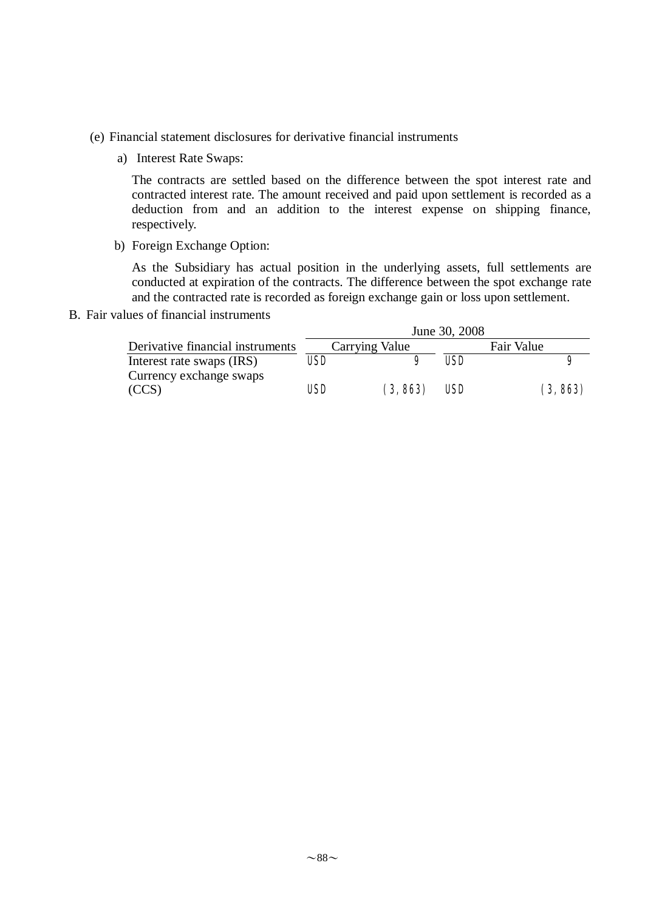- (e) Financial statement disclosures for derivative financial instruments
	- a) Interest Rate Swaps:

The contracts are settled based on the difference between the spot interest rate and contracted interest rate. The amount received and paid upon settlement is recorded as a deduction from and an addition to the interest expense on shipping finance, respectively.

b) Foreign Exchange Option:

As the Subsidiary has actual position in the underlying assets, full settlements are conducted at expiration of the contracts. The difference between the spot exchange rate and the contracted rate is recorded as foreign exchange gain or loss upon settlement.

B. Fair values of financial instruments

|                                  |            |                | June 30, 2008 |            |
|----------------------------------|------------|----------------|---------------|------------|
| Derivative financial instruments |            | Carrying Value |               | Fair Value |
| Interest rate swaps (IRS)        | <b>USD</b> |                | USD           | 9          |
| Currency exchange swaps          |            |                |               |            |
| (CCS)                            | USD        | (3, 863)       | USD           | (3, 863)   |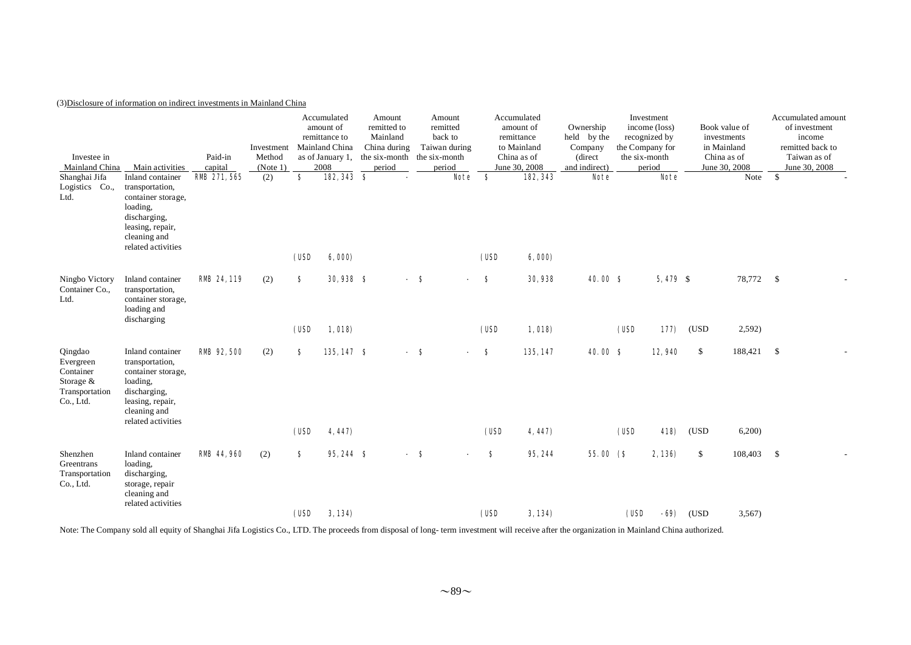## (3)Disclosure of information on indirect investments in Mainland China

| Investee in<br>Mainland China<br>Shanghai Jifa                                | Main activities<br>Inland container                                                                                                             | Paid-in<br>capital<br><b>RMB</b> 271, 565 | Investment<br>Method<br>(Note 1)<br>(2) | \$         | Accumulated<br>amount of<br>remittance to<br>Mainland China<br>as of January 1,<br>2008<br>182, 343 \$ | Amount<br>remitted to<br>Mainland<br>China during<br>the six-month<br>period |     | Amount<br>remitted<br>back to<br>Taiwan during<br>the six-month<br>period<br><b>Note</b> | - \$      | Accumulated<br>amount of<br>remittance<br>to Mainland<br>China as of<br>June 30, 2008<br>182, 343 | Ownership<br>held by the<br>Company<br>(direct<br>and indirect)<br><b>Note</b> |      | Investment<br>income (loss)<br>recognized by<br>the Company for<br>the six-month<br>period<br><b>Note</b> |            | Book value of<br>investments<br>in Mainland<br>China as of<br>June 30, 2008<br>Note | Accumulated amount<br>of investment<br>income<br>remitted back to<br>Taiwan as of<br>June 30, 2008<br>$\mathsf{\$}$ |
|-------------------------------------------------------------------------------|-------------------------------------------------------------------------------------------------------------------------------------------------|-------------------------------------------|-----------------------------------------|------------|--------------------------------------------------------------------------------------------------------|------------------------------------------------------------------------------|-----|------------------------------------------------------------------------------------------|-----------|---------------------------------------------------------------------------------------------------|--------------------------------------------------------------------------------|------|-----------------------------------------------------------------------------------------------------------|------------|-------------------------------------------------------------------------------------|---------------------------------------------------------------------------------------------------------------------|
| Logistics Co.,<br>Ltd.                                                        | transportation,<br>container storage,<br>loading,<br>discharging,<br>leasing, repair,<br>cleaning and<br>related activities                     |                                           |                                         | (USD       | 6,000)                                                                                                 |                                                                              |     |                                                                                          | (USD      | 6,000                                                                                             |                                                                                |      |                                                                                                           |            |                                                                                     |                                                                                                                     |
| Ningbo Victory<br>Container Co.,<br>Ltd.                                      | Inland container<br>transportation,<br>container storage,<br>loading and<br>discharging                                                         | <b>RMB 24, 119</b>                        | (2)                                     | \$<br>(USD | <b>30,938 \$</b><br>1,018                                                                              |                                                                              | - 8 |                                                                                          | S<br>(USD | 30, 938<br>1,018                                                                                  | <b>40.00 S</b>                                                                 | (USD | $5,479$ \$<br>177                                                                                         | (USD       | 78,772 \$<br>2,592)                                                                 |                                                                                                                     |
| Qingdao<br>Evergreen<br>Container<br>Storage &<br>Transportation<br>Co., Ltd. | Inland container<br>transportation,<br>container storage,<br>loading,<br>discharging,<br>leasing, repair,<br>cleaning and<br>related activities | <b>RMB</b> 92, 500                        | (2)                                     | S.<br>(USD | 135,147 \$<br>4,447)                                                                                   |                                                                              | - 8 | $\overline{\phantom{a}}$                                                                 | S<br>(USD | 135, 147<br>4, 447)                                                                               | 40.00 S                                                                        | (USD | 12,940<br>418)                                                                                            | \$<br>(USD | 188,421<br>6,200                                                                    | \$                                                                                                                  |
| Shenzhen<br>Greentrans<br>Transportation<br>Co., Ltd.                         | Inland container<br>loading,<br>discharging,<br>storage, repair<br>cleaning and<br>related activities                                           | <b>RMB</b> 44, 960                        | (2)                                     | s          | 95,244 \$                                                                                              |                                                                              | - 8 |                                                                                          | s         | 95, 244                                                                                           | 55.00(S)                                                                       |      | 2,136)                                                                                                    | \$         | 108,403                                                                             | \$                                                                                                                  |
|                                                                               |                                                                                                                                                 |                                           |                                         | (USD       | 3,134)                                                                                                 |                                                                              |     |                                                                                          | (USD      | 3,134)                                                                                            |                                                                                | (USD | - 69)                                                                                                     | (USD       | 3,567                                                                               |                                                                                                                     |

Note: The Company sold all equity of Shanghai Jifa Logistics Co., LTD. The proceeds from disposal of long- term investment will receive after the organization in Mainland China authorized.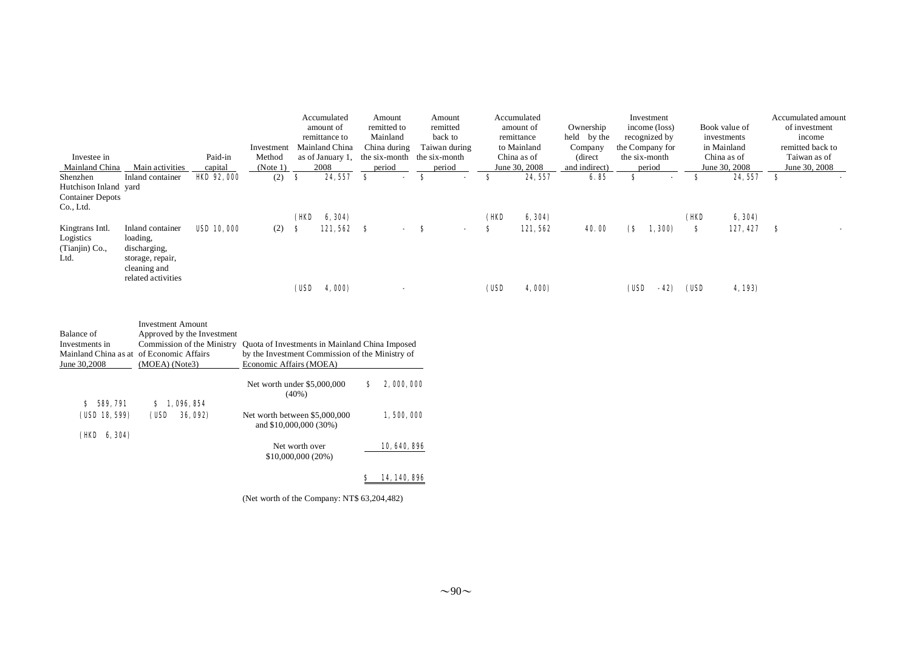|                                                  |                                                                                    |                   |            |      | Accumulated      | Amount              |    | Amount                   |      | Accumulated   |               |                                 | Investment      |      |               |   | Accumulated amount |
|--------------------------------------------------|------------------------------------------------------------------------------------|-------------------|------------|------|------------------|---------------------|----|--------------------------|------|---------------|---------------|---------------------------------|-----------------|------|---------------|---|--------------------|
|                                                  |                                                                                    |                   |            |      | amount of        | remitted to         |    | remitted                 |      | amount of     | Ownership     |                                 | income (loss)   |      | Book value of |   | of investment      |
|                                                  |                                                                                    |                   |            |      | remittance to    | Mainland            |    | back to                  |      | remittance    | held by the   |                                 | recognized by   |      | investments   |   | income             |
|                                                  |                                                                                    |                   | Investment |      | Mainland China   | China during        |    | Taiwan during            |      | to Mainland   | Company       |                                 | the Company for |      | in Mainland   |   | remitted back to   |
| Investee in                                      |                                                                                    | Paid-in           | Method     |      | as of January 1, | the six-month       |    | the six-month            |      | China as of   | (direct)      |                                 | the six-month   |      | China as of   |   | Taiwan as of       |
| Mainland China                                   | Main activities                                                                    | capital           | (Note 1)   |      | 2008             | period              |    | period                   |      | June 30, 2008 | and indirect) |                                 | period          |      | June 30, 2008 |   | June 30, 2008      |
| Shenzhen                                         | Inland container                                                                   | <b>HO 92, 000</b> | (2)        | -S   | 24, 557          | S<br>$\blacksquare$ | s  | $\overline{\phantom{a}}$ | S.   | 24, 557       | 6.85          | s                               |                 | s    | 24, 557       | S |                    |
| Hutchison Inland yard<br><b>Container Depots</b> |                                                                                    |                   |            |      |                  |                     |    |                          |      |               |               |                                 |                 |      |               |   |                    |
| Co., Ltd.                                        |                                                                                    |                   |            |      |                  |                     |    |                          |      |               |               |                                 |                 |      |               |   |                    |
|                                                  |                                                                                    |                   |            | (HD  | 6, 304)          |                     |    |                          | (HO  | 6, 304)       |               |                                 |                 | (HD  | 6, 304)       |   |                    |
| Kingtrans Intl.                                  | Inland container                                                                   | <b>USD 10,000</b> | (2)        | S    | 121,562          | -8<br>$\sim$        | -8 | $\sim$                   | s    | 121,562       | 40.00         | $\mathbf{\mathbf{\mathsf{(S}}}$ | 1,300)          | S    | $127,427$ \$  |   |                    |
| Logistics<br>(Tianjin) Co.,<br>Ltd.              | loading.<br>discharging,<br>storage, repair,<br>cleaning and<br>related activities |                   |            |      |                  |                     |    |                          |      |               |               |                                 |                 |      |               |   |                    |
|                                                  |                                                                                    |                   |            | (USD | 4,000)           |                     |    |                          | (USD | 4,000)        |               | (USD                            | - 42)           | (USD | 4, 193)       |   |                    |

| Balance of                               | <b>Investment Amount</b>   |                                                         |   |              |
|------------------------------------------|----------------------------|---------------------------------------------------------|---|--------------|
|                                          | Approved by the Investment |                                                         |   |              |
| Investments in                           | Commission of the Ministry | Quota of Investments in Mainland China Imposed          |   |              |
| Mainland China as at of Economic Affairs |                            | by the Investment Commission of the Ministry of         |   |              |
| June 30,2008                             | (MOEA) (Note3)             | Economic Affairs (MOEA)                                 |   |              |
|                                          |                            | Net worth under \$5,000,000<br>$(40\%)$                 | s | 2,000,000    |
| <b>589, 791</b><br>s                     | 1.096.854<br>s             |                                                         |   |              |
| (USD 18, 599)                            | (USD<br><b>36,092)</b>     | Net worth between \$5,000,000<br>and \$10,000,000 (30%) |   | 1,500,000    |
| 6, 304)<br>(HD                           |                            |                                                         |   |              |
|                                          |                            | Net worth over                                          |   | 10, 640, 896 |
|                                          |                            | \$10,000,000 (20%)                                      |   |              |
|                                          |                            |                                                         |   |              |

## \$ 14,140,896

(Net worth of the Company: NT\$ 63,204,482)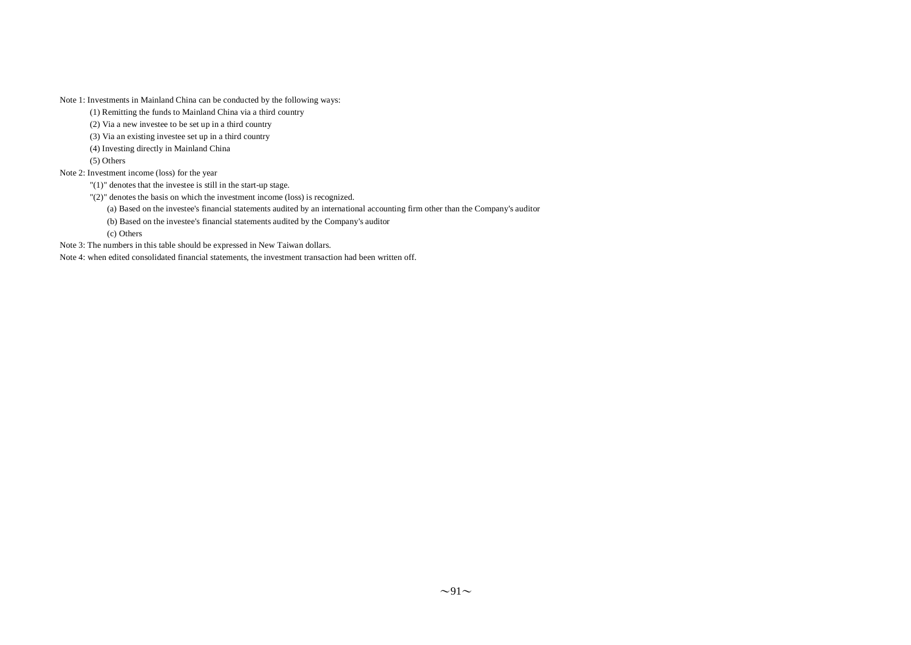Note 1: Investments in Mainland China can be conducted by the following ways:

(1) Remitting the funds to Mainland China via a third country

(2) Via a new investee to be set up in a third country

(3) Via an existing investee set up in a third country

(4) Investing directly in Mainland China

(5) Others

Note 2: Investment income (loss) for the year

"(1)" denotes that the investee is still in the start-up stage.

"(2)" denotes the basis on which the investment income (loss) is recognized.

(a) Based on the investee's financial statements audited by an international accounting firm other than the Company's auditor

(b) Based on the investee's financial statements audited by the Company's auditor

(c) Others

Note 3: The numbers in this table should be expressed in New Taiwan dollars.

Note 4: when edited consolidated financial statements, the investment transaction had been written off.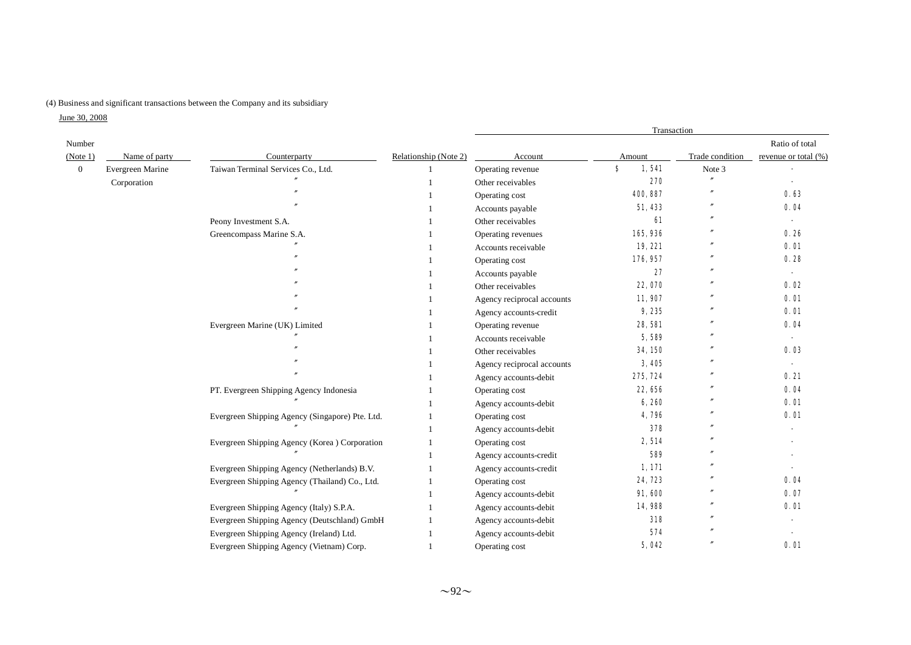## (4) Business and significant transactions between the Company and its subsidiary

June 30, 2008

|                |                  |                                                 |                       | Transaction                |             |                   |                          |  |  |  |
|----------------|------------------|-------------------------------------------------|-----------------------|----------------------------|-------------|-------------------|--------------------------|--|--|--|
| Number         |                  |                                                 |                       |                            |             |                   | Ratio of total           |  |  |  |
| (Note 1)       | Name of party    | Counterparty                                    | Relationship (Note 2) | Account                    | Amount      | Trade condition   | revenue or total (%)     |  |  |  |
| $\overline{0}$ | Evergreen Marine | Taiwan Terminal Services Co., Ltd.              |                       | Operating revenue          | \$<br>1,541 | Note 3            |                          |  |  |  |
|                | Corporation      |                                                 |                       | Other receivables          | 270         | n                 |                          |  |  |  |
|                |                  |                                                 |                       | Operating cost             | 400, 887    |                   | 0.63                     |  |  |  |
|                |                  |                                                 |                       | Accounts payable           | 51,433      |                   | 0.04                     |  |  |  |
|                |                  | Peony Investment S.A.                           |                       | Other receivables          | 61          |                   | $\sim$                   |  |  |  |
|                |                  | Greencompass Marine S.A.                        |                       | Operating revenues         | 165,936     |                   | 0.26                     |  |  |  |
|                |                  |                                                 |                       | Accounts receivable        | 19, 221     |                   | 0.01                     |  |  |  |
|                |                  |                                                 |                       | Operating cost             | 176, 957    |                   | 0.28                     |  |  |  |
|                |                  |                                                 |                       | Accounts payable           | 27          | $\overline{u}$    |                          |  |  |  |
|                |                  |                                                 |                       | Other receivables          | 22,070      |                   | 0.02                     |  |  |  |
|                |                  |                                                 |                       | Agency reciprocal accounts | 11,907      |                   | 0.01                     |  |  |  |
|                |                  |                                                 |                       | Agency accounts-credit     | 9,235       |                   | 0.01                     |  |  |  |
|                |                  | Evergreen Marine (UK) Limited                   |                       | Operating revenue          | 28,581      |                   | 0.04                     |  |  |  |
|                |                  |                                                 |                       | Accounts receivable        | 5,589       |                   |                          |  |  |  |
|                |                  |                                                 |                       | Other receivables          | 34, 150     | n                 | 0.03                     |  |  |  |
|                |                  |                                                 |                       | Agency reciprocal accounts | 3,405       |                   | $\overline{\phantom{a}}$ |  |  |  |
|                |                  |                                                 |                       | Agency accounts-debit      | 275, 724    |                   | 0.21                     |  |  |  |
|                |                  | PT. Evergreen Shipping Agency Indonesia         |                       | Operating cost             | 22,656      |                   | 0.04                     |  |  |  |
|                |                  |                                                 |                       | Agency accounts-debit      | 6,260       | $^{\prime\prime}$ | 0.01                     |  |  |  |
|                |                  | Evergreen Shipping Agency (Singapore) Pte. Ltd. |                       | Operating cost             | 4,796       |                   | 0.01                     |  |  |  |
|                |                  |                                                 |                       | Agency accounts-debit      | 378         |                   |                          |  |  |  |
|                |                  | Evergreen Shipping Agency (Korea ) Corporation  |                       | Operating cost             | 2,514       |                   |                          |  |  |  |
|                |                  |                                                 |                       | Agency accounts-credit     | 589         |                   |                          |  |  |  |
|                |                  | Evergreen Shipping Agency (Netherlands) B.V.    |                       | Agency accounts-credit     | 1,171       |                   |                          |  |  |  |
|                |                  | Evergreen Shipping Agency (Thailand) Co., Ltd.  |                       | Operating cost             | 24, 723     |                   | 0.04                     |  |  |  |
|                |                  |                                                 |                       | Agency accounts-debit      | 91,600      |                   | 0.07                     |  |  |  |
|                |                  | Evergreen Shipping Agency (Italy) S.P.A.        |                       | Agency accounts-debit      | 14,988      |                   | 0.01                     |  |  |  |
|                |                  | Evergreen Shipping Agency (Deutschland) GmbH    |                       | Agency accounts-debit      | 318         |                   |                          |  |  |  |
|                |                  | Evergreen Shipping Agency (Ireland) Ltd.        |                       | Agency accounts-debit      | 574         | $\overline{u}$    |                          |  |  |  |
|                |                  | Evergreen Shipping Agency (Vietnam) Corp.       |                       | Operating cost             | 5,042       | $\overline{u}$    | 0.01                     |  |  |  |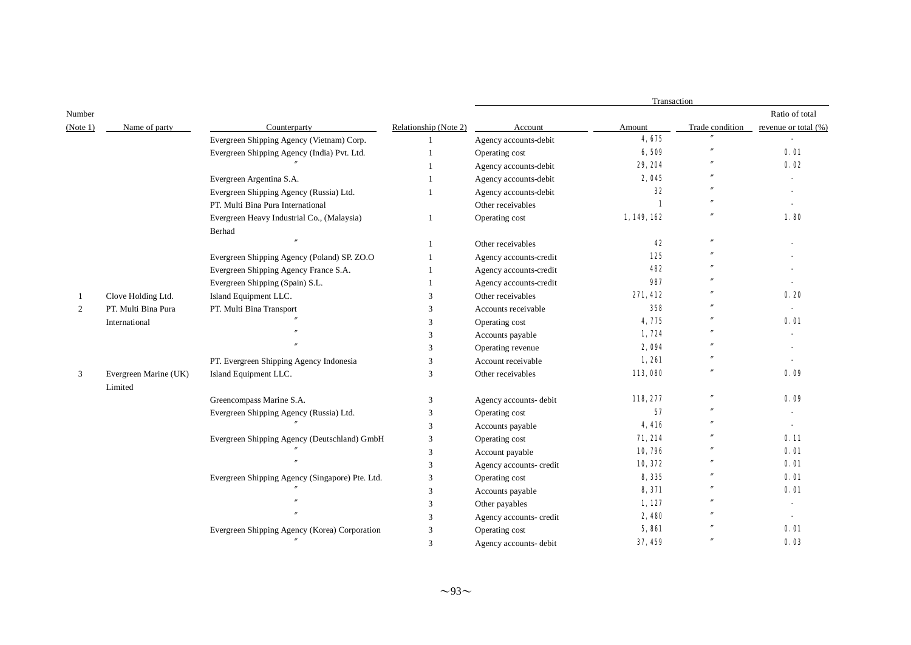|          |                       |                                                 |                       |                         | Transaction  |                 |                      |
|----------|-----------------------|-------------------------------------------------|-----------------------|-------------------------|--------------|-----------------|----------------------|
| Number   |                       |                                                 |                       |                         |              |                 | Ratio of total       |
| (Note 1) | Name of party         | Counterparty                                    | Relationship (Note 2) | Account                 | Amount       | Trade condition | revenue or total (%) |
|          |                       | Evergreen Shipping Agency (Vietnam) Corp.       |                       | Agency accounts-debit   | 4,675        |                 |                      |
|          |                       | Evergreen Shipping Agency (India) Pvt. Ltd.     |                       | Operating cost          | 6,509        |                 | 0.01                 |
|          |                       |                                                 |                       | Agency accounts-debit   | 29, 204      |                 | 0.02                 |
|          |                       | Evergreen Argentina S.A.                        | -1                    | Agency accounts-debit   | 2,045        |                 |                      |
|          |                       | Evergreen Shipping Agency (Russia) Ltd.         |                       | Agency accounts-debit   | 32           |                 |                      |
|          |                       | PT. Multi Bina Pura International               |                       | Other receivables       | 1            |                 |                      |
|          |                       | Evergreen Heavy Industrial Co., (Malaysia)      | 1                     | Operating cost          | 1, 149, 162  |                 | 1.80                 |
|          |                       | Berhad                                          |                       |                         |              |                 |                      |
|          |                       |                                                 | 1                     | Other receivables       | 42           |                 |                      |
|          |                       | Evergreen Shipping Agency (Poland) SP. ZO.O     |                       | Agency accounts-credit  | 125          |                 |                      |
|          |                       | Evergreen Shipping Agency France S.A.           |                       | Agency accounts-credit  | 482          |                 |                      |
|          |                       | Evergreen Shipping (Spain) S.L.                 | -1                    | Agency accounts-credit  | 987          |                 |                      |
| -1       | Clove Holding Ltd.    | Island Equipment LLC.                           | 3                     | Other receivables       | 271,412      |                 | 0.20                 |
| 2        | PT. Multi Bina Pura   | PT. Multi Bina Transport                        | 3                     | Accounts receivable     | 358          |                 |                      |
|          | International         |                                                 | 3                     | Operating cost          | 4,775        |                 | 0.01                 |
|          |                       |                                                 | 3                     | Accounts payable        | 1,724        |                 |                      |
|          |                       |                                                 | $\mathcal{R}$         | Operating revenue       | 2,094        |                 |                      |
|          |                       | PT. Evergreen Shipping Agency Indonesia         | 3                     | Account receivable      | 1,261        |                 |                      |
| 3        | Evergreen Marine (UK) | Island Equipment LLC.                           | 3                     | Other receivables       | 113,080      | $\overline{''}$ | 0.09                 |
|          | Limited               |                                                 |                       |                         |              |                 |                      |
|          |                       | Greencompass Marine S.A.                        | 3                     | Agency accounts- debit  | 118, 277     |                 | 0.09                 |
|          |                       | Evergreen Shipping Agency (Russia) Ltd.         | 3                     | Operating cost          | 57           |                 |                      |
|          |                       |                                                 | 3                     | Accounts payable        | 4,416        |                 |                      |
|          |                       | Evergreen Shipping Agency (Deutschland) GmbH    | 3                     | Operating cost          | 71, 214      |                 | 0.11                 |
|          |                       |                                                 | 3                     | Account payable         | 10,796       |                 | 0.01                 |
|          |                       |                                                 | 3                     | Agency accounts- credit | 10, 372      |                 | 0.01                 |
|          |                       | Evergreen Shipping Agency (Singapore) Pte. Ltd. | 3                     | Operating cost          | 8,335        |                 | 0.01                 |
|          |                       |                                                 | 3                     | Accounts payable        | 8,371        |                 | 0.01                 |
|          |                       |                                                 | 3                     | Other payables          | 1,127        |                 |                      |
|          |                       |                                                 | 3                     | Agency accounts- credit | 2,480        |                 |                      |
|          |                       | Evergreen Shipping Agency (Korea) Corporation   | 3                     | Operating cost          | <b>5,861</b> |                 | 0. O1                |
|          |                       |                                                 | $\mathbf{3}$          | Agency accounts- debit  | 37, 459      |                 | 0.03                 |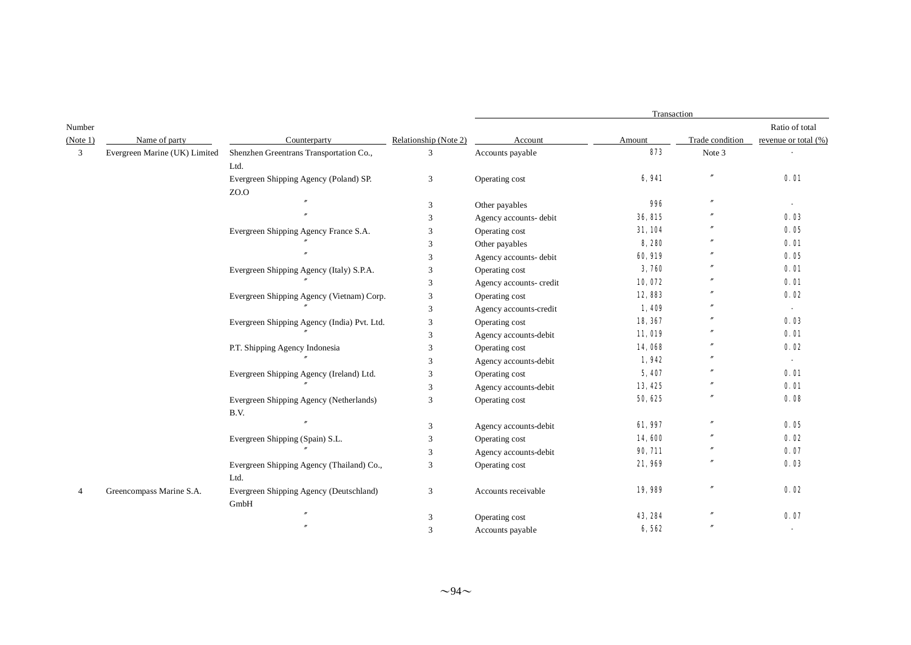|                |                               |                                             |                       | Transaction             |         |                 |                      |  |  |  |
|----------------|-------------------------------|---------------------------------------------|-----------------------|-------------------------|---------|-----------------|----------------------|--|--|--|
| Number         |                               |                                             |                       |                         |         |                 | Ratio of total       |  |  |  |
| (Note 1)       | Name of party                 | Counterparty                                | Relationship (Note 2) | Account                 | Amount  | Trade condition | revenue or total (%) |  |  |  |
| 3              | Evergreen Marine (UK) Limited | Shenzhen Greentrans Transportation Co.,     | 3                     | Accounts payable        | 873     | Note 3          |                      |  |  |  |
|                |                               | Ltd.                                        |                       |                         |         |                 |                      |  |  |  |
|                |                               | Evergreen Shipping Agency (Poland) SP.      | 3                     | Operating cost          | 6,941   |                 | 0.01                 |  |  |  |
|                |                               | ZO.O                                        |                       |                         |         |                 |                      |  |  |  |
|                |                               |                                             | 3                     | Other payables          | 996     | $\prime$        | $\sim$               |  |  |  |
|                |                               |                                             | 3                     | Agency accounts- debit  | 36, 815 |                 | 0.03                 |  |  |  |
|                |                               | Evergreen Shipping Agency France S.A.       | 3                     | Operating cost          | 31,104  |                 | 0.05                 |  |  |  |
|                |                               |                                             | 3                     | Other payables          | 8,280   |                 | 0.01                 |  |  |  |
|                |                               |                                             | 3                     | Agency accounts- debit  | 60,919  |                 | 0.05                 |  |  |  |
|                |                               | Evergreen Shipping Agency (Italy) S.P.A.    | 3                     | Operating cost          | 3,760   |                 | 0.01                 |  |  |  |
|                |                               |                                             | 3                     | Agency accounts- credit | 10,072  |                 | 0.01                 |  |  |  |
|                |                               | Evergreen Shipping Agency (Vietnam) Corp.   | 3                     | Operating cost          | 12,883  |                 | 0.02                 |  |  |  |
|                |                               |                                             | 3                     | Agency accounts-credit  | 1,409   |                 | $\sim$               |  |  |  |
|                |                               | Evergreen Shipping Agency (India) Pvt. Ltd. | 3                     | Operating cost          | 18, 367 |                 | 0.03                 |  |  |  |
|                |                               |                                             | 3                     | Agency accounts-debit   | 11,019  |                 | 0.01                 |  |  |  |
|                |                               | P.T. Shipping Agency Indonesia              | 3                     | Operating cost          | 14,068  |                 | 0.02                 |  |  |  |
|                |                               |                                             | 3                     | Agency accounts-debit   | 1,942   |                 |                      |  |  |  |
|                |                               | Evergreen Shipping Agency (Ireland) Ltd.    | 3                     | Operating cost          | 5, 407  |                 | 0.01                 |  |  |  |
|                |                               |                                             | 3                     | Agency accounts-debit   | 13, 425 | $\prime$        | 0.01                 |  |  |  |
|                |                               | Evergreen Shipping Agency (Netherlands)     | 3                     | Operating cost          | 50, 625 | $\prime$        | 0.08                 |  |  |  |
|                |                               | B.V.                                        |                       |                         |         |                 |                      |  |  |  |
|                |                               |                                             | 3                     | Agency accounts-debit   | 61,997  | $\prime$        | 0.05                 |  |  |  |
|                |                               | Evergreen Shipping (Spain) S.L.             | 3                     | Operating cost          | 14,600  |                 | 0.02                 |  |  |  |
|                |                               |                                             | 3                     | Agency accounts-debit   | 90, 711 |                 | 0.07                 |  |  |  |
|                |                               | Evergreen Shipping Agency (Thailand) Co.,   | 3                     | Operating cost          | 21,969  |                 | 0.03                 |  |  |  |
|                |                               | Ltd.                                        |                       |                         |         |                 |                      |  |  |  |
| $\overline{4}$ | Greencompass Marine S.A.      | Evergreen Shipping Agency (Deutschland)     | 3                     | Accounts receivable     | 19,989  |                 | 0.02                 |  |  |  |
|                |                               | GmbH                                        |                       |                         |         |                 |                      |  |  |  |
|                |                               | $\theta$                                    | 3                     | Operating cost          | 43, 284 | $\prime$        | 0.07                 |  |  |  |
|                |                               | $\theta$                                    | 3                     | Accounts payable        | 6,562   | $\prime$        |                      |  |  |  |
|                |                               |                                             |                       |                         |         |                 |                      |  |  |  |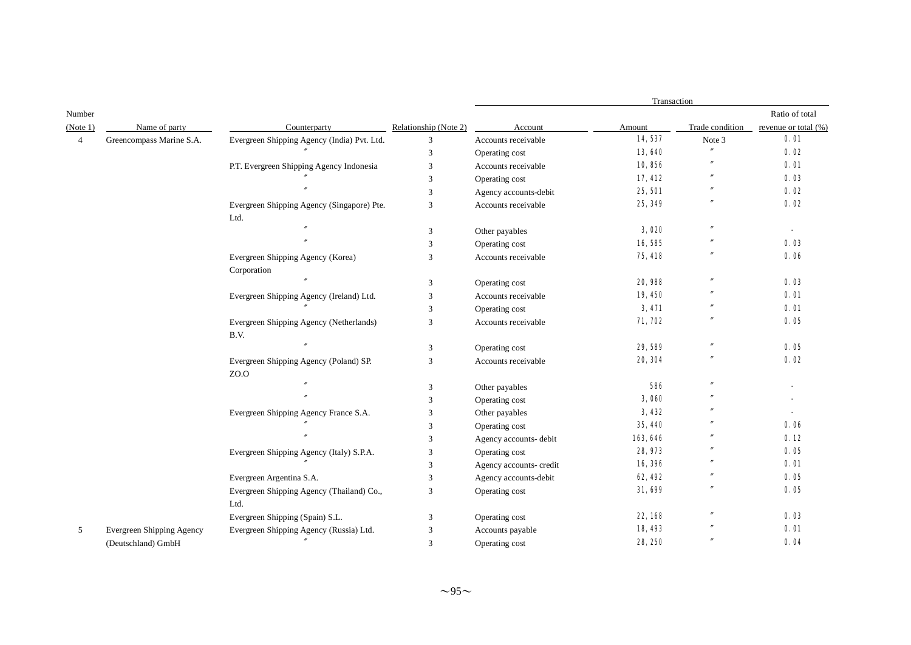|                |                                  |                                             |                       | Transaction             |          |                   |                      |
|----------------|----------------------------------|---------------------------------------------|-----------------------|-------------------------|----------|-------------------|----------------------|
| Number         |                                  |                                             |                       |                         |          |                   | Ratio of total       |
| (Note 1)       | Name of party                    | Counterparty                                | Relationship (Note 2) | Account                 | Amount   | Trade condition   | revenue or total (%) |
| $\overline{4}$ | Greencompass Marine S.A.         | Evergreen Shipping Agency (India) Pvt. Ltd. | 3                     | Accounts receivable     | 14,537   | Note 3            | 0.01                 |
|                |                                  |                                             | 3                     | Operating cost          | 13,640   | $^{\prime\prime}$ | 0.02                 |
|                |                                  | P.T. Evergreen Shipping Agency Indonesia    | 3                     | Accounts receivable     | 10,856   | $^{\prime\prime}$ | 0.01                 |
|                |                                  |                                             | 3                     | Operating cost          | 17,412   |                   | 0.03                 |
|                |                                  |                                             | 3                     | Agency accounts-debit   | 25, 501  |                   | 0.02                 |
|                |                                  | Evergreen Shipping Agency (Singapore) Pte.  | 3                     | Accounts receivable     | 25, 349  |                   | 0.02                 |
|                |                                  | Ltd.                                        |                       |                         |          |                   |                      |
|                |                                  |                                             | 3                     | Other payables          | 3,020    |                   |                      |
|                |                                  |                                             | 3                     | Operating cost          | 16,585   |                   | 0.03                 |
|                |                                  | Evergreen Shipping Agency (Korea)           | 3                     | Accounts receivable     | 75, 418  |                   | 0.06                 |
|                |                                  | Corporation                                 |                       |                         |          |                   |                      |
|                |                                  |                                             | 3                     | Operating cost          | 20,988   | $^{\prime\prime}$ | 0.03                 |
|                |                                  | Evergreen Shipping Agency (Ireland) Ltd.    | 3                     | Accounts receivable     | 19,450   |                   | 0.01                 |
|                |                                  |                                             | 3                     | Operating cost          | 3,471    |                   | 0.01                 |
|                |                                  | Evergreen Shipping Agency (Netherlands)     | 3                     | Accounts receivable     | 71, 702  | $^{\prime\prime}$ | 0.05                 |
|                |                                  | B.V.                                        |                       |                         |          |                   |                      |
|                |                                  |                                             | 3                     | Operating cost          | 29,589   | $\theta$          | 0.05                 |
|                |                                  | Evergreen Shipping Agency (Poland) SP.      | 3                     | Accounts receivable     | 20, 304  |                   | 0.02                 |
|                |                                  | ZO.O                                        |                       |                         |          |                   |                      |
|                |                                  |                                             | 3                     | Other payables          | 586      | $\mathbf{v}$      |                      |
|                |                                  |                                             | 3                     | Operating cost          | 3,060    |                   |                      |
|                |                                  | Evergreen Shipping Agency France S.A.       | 3                     | Other payables          | 3,432    |                   |                      |
|                |                                  |                                             | 3                     | Operating cost          | 35, 440  |                   | 0.06                 |
|                |                                  |                                             | 3                     | Agency accounts- debit  | 163, 646 |                   | 0.12                 |
|                |                                  | Evergreen Shipping Agency (Italy) S.P.A.    | 3                     | Operating cost          | 28, 973  |                   | 0.05                 |
|                |                                  |                                             | 3                     | Agency accounts- credit | 16,396   |                   | 0.01                 |
|                |                                  | Evergreen Argentina S.A.                    | 3                     | Agency accounts-debit   | 62, 492  |                   | 0.05                 |
|                |                                  | Evergreen Shipping Agency (Thailand) Co.,   | 3                     | Operating cost          | 31,699   | $\mathbf{v}$      | 0.05                 |
|                |                                  | Ltd.                                        |                       |                         |          |                   |                      |
|                |                                  | Evergreen Shipping (Spain) S.L.             | 3                     | Operating cost          | 22, 168  | $\prime$          | 0.03                 |
| 5              | <b>Evergreen Shipping Agency</b> | Evergreen Shipping Agency (Russia) Ltd.     | 3                     | Accounts payable        | 18,493   |                   | 0.01                 |
|                | (Deutschland) GmbH               |                                             | 3                     | Operating cost          | 28, 250  |                   | 0.04                 |
|                |                                  |                                             |                       |                         |          |                   |                      |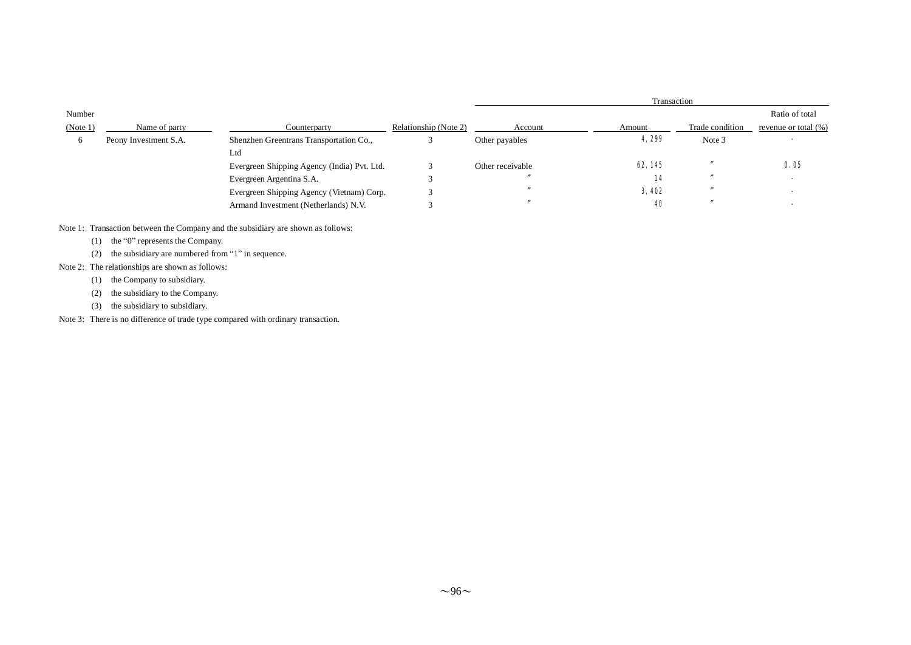|          |                       |                                             |                       | Transaction      |              |                 |                      |
|----------|-----------------------|---------------------------------------------|-----------------------|------------------|--------------|-----------------|----------------------|
| Number   |                       |                                             |                       |                  |              |                 | Ratio of total       |
| (Note 1) | Name of party         | Counterparty                                | Relationship (Note 2) | Account          | Amount       | Trade condition | revenue or total (%) |
| 6        | Peony Investment S.A. | Shenzhen Greentrans Transportation Co.,     |                       | Other payables   | 4,299        | Note 3          |                      |
|          |                       | Ltd                                         |                       |                  |              |                 |                      |
|          |                       | Evergreen Shipping Agency (India) Pvt. Ltd. |                       | Other receivable | 62, 145      |                 | 0.05                 |
|          |                       | Evergreen Argentina S.A.                    |                       |                  | 14           |                 |                      |
|          |                       | Evergreen Shipping Agency (Vietnam) Corp.   |                       |                  | <b>3,402</b> |                 |                      |
|          |                       | Armand Investment (Netherlands) N.V.        |                       |                  | 40           |                 |                      |

Note 1: Transaction between the Company and the subsidiary are shown as follows:

(1) the "0" represents the Company.

(2) the subsidiary are numbered from "1" in sequence.

- Note 2: The relationships are shown as follows:
	- (1) the Company to subsidiary.
	- (2) the subsidiary to the Company.
	- (3) the subsidiary to subsidiary.

Note 3: There is no difference of trade type compared with ordinary transaction.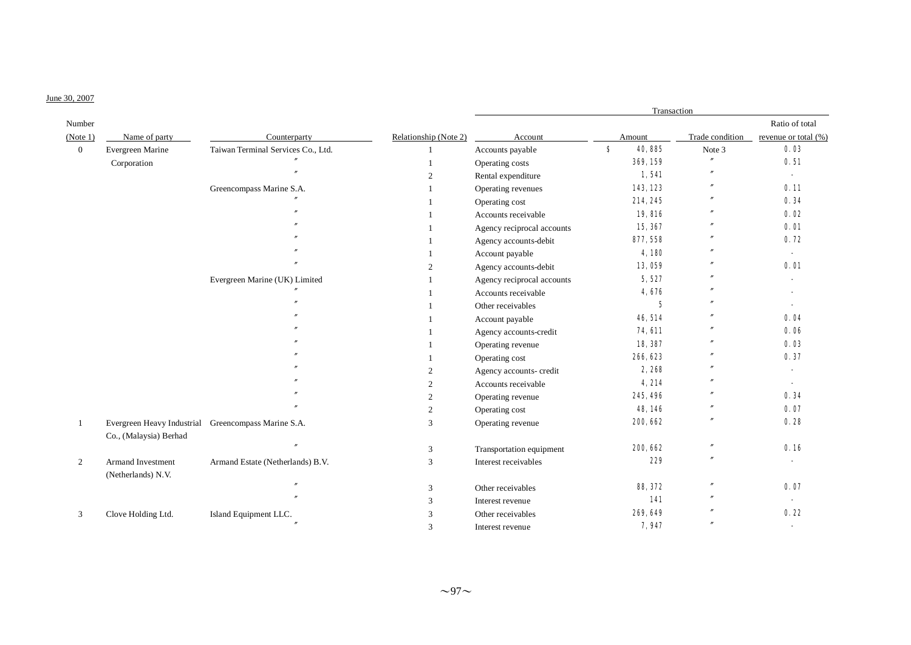# June 30, 2007

|              |                            |                                    |                       | Transaction                |                |                   |                          |
|--------------|----------------------------|------------------------------------|-----------------------|----------------------------|----------------|-------------------|--------------------------|
| Number       |                            |                                    |                       |                            |                |                   | Ratio of total           |
| (Note 1)     | Name of party              | Counterparty                       | Relationship (Note 2) | Account                    | Amount         | Trade condition   | revenue or total (%)     |
| $\mathbf{0}$ | Evergreen Marine           | Taiwan Terminal Services Co., Ltd. | $\mathbf{1}$          | Accounts payable           | S<br>40,885    | Note 3            | 0.03                     |
|              | Corporation                |                                    | $\mathbf{1}$          | Operating costs            | 369, 159       |                   | 0.51                     |
|              |                            |                                    | $\overline{2}$        | Rental expenditure         | 1,541          |                   | $\blacksquare$           |
|              |                            | Greencompass Marine S.A.           |                       | Operating revenues         | 143, 123       | $^{\prime\prime}$ | 0.11                     |
|              |                            |                                    |                       | Operating cost             | 214, 245       |                   | 0.34                     |
|              |                            |                                    |                       | Accounts receivable        | 19,816         |                   | 0.02                     |
|              |                            |                                    | $\mathbf{1}$          | Agency reciprocal accounts | 15, 367        |                   | 0.01                     |
|              |                            |                                    | $\overline{1}$        | Agency accounts-debit      | 877, 558       | $\prime$          | 0.72                     |
|              |                            |                                    | $\mathbf{1}$          | Account payable            | 4,180          |                   |                          |
|              |                            |                                    | 2                     | Agency accounts-debit      | 13,059         |                   | 0.01                     |
|              |                            | Evergreen Marine (UK) Limited      |                       | Agency reciprocal accounts | 5,527          |                   |                          |
|              |                            |                                    |                       | Accounts receivable        | 4,676          |                   |                          |
|              |                            |                                    |                       | Other receivables          | $\mathbf 5$    |                   |                          |
|              |                            |                                    | -1                    | Account payable            | 46, 514        |                   | 0.04                     |
|              |                            |                                    | $\overline{1}$        | Agency accounts-credit     | <b>74, 611</b> | $^{\prime\prime}$ | 0.06                     |
|              |                            |                                    | $\overline{1}$        | Operating revenue          | 18,387         |                   | 0.03                     |
|              |                            |                                    | $\mathbf{1}$          | Operating cost             | 266, 623       |                   | 0.37                     |
|              |                            |                                    | 2                     | Agency accounts- credit    | 2,268          | $\prime\prime$    |                          |
|              |                            |                                    | $\overline{2}$        | Accounts receivable        | 4,214          |                   | $\overline{\phantom{a}}$ |
|              |                            |                                    | $\overline{2}$        | Operating revenue          | 245, 496       |                   | 0.34                     |
|              |                            |                                    | $\overline{2}$        | Operating cost             | 48, 146        |                   | 0.07                     |
| -1           | Evergreen Heavy Industrial | Greencompass Marine S.A.           | 3                     | Operating revenue          | 200, 662       | $^{\prime\prime}$ | 0.28                     |
|              | Co., (Malaysia) Berhad     |                                    |                       |                            |                |                   |                          |
|              |                            |                                    | 3                     | Transportation equipment   | 200, 662       | $^{\prime\prime}$ | 0.16                     |
| 2            | Armand Investment          | Armand Estate (Netherlands) B.V.   | 3                     | Interest receivables       | 229            | $\prime$          |                          |
|              | (Netherlands) N.V.         |                                    |                       |                            |                | $^{\prime\prime}$ | 0.07                     |
|              |                            |                                    | 3                     | Other receivables          | 88, 372        |                   |                          |
|              |                            |                                    | 3                     | Interest revenue           | 141            | $^{\prime\prime}$ |                          |
| 3            | Clove Holding Ltd.         | Island Equipment LLC.              | 3                     | Other receivables          | 269, 649       |                   | 0.22                     |
|              |                            |                                    | 3                     | Interest revenue           | 7,947          |                   |                          |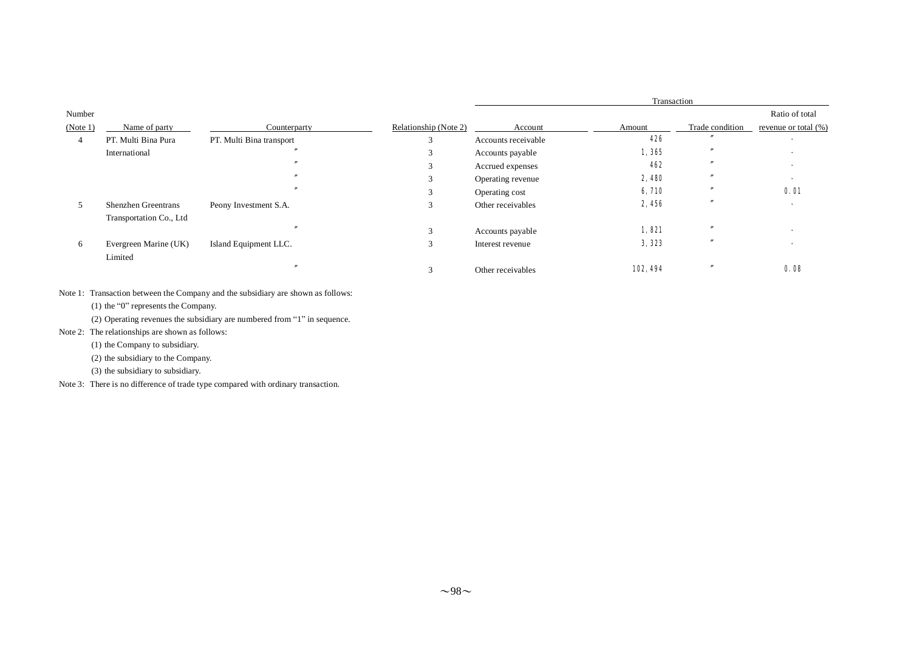|                    |                                                       | Counterparty             |                       | Transaction         |         |                 |                                        |
|--------------------|-------------------------------------------------------|--------------------------|-----------------------|---------------------|---------|-----------------|----------------------------------------|
| Number<br>(Note 1) | Name of party                                         |                          | Relationship (Note 2) | Account             | Amount  | Trade condition | Ratio of total<br>revenue or total (%) |
| 4                  | PT. Multi Bina Pura                                   | PT. Multi Bina transport | 3                     | Accounts receivable | 426     |                 |                                        |
|                    | International                                         |                          |                       | Accounts payable    | 1,365   |                 |                                        |
|                    |                                                       |                          |                       | Accrued expenses    | 462     |                 |                                        |
|                    |                                                       |                          | 3                     | Operating revenue   | 2,480   |                 |                                        |
|                    |                                                       |                          | $\mathcal{L}$         | Operating cost      | 6, 710  |                 | <b>0.01</b>                            |
|                    | <b>Shenzhen Greentrans</b><br>Transportation Co., Ltd | Peony Investment S.A.    | 3                     | Other receivables   | 2,456   |                 |                                        |
|                    |                                                       |                          | $\mathbf{3}$          | Accounts payable    | 1,821   |                 |                                        |
| 6                  | Evergreen Marine (UK)<br>Limited                      | Island Equipment LLC.    | 3                     | Interest revenue    | 3, 323  |                 |                                        |
|                    |                                                       |                          | $\sim$                | Other receivables   | 102,494 |                 | 0.08                                   |

Note 1: Transaction between the Company and the subsidiary are shown as follows:

(1) the "0" represents the Company.

(2) Operating revenues the subsidiary are numbered from "1" in sequence.

Note 2: The relationships are shown as follows:

(1) the Company to subsidiary.

(2) the subsidiary to the Company.

(3) the subsidiary to subsidiary.

Note 3: There is no difference of trade type compared with ordinary transaction.